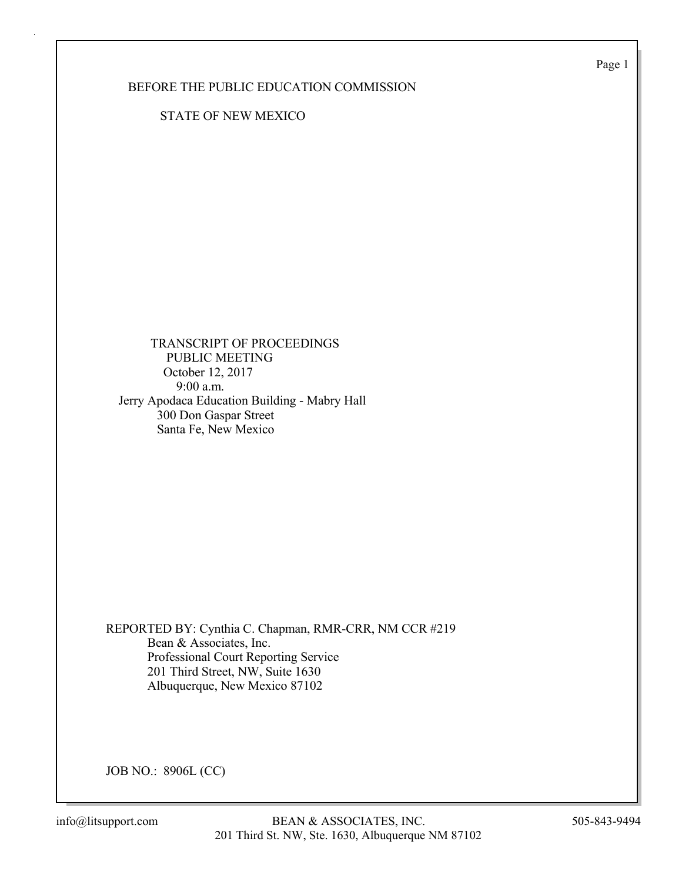Page 1

### BEFORE THE PUBLIC EDUCATION COMMISSION

STATE OF NEW MEXICO

 TRANSCRIPT OF PROCEEDINGS PUBLIC MEETING October 12, 2017 9:00 a.m. Jerry Apodaca Education Building - Mabry Hall 300 Don Gaspar Street Santa Fe, New Mexico

REPORTED BY: Cynthia C. Chapman, RMR-CRR, NM CCR #219 Bean & Associates, Inc. Professional Court Reporting Service 201 Third Street, NW, Suite 1630 Albuquerque, New Mexico 87102

JOB NO.: 8906L (CC)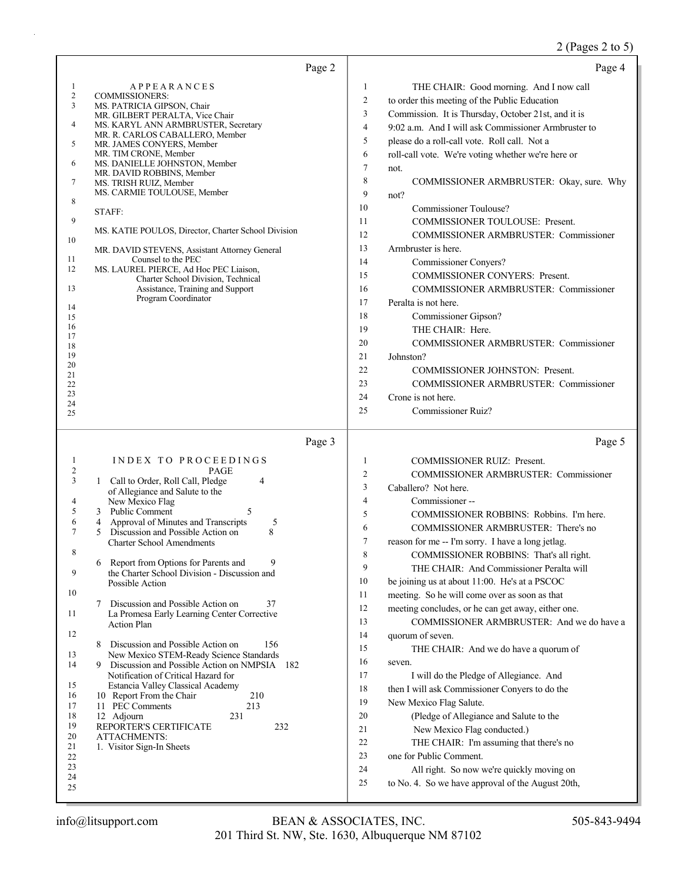# 2 (Pages 2 to 5)

| Page 2                                                                                                                                                                                                                                                                                                                                                                                                                                                                                                                                                                                                                                                                                                                                                                                                                                                                                                                                                                                                                                                                                                                 | Page 4                                                                                                                                                                                                                                                                                                                                                                                                                                                                                                                                                                                                                                                                                                                                                                                                                                                                                                                                                                                                                                                                                                                                                                                     |
|------------------------------------------------------------------------------------------------------------------------------------------------------------------------------------------------------------------------------------------------------------------------------------------------------------------------------------------------------------------------------------------------------------------------------------------------------------------------------------------------------------------------------------------------------------------------------------------------------------------------------------------------------------------------------------------------------------------------------------------------------------------------------------------------------------------------------------------------------------------------------------------------------------------------------------------------------------------------------------------------------------------------------------------------------------------------------------------------------------------------|--------------------------------------------------------------------------------------------------------------------------------------------------------------------------------------------------------------------------------------------------------------------------------------------------------------------------------------------------------------------------------------------------------------------------------------------------------------------------------------------------------------------------------------------------------------------------------------------------------------------------------------------------------------------------------------------------------------------------------------------------------------------------------------------------------------------------------------------------------------------------------------------------------------------------------------------------------------------------------------------------------------------------------------------------------------------------------------------------------------------------------------------------------------------------------------------|
| <b>APPEARANCES</b><br>-1<br>$\sqrt{2}$<br><b>COMMISSIONERS:</b><br>3<br>MS. PATRICIA GIPSON, Chair<br>MR. GILBERT PERALTA, Vice Chair<br>4<br>MS. KARYL ANN ARMBRUSTER, Secretary<br>MR. R. CARLOS CABALLERO, Member<br>5<br>MR. JAMES CONYERS, Member<br>MR. TIM CRONE, Member<br>6<br>MS. DANIELLE JOHNSTON, Member<br>MR. DAVID ROBBINS, Member<br>7<br>MS. TRISH RUIZ, Member<br>MS. CARMIE TOULOUSE, Member<br>8<br>STAFF:<br>9<br>MS. KATIE POULOS, Director, Charter School Division<br>10<br>MR. DAVID STEVENS, Assistant Attorney General<br>Counsel to the PEC<br>11<br>12<br>MS. LAUREL PIERCE, Ad Hoc PEC Liaison,<br>Charter School Division, Technical<br>13<br>Assistance, Training and Support<br>Program Coordinator<br>14<br>15<br>16<br>17<br>18<br>19<br>20<br>21<br>22<br>23<br>24<br>25                                                                                                                                                                                                                                                                                                          | 1<br>THE CHAIR: Good morning. And I now call<br>$\overline{c}$<br>to order this meeting of the Public Education<br>$\mathfrak{Z}$<br>Commission. It is Thursday, October 21st, and it is<br>$\overline{4}$<br>9:02 a.m. And I will ask Commissioner Armbruster to<br>5<br>please do a roll-call vote. Roll call. Not a<br>6<br>roll-call vote. We're voting whether we're here or<br>$\tau$<br>not.<br>8<br>COMMISSIONER ARMBRUSTER: Okay, sure. Why<br>9<br>not?<br>10<br>Commissioner Toulouse?<br>11<br><b>COMMISSIONER TOULOUSE: Present.</b><br>12<br><b>COMMISSIONER ARMBRUSTER: Commissioner</b><br>13<br>Armbruster is here.<br>14<br>Commissioner Conyers?<br>15<br>COMMISSIONER CONYERS: Present.<br>16<br><b>COMMISSIONER ARMBRUSTER: Commissioner</b><br>17<br>Peralta is not here.<br>18<br>Commissioner Gipson?<br>19<br>THE CHAIR: Here.<br>20<br><b>COMMISSIONER ARMBRUSTER: Commissioner</b><br>21<br>Johnston?<br>22<br>COMMISSIONER JOHNSTON: Present.<br>23<br><b>COMMISSIONER ARMBRUSTER: Commissioner</b><br>Crone is not here.<br>24<br>25<br>Commissioner Ruiz?                                                                                                    |
| Page 3<br>INDEX TO PROCEEDINGS<br>1<br>$\overline{c}$<br><b>PAGE</b><br>3<br>1 Call to Order, Roll Call, Pledge<br>4<br>of Allegiance and Salute to the<br>New Mexico Flag<br>4<br>5<br>5<br>3 Public Comment<br>6<br>Approval of Minutes and Transcripts<br>5<br>4<br>7<br>Discussion and Possible Action on<br>8<br>5<br><b>Charter School Amendments</b><br>8<br>Report from Options for Parents and<br>9<br>6<br>9<br>the Charter School Division - Discussion and<br>Possible Action<br>10<br>Discussion and Possible Action on<br>7<br>37<br>11<br>La Promesa Early Learning Center Corrective<br><b>Action Plan</b><br>12<br>Discussion and Possible Action on<br>156<br>8<br>13<br>New Mexico STEM-Ready Science Standards<br>14<br>Discussion and Possible Action on NMPSIA 182<br>9<br>Notification of Critical Hazard for<br>15<br>Estancia Valley Classical Academy<br>16<br>10 Report From the Chair<br>210<br>11 PEC Comments<br>213<br>17<br>18<br>12 Adjourn<br>231<br>19<br>REPORTER'S CERTIFICATE<br>232<br>20<br><b>ATTACHMENTS:</b><br>21<br>1. Visitor Sign-In Sheets<br>$22\,$<br>23<br>24<br>25 | Page 5<br>1<br><b>COMMISSIONER RUIZ: Present.</b><br>$\overline{c}$<br>COMMISSIONER ARMBRUSTER: Commissioner<br>3<br>Caballero? Not here.<br>$\overline{4}$<br>Commissioner-<br>5<br>COMMISSIONER ROBBINS: Robbins. I'm here.<br>6<br>COMMISSIONER ARMBRUSTER: There's no<br>7<br>reason for me -- I'm sorry. I have a long jetlag.<br>8<br>COMMISSIONER ROBBINS: That's all right.<br>9<br>THE CHAIR: And Commissioner Peralta will<br>10<br>be joining us at about 11:00. He's at a PSCOC<br>11<br>meeting. So he will come over as soon as that<br>meeting concludes, or he can get away, either one.<br>12<br>COMMISSIONER ARMBRUSTER: And we do have a<br>13<br>14<br>quorum of seven.<br>15<br>THE CHAIR: And we do have a quorum of<br>16<br>seven.<br>17<br>I will do the Pledge of Allegiance. And<br>18<br>then I will ask Commissioner Conyers to do the<br>19<br>New Mexico Flag Salute.<br>20<br>(Pledge of Allegiance and Salute to the<br>21<br>New Mexico Flag conducted.)<br>22<br>THE CHAIR: I'm assuming that there's no<br>23<br>one for Public Comment.<br>24<br>All right. So now we're quickly moving on<br>to No. 4. So we have approval of the August 20th,<br>25 |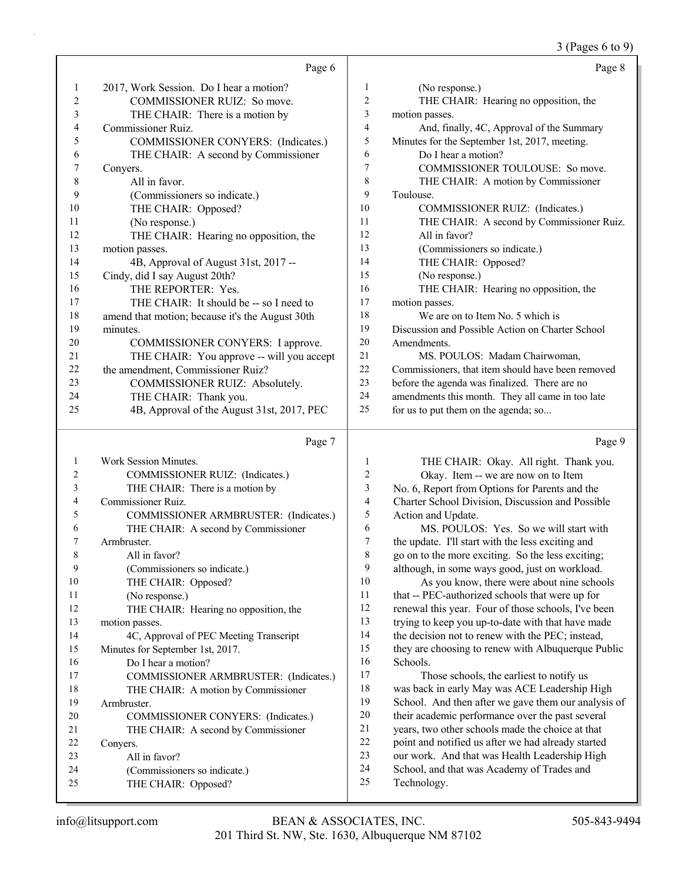# 3 (Pages 6 to 9)

|    | Page 6                                          |              |                  |
|----|-------------------------------------------------|--------------|------------------|
| 1  | 2017, Work Session. Do I hear a motion?         | $\mathbf{1}$ | ſ)               |
| 2  | COMMISSIONER RUIZ: So move.                     | 2            | T                |
| 3  | THE CHAIR: There is a motion by                 | 3            | motion           |
| 4  | Commissioner Ruiz.                              | 4            | A                |
| 5  | COMMISSIONER CONYERS: (Indicates.)              | 5            | Minutes          |
| 6  | THE CHAIR: A second by Commissioner             | 6            | D                |
| 7  | Convers.                                        | 7            | C                |
| 8  | All in favor.                                   | 8            | T                |
| 9  | (Commissioners so indicate.)                    | 9            | Toulous          |
| 10 | THE CHAIR: Opposed?                             | 10           | C                |
| 11 | (No response.)                                  | 11           | T                |
| 12 | THE CHAIR: Hearing no opposition, the           | 12           | $\overline{A}$   |
| 13 | motion passes.                                  | 13           | $\mathfrak{a}$   |
| 14 | 4B, Approval of August 31st, 2017 --            | 14           | T                |
| 15 | Cindy, did I say August 20th?                   | 15           | $\left( \right)$ |
| 16 | THE REPORTER: Yes.                              | 16           | T                |
| 17 | THE CHAIR: It should be -- so I need to         | 17           | motion           |
| 18 | amend that motion; because it's the August 30th | 18           | V                |
| 19 | minutes.                                        | 19           | <b>Discuss</b>   |
| 20 | COMMISSIONER CONYERS: I approve.                | 20           | Amendi           |
| 21 | THE CHAIR: You approve -- will you accept       | 21           | N                |
| 22 | the amendment, Commissioner Ruiz?               | 22           | Commis           |
| 23 | COMMISSIONER RUIZ: Absolutely.                  | 23           | before t         |
| 24 | THE CHAIR: Thank you.                           | 24           | amendn           |
| 25 | 4B, Approval of the August 31st, 2017, PEC      | 25           | for us to        |
|    |                                                 |              |                  |

# Page 7

| 1              | Work Session Minutes.                  | 1                       |
|----------------|----------------------------------------|-------------------------|
| 2              | COMMISSIONER RUIZ: (Indicates.)        | 2                       |
| 3              | THE CHAIR: There is a motion by        | 3                       |
| $\overline{4}$ | Commissioner Ruiz.                     | $\overline{\mathbf{4}}$ |
| 5              | COMMISSIONER ARMBRUSTER: (Indicates.)  | 5                       |
| 6              | THE CHAIR: A second by Commissioner    | 6                       |
| 7              | Armbruster.                            | 7                       |
| 8              | All in favor?                          | 8                       |
| 9              | (Commissioners so indicate.)           | 9                       |
| 10             | THE CHAIR: Opposed?                    | 10                      |
| 11             | (No response.)                         | 11                      |
| 12             | THE CHAIR: Hearing no opposition, the  | 12                      |
| 13             | motion passes.                         | 13                      |
| 14             | 4C, Approval of PEC Meeting Transcript | 14                      |
| 15             | Minutes for September 1st, 2017.       | 15                      |
| 16             | Do I hear a motion?                    | 16                      |
| 17             | COMMISSIONER ARMBRUSTER: (Indicates.)  | 17                      |
| 18             | THE CHAIR: A motion by Commissioner    | 18                      |
| 19             | Armbruster.                            | 19                      |
| 20             | COMMISSIONER CONYERS: (Indicates.)     | 20                      |
| 21             | THE CHAIR: A second by Commissioner    | 2.1                     |
| 22             | Conyers.                               | 22                      |
| 23             | All in favor?                          | 23                      |
| 24             | (Commissioners so indicate.)           | 24                      |
| 25             | THE CHAIR: Opposed?                    | 25                      |
|                |                                        |                         |

|                | Page 8                                            |
|----------------|---------------------------------------------------|
| $\mathbf{1}$   | (No response.)                                    |
| 2              | THE CHAIR: Hearing no opposition, the             |
| 3              | motion passes.                                    |
| $\overline{4}$ | And, finally, 4C, Approval of the Summary         |
| 5              | Minutes for the September 1st, 2017, meeting.     |
| 6              | Do I hear a motion?                               |
| 7              | COMMISSIONER TOULOUSE: So move.                   |
| 8              | THE CHAIR: A motion by Commissioner               |
| 9              | Toulouse.                                         |
| 10             | COMMISSIONER RUIZ: (Indicates.)                   |
| 11             | THE CHAIR: A second by Commissioner Ruiz.         |
| 12             | All in favor?                                     |
| 13             | (Commissioners so indicate.)                      |
| 14             | THE CHAIR: Opposed?                               |
| 15             | (No response.)                                    |
| 16             | THE CHAIR: Hearing no opposition, the             |
| 17             | motion passes.                                    |
| 18             | We are on to Item No. 5 which is                  |
| 19             | Discussion and Possible Action on Charter School  |
| 20             | Amendments.                                       |
| 21             | MS. POULOS: Madam Chairwoman,                     |
| 22             | Commissioners, that item should have been removed |
| 23             | before the agenda was finalized. There are no     |
| 24             | amendments this month. They all came in too late  |

o put them on the agenda; so...

Page 9

|            | 1              | THE CHAIR: Okay. All right. Thank you.              |
|------------|----------------|-----------------------------------------------------|
|            | $\overline{2}$ | Okay. Item -- we are now on to Item                 |
|            | 3              | No. 6, Report from Options for Parents and the      |
|            | $\overline{4}$ | Charter School Division, Discussion and Possible    |
| ndicates.) | 5              | Action and Update.                                  |
| er         | 6              | MS. POULOS: Yes. So we will start with              |
|            | 7              | the update. I'll start with the less exciting and   |
|            | 8              | go on to the more exciting. So the less exciting;   |
|            | 9              | although, in some ways good, just on workload.      |
|            | 10             | As you know, there were about nine schools          |
|            | 11             | that -- PEC-authorized schools that were up for     |
| ė          | 12             | renewal this year. Four of those schools, I've been |
|            | 13             | trying to keep you up-to-date with that have made   |
| f.         | 14             | the decision not to renew with the PEC; instead,    |
|            | 15             | they are choosing to renew with Albuquerque Public  |
|            | 16             | Schools.                                            |
| ndicates.) | 17             | Those schools, the earliest to notify us            |
| er         | 18             | was back in early May was ACE Leadership High       |
|            | 19             | School. And then after we gave them our analysis of |
| tes.)      | 20             | their academic performance over the past several    |
| er         | 21             | years, two other schools made the choice at that    |
|            | 22             | point and notified us after we had already started  |
|            | 23             | our work. And that was Health Leadership High       |
|            | 24             | School, and that was Academy of Trades and          |
|            | 25             | Technology.                                         |
|            |                |                                                     |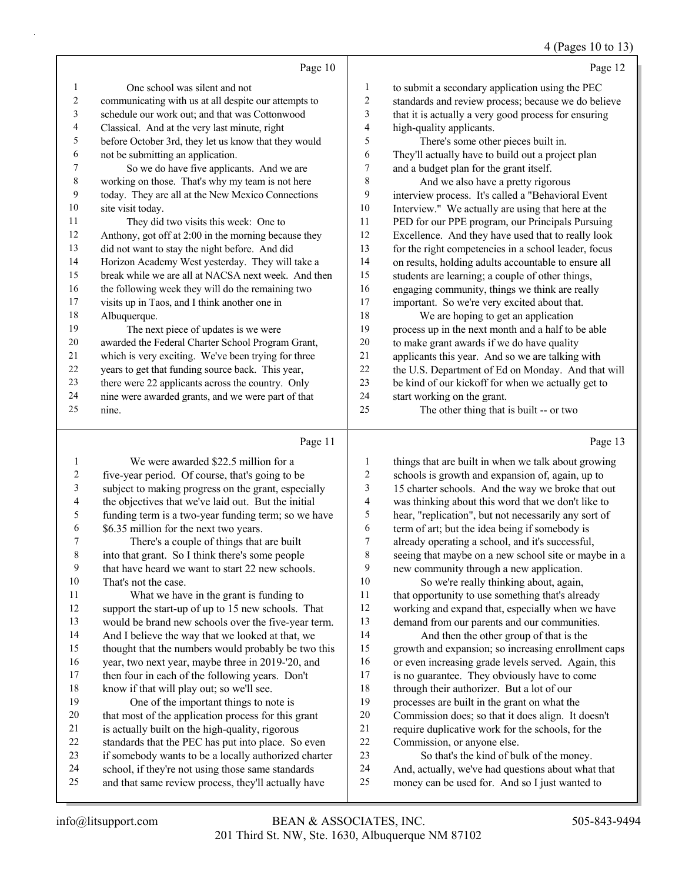# 4 (Pages 10 to 13)

|    | Page 10                                              |                | Page 12                                              |
|----|------------------------------------------------------|----------------|------------------------------------------------------|
| 1  | One school was silent and not                        | 1              | to submit a secondary application using the PEC      |
| 2  | communicating with us at all despite our attempts to | $\overline{c}$ | standards and review process; because we do believe  |
| 3  | schedule our work out; and that was Cottonwood       | 3              | that it is actually a very good process for ensuring |
| 4  | Classical. And at the very last minute, right        | 4              | high-quality applicants.                             |
| 5  | before October 3rd, they let us know that they would | 5              | There's some other pieces built in.                  |
| 6  | not be submitting an application.                    | 6              | They'll actually have to build out a project plan    |
| 7  | So we do have five applicants. And we are            | 7              | and a budget plan for the grant itself.              |
| 8  | working on those. That's why my team is not here     | 8              | And we also have a pretty rigorous                   |
| 9  | today. They are all at the New Mexico Connections    | 9              | interview process. It's called a "Behavioral Event   |
| 10 | site visit today.                                    | 10             | Interview." We actually are using that here at the   |
| 11 | They did two visits this week: One to                | 11             | PED for our PPE program, our Principals Pursuing     |
| 12 | Anthony, got off at 2:00 in the morning because they | 12             | Excellence. And they have used that to really look   |
| 13 | did not want to stay the night before. And did       | 13             | for the right competencies in a school leader, focus |
| 14 | Horizon Academy West yesterday. They will take a     | 14             | on results, holding adults accountable to ensure all |
| 15 | break while we are all at NACSA next week. And then  | 15             | students are learning; a couple of other things,     |
| 16 | the following week they will do the remaining two    | 16             | engaging community, things we think are really       |
| 17 | visits up in Taos, and I think another one in        | 17             | important. So we're very excited about that.         |
| 18 | Albuquerque.                                         | 18             | We are hoping to get an application                  |
| 19 | The next piece of updates is we were                 | 19             | process up in the next month and a half to be able   |
| 20 | awarded the Federal Charter School Program Grant,    | 20             | to make grant awards if we do have quality           |
| 21 | which is very exciting. We've been trying for three  | 21             | applicants this year. And so we are talking with     |
| 22 | years to get that funding source back. This year,    | 22             | the U.S. Department of Ed on Monday. And that will   |
| 23 | there were 22 applicants across the country. Only    | 23             | be kind of our kickoff for when we actually get to   |
| 24 | nine were awarded grants, and we were part of that   | 24             | start working on the grant.                          |
| 25 | nine.                                                | 25             | The other thing that is built -- or two              |
|    | Page 11                                              |                | Page 13                                              |

|        | We were awarded \$22.5 million for a                 |    | things that are built in when we talk about growing  |
|--------|------------------------------------------------------|----|------------------------------------------------------|
| 2      | five-year period. Of course, that's going to be      | 2  | schools is growth and expansion of, again, up to     |
| 3      | subject to making progress on the grant, especially  | 3  | 15 charter schools. And the way we broke that out    |
| 4      | the objectives that we've laid out. But the initial  | 4  | was thinking about this word that we don't like to   |
| 5      | funding term is a two-year funding term; so we have  | 5  | hear, "replication", but not necessarily any sort of |
| 6      | \$6.35 million for the next two years.               | 6  | term of art; but the idea being if somebody is       |
|        | There's a couple of things that are built            | 7  | already operating a school, and it's successful,     |
| 8      | into that grant. So I think there's some people      | 8  | seeing that maybe on a new school site or maybe in a |
| 9      | that have heard we want to start 22 new schools.     | 9  | new community through a new application.             |
| 10     | That's not the case.                                 | 10 | So we're really thinking about, again,               |
| 11     | What we have in the grant is funding to              | 11 | that opportunity to use something that's already     |
| 12     | support the start-up of up to 15 new schools. That   | 12 | working and expand that, especially when we have     |
| 13     | would be brand new schools over the five-year term.  | 13 | demand from our parents and our communities.         |
| 14     | And I believe the way that we looked at that, we     | 14 | And then the other group of that is the              |
| 15     | thought that the numbers would probably be two this  | 15 | growth and expansion; so increasing enrollment caps  |
| 16     | year, two next year, maybe three in 2019-'20, and    | 16 | or even increasing grade levels served. Again, this  |
| 17     | then four in each of the following years. Don't      | 17 | is no guarantee. They obviously have to come         |
| 18     | know if that will play out; so we'll see.            | 18 | through their authorizer. But a lot of our           |
| 19     | One of the important things to note is               | 19 | processes are built in the grant on what the         |
| 20     | that most of the application process for this grant  | 20 | Commission does; so that it does align. It doesn't   |
| 21     | is actually built on the high-quality, rigorous      | 21 | require duplicative work for the schools, for the    |
| $22\,$ | standards that the PEC has put into place. So even   | 22 | Commission, or anyone else.                          |
| 23     | if somebody wants to be a locally authorized charter | 23 | So that's the kind of bulk of the money.             |
| 24     | school, if they're not using those same standards    | 24 | And, actually, we've had questions about what that   |
| 25     | and that same review process, they'll actually have  | 25 | money can be used for. And so I just wanted to       |
|        |                                                      |    |                                                      |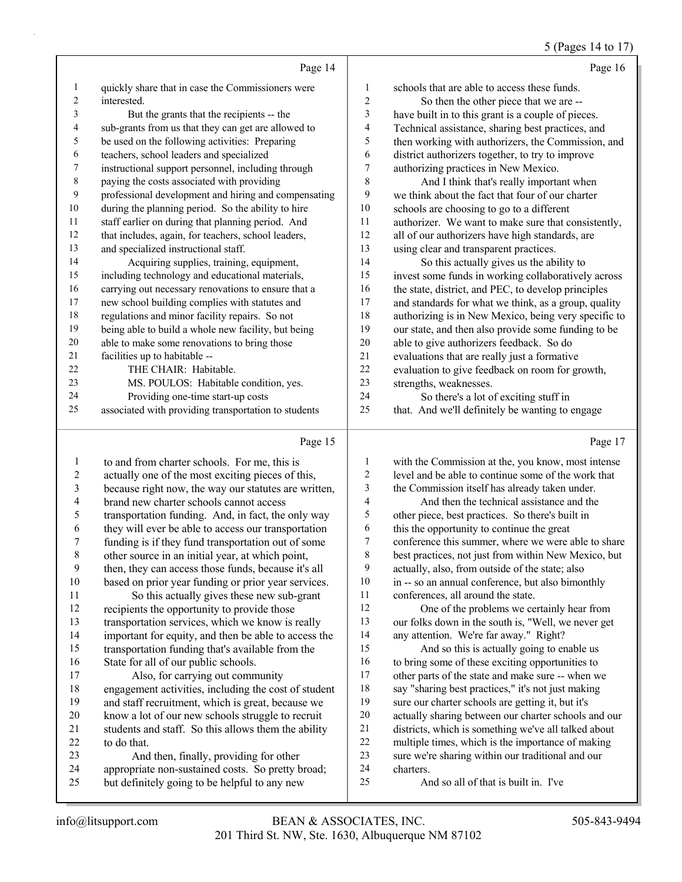#### 5 (Pages 14 to 17)

|              | Page 14                                              |    | Page 16                                              |
|--------------|------------------------------------------------------|----|------------------------------------------------------|
| $\mathbf{I}$ | quickly share that in case the Commissioners were    | 1  | schools that are able to access these funds.         |
| 2            | interested.                                          | 2  | So then the other piece that we are --               |
| 3            | But the grants that the recipients -- the            | 3  | have built in to this grant is a couple of pieces.   |
| 4            | sub-grants from us that they can get are allowed to  | 4  | Technical assistance, sharing best practices, and    |
| 5.           | be used on the following activities: Preparing       | 5  | then working with authorizers, the Commission, and   |
| 6            | teachers, school leaders and specialized             | 6  | district authorizers together, to try to improve     |
| 7            | instructional support personnel, including through   | 7  | authorizing practices in New Mexico.                 |
| 8            | paying the costs associated with providing           | 8  | And I think that's really important when             |
| 9            | professional development and hiring and compensating | 9  | we think about the fact that four of our charter     |
| 10           | during the planning period. So the ability to hire   | 10 | schools are choosing to go to a different            |
| 11           | staff earlier on during that planning period. And    | 11 | authorizer. We want to make sure that consistently,  |
| 12           | that includes, again, for teachers, school leaders,  | 12 | all of our authorizers have high standards, are      |
| 13           | and specialized instructional staff.                 | 13 | using clear and transparent practices.               |
| 14           | Acquiring supplies, training, equipment,             | 14 | So this actually gives us the ability to             |
| 15           | including technology and educational materials,      | 15 | invest some funds in working collaboratively across  |
| 16           | carrying out necessary renovations to ensure that a  | 16 | the state, district, and PEC, to develop principles  |
| 17           | new school building complies with statutes and       | 17 | and standards for what we think, as a group, quality |
| 18           | regulations and minor facility repairs. So not       | 18 | authorizing is in New Mexico, being very specific to |
| 19           | being able to build a whole new facility, but being  | 19 | our state, and then also provide some funding to be  |
| 20           | able to make some renovations to bring those         | 20 | able to give authorizers feedback. So do             |
| 21           | facilities up to habitable --                        | 21 | evaluations that are really just a formative         |
| 22           | THE CHAIR: Habitable.                                | 22 | evaluation to give feedback on room for growth,      |
| 23           | MS. POULOS: Habitable condition, yes.                | 23 | strengths, weaknesses.                               |
| 24           | Providing one-time start-up costs                    | 24 | So there's a lot of exciting stuff in                |
| 25           | associated with providing transportation to students | 25 | that. And we'll definitely be wanting to engage      |
|              | Page 15                                              |    | Page 17                                              |

| 1  | to and from charter schools. For me, this is         | 1  | with the Commission at the, you know, most intense   |
|----|------------------------------------------------------|----|------------------------------------------------------|
| 2  | actually one of the most exciting pieces of this,    | 2  | level and be able to continue some of the work that  |
| 3  | because right now, the way our statutes are written, | 3  | the Commission itself has already taken under.       |
| 4  | brand new charter schools cannot access              | 4  | And then the technical assistance and the            |
| 5  | transportation funding. And, in fact, the only way   | 5  | other piece, best practices. So there's built in     |
| 6  | they will ever be able to access our transportation  | 6  | this the opportunity to continue the great           |
| 7  | funding is if they fund transportation out of some   | 7  | conference this summer, where we were able to share  |
| 8  | other source in an initial year, at which point,     | 8  | best practices, not just from within New Mexico, but |
| 9  | then, they can access those funds, because it's all  | 9  | actually, also, from outside of the state; also      |
| 10 | based on prior year funding or prior year services.  | 10 | in -- so an annual conference, but also bimonthly    |
| 11 | So this actually gives these new sub-grant           | 11 | conferences, all around the state.                   |
| 12 | recipients the opportunity to provide those          | 12 | One of the problems we certainly hear from           |
| 13 | transportation services, which we know is really     | 13 | our folks down in the south is, "Well, we never get  |
| 14 | important for equity, and then be able to access the | 14 | any attention. We're far away." Right?               |
| 15 | transportation funding that's available from the     | 15 | And so this is actually going to enable us           |
| 16 | State for all of our public schools.                 | 16 | to bring some of these exciting opportunities to     |
| 17 | Also, for carrying out community                     | 17 | other parts of the state and make sure -- when we    |
| 18 | engagement activities, including the cost of student | 18 | say "sharing best practices," it's not just making   |
| 19 | and staff recruitment, which is great, because we    | 19 | sure our charter schools are getting it, but it's    |
| 20 | know a lot of our new schools struggle to recruit    | 20 | actually sharing between our charter schools and our |
| 21 | students and staff. So this allows them the ability  | 21 | districts, which is something we've all talked about |
| 22 | to do that.                                          | 22 | multiple times, which is the importance of making    |
| 23 | And then, finally, providing for other               | 23 | sure we're sharing within our traditional and our    |
| 24 | appropriate non-sustained costs. So pretty broad;    | 24 | charters.                                            |
| 25 | but definitely going to be helpful to any new        | 25 | And so all of that is built in. I've                 |
|    |                                                      |    |                                                      |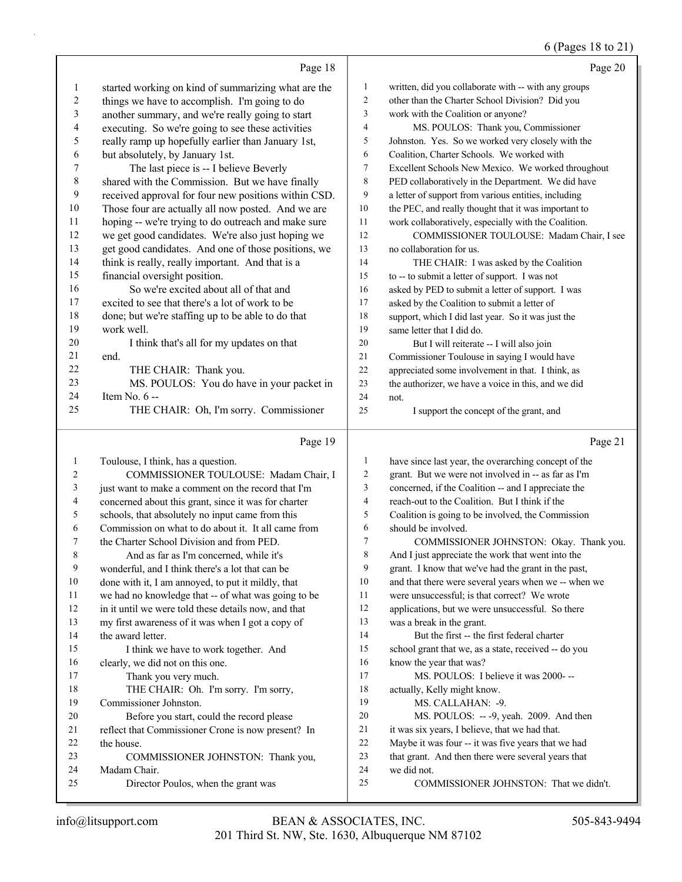### 6 (Pages 18 to 21)

|                  |                                                      |                | $0(1 \text{ uS} \omega \text{ i} \omega \omega \omega)$ |
|------------------|------------------------------------------------------|----------------|---------------------------------------------------------|
|                  | Page 18                                              |                | Page 20                                                 |
| 1                | started working on kind of summarizing what are the  | $\mathbf{1}$   | written, did you collaborate with -- with any groups    |
| $\boldsymbol{2}$ | things we have to accomplish. I'm going to do        | $\overline{c}$ | other than the Charter School Division? Did you         |
| 3                | another summary, and we're really going to start     | 3              | work with the Coalition or anyone?                      |
| 4                | executing. So we're going to see these activities    | 4              | MS. POULOS: Thank you, Commissioner                     |
| 5                | really ramp up hopefully earlier than January 1st,   | 5              | Johnston. Yes. So we worked very closely with the       |
| 6                | but absolutely, by January 1st.                      | 6              | Coalition, Charter Schools. We worked with              |
| 7                | The last piece is -- I believe Beverly               | 7              | Excellent Schools New Mexico. We worked throughout      |
| 8                | shared with the Commission. But we have finally      | 8              | PED collaboratively in the Department. We did have      |
| 9                | received approval for four new positions within CSD. | 9              | a letter of support from various entities, including    |
| 10               | Those four are actually all now posted. And we are   | 10             | the PEC, and really thought that it was important to    |
| 11               | hoping -- we're trying to do outreach and make sure  | 11             | work collaboratively, especially with the Coalition.    |
| 12               | we get good candidates. We're also just hoping we    | 12             | COMMISSIONER TOULOUSE: Madam Chair, I see               |
| 13               | get good candidates. And one of those positions, we  | 13             | no collaboration for us.                                |
| 14               | think is really, really important. And that is a     | 14             | THE CHAIR: I was asked by the Coalition                 |
| 15               | financial oversight position.                        | 15             | to -- to submit a letter of support. I was not          |
| 16               | So we're excited about all of that and               | 16             | asked by PED to submit a letter of support. I was       |
| 17               | excited to see that there's a lot of work to be      | 17             | asked by the Coalition to submit a letter of            |
| 18               | done; but we're staffing up to be able to do that    | 18             | support, which I did last year. So it was just the      |
| 19               | work well.                                           | 19             | same letter that I did do.                              |
| 20               | I think that's all for my updates on that            | 20             | But I will reiterate -- I will also join                |
| 21               | end.                                                 | 21             | Commissioner Toulouse in saying I would have            |
| 22               | THE CHAIR: Thank you.                                | 22             | appreciated some involvement in that. I think, as       |
| 23               | MS. POULOS: You do have in your packet in            | 23             | the authorizer, we have a voice in this, and we did     |
| 24               | Item No. 6 --                                        | 24             | not.                                                    |
| 25               | THE CHAIR: Oh, I'm sorry. Commissioner               | 25             | I support the concept of the grant, and                 |
|                  |                                                      |                |                                                         |
|                  | Page 19                                              |                | Page 21                                                 |
| 1                | Toulouse, I think, has a question.                   | 1              | have since last year, the overarching concept of the    |
| 2                | COMMISSIONER TOULOUSE: Madam Chair, I                | $\overline{c}$ | grant. But we were not involved in -- as far as I'm     |
| 3                | just want to make a comment on the record that I'm   | 3              | concerned, if the Coalition -- and I appreciate the     |
| 4                | concerned about this grant, since it was for charter | 4              | reach-out to the Coalition. But I think if the          |
| 5                | schools, that absolutely no input came from this     | 5              | Coalition is going to be involved, the Commission       |
| 6                | Commission on what to do about it. It all came from  | 6              | should be involved.                                     |
| 7                | the Charter School Division and from PED.            | 7              | COMMISSIONER JOHNSTON: Okay. Thank you.                 |
| 8                | And as far as I'm concerned, while it's              | 8              | And I just appreciate the work that went into the       |
| 9                | wonderful, and I think there's a lot that can be     | 9              | grant. I know that we've had the grant in the past,     |
| 10               | done with it, I am annoyed, to put it mildly, that   | 10             | and that there were several years when we -- when we    |
| 11               | we had no knowledge that -- of what was going to be  | 11             | were unsuccessful; is that correct? We wrote            |
| 12               | in it until we were told these details now, and that | 12             | applications, but we were unsuccessful. So there        |
| 13               | my first awareness of it was when I got a copy of    | 13             | was a break in the grant.                               |
| 14               | the award letter.                                    | 14             | But the first -- the first federal charter              |
| 15               | I think we have to work together. And                | 15             | school grant that we, as a state, received -- do you    |
| 16               | clearly, we did not on this one.                     | 16             | know the year that was?                                 |

the house.

Madam Chair.

17 Thank you very much.

Commissioner Johnston.

18 THE CHAIR: Oh. I'm sorry. I'm sorry,

20 Before you start, could the record please reflect that Commissioner Crone is now present? In

25 Director Poulos, when the grant was

23 COMMISSIONER JOHNSTON: Thank you,

17 MS. POULOS: I believe it was 2000- --

20 MS. POULOS: -- -9, yeah. 2009. And then it was six years, I believe, that we had that. Maybe it was four -- it was five years that we had 23 that grant. And then there were several years that<br>24 we did not.

25 COMMISSIONER JOHNSTON: That we didn't.

 actually, Kelly might know. 19 MS. CALLAHAN: -9.

we did not.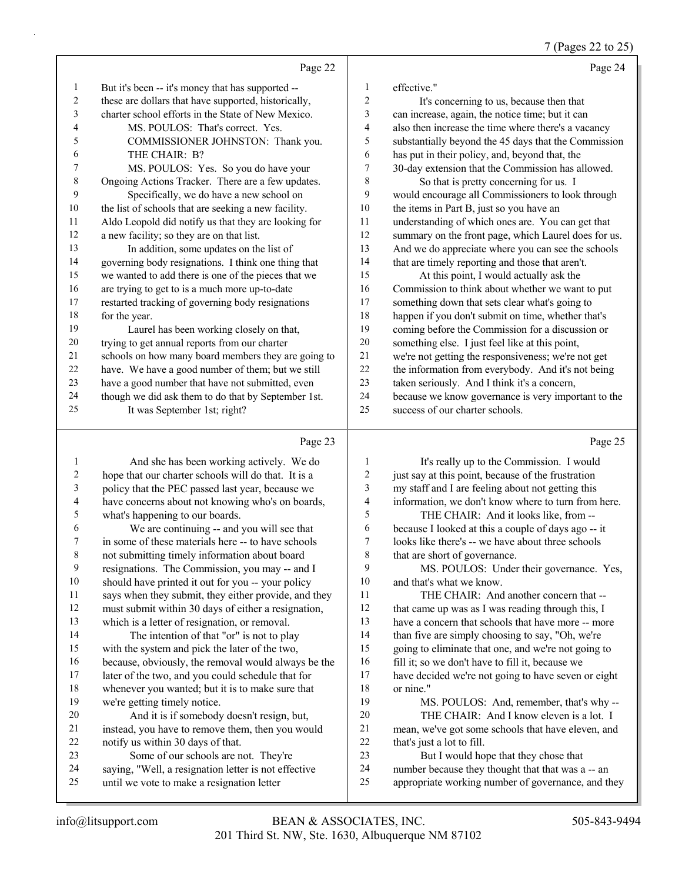7 (Pages 22 to 25)

|    | Page 22                                              |                | Page 24                                              |
|----|------------------------------------------------------|----------------|------------------------------------------------------|
| 1  | But it's been -- it's money that has supported --    | 1              | effective."                                          |
| 2  | these are dollars that have supported, historically, | $\overline{2}$ | It's concerning to us, because then that             |
| 3  | charter school efforts in the State of New Mexico.   | 3              | can increase, again, the notice time; but it can     |
| 4  | MS. POULOS: That's correct. Yes.                     | $\overline{4}$ | also then increase the time where there's a vacancy  |
| 5  | COMMISSIONER JOHNSTON: Thank you.                    | 5              | substantially beyond the 45 days that the Commission |
| 6  | THE CHAIR: B?                                        | 6              | has put in their policy, and, beyond that, the       |
| 7  | MS. POULOS: Yes. So you do have your                 | 7              | 30-day extension that the Commission has allowed.    |
| 8  | Ongoing Actions Tracker. There are a few updates.    | 8              | So that is pretty concerning for us. I               |
| 9  | Specifically, we do have a new school on             | 9              | would encourage all Commissioners to look through    |
| 10 | the list of schools that are seeking a new facility. | 10             | the items in Part B, just so you have an             |
| 11 | Aldo Leopold did notify us that they are looking for | 11             | understanding of which ones are. You can get that    |
| 12 | a new facility; so they are on that list.            | 12             | summary on the front page, which Laurel does for us. |
| 13 | In addition, some updates on the list of             | 13             | And we do appreciate where you can see the schools   |
| 14 | governing body resignations. I think one thing that  | 14             | that are timely reporting and those that aren't.     |
| 15 | we wanted to add there is one of the pieces that we  | 15             | At this point, I would actually ask the              |
| 16 | are trying to get to is a much more up-to-date       | 16             | Commission to think about whether we want to put     |
| 17 | restarted tracking of governing body resignations    | 17             | something down that sets clear what's going to       |
| 18 | for the year.                                        | 18             | happen if you don't submit on time, whether that's   |
| 19 | Laurel has been working closely on that,             | 19             | coming before the Commission for a discussion or     |
| 20 | trying to get annual reports from our charter        | 20             | something else. I just feel like at this point,      |
| 21 | schools on how many board members they are going to  | 21             | we're not getting the responsiveness; we're not get  |
| 22 | have. We have a good number of them; but we still    | 22             | the information from everybody. And it's not being   |
| 23 | have a good number that have not submitted, even     | 23             | taken seriously. And I think it's a concern,         |
| 24 | though we did ask them to do that by September 1st.  | 24             | because we know governance is very important to the  |
| 25 | It was September 1st; right?                         | 25             | success of our charter schools.                      |
|    | Page 23                                              |                | Page 25                                              |

# Page 23 |

|    | And she has been working actively. We do             |        | It's really up to the Commission. I would           |
|----|------------------------------------------------------|--------|-----------------------------------------------------|
| 2  | hope that our charter schools will do that. It is a  | 2      | just say at this point, because of the frustration  |
| 3  | policy that the PEC passed last year, because we     | 3      | my staff and I are feeling about not getting this   |
| 4  | have concerns about not knowing who's on boards,     | 4      | information, we don't know where to turn from here. |
| 5  | what's happening to our boards.                      | 5      | THE CHAIR: And it looks like, from --               |
| 6  | We are continuing -- and you will see that           | 6      | because I looked at this a couple of days ago -- it |
| 7  | in some of these materials here -- to have schools   | $\tau$ | looks like there's -- we have about three schools   |
| 8  | not submitting timely information about board        | 8      | that are short of governance.                       |
| 9  | resignations. The Commission, you may -- and I       | 9      | MS. POULOS: Under their governance. Yes,            |
| 10 | should have printed it out for you -- your policy    | 10     | and that's what we know.                            |
| 11 | says when they submit, they either provide, and they | 11     | THE CHAIR: And another concern that --              |
| 12 | must submit within 30 days of either a resignation,  | 12     | that came up was as I was reading through this, I   |
| 13 | which is a letter of resignation, or removal.        | 13     | have a concern that schools that have more -- more  |
| 14 | The intention of that "or" is not to play            | 14     | than five are simply choosing to say, "Oh, we're    |
| 15 | with the system and pick the later of the two,       | 15     | going to eliminate that one, and we're not going to |
| 16 | because, obviously, the removal would always be the  | 16     | fill it; so we don't have to fill it, because we    |
| 17 | later of the two, and you could schedule that for    | 17     | have decided we're not going to have seven or eight |
| 18 | whenever you wanted; but it is to make sure that     | 18     | or nine."                                           |
| 19 | we're getting timely notice.                         | 19     | MS. POULOS: And, remember, that's why--             |
| 20 | And it is if somebody doesn't resign, but,           | 20     | THE CHAIR: And I know eleven is a lot. I            |
| 21 | instead, you have to remove them, then you would     | 21     | mean, we've got some schools that have eleven, and  |
| 22 | notify us within 30 days of that.                    | 22     | that's just a lot to fill.                          |
| 23 | Some of our schools are not. They're                 | 23     | But I would hope that they chose that               |
| 24 | saying, "Well, a resignation letter is not effective | 24     | number because they thought that that was a -- an   |
| 25 | until we vote to make a resignation letter           | 25     | appropriate working number of governance, and they  |
|    |                                                      |        |                                                     |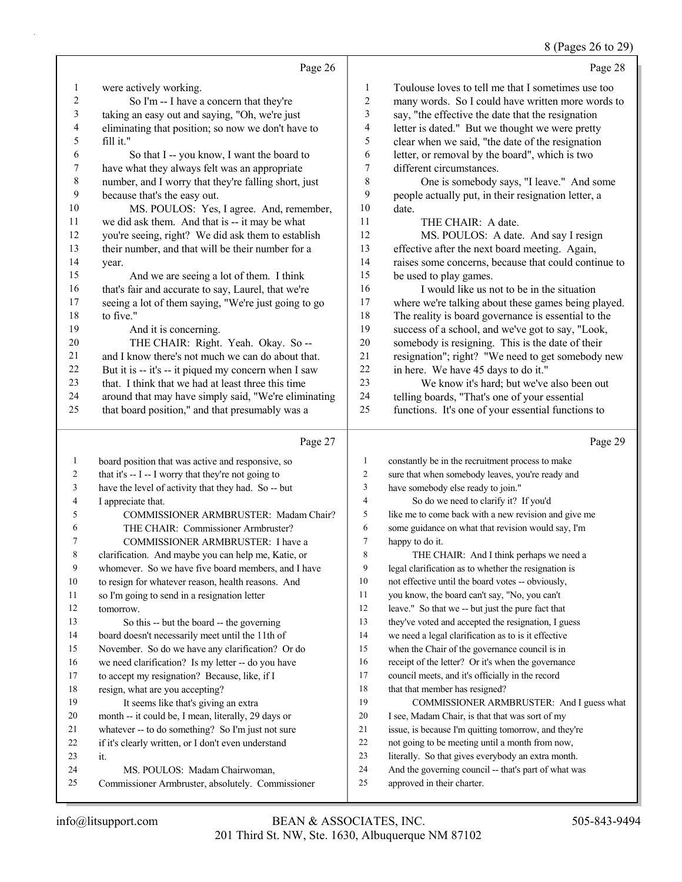### 8 (Pages 26 to 29)

|              | Page 26                                              |                | $\sim$ $\sim$ $\sim$<br>Page 28                      |
|--------------|------------------------------------------------------|----------------|------------------------------------------------------|
| 1            | were actively working.                               | 1              | Toulouse loves to tell me that I sometimes use too   |
| $\mathbf{2}$ | So I'm -- I have a concern that they're              | $\overline{c}$ | many words. So I could have written more words to    |
| 3            | taking an easy out and saying, "Oh, we're just       | 3              | say, "the effective the date that the resignation    |
| 4            | eliminating that position; so now we don't have to   | 4              | letter is dated." But we thought we were pretty      |
| 5            | fill it."                                            | 5              | clear when we said, "the date of the resignation     |
| 6            | So that I -- you know, I want the board to           | 6              | letter, or removal by the board", which is two       |
| 7            | have what they always felt was an appropriate        | 7              | different circumstances.                             |
| $\,$ 8 $\,$  | number, and I worry that they're falling short, just | $\,$ $\,$      | One is somebody says, "I leave." And some            |
| 9            | because that's the easy out.                         | 9              | people actually put, in their resignation letter, a  |
| 10           | MS. POULOS: Yes, I agree. And, remember,             | 10             | date.                                                |
| 11           | we did ask them. And that is -- it may be what       | 11             | THE CHAIR: A date.                                   |
| 12           | you're seeing, right? We did ask them to establish   | 12             | MS. POULOS: A date. And say I resign                 |
| 13           | their number, and that will be their number for a    | 13             | effective after the next board meeting. Again,       |
| 14           | year.                                                | 14             | raises some concerns, because that could continue to |
| 15           | And we are seeing a lot of them. I think             | 15             | be used to play games.                               |
| 16           | that's fair and accurate to say, Laurel, that we're  | 16             | I would like us not to be in the situation           |
| 17           | seeing a lot of them saying, "We're just going to go | $17\,$         | where we're talking about these games being played.  |
| 18           | to five."                                            | 18             | The reality is board governance is essential to the  |
| 19           | And it is concerning.                                | 19             | success of a school, and we've got to say, "Look,    |
| 20           | THE CHAIR: Right. Yeah. Okay. So --                  | 20             | somebody is resigning. This is the date of their     |
| 21           | and I know there's not much we can do about that.    | $21\,$         | resignation"; right? "We need to get somebody new    |
| 22           | But it is -- it's -- it piqued my concern when I saw | $22\,$         | in here. We have 45 days to do it."                  |
| 23           | that. I think that we had at least three this time   | 23             | We know it's hard; but we've also been out           |
| 24           | around that may have simply said, "We're eliminating | 24             | telling boards, "That's one of your essential        |
| 25           | that board position," and that presumably was a      | 25             | functions. It's one of your essential functions to   |
|              | Page 27                                              |                | Page 29                                              |
| 1            | board position that was active and responsive, so    | $\mathbf{1}$   | constantly be in the recruitment process to make     |
| 2            | that it's -- I -- I worry that they're not going to  | 2              | sure that when somebody leaves, you're ready and     |
| 3            | have the level of activity that they had. So -- but  | $\mathfrak{Z}$ | have somebody else ready to join."                   |
| 4            | I appreciate that.                                   | $\overline{4}$ | So do we need to clarify it? If you'd                |
| 5            | COMMISSIONER ARMBRUSTER: Madam Chair?                | 5              | like me to come back with a new revision and give me |
| 6            | THE CHAIR: Commissioner Armbruster?                  | 6              | some guidance on what that revision would say, I'm   |
| 7            | COMMISSIONER ARMBRUSTER: I have a                    | $\tau$         | happy to do it.                                      |
| 8            | clarification. And maybe you can help me, Katie, or  | $\,$ 8 $\,$    | THE CHAIR: And I think perhaps we need a             |
| 9            | whomever. So we have five board members, and I have  | 9              | legal clarification as to whether the resignation is |
| 10           | to resign for whatever reason, health reasons. And   | 10             | not effective until the board votes -- obviously,    |
| 11           | so I'm going to send in a resignation letter         | 11             | you know, the board can't say, "No, you can't        |
| 12           | tomorrow.                                            | 12             | leave." So that we -- but just the pure fact that    |
| 13           | So this -- but the board -- the governing            | 13             | they've voted and accepted the resignation, I guess  |
| 14           | board doesn't necessarily meet until the 11th of     | 14             | we need a legal clarification as to is it effective  |
| 15           | November. So do we have any clarification? Or do     | 15             | when the Chair of the governance council is in       |
| 16           | we need clarification? Is my letter -- do you have   | 16             | receipt of the letter? Or it's when the governance   |
| 17           | to accept my resignation? Because, like, if I        | 17             | council meets, and it's officially in the record     |
| 18           | resign, what are you accepting?                      | 18             | that that member has resigned?                       |
| 19           | It seems like that's giving an extra                 | 19             | COMMISSIONER ARMBRUSTER: And I guess what            |
| 20           | month -- it could be, I mean, literally, 29 days or  | 20             | I see, Madam Chair, is that that was sort of my      |

- issue, is because I'm quitting tomorrow, and they're
- not going to be meeting until a month from now,
- literally. So that gives everybody an extra month.
- And the governing council -- that's part of what was
- approved in their charter.

it.

21 whatever -- to do something? So I'm just not sure<br>22 if it's clearly written, or I don't even understand if it's clearly written, or I don't even understand

Commissioner Armbruster, absolutely. Commissioner

24 MS. POULOS: Madam Chairwoman,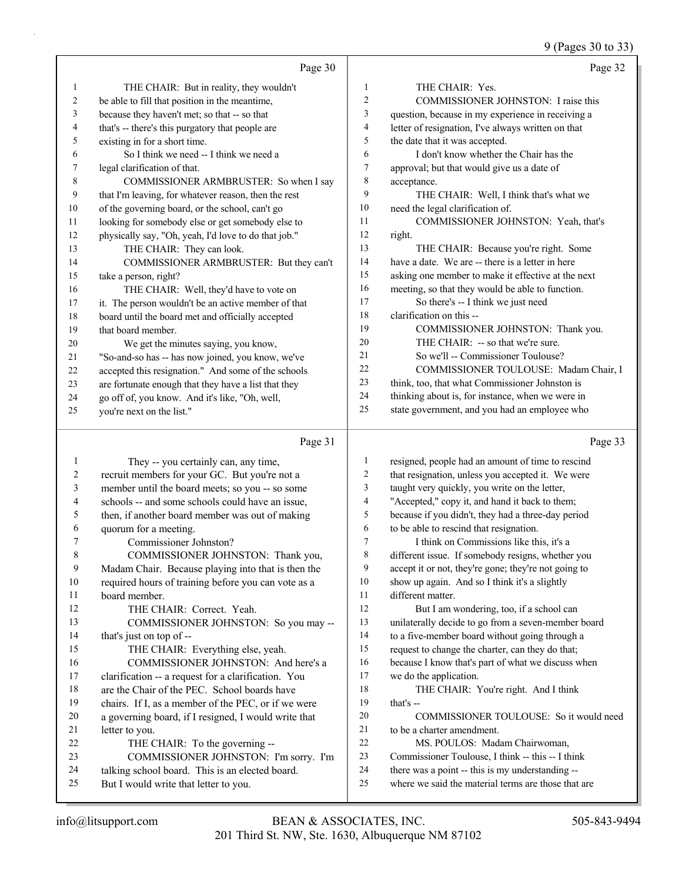9 (Pages 30 to 33)

|                | Page 30                                              |                | Page 32                                            |
|----------------|------------------------------------------------------|----------------|----------------------------------------------------|
| 1              | THE CHAIR: But in reality, they wouldn't             | 1              | THE CHAIR: Yes.                                    |
| $\overline{c}$ | be able to fill that position in the meantime,       | $\overline{c}$ | COMMISSIONER JOHNSTON: I raise this                |
| 3              | because they haven't met; so that -- so that         | 3              | question, because in my experience in receiving a  |
| $\overline{4}$ | that's -- there's this purgatory that people are     | $\overline{4}$ | letter of resignation, I've always written on that |
| 5              | existing in for a short time.                        | 5              | the date that it was accepted.                     |
| 6              | So I think we need -- I think we need a              | 6              | I don't know whether the Chair has the             |
| 7              | legal clarification of that.                         | 7              | approval; but that would give us a date of         |
| 8              | COMMISSIONER ARMBRUSTER: So when I say               | 8              | acceptance.                                        |
| 9              | that I'm leaving, for whatever reason, then the rest | 9              | THE CHAIR: Well, I think that's what we            |
| 10             | of the governing board, or the school, can't go      | 10             | need the legal clarification of.                   |
| 11             | looking for somebody else or get somebody else to    | 11             | COMMISSIONER JOHNSTON: Yeah, that's                |
| 12             | physically say, "Oh, yeah, I'd love to do that job." | 12             | right.                                             |
| 13             | THE CHAIR: They can look.                            | 13             | THE CHAIR: Because you're right. Some              |
| 14             | COMMISSIONER ARMBRUSTER: But they can't              | 14             | have a date. We are -- there is a letter in here   |
| 15             | take a person, right?                                | 15             | asking one member to make it effective at the next |
| 16             | THE CHAIR: Well, they'd have to vote on              | 16             | meeting, so that they would be able to function.   |
| 17             | it. The person wouldn't be an active member of that  | 17             | So there's -- I think we just need                 |
| 18             | board until the board met and officially accepted    | 18             | clarification on this --                           |
| 19             | that board member.                                   | 19             | COMMISSIONER JOHNSTON: Thank you.                  |
| 20             | We get the minutes saying, you know,                 | 20             | THE CHAIR: -- so that we're sure.                  |
| 21             | "So-and-so has -- has now joined, you know, we've    | 21             | So we'll -- Commissioner Toulouse?                 |
| 22             | accepted this resignation." And some of the schools  | 22             | COMMISSIONER TOULOUSE: Madam Chair, I              |
| 23             | are fortunate enough that they have a list that they | 23             | think, too, that what Commissioner Johnston is     |
| 24             | go off of, you know. And it's like, "Oh, well,       | 24             | thinking about is, for instance, when we were in   |
| 25             | you're next on the list."                            | 25             | state government, and you had an employee who      |
|                | Page 31                                              |                | Page 33                                            |

# Page 31  $\vert$

| 1              | They -- you certainly can, any time,                 | $\mathbf{1}$   | resigned, people had an amount of time to rescind    |
|----------------|------------------------------------------------------|----------------|------------------------------------------------------|
| $\overline{2}$ | recruit members for your GC. But you're not a        | 2              | that resignation, unless you accepted it. We were    |
| 3              | member until the board meets; so you -- so some      | 3              | taught very quickly, you write on the letter,        |
| 4              | schools -- and some schools could have an issue,     | $\overline{4}$ | "Accepted," copy it, and hand it back to them;       |
| 5              | then, if another board member was out of making      | 5              | because if you didn't, they had a three-day period   |
| 6              | quorum for a meeting.                                | 6              | to be able to rescind that resignation.              |
| 7              | Commissioner Johnston?                               | 7              | I think on Commissions like this, it's a             |
| 8              | COMMISSIONER JOHNSTON: Thank you,                    | 8              | different issue. If somebody resigns, whether you    |
| 9              | Madam Chair. Because playing into that is then the   | 9              | accept it or not, they're gone; they're not going to |
| 10             | required hours of training before you can vote as a  | 10             | show up again. And so I think it's a slightly        |
| 11             | board member.                                        | 11             | different matter.                                    |
| 12             | THE CHAIR: Correct. Yeah.                            | 12             | But I am wondering, too, if a school can             |
| 13             | COMMISSIONER JOHNSTON: So you may --                 | 13             | unilaterally decide to go from a seven-member board  |
| 14             | that's just on top of --                             | 14             | to a five-member board without going through a       |
| 15             | THE CHAIR: Everything else, yeah.                    | 15             | request to change the charter, can they do that;     |
| 16             | COMMISSIONER JOHNSTON: And here's a                  | 16             | because I know that's part of what we discuss when   |
| 17             | clarification -- a request for a clarification. You  | 17             | we do the application.                               |
| 18             | are the Chair of the PEC. School boards have         | 18             | THE CHAIR: You're right. And I think                 |
| 19             | chairs. If I, as a member of the PEC, or if we were  | 19             | that's $-$                                           |
| 20             | a governing board, if I resigned, I would write that | 20             | COMMISSIONER TOULOUSE: So it would need              |
| 21             | letter to you.                                       | 21             | to be a charter amendment.                           |
| 22             | THE CHAIR: To the governing --                       | 22             | MS. POULOS: Madam Chairwoman,                        |
| 23             | COMMISSIONER JOHNSTON: I'm sorry. I'm                | 23             | Commissioner Toulouse, I think -- this -- I think    |
| 24             | talking school board. This is an elected board.      | 24             | there was a point -- this is my understanding --     |
| 25             | But I would write that letter to you.                | 25             | where we said the material terms are those that are  |
|                |                                                      |                |                                                      |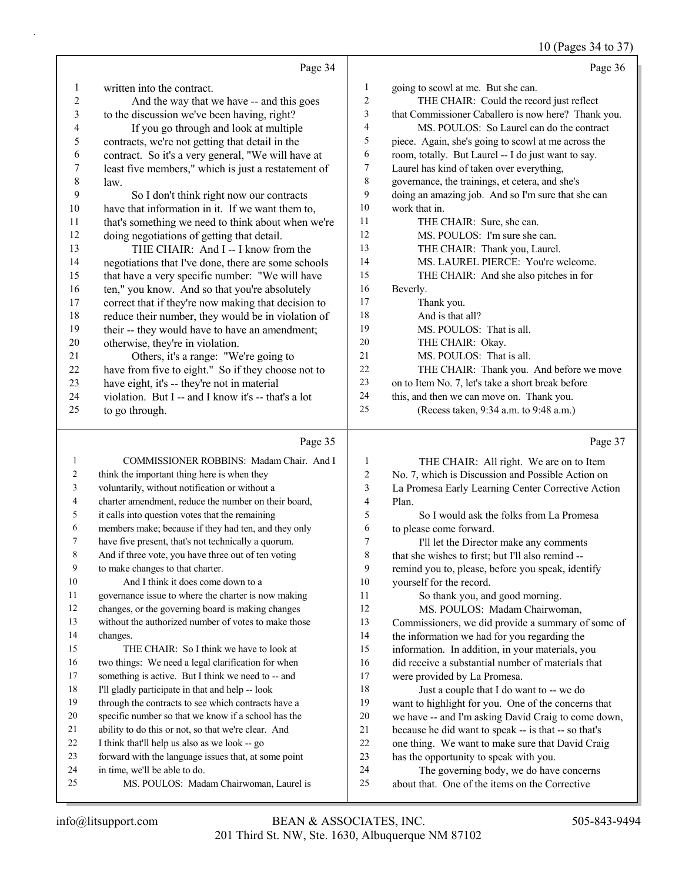#### 10 (Pages 34 to 37)

|                          | Page 34                                              |              | Page 36                                             |
|--------------------------|------------------------------------------------------|--------------|-----------------------------------------------------|
| 1                        | written into the contract.                           | $\mathbf{1}$ | going to scowl at me. But she can.                  |
| $\overline{c}$           | And the way that we have -- and this goes            | 2            | THE CHAIR: Could the record just reflect            |
| 3                        | to the discussion we've been having, right?          | 3            | that Commissioner Caballero is now here? Thank you. |
| 4                        | If you go through and look at multiple               | 4            | MS. POULOS: So Laurel can do the contract           |
| 5                        | contracts, we're not getting that detail in the      | 5            | piece. Again, she's going to scowl at me across the |
| 6                        | contract. So it's a very general, "We will have at   | 6            | room, totally. But Laurel -- I do just want to say. |
| 7                        | least five members," which is just a restatement of  | 7            | Laurel has kind of taken over everything,           |
| $\,$ 8 $\,$              | law.                                                 | 8            | governance, the trainings, et cetera, and she's     |
| 9                        | So I don't think right now our contracts             | 9            | doing an amazing job. And so I'm sure that she can  |
| 10                       | have that information in it. If we want them to,     | 10           | work that in.                                       |
| 11                       | that's something we need to think about when we're   | 11           | THE CHAIR: Sure, she can.                           |
| 12                       | doing negotiations of getting that detail.           | 12           | MS. POULOS: I'm sure she can.                       |
| 13                       | THE CHAIR: And I -- I know from the                  | 13           | THE CHAIR: Thank you, Laurel.                       |
| 14                       | negotiations that I've done, there are some schools  | 14           | MS. LAUREL PIERCE: You're welcome.                  |
| 15                       | that have a very specific number: "We will have      | 15           | THE CHAIR: And she also pitches in for              |
| 16                       | ten," you know. And so that you're absolutely        | 16           | Beverly.                                            |
| 17                       | correct that if they're now making that decision to  | 17           | Thank you.                                          |
| $18\,$                   | reduce their number, they would be in violation of   | 18           | And is that all?                                    |
| 19                       | their -- they would have to have an amendment;       | 19           | MS. POULOS: That is all.                            |
| 20                       | otherwise, they're in violation.                     | 20           | THE CHAIR: Okay.                                    |
| 21                       | Others, it's a range: "We're going to                | 21           | MS. POULOS: That is all.                            |
| 22                       | have from five to eight." So if they choose not to   | 22           | THE CHAIR: Thank you. And before we move            |
| 23                       | have eight, it's -- they're not in material          | 23           | on to Item No. 7, let's take a short break before   |
| 24                       | violation. But I -- and I know it's -- that's a lot  | 24           | this, and then we can move on. Thank you.           |
| 25                       | to go through.                                       | 25           | (Recess taken, 9:34 a.m. to 9:48 a.m.)              |
|                          | Page 35                                              |              | Page 37                                             |
| $\mathbf{1}$             | COMMISSIONER ROBBINS: Madam Chair. And I             | 1            | THE CHAIR: All right. We are on to Item             |
| 2                        | think the important thing here is when they          | 2            | No. 7, which is Discussion and Possible Action on   |
| 3                        | voluntarily, without notification or without a       | 3            | La Promesa Early Learning Center Corrective Action  |
| $\overline{\mathcal{A}}$ | charter amendment, reduce the number on their board, | 4            | Plan.                                               |
| 5                        | it calls into question votes that the remaining      | 5            | So I would ask the folks from La Promesa            |
| 6                        | members make; because if they had ten, and they only | 6            | to please come forward.                             |
| 7                        | have five present, that's not technically a quorum.  | 7            | I'll let the Director make any comments             |
| 8                        | And if three vote, you have three out of ten voting  | 8            | that she wishes to first; but I'll also remind --   |
| 9                        | to make changes to that charter.                     | 9            | remind you to, please, before you speak, identify   |
| 10                       | And I think it does come down to a                   | 10           | yourself for the record.                            |
| 11                       | governance issue to where the charter is now making  | 11           | So thank you, and good morning.                     |
| 12                       | changes, or the governing board is making changes    | 12           | MS. POULOS: Madam Chairwoman,                       |
| 13                       | without the authorized number of votes to make those | 13           | Commissioners, we did provide a summary of some of  |
| 14                       | changes.                                             | 14           | the information we had for you regarding the        |
| 15                       | THE CHAIR: So I think we have to look at             | 15           | information. In addition, in your materials, you    |
| 16                       | two things: We need a legal clarification for when   | 16           | did receive a substantial number of materials that  |
| 17                       | something is active. But I think we need to -- and   | 17           | were provided by La Promesa.                        |
| 18                       | I'll gladly participate in that and help -- look     | 18           | Just a couple that I do want to -- we do            |
| 19                       | through the contracts to see which contracts have a  | 19           | want to highlight for you. One of the concerns that |
| 20                       | specific number so that we know if a school has the  | $20\,$       | we have -- and I'm asking David Craig to come down, |

 ability to do this or not, so that we're clear. And I think that'll help us also as we look -- go

forward with the language issues that, at some point

 in time, we'll be able to do. 25 MS. POULOS: Madam Chairwoman, Laurel is  because he did want to speak -- is that -- so that's one thing. We want to make sure that David Craig

24 The governing body, we do have concerns about that. One of the items on the Corrective

has the opportunity to speak with you.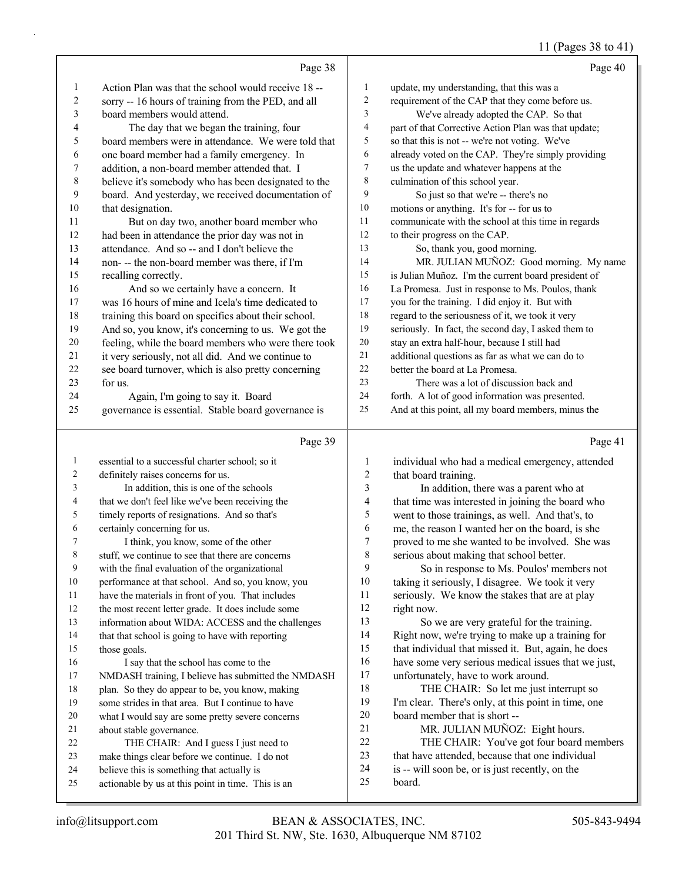### 11 (Pages 38 to 41)

|                         |                                                                                                  |                          | 11 (Fages 30 to 41)                                                                         |
|-------------------------|--------------------------------------------------------------------------------------------------|--------------------------|---------------------------------------------------------------------------------------------|
|                         | Page 38                                                                                          |                          | Page 40                                                                                     |
| 1                       | Action Plan was that the school would receive 18 --                                              | $\mathbf{1}$             | update, my understanding, that this was a                                                   |
| $\overline{\mathbf{c}}$ | sorry -- 16 hours of training from the PED, and all                                              | 2                        | requirement of the CAP that they come before us.                                            |
| 3                       | board members would attend.                                                                      | 3                        | We've already adopted the CAP. So that                                                      |
| 4                       | The day that we began the training, four                                                         | 4                        | part of that Corrective Action Plan was that update;                                        |
| 5                       | board members were in attendance. We were told that                                              | 5                        | so that this is not -- we're not voting. We've                                              |
| 6                       | one board member had a family emergency. In                                                      | 6                        | already voted on the CAP. They're simply providing                                          |
| 7                       | addition, a non-board member attended that. I                                                    | $\boldsymbol{7}$         | us the update and whatever happens at the                                                   |
| 8                       | believe it's somebody who has been designated to the                                             | 8                        | culmination of this school year.                                                            |
| 9                       | board. And yesterday, we received documentation of                                               | 9                        | So just so that we're -- there's no                                                         |
| 10                      | that designation.                                                                                | 10                       | motions or anything. It's for -- for us to                                                  |
| 11                      | But on day two, another board member who                                                         | 11                       | communicate with the school at this time in regards                                         |
| 12                      | had been in attendance the prior day was not in                                                  | 12                       | to their progress on the CAP.                                                               |
| 13                      | attendance. And so -- and I don't believe the                                                    | 13                       | So, thank you, good morning.                                                                |
| 14                      | non- -- the non-board member was there, if I'm                                                   | 14                       | MR. JULIAN MUÑOZ: Good morning. My name                                                     |
| 15                      | recalling correctly.                                                                             | 15                       | is Julian Muñoz. I'm the current board president of                                         |
| 16                      | And so we certainly have a concern. It                                                           | 16                       | La Promesa. Just in response to Ms. Poulos, thank                                           |
| 17                      | was 16 hours of mine and Icela's time dedicated to                                               | $17\,$                   | you for the training. I did enjoy it. But with                                              |
| 18                      | training this board on specifics about their school.                                             | $18\,$                   | regard to the seriousness of it, we took it very                                            |
| 19                      | And so, you know, it's concerning to us. We got the                                              | 19                       | seriously. In fact, the second day, I asked them to                                         |
| 20                      | feeling, while the board members who were there took                                             | $20\,$                   | stay an extra half-hour, because I still had                                                |
| 21                      | it very seriously, not all did. And we continue to                                               | $21\,$                   | additional questions as far as what we can do to                                            |
| 22                      | see board turnover, which is also pretty concerning                                              | 22                       | better the board at La Promesa.                                                             |
| 23                      | for us.                                                                                          | 23                       | There was a lot of discussion back and                                                      |
| 24                      | Again, I'm going to say it. Board                                                                | 24                       | forth. A lot of good information was presented.                                             |
| 25                      | governance is essential. Stable board governance is                                              | 25                       | And at this point, all my board members, minus the                                          |
|                         | Page 39                                                                                          |                          | Page 41                                                                                     |
| $\mathbf{1}$            | essential to a successful charter school; so it                                                  | 1                        | individual who had a medical emergency, attended                                            |
| 2                       | definitely raises concerns for us.                                                               | $\overline{c}$           | that board training.                                                                        |
| 3                       | In addition, this is one of the schools                                                          | $\mathfrak{Z}$           | In addition, there was a parent who at                                                      |
| 4                       | that we don't feel like we've been receiving the                                                 | $\overline{\mathcal{A}}$ | that time was interested in joining the board who                                           |
| 5                       | timely reports of resignations. And so that's                                                    | 5                        | went to those trainings, as well. And that's, to                                            |
| 6                       | certainly concerning for us.                                                                     | 6                        | me, the reason I wanted her on the board, is she                                            |
| 7                       | I think, you know, some of the other                                                             | $\boldsymbol{7}$         | proved to me she wanted to be involved. She was                                             |
| 8                       | stuff, we continue to see that there are concerns                                                | $\,$ 8 $\,$              | serious about making that school better.                                                    |
| 9                       | with the final evaluation of the organizational                                                  | 9                        | So in response to Ms. Poulos' members not                                                   |
| 10                      | performance at that school. And so, you know, you                                                | 10                       | taking it seriously, I disagree. We took it very                                            |
| 11                      | have the materials in front of you. That includes                                                | 11                       | seriously. We know the stakes that are at play                                              |
| 12                      | the most recent letter grade. It does include some                                               | 12                       | right now.                                                                                  |
| 13                      | information about WIDA: ACCESS and the challenges                                                | 13                       | So we are very grateful for the training.                                                   |
| 14                      | that that school is going to have with reporting                                                 | 14                       | Right now, we're trying to make up a training for                                           |
| 15                      | those goals.                                                                                     | 15                       | that individual that missed it. But, again, he does                                         |
| 16                      | I say that the school has come to the                                                            | 16                       | have some very serious medical issues that we just,                                         |
| 17                      | NMDASH training, I believe has submitted the NMDASH                                              | 17                       | unfortunately, have to work around.                                                         |
| 18                      | plan. So they do appear to be, you know, making                                                  | 18                       | THE CHAIR: So let me just interrupt so                                                      |
| 19                      | some strides in that area. But I continue to have                                                | 19                       | I'm clear. There's only, at this point in time, one                                         |
| 20                      | what I would say are some pretty severe concerns                                                 | 20                       | board member that is short --                                                               |
| 21                      | about stable governance.                                                                         | 21                       | MR. JULIAN MUÑOZ: Eight hours.                                                              |
| 22                      | THE CHAIR: And I guess I just need to<br>make things clear before we continue. I do not          | $22\,$<br>23             | THE CHAIR: You've got four board members<br>that have attended, because that one individual |
|                         |                                                                                                  |                          |                                                                                             |
| 23                      |                                                                                                  |                          |                                                                                             |
| 24<br>25                | believe this is something that actually is<br>actionable by us at this point in time. This is an | 24<br>25                 | is -- will soon be, or is just recently, on the<br>board.                                   |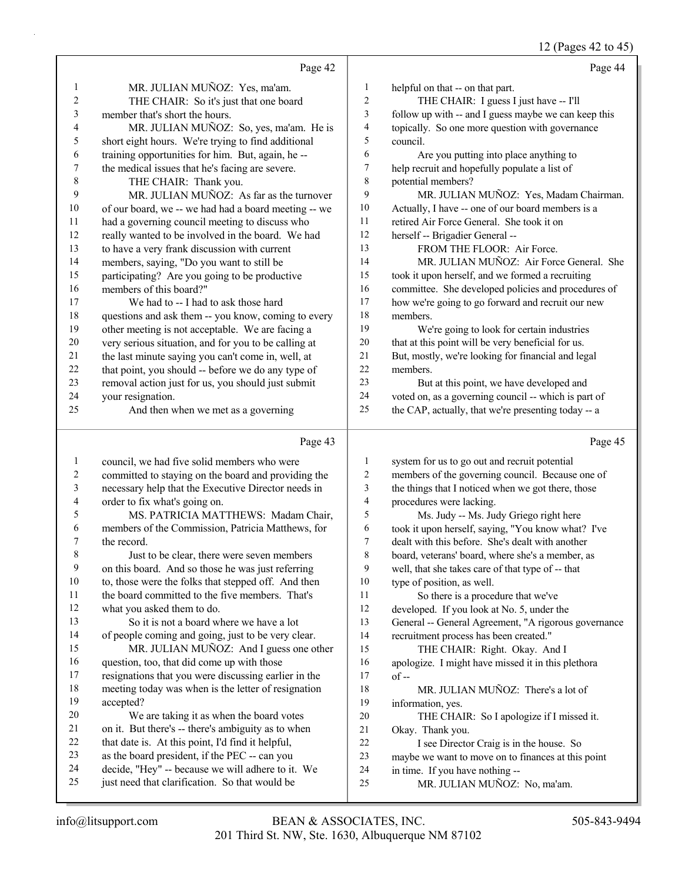12 (Pages 42 to 45)

|                         | Page 42                                                                                            |                  | Page 44                                              |
|-------------------------|----------------------------------------------------------------------------------------------------|------------------|------------------------------------------------------|
| $\mathbf{1}$            | MR. JULIAN MUÑOZ: Yes, ma'am.                                                                      | 1                | helpful on that -- on that part.                     |
| 2                       | THE CHAIR: So it's just that one board                                                             | $\boldsymbol{2}$ | THE CHAIR: I guess I just have -- I'll               |
| 3                       | member that's short the hours.                                                                     | 3                | follow up with -- and I guess maybe we can keep this |
| 4                       | MR. JULIAN MUÑOZ: So, yes, ma'am. He is                                                            | 4                | topically. So one more question with governance      |
| 5                       | short eight hours. We're trying to find additional                                                 | 5                | council.                                             |
| 6                       | training opportunities for him. But, again, he-                                                    | 6                | Are you putting into place anything to               |
| 7                       | the medical issues that he's facing are severe.                                                    | 7                | help recruit and hopefully populate a list of        |
| $\,$ $\,$               | THE CHAIR: Thank you.                                                                              | 8                | potential members?                                   |
| 9                       | MR. JULIAN MUÑOZ: As far as the turnover                                                           | 9                | MR. JULIAN MUÑOZ: Yes, Madam Chairman.               |
| 10                      | of our board, we -- we had had a board meeting -- we                                               | 10               | Actually, I have -- one of our board members is a    |
| 11                      | had a governing council meeting to discuss who                                                     | 11               | retired Air Force General. She took it on            |
| 12                      | really wanted to be involved in the board. We had                                                  | 12               | herself -- Brigadier General --                      |
| 13                      | to have a very frank discussion with current                                                       | 13               | FROM THE FLOOR: Air Force.                           |
| 14                      | members, saying, "Do you want to still be                                                          | 14               | MR. JULIAN MUÑOZ: Air Force General. She             |
| 15                      | participating? Are you going to be productive                                                      | 15               | took it upon herself, and we formed a recruiting     |
| 16                      | members of this board?"                                                                            | 16               | committee. She developed policies and procedures of  |
| 17                      | We had to -- I had to ask those hard                                                               | 17               | how we're going to go forward and recruit our new    |
| 18                      | questions and ask them -- you know, coming to every                                                | 18               | members.                                             |
| 19                      | other meeting is not acceptable. We are facing a                                                   | 19               | We're going to look for certain industries           |
| 20                      | very serious situation, and for you to be calling at                                               | 20               | that at this point will be very beneficial for us.   |
| 21                      | the last minute saying you can't come in, well, at                                                 | 21               | But, mostly, we're looking for financial and legal   |
| 22                      | that point, you should -- before we do any type of                                                 | $22\,$           | members.                                             |
| 23                      | removal action just for us, you should just submit                                                 | 23               | But at this point, we have developed and             |
| 24                      | your resignation.                                                                                  | 24               | voted on, as a governing council -- which is part of |
| 25                      | And then when we met as a governing                                                                | 25               | the CAP, actually, that we're presenting today -- a  |
|                         | Page 43                                                                                            |                  | Page 45                                              |
| $\mathbf{1}$            | council, we had five solid members who were                                                        | 1                | system for us to go out and recruit potential        |
| $\overline{\mathbf{c}}$ | committed to staying on the board and providing the                                                | $\overline{c}$   | members of the governing council. Because one of     |
| 3                       | necessary help that the Executive Director needs in                                                | 3                | the things that I noticed when we got there, those   |
| 4                       | order to fix what's going on.                                                                      | 4                | procedures were lacking.                             |
| 5                       | MS. PATRICIA MATTHEWS: Madam Chair,                                                                | 5                | Ms. Judy -- Ms. Judy Griego right here               |
| 6                       | members of the Commission, Patricia Matthews, for                                                  | 6                | took it upon herself, saying, "You know what? I've   |
| 7                       | the record.                                                                                        | 7                | dealt with this before. She's dealt with another     |
| 8                       | Just to be clear, there were seven members                                                         | 8                | board, veterans' board, where she's a member, as     |
| 9                       | on this board. And so those he was just referring                                                  | 9                | well, that she takes care of that type of -- that    |
| $10\,$                  | to, those were the folks that stepped off. And then                                                | 10               | type of position, as well.                           |
| 11                      | the board committed to the five members. That's                                                    | 11               | So there is a procedure that we've                   |
| 12                      | what you asked them to do.                                                                         | 12               | developed. If you look at No. 5, under the           |
| 13                      | So it is not a board where we have a lot                                                           | 13               | General -- General Agreement, "A rigorous governance |
| 14                      | of people coming and going, just to be very clear.                                                 | 14               | recruitment process has been created."               |
| 15                      | MR. JULIAN MUÑOZ: And I guess one other                                                            | 15               | THE CHAIR: Right. Okay. And I                        |
| 16                      | question, too, that did come up with those                                                         | 16               | apologize. I might have missed it in this plethora   |
| 17                      | resignations that you were discussing earlier in the                                               | 17               | $of -$                                               |
| 18                      | meeting today was when is the letter of resignation                                                | 18               | MR. JULIAN MUÑOZ: There's a lot of                   |
| 19                      | accepted?                                                                                          | 19               | information, yes.                                    |
| 20                      | We are taking it as when the board votes                                                           | 20               | THE CHAIR: So I apologize if I missed it.            |
| 21                      | on it. But there's -- there's ambiguity as to when                                                 | 21               | Okay. Thank you.                                     |
| 22<br>23                | that date is. At this point, I'd find it helpful,                                                  | $22\,$           | I see Director Craig is in the house. So             |
| 24                      | as the board president, if the PEC -- can you<br>decide, "Hey" -- because we will adhere to it. We | 23               | maybe we want to move on to finances at this point   |
| 25                      | just need that clarification. So that would be                                                     | 24<br>25         | in time. If you have nothing --                      |
|                         |                                                                                                    |                  | MR. JULIAN MUÑOZ: No, ma'am.                         |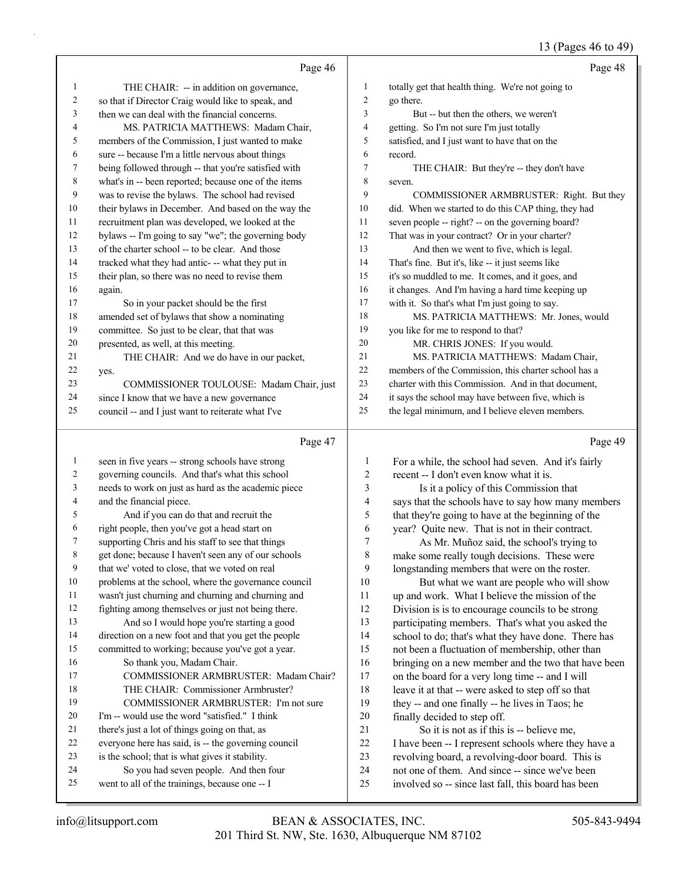# 13 (Pages 46 to 49)

|              | Page 46                                                                                             |                | Page 48                                                                                               |
|--------------|-----------------------------------------------------------------------------------------------------|----------------|-------------------------------------------------------------------------------------------------------|
| 1            | THE CHAIR: -- in addition on governance,                                                            | $\mathbf{1}$   | totally get that health thing. We're not going to                                                     |
| 2            | so that if Director Craig would like to speak, and                                                  | 2              | go there.                                                                                             |
| 3            | then we can deal with the financial concerns.                                                       | 3              | But -- but then the others, we weren't                                                                |
| 4            | MS. PATRICIA MATTHEWS: Madam Chair,                                                                 | $\overline{4}$ | getting. So I'm not sure I'm just totally                                                             |
| 5            | members of the Commission, I just wanted to make                                                    | 5              | satisfied, and I just want to have that on the                                                        |
| 6            | sure -- because I'm a little nervous about things                                                   | 6              | record.                                                                                               |
| 7            | being followed through -- that you're satisfied with                                                | 7              | THE CHAIR: But they're -- they don't have                                                             |
| 8            | what's in -- been reported; because one of the items                                                | 8              | seven.                                                                                                |
| 9            | was to revise the bylaws. The school had revised                                                    | 9              | COMMISSIONER ARMBRUSTER: Right. But they                                                              |
| 10           | their bylaws in December. And based on the way the                                                  | 10             | did. When we started to do this CAP thing, they had                                                   |
| 11           | recruitment plan was developed, we looked at the                                                    | 11             | seven people -- right? -- on the governing board?                                                     |
| 12           | bylaws -- I'm going to say "we"; the governing body                                                 | 12             | That was in your contract? Or in your charter?                                                        |
| 13           | of the charter school -- to be clear. And those                                                     | 13             | And then we went to five, which is legal.                                                             |
| 14           | tracked what they had antic- -- what they put in                                                    | 14             | That's fine. But it's, like -- it just seems like                                                     |
| 15           | their plan, so there was no need to revise them                                                     | 15             | it's so muddled to me. It comes, and it goes, and                                                     |
| 16           | again.                                                                                              | 16             | it changes. And I'm having a hard time keeping up                                                     |
| 17           | So in your packet should be the first                                                               | 17             | with it. So that's what I'm just going to say.                                                        |
| 18           | amended set of bylaws that show a nominating                                                        | 18             | MS. PATRICIA MATTHEWS: Mr. Jones, would                                                               |
| 19           | committee. So just to be clear, that that was                                                       | 19             | you like for me to respond to that?                                                                   |
| 20           | presented, as well, at this meeting.                                                                | 20             | MR. CHRIS JONES: If you would.                                                                        |
| 21           | THE CHAIR: And we do have in our packet,                                                            | 21             | MS. PATRICIA MATTHEWS: Madam Chair,                                                                   |
| 22           | yes.                                                                                                | 22             | members of the Commission, this charter school has a                                                  |
| 23           | COMMISSIONER TOULOUSE: Madam Chair, just                                                            | 23             | charter with this Commission. And in that document,                                                   |
| 24           | since I know that we have a new governance                                                          | 24             | it says the school may have between five, which is                                                    |
| 25           | council -- and I just want to reiterate what I've                                                   | 25             | the legal minimum, and I believe eleven members.                                                      |
|              |                                                                                                     |                |                                                                                                       |
|              | Page 47                                                                                             |                | Page 49                                                                                               |
| $\mathbf{1}$ |                                                                                                     | 1              |                                                                                                       |
| 2            | seen in five years -- strong schools have strong<br>governing councils. And that's what this school | 2              | For a while, the school had seven. And it's fairly<br>recent -- I don't even know what it is.         |
| 3            | needs to work on just as hard as the academic piece                                                 | 3              |                                                                                                       |
| 4            | and the financial piece.                                                                            | 4              | Is it a policy of this Commission that<br>says that the schools have to say how many members          |
| 5            | And if you can do that and recruit the                                                              | 5              | that they're going to have at the beginning of the                                                    |
| 6            | right people, then you've got a head start on                                                       | 6              | year? Quite new. That is not in their contract.                                                       |
| 7            | supporting Chris and his staff to see that things                                                   | 7              | As Mr. Muñoz said, the school's trying to                                                             |
| 8            | get done; because I haven't seen any of our schools                                                 | 8              | make some really tough decisions. These were                                                          |
| 9            | that we' voted to close, that we voted on real                                                      | 9              | longstanding members that were on the roster.                                                         |
| 10           | problems at the school, where the governance council                                                | 10             | But what we want are people who will show                                                             |
| 11           | wasn't just churning and churning and churning and                                                  | 11             | up and work. What I believe the mission of the                                                        |
| 12           | fighting among themselves or just not being there.                                                  | 12             | Division is is to encourage councils to be strong                                                     |
| 13           | And so I would hope you're starting a good                                                          | 13             | participating members. That's what you asked the                                                      |
| 14           | direction on a new foot and that you get the people                                                 | 14             | school to do; that's what they have done. There has                                                   |
| 15           | committed to working; because you've got a year.                                                    | 15             | not been a fluctuation of membership, other than                                                      |
| 16           | So thank you, Madam Chair.                                                                          | 16             | bringing on a new member and the two that have been                                                   |
| 17           | COMMISSIONER ARMBRUSTER: Madam Chair?                                                               | 17             | on the board for a very long time -- and I will                                                       |
| 18           | THE CHAIR: Commissioner Armbruster?                                                                 | 18             | leave it at that -- were asked to step off so that                                                    |
| 19           | COMMISSIONER ARMBRUSTER: I'm not sure                                                               | 19             | they -- and one finally -- he lives in Taos; he                                                       |
| 20           | I'm -- would use the word "satisfied." I think                                                      | $20\,$         | finally decided to step off.                                                                          |
| 21           | there's just a lot of things going on that, as                                                      | 21             | So it is not as if this is -- believe me,                                                             |
| 22           | everyone here has said, is -- the governing council                                                 | $22\,$         | I have been -- I represent schools where they have a                                                  |
| 23           | is the school; that is what gives it stability.                                                     | 23             | revolving board, a revolving-door board. This is                                                      |
| 24<br>25     | So you had seven people. And then four<br>went to all of the trainings, because one -- I            | 24<br>25       | not one of them. And since -- since we've been<br>involved so -- since last fall, this board has been |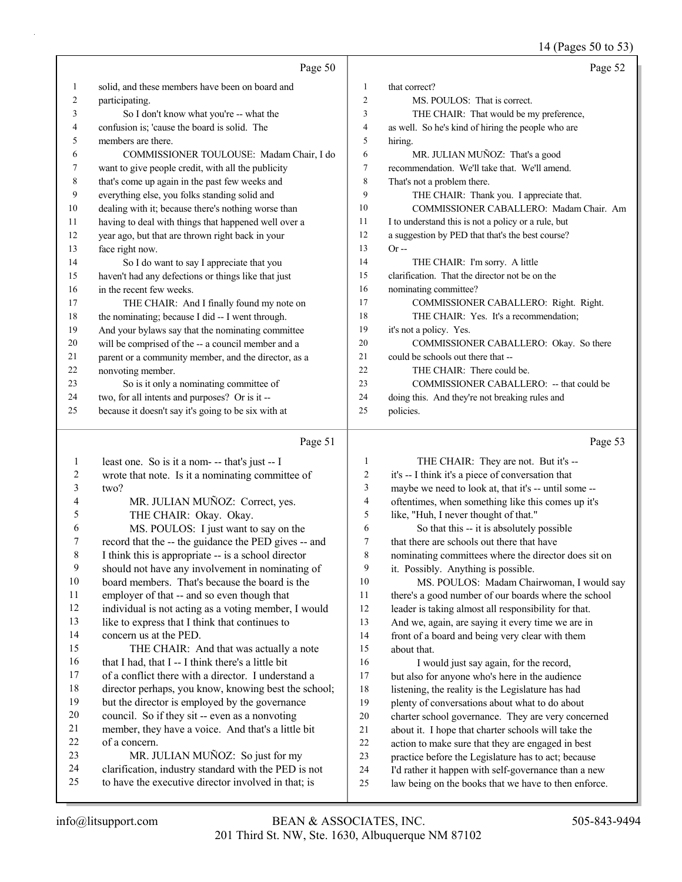14 (Pages 50 to 53)

|              | Page 50                                                                                                 |                | Page 52                                                                                                      |
|--------------|---------------------------------------------------------------------------------------------------------|----------------|--------------------------------------------------------------------------------------------------------------|
|              |                                                                                                         |                |                                                                                                              |
| 1            | solid, and these members have been on board and                                                         | $\mathbf{1}$   | that correct?                                                                                                |
| 2            | participating.                                                                                          | $\overline{2}$ | MS. POULOS: That is correct.                                                                                 |
| 3            | So I don't know what you're -- what the                                                                 | 3              | THE CHAIR: That would be my preference,                                                                      |
| 4            | confusion is; 'cause the board is solid. The                                                            | 4              | as well. So he's kind of hiring the people who are                                                           |
| 5            | members are there.                                                                                      | 5              | hiring.                                                                                                      |
| 6            | COMMISSIONER TOULOUSE: Madam Chair, I do                                                                | 6              | MR. JULIAN MUÑOZ: That's a good                                                                              |
| 7            | want to give people credit, with all the publicity                                                      | 7              | recommendation. We'll take that. We'll amend.                                                                |
| 8            | that's come up again in the past few weeks and                                                          | 8              | That's not a problem there.                                                                                  |
| 9            | everything else, you folks standing solid and                                                           | 9              | THE CHAIR: Thank you. I appreciate that.                                                                     |
| 10           | dealing with it; because there's nothing worse than                                                     | 10             | COMMISSIONER CABALLERO: Madam Chair. Am                                                                      |
| 11           | having to deal with things that happened well over a                                                    | 11             | I to understand this is not a policy or a rule, but                                                          |
| 12           | year ago, but that are thrown right back in your                                                        | 12             | a suggestion by PED that that's the best course?                                                             |
| 13           | face right now.                                                                                         | 13             | $Or -$                                                                                                       |
| 14           | So I do want to say I appreciate that you                                                               | 14             | THE CHAIR: I'm sorry. A little                                                                               |
| 15           | haven't had any defections or things like that just                                                     | 15             | clarification. That the director not be on the                                                               |
| 16           | in the recent few weeks.                                                                                | 16             | nominating committee?                                                                                        |
| 17           | THE CHAIR: And I finally found my note on                                                               | 17             | COMMISSIONER CABALLERO: Right. Right.                                                                        |
| 18           | the nominating; because I did -- I went through.                                                        | 18             | THE CHAIR: Yes. It's a recommendation;                                                                       |
| 19           | And your bylaws say that the nominating committee                                                       | 19             | it's not a policy. Yes.                                                                                      |
| 20           | will be comprised of the -- a council member and a                                                      | 20             | COMMISSIONER CABALLERO: Okay. So there                                                                       |
| 21           | parent or a community member, and the director, as a                                                    | 21             | could be schools out there that --                                                                           |
| 22           | nonvoting member.                                                                                       | 22             | THE CHAIR: There could be.                                                                                   |
| 23           | So is it only a nominating committee of                                                                 | 23             | COMMISSIONER CABALLERO: -- that could be                                                                     |
| 24           | two, for all intents and purposes? Or is it --                                                          | 24             | doing this. And they're not breaking rules and                                                               |
| 25           | because it doesn't say it's going to be six with at                                                     | 25             | policies.                                                                                                    |
|              |                                                                                                         |                |                                                                                                              |
|              | Page 51                                                                                                 |                | Page 53                                                                                                      |
| $\mathbf{1}$ |                                                                                                         | 1              |                                                                                                              |
| 2            | least one. So is it a nom- -- that's just -- I                                                          | 2              | THE CHAIR: They are not. But it's --                                                                         |
| 3            | wrote that note. Is it a nominating committee of<br>two?                                                | 3              | it's -- I think it's a piece of conversation that                                                            |
| 4            |                                                                                                         | $\overline{4}$ | maybe we need to look at, that it's -- until some --                                                         |
| 5            | MR. JULIAN MUÑOZ: Correct, yes.                                                                         | 5              | oftentimes, when something like this comes up it's                                                           |
| 6            | THE CHAIR: Okay. Okay.                                                                                  | 6              | like, "Huh, I never thought of that."                                                                        |
| 7            | MS. POULOS: I just want to say on the                                                                   | $\tau$         | So that this -- it is absolutely possible<br>that there are schools out there that have                      |
| 8            | record that the -- the guidance the PED gives -- and                                                    | 8              |                                                                                                              |
| 9            | I think this is appropriate -- is a school director<br>should not have any involvement in nominating of | 9              | nominating committees where the director does sit on                                                         |
| 10           | board members. That's because the board is the                                                          | 10             | it. Possibly. Anything is possible.<br>MS. POULOS: Madam Chairwoman, I would say                             |
| 11           |                                                                                                         | 11             |                                                                                                              |
| 12           | employer of that -- and so even though that<br>individual is not acting as a voting member, I would     | 12             | there's a good number of our boards where the school<br>leader is taking almost all responsibility for that. |
| 13           | like to express that I think that continues to                                                          | 13             | And we, again, are saying it every time we are in                                                            |
| 14           | concern us at the PED.                                                                                  | 14             |                                                                                                              |
| 15           | THE CHAIR: And that was actually a note                                                                 | 15             | front of a board and being very clear with them<br>about that.                                               |
| 16           | that I had, that I -- I think there's a little bit                                                      | 16             |                                                                                                              |
| 17           | of a conflict there with a director. I understand a                                                     | 17             | I would just say again, for the record,<br>but also for anyone who's here in the audience                    |
| 18           | director perhaps, you know, knowing best the school;                                                    | 18             | listening, the reality is the Legislature has had                                                            |
| 19           | but the director is employed by the governance                                                          | 19             | plenty of conversations about what to do about                                                               |
| $20\,$       | council. So if they sit -- even as a nonvoting                                                          | $20\,$         | charter school governance. They are very concerned                                                           |
| 21           | member, they have a voice. And that's a little bit                                                      | 21             | about it. I hope that charter schools will take the                                                          |
| 22           | of a concern.                                                                                           | $22\,$         | action to make sure that they are engaged in best                                                            |
| 23<br>24     | MR. JULIAN MUÑOZ: So just for my                                                                        | 23             | practice before the Legislature has to act; because                                                          |

to have the executive director involved in that; is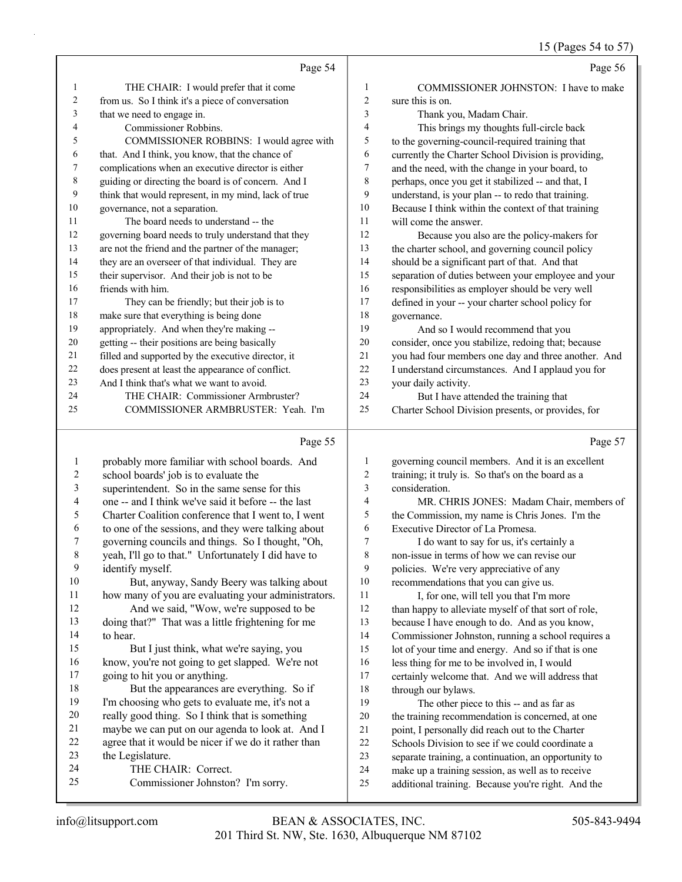### 15 (Pages 54 to 57)

|                          |                                                      |                  | 15 (Pages 54 to $5/$                                 |
|--------------------------|------------------------------------------------------|------------------|------------------------------------------------------|
|                          | Page 54                                              |                  | Page 56                                              |
| $\mathbf{1}$             | THE CHAIR: I would prefer that it come               | 1                | COMMISSIONER JOHNSTON: I have to make                |
| 2                        | from us. So I think it's a piece of conversation     | $\boldsymbol{2}$ | sure this is on.                                     |
| 3                        | that we need to engage in.                           | 3                | Thank you, Madam Chair.                              |
| 4                        | Commissioner Robbins.                                | 4                | This brings my thoughts full-circle back             |
| 5                        | COMMISSIONER ROBBINS: I would agree with             | 5                | to the governing-council-required training that      |
| 6                        | that. And I think, you know, that the chance of      | 6                | currently the Charter School Division is providing,  |
| 7                        | complications when an executive director is either   | 7                | and the need, with the change in your board, to      |
| $\,$ $\,$                | guiding or directing the board is of concern. And I  | 8                | perhaps, once you get it stabilized -- and that, I   |
| 9                        | think that would represent, in my mind, lack of true | 9                | understand, is your plan -- to redo that training.   |
| 10                       | governance, not a separation.                        | 10               | Because I think within the context of that training  |
| 11                       | The board needs to understand -- the                 | 11               | will come the answer.                                |
| 12                       | governing board needs to truly understand that they  | 12               | Because you also are the policy-makers for           |
| 13                       | are not the friend and the partner of the manager;   | 13               | the charter school, and governing council policy     |
| 14                       | they are an overseer of that individual. They are    | 14               | should be a significant part of that. And that       |
| 15                       | their supervisor. And their job is not to be         | 15               | separation of duties between your employee and your  |
| 16                       | friends with him.                                    | 16               | responsibilities as employer should be very well     |
| 17                       | They can be friendly; but their job is to            | 17               | defined in your -- your charter school policy for    |
| 18                       | make sure that everything is being done              | 18               | governance.                                          |
| 19                       | appropriately. And when they're making --            | 19               | And so I would recommend that you                    |
| 20                       | getting -- their positions are being basically       | 20               | consider, once you stabilize, redoing that; because  |
| 21                       | filled and supported by the executive director, it   | 21               | you had four members one day and three another. And  |
| 22                       | does present at least the appearance of conflict.    | $22\,$           | I understand circumstances. And I applaud you for    |
| 23                       | And I think that's what we want to avoid.            | 23               | your daily activity.                                 |
| 24                       | THE CHAIR: Commissioner Armbruster?                  | 24               | But I have attended the training that                |
| 25                       | COMMISSIONER ARMBRUSTER: Yeah. I'm                   | 25               | Charter School Division presents, or provides, for   |
|                          | Page 55                                              |                  | Page 57                                              |
| $\mathbf{1}$             | probably more familiar with school boards. And       | 1                | governing council members. And it is an excellent    |
| $\overline{c}$           | school boards' job is to evaluate the                | 2                | training; it truly is. So that's on the board as a   |
| 3                        | superintendent. So in the same sense for this        | 3                | consideration.                                       |
| $\overline{\mathcal{L}}$ | one -- and I think we've said it before -- the last  | 4                | MR. CHRIS JONES: Madam Chair, members of             |
| 5                        | Charter Coalition conference that I went to, I went  | 5                | the Commission, my name is Chris Jones. I'm the      |
| 6                        | to one of the sessions, and they were talking about  | 6                | Executive Director of La Promesa.                    |
| 7                        | governing councils and things. So I thought, "Oh,    | 7                | I do want to say for us, it's certainly a            |
| $8\phantom{1}$           | yeah, I'll go to that." Unfortunately I did have to  | 8                | non-issue in terms of how we can revise our          |
| 9                        | identify myself.                                     | 9                | policies. We're very appreciative of any             |
| 10                       | But, anyway, Sandy Beery was talking about           | $10\,$           | recommendations that you can give us.                |
| 11                       | how many of you are evaluating your administrators.  | 11               | I, for one, will tell you that I'm more              |
| 12                       | And we said, "Wow, we're supposed to be              | $12\,$           | than happy to alleviate myself of that sort of role, |
| 13                       | doing that?" That was a little frightening for me    | 13               | because I have enough to do. And as you know,        |
| 14                       | to hear.                                             | 14               | Commissioner Johnston, running a school requires a   |
| 15                       | But I just think, what we're saying, you             | 15               | lot of your time and energy. And so if that is one   |
| 16                       | know, you're not going to get slapped. We're not     | 16               | less thing for me to be involved in, I would         |
| 17                       | going to hit you or anything.                        | 17               | certainly welcome that. And we will address that     |
| 18                       | But the appearances are everything. So if            | $18\,$           | through our bylaws.                                  |
| 19                       | I'm choosing who gets to evaluate me, it's not a     | 19               | The other piece to this -- and as far as             |
|                          |                                                      |                  |                                                      |
| $20\,$                   | really good thing. So I think that is something      | $20\,$           | the training recommendation is concerned, at one     |

- 22 Schools Division to see if we could coordinate a
	- separate training, a continuation, an opportunity to
	- make up a training session, as well as to receive
	- additional training. Because you're right. And the

the Legislature.

24 THE CHAIR: Correct.

agree that it would be nicer if we do it rather than

25 Commissioner Johnston? I'm sorry.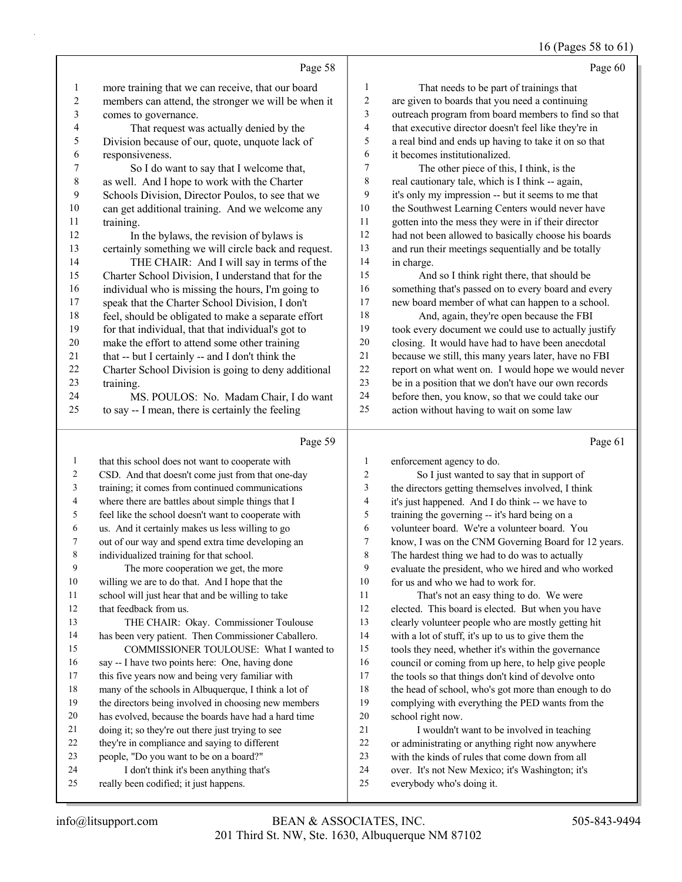#### 16 (Pages 58 to 61)

|                   |                                                                                                       |                          | $16$ (Pages $38$ to 61                                                                             |
|-------------------|-------------------------------------------------------------------------------------------------------|--------------------------|----------------------------------------------------------------------------------------------------|
|                   | Page 58                                                                                               |                          | Page 60                                                                                            |
| $\mathbf{1}$      | more training that we can receive, that our board                                                     | 1                        | That needs to be part of trainings that                                                            |
| $\sqrt{2}$        | members can attend, the stronger we will be when it                                                   | $\boldsymbol{2}$         | are given to boards that you need a continuing                                                     |
| 3                 | comes to governance.                                                                                  | 3                        | outreach program from board members to find so that                                                |
| 4                 | That request was actually denied by the                                                               | $\overline{\mathcal{A}}$ | that executive director doesn't feel like they're in                                               |
| 5                 | Division because of our, quote, unquote lack of                                                       | 5                        | a real bind and ends up having to take it on so that                                               |
| 6                 | responsiveness.                                                                                       | 6                        | it becomes institutionalized.                                                                      |
| $\boldsymbol{7}$  | So I do want to say that I welcome that,                                                              | 7                        | The other piece of this, I think, is the                                                           |
| $\,8\,$           | as well. And I hope to work with the Charter                                                          | $\,8\,$                  | real cautionary tale, which is I think -- again,                                                   |
| 9                 | Schools Division, Director Poulos, to see that we                                                     | 9                        | it's only my impression -- but it seems to me that                                                 |
| 10                | can get additional training. And we welcome any                                                       | 10                       | the Southwest Learning Centers would never have                                                    |
| 11                | training.                                                                                             | 11                       | gotten into the mess they were in if their director                                                |
| 12                | In the bylaws, the revision of bylaws is                                                              | $12\,$                   | had not been allowed to basically choose his boards                                                |
| 13                | certainly something we will circle back and request.                                                  | 13                       | and run their meetings sequentially and be totally                                                 |
| 14                | THE CHAIR: And I will say in terms of the                                                             | 14                       | in charge.                                                                                         |
| 15                | Charter School Division, I understand that for the                                                    | 15                       | And so I think right there, that should be                                                         |
| 16                | individual who is missing the hours, I'm going to                                                     | 16                       | something that's passed on to every board and every                                                |
| 17                | speak that the Charter School Division, I don't                                                       | $17\,$                   | new board member of what can happen to a school.                                                   |
| 18                | feel, should be obligated to make a separate effort                                                   | $18\,$                   | And, again, they're open because the FBI                                                           |
| 19                | for that individual, that that individual's got to                                                    | 19                       | took every document we could use to actually justify                                               |
| $20\,$            | make the effort to attend some other training                                                         | $20\,$                   | closing. It would have had to have been anecdotal                                                  |
| 21                | that -- but I certainly -- and I don't think the                                                      | 21                       | because we still, this many years later, have no FBI                                               |
| 22                | Charter School Division is going to deny additional                                                   | $22\,$                   | report on what went on. I would hope we would never                                                |
| 23                | training.                                                                                             | 23                       | be in a position that we don't have our own records                                                |
| 24                | MS. POULOS: No. Madam Chair, I do want                                                                | 24                       | before then, you know, so that we could take our                                                   |
| 25                | to say -- I mean, there is certainly the feeling                                                      | 25                       | action without having to wait on some law                                                          |
|                   | Page 59                                                                                               |                          | Page 61                                                                                            |
|                   |                                                                                                       | 1                        |                                                                                                    |
| $\mathbf{1}$<br>2 | that this school does not want to cooperate with                                                      | $\sqrt{2}$               | enforcement agency to do.                                                                          |
| 3                 | CSD. And that doesn't come just from that one-day<br>training; it comes from continued communications | 3                        | So I just wanted to say that in support of                                                         |
| 4                 | where there are battles about simple things that I                                                    | 4                        | the directors getting themselves involved, I think                                                 |
| 5                 | feel like the school doesn't want to cooperate with                                                   | 5                        | it's just happened. And I do think -- we have to<br>training the governing -- it's hard being on a |
| 6                 | us. And it certainly makes us less willing to go                                                      | 6                        | volunteer board. We're a volunteer board. You                                                      |
| 7                 | out of our way and spend extra time developing an                                                     | 7                        | know, I was on the CNM Governing Board for 12 years.                                               |
| 8                 | individualized training for that school.                                                              | 8                        | The hardest thing we had to do was to actually                                                     |
| 9                 | The more cooperation we get, the more                                                                 | 9                        | evaluate the president, who we hired and who worked                                                |
| 10                | willing we are to do that. And I hope that the                                                        | 10                       | for us and who we had to work for.                                                                 |
| 11                | school will just hear that and be willing to take                                                     | 11                       | That's not an easy thing to do. We were                                                            |
| 12                | that feedback from us.                                                                                | 12                       | elected. This board is elected. But when you have                                                  |
| 13                | THE CHAIR: Okay. Commissioner Toulouse                                                                | 13                       | clearly volunteer people who are mostly getting hit                                                |
| 14                | has been very patient. Then Commissioner Caballero.                                                   | 14                       | with a lot of stuff, it's up to us to give them the                                                |
| 15                | COMMISSIONER TOULOUSE: What I wanted to                                                               | 15                       | tools they need, whether it's within the governance                                                |
| 16                | say -- I have two points here: One, having done                                                       | 16                       | council or coming from up here, to help give people                                                |
| 17                | this five years now and being very familiar with                                                      | 17                       | the tools so that things don't kind of devolve onto                                                |
| 18                | many of the schools in Albuquerque, I think a lot of                                                  | 18                       | the head of school, who's got more than enough to do                                               |
| 19                | the directors being involved in choosing new members                                                  | 19                       | complying with everything the PED wants from the                                                   |
| 20                | has evolved, because the boards have had a hard time                                                  | 20                       | school right now.                                                                                  |
| 21                | doing it; so they're out there just trying to see                                                     | 21                       | I wouldn't want to be involved in teaching                                                         |
| 22                | they're in compliance and saying to different                                                         | 22                       | or administrating or anything right now anywhere                                                   |
| 23                | people, "Do you want to be on a board?"                                                               | 23                       | with the kinds of rules that come down from all                                                    |

- over. It's not New Mexico; it's Washington; it's
- everybody who's doing it.

24 I don't think it's been anything that's really been codified; it just happens.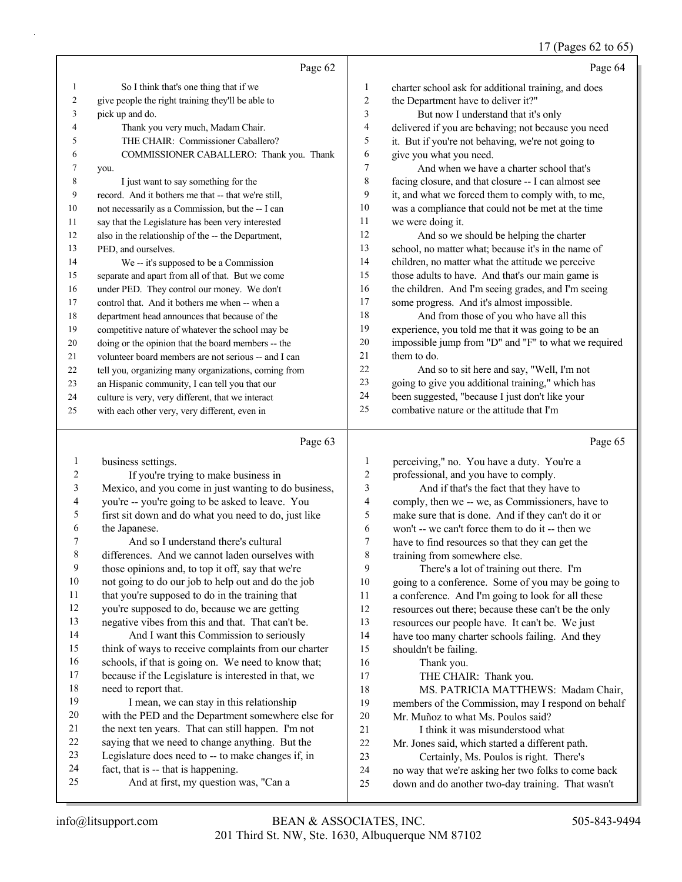#### 17 (Pages 62 to 65)

|                  | Page 62                                              |                | Page 64                                              |
|------------------|------------------------------------------------------|----------------|------------------------------------------------------|
| 1                | So I think that's one thing that if we               | $\mathbf{1}$   | charter school ask for additional training, and does |
| 2                | give people the right training they'll be able to    | 2              | the Department have to deliver it?"                  |
| 3                | pick up and do.                                      | 3              | But now I understand that it's only                  |
| 4                | Thank you very much, Madam Chair.                    | $\overline{4}$ | delivered if you are behaving; not because you need  |
| 5                | THE CHAIR: Commissioner Caballero?                   | 5              | it. But if you're not behaving, we're not going to   |
| 6                | COMMISSIONER CABALLERO: Thank you. Thank             | 6              | give you what you need.                              |
| 7                | you.                                                 | 7              | And when we have a charter school that's             |
| 8                | I just want to say something for the                 | 8              | facing closure, and that closure -- I can almost see |
| 9                | record. And it bothers me that -- that we're still,  | 9              | it, and what we forced them to comply with, to me,   |
| 10               | not necessarily as a Commission, but the -- I can    | 10             | was a compliance that could not be met at the time   |
| 11               | say that the Legislature has been very interested    | 11             | we were doing it.                                    |
| 12               | also in the relationship of the -- the Department,   | 12             | And so we should be helping the charter              |
| 13               | PED, and ourselves.                                  | 13             | school, no matter what; because it's in the name of  |
| 14               | We -- it's supposed to be a Commission               | 14             | children, no matter what the attitude we perceive    |
| 15               | separate and apart from all of that. But we come     | 15             | those adults to have. And that's our main game is    |
| 16               | under PED. They control our money. We don't          | 16             | the children. And I'm seeing grades, and I'm seeing  |
| 17               | control that. And it bothers me when -- when a       | 17             | some progress. And it's almost impossible.           |
| 18               | department head announces that because of the        | 18             | And from those of you who have all this              |
| 19               | competitive nature of whatever the school may be     | 19             | experience, you told me that it was going to be an   |
| 20               | doing or the opinion that the board members -- the   | 20             | impossible jump from "D" and "F" to what we required |
| 21               | volunteer board members are not serious -- and I can | 21             | them to do.                                          |
| 22               | tell you, organizing many organizations, coming from | 22             | And so to sit here and say, "Well, I'm not           |
| 23               | an Hispanic community, I can tell you that our       | 23             | going to give you additional training," which has    |
| 24               | culture is very, very different, that we interact    | 24             | been suggested, "because I just don't like your      |
| 25               | with each other very, very different, even in        | 25             | combative nature or the attitude that I'm            |
|                  | Page 63                                              |                | Page 65                                              |
| 1                | business settings.                                   | 1              | perceiving," no. You have a duty. You're a           |
| 2                | If you're trying to make business in                 | $\mathfrak{2}$ | professional, and you have to comply.                |
| 3                | Mexico, and you come in just wanting to do business, | 3              | And if that's the fact that they have to             |
| 4                | you're -- you're going to be asked to leave. You     | $\overline{4}$ | comply, then we -- we, as Commissioners, have to     |
| 5                | first sit down and do what you need to do, just like | 5              | make sure that is done. And if they can't do it or   |
| 6                | the Japanese.                                        | 6              | won't -- we can't force them to do it -- then we     |
| 7                | And so I understand there's cultural                 | 7              | have to find resources so that they can get the      |
| 8                | differences. And we cannot laden ourselves with      | 8              | training from somewhere else.                        |
| $\boldsymbol{9}$ | those opinions and, to top it off, say that we're    | 9              | There's a lot of training out there. I'm             |
| $10\,$           | not going to do our job to help out and do the job   | 10             | going to a conference. Some of you may be going to   |
| 11               | that you're supposed to do in the training that      | 11             | a conference. And I'm going to look for all these    |
| 12               | you're supposed to do, because we are getting        | 12             | resources out there; because these can't be the only |
| 13               | negative vibes from this and that. That can't be.    | 13             | resources our people have. It can't be. We just      |
| 14               | And I want this Commission to seriously              | 14             | have too many charter schools failing. And they      |
| 15               | think of ways to receive complaints from our charter | 15             | shouldn't be failing.                                |

 think of ways to receive complaints from our charter schools, if that is going on. We need to know that;

- because if the Legislature is interested in that, we need to report that.
- 19 I mean, we can stay in this relationship with the PED and the Department somewhere else for the next ten years. That can still happen. I'm not saying that we need to change anything. But the Legislature does need to -- to make changes if, in
- fact, that is -- that is happening.
- 25 And at first, my question was, "Can a
- 16 Thank you. 17 THE CHAIR: Thank you.
- 18 MS. PATRICIA MATTHEWS: Madam Chair,

 members of the Commission, may I respond on behalf Mr. Muñoz to what Ms. Poulos said?

- 
- 21 I think it was misunderstood what
- Mr. Jones said, which started a different path.
- 23 Certainly, Ms. Poulos is right. There's
- no way that we're asking her two folks to come back
- down and do another two-day training. That wasn't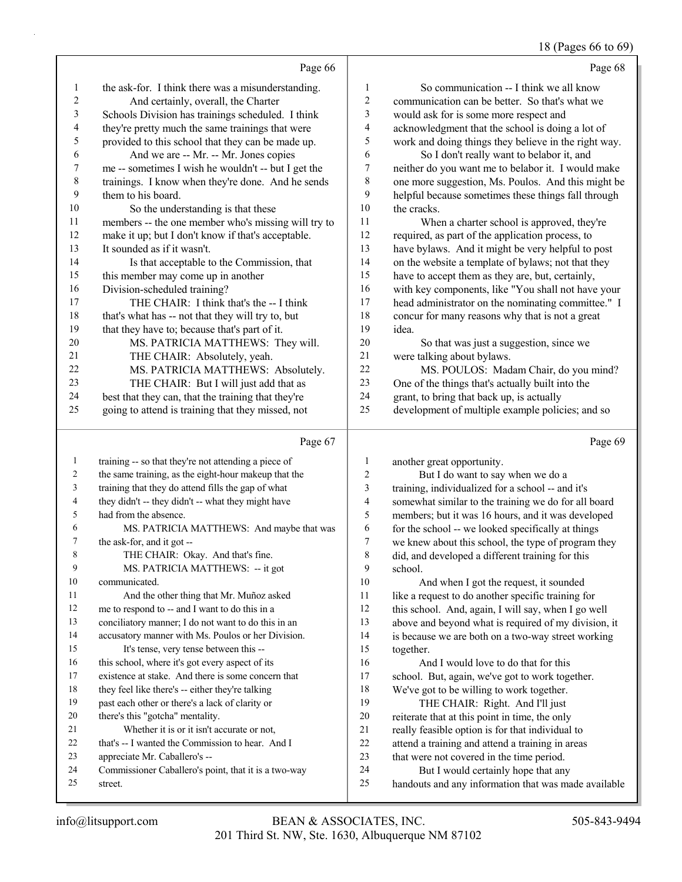#### 18 (Pages 66 to 69)

|                  |                                                      |                         | 10(145)<br>$\bullet \bullet \bullet \bullet \bullet \bullet \bullet \bullet \bullet$ |
|------------------|------------------------------------------------------|-------------------------|--------------------------------------------------------------------------------------|
|                  | Page 66                                              |                         | Page 68                                                                              |
| 1                | the ask-for. I think there was a misunderstanding.   | $\mathbf{1}$            | So communication -- I think we all know                                              |
| $\overline{c}$   | And certainly, overall, the Charter                  | $\overline{c}$          | communication can be better. So that's what we                                       |
| 3                | Schools Division has trainings scheduled. I think    | 3                       | would ask for is some more respect and                                               |
| 4                | they're pretty much the same trainings that were     | 4                       | acknowledgment that the school is doing a lot of                                     |
| 5                | provided to this school that they can be made up.    | 5                       | work and doing things they believe in the right way.                                 |
| 6                | And we are -- Mr. -- Mr. Jones copies                | 6                       | So I don't really want to belabor it, and                                            |
| $\boldsymbol{7}$ | me -- sometimes I wish he wouldn't -- but I get the  | $\sqrt{ }$              | neither do you want me to belabor it. I would make                                   |
| $\,$ $\,$        | trainings. I know when they're done. And he sends    | $\,8\,$                 | one more suggestion, Ms. Poulos. And this might be                                   |
| 9                | them to his board.                                   | 9                       | helpful because sometimes these things fall through                                  |
| $10\,$           | So the understanding is that these                   | 10                      | the cracks.                                                                          |
| 11               | members -- the one member who's missing will try to  | 11                      | When a charter school is approved, they're                                           |
| 12               | make it up; but I don't know if that's acceptable.   | 12                      | required, as part of the application process, to                                     |
| 13               | It sounded as if it wasn't.                          | 13                      | have bylaws. And it might be very helpful to post                                    |
| 14               | Is that acceptable to the Commission, that           | 14                      | on the website a template of bylaws; not that they                                   |
| 15               | this member may come up in another                   | 15                      | have to accept them as they are, but, certainly,                                     |
| 16               | Division-scheduled training?                         | 16                      | with key components, like "You shall not have your                                   |
| 17               | THE CHAIR: I think that's the -- I think             | 17                      | head administrator on the nominating committee." I                                   |
| 18               | that's what has -- not that they will try to, but    | 18                      | concur for many reasons why that is not a great                                      |
| 19               | that they have to; because that's part of it.        | 19                      | idea.                                                                                |
| $20\,$           | MS. PATRICIA MATTHEWS: They will.                    | 20                      | So that was just a suggestion, since we                                              |
| 21               | THE CHAIR: Absolutely, yeah.                         | 21                      | were talking about bylaws.                                                           |
| 22               | MS. PATRICIA MATTHEWS: Absolutely.                   | 22                      | MS. POULOS: Madam Chair, do you mind?                                                |
| 23               | THE CHAIR: But I will just add that as               | 23                      | One of the things that's actually built into the                                     |
| 24               | best that they can, that the training that they're   | 24                      | grant, to bring that back up, is actually                                            |
| 25               | going to attend is training that they missed, not    | 25                      | development of multiple example policies; and so                                     |
|                  | Page 67                                              |                         | Page 69                                                                              |
| 1                | training -- so that they're not attending a piece of | 1                       | another great opportunity.                                                           |
| $\overline{2}$   | the same training, as the eight-hour makeup that the | $\overline{2}$          | But I do want to say when we do a                                                    |
| $\mathfrak{Z}$   | training that they do attend fills the gap of what   | $\mathfrak{Z}$          | training, individualized for a school -- and it's                                    |
| $\overline{4}$   | they didn't -- they didn't -- what they might have   | $\overline{\mathbf{4}}$ | somewhat similar to the training we do for all board                                 |
| 5                | had from the absence.                                | 5                       | members; but it was 16 hours, and it was developed                                   |
| 6                | MS. PATRICIA MATTHEWS: And maybe that was            | 6                       | for the school -- we looked specifically at things                                   |
| 7                | the ask-for, and it got --                           | $\boldsymbol{7}$        | we knew about this school, the type of program they                                  |
| 8                | THE CHAIR: Okay. And that's fine.                    | $\,8\,$                 | did, and developed a different training for this                                     |
| 9                | MS. PATRICIA MATTHEWS: -- it got                     | 9                       | school.                                                                              |
| 10               | communicated.                                        | 10                      | And when I got the request, it sounded                                               |

- 11 And the other thing that Mr. Muñoz asked me to respond to -- and I want to do this in a
- conciliatory manner; I do not want to do this in an accusatory manner with Ms. Poulos or her Division.
- 15 It's tense, very tense between this --
- 16 this school, where it's got every aspect of its
- existence at stake. And there is some concern that
- 18 they feel like there's -- either they're talking
- past each other or there's a lack of clarity or
- there's this "gotcha" mentality. 21 Whether it is or it isn't accurate or not,
- that's -- I wanted the Commission to hear. And I
- appreciate Mr. Caballero's --
- Commissioner Caballero's point, that it is a two-way
- street.
- 201 Third St. NW, Ste. 1630, Albuquerque NM 87102 info@litsupport.com BEAN & ASSOCIATES, INC. 505-843-9494
- 11 like a request to do another specific training for this school. And, again, I will say, when I go well
- above and beyond what is required of my division, it is because we are both on a two-way street working together.
- 16 And I would love to do that for this school. But, again, we've got to work together. We've got to be willing to work together.
- 19 THE CHAIR: Right. And I'll just reiterate that at this point in time, the only really feasible option is for that individual to attend a training and attend a training in areas
- that were not covered in the time period.
- 24 But I would certainly hope that any handouts and any information that was made available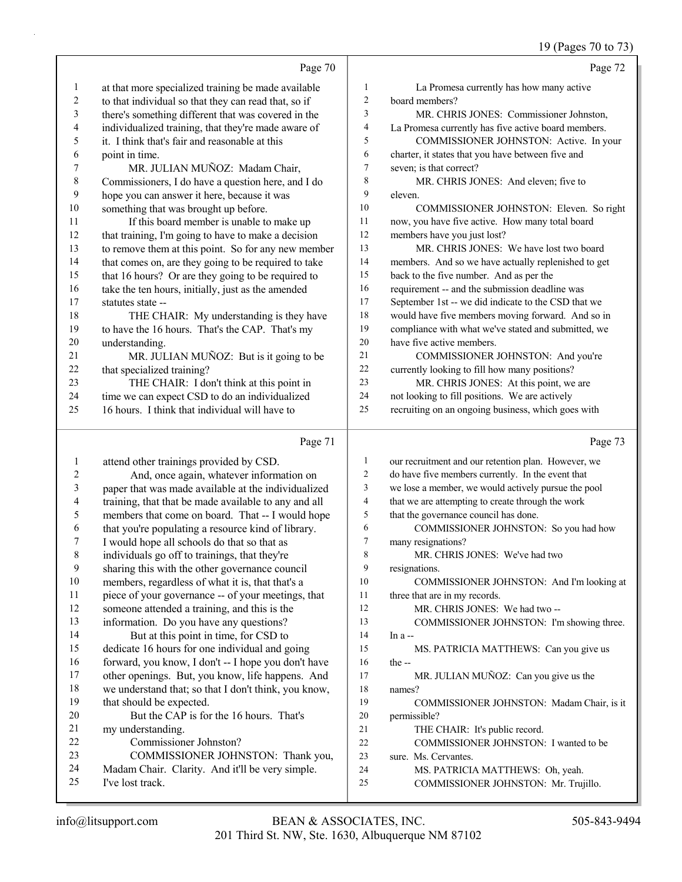# 19 (Pages 70 to 73)

|                          | Page 70                                                                                                  |                          | Page 72                                                                                  |
|--------------------------|----------------------------------------------------------------------------------------------------------|--------------------------|------------------------------------------------------------------------------------------|
| 1                        | at that more specialized training be made available                                                      | $\mathbf{1}$             | La Promesa currently has how many active                                                 |
| $\overline{c}$           | to that individual so that they can read that, so if                                                     | $\boldsymbol{2}$         | board members?                                                                           |
| 3                        | there's something different that was covered in the                                                      | $\overline{\mathbf{3}}$  | MR. CHRIS JONES: Commissioner Johnston,                                                  |
| $\overline{\mathcal{L}}$ | individualized training, that they're made aware of                                                      | 4                        | La Promesa currently has five active board members.                                      |
| 5                        | it. I think that's fair and reasonable at this                                                           | 5                        | COMMISSIONER JOHNSTON: Active. In your                                                   |
| 6                        | point in time.                                                                                           | 6                        | charter, it states that you have between five and                                        |
| 7                        | MR. JULIAN MUÑOZ: Madam Chair,                                                                           | $\boldsymbol{7}$         | seven; is that correct?                                                                  |
| $\,$ $\,$                | Commissioners, I do have a question here, and I do                                                       | 8                        | MR. CHRIS JONES: And eleven; five to                                                     |
| $\boldsymbol{9}$         | hope you can answer it here, because it was                                                              | 9                        | eleven.                                                                                  |
| $10\,$                   | something that was brought up before.                                                                    | 10                       | COMMISSIONER JOHNSTON: Eleven. So right                                                  |
| 11                       | If this board member is unable to make up                                                                | 11                       | now, you have five active. How many total board                                          |
| 12                       | that training, I'm going to have to make a decision                                                      | 12                       | members have you just lost?                                                              |
| 13                       | to remove them at this point. So for any new member                                                      | 13                       | MR. CHRIS JONES: We have lost two board                                                  |
| 14                       | that comes on, are they going to be required to take                                                     | 14                       | members. And so we have actually replenished to get                                      |
| 15                       | that 16 hours? Or are they going to be required to                                                       | 15                       | back to the five number. And as per the                                                  |
| 16                       | take the ten hours, initially, just as the amended                                                       | 16                       | requirement -- and the submission deadline was                                           |
| 17                       | statutes state --                                                                                        | 17                       | September 1st -- we did indicate to the CSD that we                                      |
| $18\,$                   | THE CHAIR: My understanding is they have                                                                 | 18                       | would have five members moving forward. And so in                                        |
| 19                       | to have the 16 hours. That's the CAP. That's my                                                          | 19                       | compliance with what we've stated and submitted, we                                      |
| $20\,$                   | understanding.                                                                                           | 20                       | have five active members.                                                                |
| 21                       | MR. JULIAN MUÑOZ: But is it going to be                                                                  | 21                       | COMMISSIONER JOHNSTON: And you're                                                        |
| $22\,$<br>23             | that specialized training?                                                                               | 22<br>23                 | currently looking to fill how many positions?                                            |
| 24                       | THE CHAIR: I don't think at this point in                                                                | 24                       | MR. CHRIS JONES: At this point, we are<br>not looking to fill positions. We are actively |
| 25                       | time we can expect CSD to do an individualized<br>16 hours. I think that individual will have to         | 25                       | recruiting on an ongoing business, which goes with                                       |
|                          |                                                                                                          |                          |                                                                                          |
|                          |                                                                                                          |                          |                                                                                          |
|                          | Page 71                                                                                                  |                          | Page 73                                                                                  |
| $\mathbf{1}$             | attend other trainings provided by CSD.                                                                  | $\mathbf{1}$             | our recruitment and our retention plan. However, we                                      |
| 2                        | And, once again, whatever information on                                                                 | $\overline{c}$           | do have five members currently. In the event that                                        |
| 3                        | paper that was made available at the individualized                                                      | 3                        | we lose a member, we would actively pursue the pool                                      |
| 4                        | training, that that be made available to any and all                                                     | $\overline{\mathcal{A}}$ | that we are attempting to create through the work                                        |
| 5                        | members that come on board. That -- I would hope                                                         | 5                        | that the governance council has done.                                                    |
| 6                        | that you're populating a resource kind of library.                                                       | 6                        | COMMISSIONER JOHNSTON: So you had how                                                    |
| 7                        | I would hope all schools do that so that as                                                              | 7                        | many resignations?                                                                       |
| 8                        | individuals go off to trainings, that they're                                                            | 8                        | MR. CHRIS JONES: We've had two                                                           |
| 9                        | sharing this with the other governance council                                                           | 9                        | resignations.                                                                            |
| $10\,$                   | members, regardless of what it is, that that's a                                                         | 10                       | COMMISSIONER JOHNSTON: And I'm looking at                                                |
| 11                       | piece of your governance -- of your meetings, that                                                       | 11                       | three that are in my records.                                                            |
| 12                       | someone attended a training, and this is the                                                             | 12                       | MR. CHRIS JONES: We had two --                                                           |
| 13                       | information. Do you have any questions?                                                                  | 13                       | COMMISSIONER JOHNSTON: I'm showing three.                                                |
| 14                       | But at this point in time, for CSD to                                                                    | 14<br>15                 | In a--                                                                                   |
| 15<br>16                 | dedicate 16 hours for one individual and going                                                           | 16                       | MS. PATRICIA MATTHEWS: Can you give us<br>the $-$                                        |
| 17                       | forward, you know, I don't -- I hope you don't have                                                      | 17                       |                                                                                          |
| 18                       | other openings. But, you know, life happens. And<br>we understand that; so that I don't think, you know, | 18                       | MR. JULIAN MUÑOZ: Can you give us the<br>names?                                          |
| 19                       | that should be expected.                                                                                 | 19                       | COMMISSIONER JOHNSTON: Madam Chair, is it                                                |
| 20                       | But the CAP is for the 16 hours. That's                                                                  | $20\,$                   | permissible?                                                                             |
| 21                       | my understanding.                                                                                        | 21                       | THE CHAIR: It's public record.                                                           |
| 22                       | Commissioner Johnston?                                                                                   | $22\,$                   | COMMISSIONER JOHNSTON: I wanted to be                                                    |
| 23                       | COMMISSIONER JOHNSTON: Thank you,                                                                        | 23                       | sure. Ms. Cervantes.                                                                     |
| 24<br>25                 | Madam Chair. Clarity. And it'll be very simple.<br>I've lost track.                                      | 24<br>25                 | MS. PATRICIA MATTHEWS: Oh, yeah.<br>COMMISSIONER JOHNSTON: Mr. Trujillo.                 |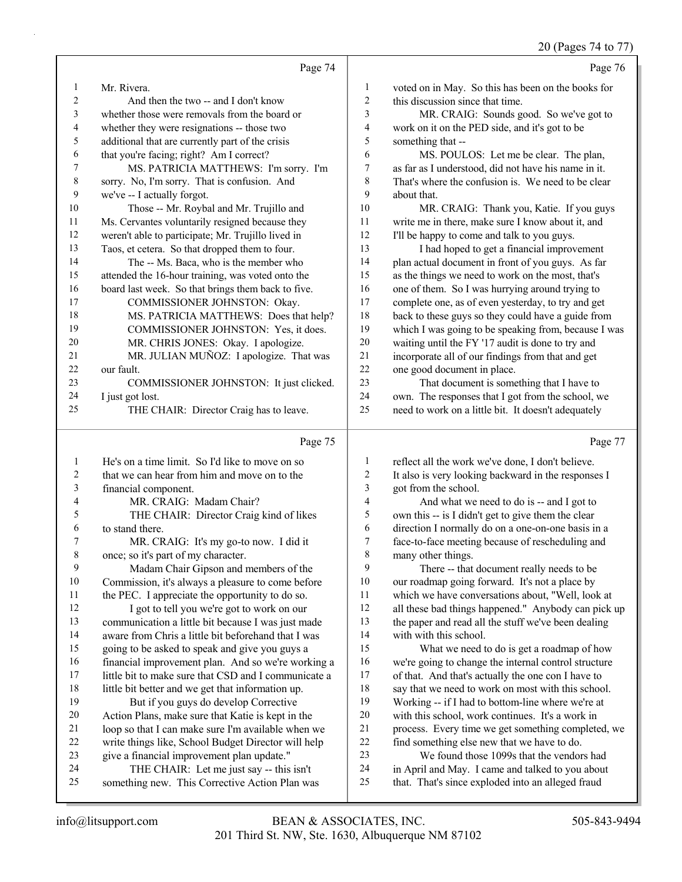20 (Pages 74 to 77)

|              |                                                      |                | 20 (Pages $74$ to $77$                               |
|--------------|------------------------------------------------------|----------------|------------------------------------------------------|
|              | Page 74                                              |                | Page 76                                              |
| $\mathbf{1}$ | Mr. Rivera.                                          | $\mathbf{1}$   | voted on in May. So this has been on the books for   |
| 2            | And then the two -- and I don't know                 | $\overline{c}$ | this discussion since that time.                     |
| 3            | whether those were removals from the board or        | 3              | MR. CRAIG: Sounds good. So we've got to              |
| 4            | whether they were resignations -- those two          | $\overline{4}$ | work on it on the PED side, and it's got to be       |
| 5            | additional that are currently part of the crisis     | 5              | something that --                                    |
| 6            | that you're facing; right? Am I correct?             | 6              | MS. POULOS: Let me be clear. The plan,               |
| 7            | MS. PATRICIA MATTHEWS: I'm sorry. I'm                | $\tau$         | as far as I understood, did not have his name in it. |
| 8            | sorry. No, I'm sorry. That is confusion. And         | 8              | That's where the confusion is. We need to be clear   |
| 9            | we've -- I actually forgot.                          | 9              | about that.                                          |
| 10           | Those -- Mr. Roybal and Mr. Trujillo and             | 10             | MR. CRAIG: Thank you, Katie. If you guys             |
| 11           | Ms. Cervantes voluntarily resigned because they      | 11             | write me in there, make sure I know about it, and    |
| 12           | weren't able to participate; Mr. Trujillo lived in   | 12             | I'll be happy to come and talk to you guys.          |
| 13           | Taos, et cetera. So that dropped them to four.       | 13             | I had hoped to get a financial improvement           |
| 14           | The -- Ms. Baca, who is the member who               | 14             | plan actual document in front of you guys. As far    |
| 15           | attended the 16-hour training, was voted onto the    | 15             | as the things we need to work on the most, that's    |
| 16           | board last week. So that brings them back to five.   | 16             | one of them. So I was hurrying around trying to      |
| 17           | COMMISSIONER JOHNSTON: Okay.                         | 17             | complete one, as of even yesterday, to try and get   |
| 18           | MS. PATRICIA MATTHEWS: Does that help?               | 18             | back to these guys so they could have a guide from   |
| 19           | COMMISSIONER JOHNSTON: Yes, it does.                 | 19             | which I was going to be speaking from, because I was |
| 20           | MR. CHRIS JONES: Okay. I apologize.                  | 20             | waiting until the FY '17 audit is done to try and    |
| 21           | MR. JULIAN MUÑOZ: I apologize. That was              | 21             | incorporate all of our findings from that and get    |
| 22           | our fault.                                           | 22             | one good document in place.                          |
| 23           | COMMISSIONER JOHNSTON: It just clicked.              | 23             | That document is something that I have to            |
| 24           | I just got lost.                                     | 24             | own. The responses that I got from the school, we    |
| 25           | THE CHAIR: Director Craig has to leave.              | 25             | need to work on a little bit. It doesn't adequately  |
|              | Page 75                                              |                | Page 77                                              |
| $\mathbf{1}$ | He's on a time limit. So I'd like to move on so      | $\mathbf{1}$   | reflect all the work we've done, I don't believe.    |
| 2            | that we can hear from him and move on to the         | $\overline{c}$ | It also is very looking backward in the responses I  |
| 3            | financial component.                                 | $\sqrt{3}$     | got from the school.                                 |
| 4            | MR. CRAIG: Madam Chair?                              | $\overline{4}$ | And what we need to do is -- and I got to            |
| 5            | THE CHAIR: Director Craig kind of likes              | 5              | own this -- is I didn't get to give them the clear   |
| 6            | to stand there.                                      | 6              | direction I normally do on a one-on-one basis in a   |
|              | MR. CRAIG: It's my go-to now. I did it               | 7              | face-to-face meeting because of rescheduling and     |
| 8            | once; so it's part of my character.                  | 8              | many other things.                                   |
| 9            | Madam Chair Gipson and members of the                | 9              | There -- that document really needs to be            |
| 10           | Commission, it's always a pleasure to come before    | $10\,$         | our roadmap going forward. It's not a place by       |
| 11           | the PEC. I appreciate the opportunity to do so.      | 11             | which we have conversations about, "Well, look at    |
| 12           | I got to tell you we're got to work on our           | 12             | all these bad things happened." Anybody can pick up  |
| 13           | communication a little bit because I was just made   | 13             | the paper and read all the stuff we've been dealing  |
| 14           | aware from Chris a little bit beforehand that I was  | 14             | with with this school.                               |
| 15           | going to be asked to speak and give you guys a       | 15             | What we need to do is get a roadmap of how           |
| 16           | financial improvement plan. And so we're working a   | 16             | we're going to change the internal control structure |
| 17           | little bit to make sure that CSD and I communicate a | 17             | of that. And that's actually the one con I have to   |
| 18           | little bit better and we get that information up.    | 18             | say that we need to work on most with this school.   |
| 19           | But if you guys do develop Corrective                | 19             | Working -- if I had to bottom-line where we're at    |
| 20           | Action Plans, make sure that Katie is kept in the    | $20\,$         | with this school, work continues. It's a work in     |
| 21<br>22     | loop so that I can make sure I'm available when we   | 21<br>$22\,$   | process. Every time we get something completed, we   |
|              | write things like, School Budget Director will help  |                | find something else new that we have to do.          |

23 We found those 1099s that the vendors had 24 in April and May. I came and talked to you about<br>25 that. That's since exploded into an alleged fraud

that. That's since exploded into an alleged fraud

 give a financial improvement plan update." 24 THE CHAIR: Let me just say -- this isn't something new. This Corrective Action Plan was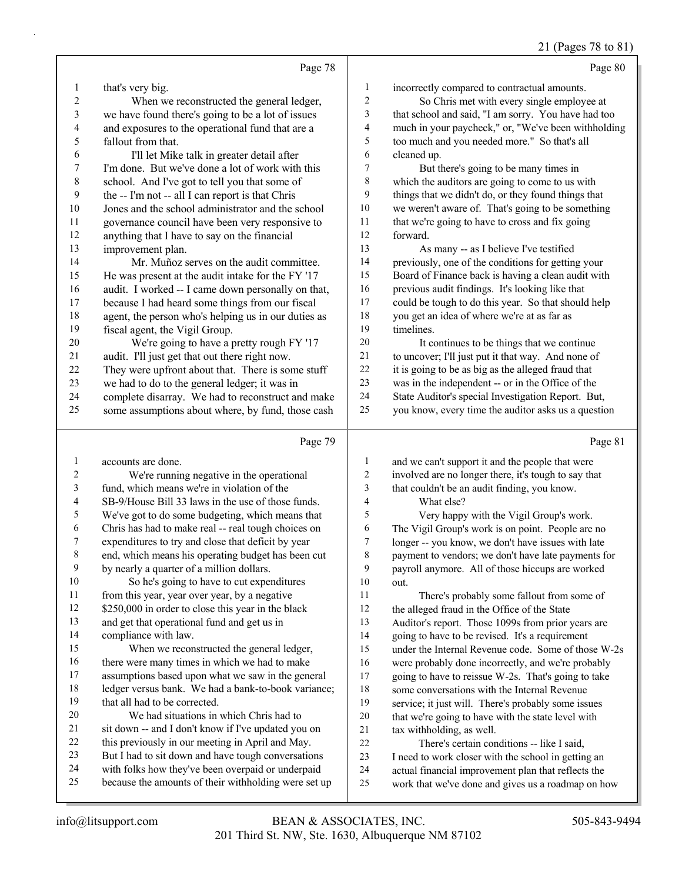#### 21 (Pages 78 to 81)

| $\mathbf{1}$<br>incorrectly compared to contractual amounts.<br>that's very big.<br>$\mathbf{I}$<br>$\sqrt{2}$<br>2<br>So Chris met with every single employee at<br>When we reconstructed the general ledger,<br>3<br>3<br>that school and said, "I am sorry. You have had too<br>we have found there's going to be a lot of issues<br>$\overline{4}$<br>$\overline{4}$<br>and exposures to the operational fund that are a<br>much in your paycheck," or, "We've been withholding<br>5<br>5<br>fallout from that.<br>too much and you needed more." So that's all<br>6<br>cleaned up.<br>6<br>I'll let Mike talk in greater detail after<br>I'm done. But we've done a lot of work with this<br>7<br>7<br>But there's going to be many times in<br>$\,$ $\,$<br>$\,$ 8 $\,$<br>which the auditors are going to come to us with<br>school. And I've got to tell you that some of<br>9<br>things that we didn't do, or they found things that<br>9<br>the -- I'm not -- all I can report is that Chris<br>$10\,$<br>we weren't aware of. That's going to be something<br>10<br>Jones and the school administrator and the school<br>$11\,$<br>that we're going to have to cross and fix going<br>11<br>governance council have been very responsive to<br>12<br>forward.<br>anything that I have to say on the financial<br>12<br>13<br>13<br>improvement plan.<br>As many -- as I believe I've testified<br>14<br>Mr. Muñoz serves on the audit committee.<br>previously, one of the conditions for getting your<br>14<br>15<br>Board of Finance back is having a clean audit with<br>15<br>He was present at the audit intake for the FY '17<br>16<br>previous audit findings. It's looking like that<br>audit. I worked -- I came down personally on that,<br>16<br>17<br>because I had heard some things from our fiscal<br>could be tough to do this year. So that should help<br>17<br>agent, the person who's helping us in our duties as<br>18<br>you get an idea of where we're at as far as<br>18<br>fiscal agent, the Vigil Group.<br>19<br>timelines.<br>19<br>20<br>We're going to have a pretty rough FY '17<br>20<br>It continues to be things that we continue<br>21<br>audit. I'll just get that out there right now.<br>to uncover; I'll just put it that way. And none of<br>21<br>22<br>it is going to be as big as the alleged fraud that<br>22<br>They were upfront about that. There is some stuff<br>23<br>23<br>we had to do to the general ledger; it was in<br>was in the independent -- or in the Office of the<br>24<br>24<br>complete disarray. We had to reconstruct and make<br>State Auditor's special Investigation Report. But,<br>25<br>you know, every time the auditor asks us a question<br>25<br>some assumptions about where, by fund, those cash<br>Page 79<br>Page 81<br>$\mathbf{1}$<br>accounts are done.<br>1<br>and we can't support it and the people that were<br>$\sqrt{2}$<br>$\boldsymbol{2}$<br>We're running negative in the operational<br>involved are no longer there, it's tough to say that<br>$\mathfrak{Z}$<br>3<br>fund, which means we're in violation of the<br>that couldn't be an audit finding, you know.<br>$\overline{\mathcal{A}}$<br>$\overline{\mathcal{A}}$<br>What else?<br>SB-9/House Bill 33 laws in the use of those funds.<br>5<br>5<br>We've got to do some budgeting, which means that<br>Very happy with the Vigil Group's work.<br>6<br>Chris has had to make real -- real tough choices on<br>6<br>The Vigil Group's work is on point. People are no<br>expenditures to try and close that deficit by year<br>longer -- you know, we don't have issues with late<br>7<br>7<br>end, which means his operating budget has been cut<br>$\boldsymbol{8}$<br>$\,$ $\,$<br>payment to vendors; we don't have late payments for<br>9<br>9<br>by nearly a quarter of a million dollars.<br>payroll anymore. All of those hiccups are worked<br>10<br>So he's going to have to cut expenditures<br>10<br>out.<br>from this year, year over year, by a negative<br>11<br>11<br>There's probably some fallout from some of<br>\$250,000 in order to close this year in the black<br>12<br>12<br>the alleged fraud in the Office of the State<br>13<br>and get that operational fund and get us in<br>13<br>Auditor's report. Those 1099s from prior years are<br>compliance with law.<br>14<br>14<br>going to have to be revised. It's a requirement<br>15<br>When we reconstructed the general ledger,<br>15<br>under the Internal Revenue code. Some of those W-2s<br>16<br>there were many times in which we had to make<br>16<br>were probably done incorrectly, and we're probably<br>17<br>assumptions based upon what we saw in the general<br>17<br>going to have to reissue W-2s. That's going to take<br>18<br>ledger versus bank. We had a bank-to-book variance;<br>18<br>some conversations with the Internal Revenue<br>that all had to be corrected.<br>19<br>19<br>service; it just will. There's probably some issues<br>20<br>We had situations in which Chris had to<br>$20\,$<br>that we're going to have with the state level with<br>sit down -- and I don't know if I've updated you on<br>21<br>21<br>tax withholding, as well. |    | Page 78                                          |    | Page 80                                    |
|---------------------------------------------------------------------------------------------------------------------------------------------------------------------------------------------------------------------------------------------------------------------------------------------------------------------------------------------------------------------------------------------------------------------------------------------------------------------------------------------------------------------------------------------------------------------------------------------------------------------------------------------------------------------------------------------------------------------------------------------------------------------------------------------------------------------------------------------------------------------------------------------------------------------------------------------------------------------------------------------------------------------------------------------------------------------------------------------------------------------------------------------------------------------------------------------------------------------------------------------------------------------------------------------------------------------------------------------------------------------------------------------------------------------------------------------------------------------------------------------------------------------------------------------------------------------------------------------------------------------------------------------------------------------------------------------------------------------------------------------------------------------------------------------------------------------------------------------------------------------------------------------------------------------------------------------------------------------------------------------------------------------------------------------------------------------------------------------------------------------------------------------------------------------------------------------------------------------------------------------------------------------------------------------------------------------------------------------------------------------------------------------------------------------------------------------------------------------------------------------------------------------------------------------------------------------------------------------------------------------------------------------------------------------------------------------------------------------------------------------------------------------------------------------------------------------------------------------------------------------------------------------------------------------------------------------------------------------------------------------------------------------------------------------------------------------------------------------------------------------------------------------------------------------------------------------------------------------------------------------------------------------------------------------------------------------------------------------------------------------------------------------------------------------------------------------------------------------------------------------------------------------------------------------------------------------------------------------------------------------------------------------------------------------------------------------------------------------------------------------------------------------------------------------------------------------------------------------------------------------------------------------------------------------------------------------------------------------------------------------------------------------------------------------------------------------------------------------------------------------------------------------------------------------------------------------------------------------------------------------------------------------------------------------------------------------------------------------------------------------------------------------------------------------------------------------------------------------------------------------------------------------------------------------------------------------------------------------------------------------------------------------------------------------------------------------------------------------------------------------------------------------------------------------------------------------------------------------------------------------------------------------------------------------------------------------------------------------------------------------------------------------------------------------------------------------------------------------------------------------------------------------------------------------------------------------------------------------------------|----|--------------------------------------------------|----|--------------------------------------------|
|                                                                                                                                                                                                                                                                                                                                                                                                                                                                                                                                                                                                                                                                                                                                                                                                                                                                                                                                                                                                                                                                                                                                                                                                                                                                                                                                                                                                                                                                                                                                                                                                                                                                                                                                                                                                                                                                                                                                                                                                                                                                                                                                                                                                                                                                                                                                                                                                                                                                                                                                                                                                                                                                                                                                                                                                                                                                                                                                                                                                                                                                                                                                                                                                                                                                                                                                                                                                                                                                                                                                                                                                                                                                                                                                                                                                                                                                                                                                                                                                                                                                                                                                                                                                                                                                                                                                                                                                                                                                                                                                                                                                                                                                                                                                                                                                                                                                                                                                                                                                                                                                                                                                                                                                                                 |    |                                                  |    |                                            |
|                                                                                                                                                                                                                                                                                                                                                                                                                                                                                                                                                                                                                                                                                                                                                                                                                                                                                                                                                                                                                                                                                                                                                                                                                                                                                                                                                                                                                                                                                                                                                                                                                                                                                                                                                                                                                                                                                                                                                                                                                                                                                                                                                                                                                                                                                                                                                                                                                                                                                                                                                                                                                                                                                                                                                                                                                                                                                                                                                                                                                                                                                                                                                                                                                                                                                                                                                                                                                                                                                                                                                                                                                                                                                                                                                                                                                                                                                                                                                                                                                                                                                                                                                                                                                                                                                                                                                                                                                                                                                                                                                                                                                                                                                                                                                                                                                                                                                                                                                                                                                                                                                                                                                                                                                                 |    |                                                  |    |                                            |
|                                                                                                                                                                                                                                                                                                                                                                                                                                                                                                                                                                                                                                                                                                                                                                                                                                                                                                                                                                                                                                                                                                                                                                                                                                                                                                                                                                                                                                                                                                                                                                                                                                                                                                                                                                                                                                                                                                                                                                                                                                                                                                                                                                                                                                                                                                                                                                                                                                                                                                                                                                                                                                                                                                                                                                                                                                                                                                                                                                                                                                                                                                                                                                                                                                                                                                                                                                                                                                                                                                                                                                                                                                                                                                                                                                                                                                                                                                                                                                                                                                                                                                                                                                                                                                                                                                                                                                                                                                                                                                                                                                                                                                                                                                                                                                                                                                                                                                                                                                                                                                                                                                                                                                                                                                 |    |                                                  |    |                                            |
|                                                                                                                                                                                                                                                                                                                                                                                                                                                                                                                                                                                                                                                                                                                                                                                                                                                                                                                                                                                                                                                                                                                                                                                                                                                                                                                                                                                                                                                                                                                                                                                                                                                                                                                                                                                                                                                                                                                                                                                                                                                                                                                                                                                                                                                                                                                                                                                                                                                                                                                                                                                                                                                                                                                                                                                                                                                                                                                                                                                                                                                                                                                                                                                                                                                                                                                                                                                                                                                                                                                                                                                                                                                                                                                                                                                                                                                                                                                                                                                                                                                                                                                                                                                                                                                                                                                                                                                                                                                                                                                                                                                                                                                                                                                                                                                                                                                                                                                                                                                                                                                                                                                                                                                                                                 |    |                                                  |    |                                            |
|                                                                                                                                                                                                                                                                                                                                                                                                                                                                                                                                                                                                                                                                                                                                                                                                                                                                                                                                                                                                                                                                                                                                                                                                                                                                                                                                                                                                                                                                                                                                                                                                                                                                                                                                                                                                                                                                                                                                                                                                                                                                                                                                                                                                                                                                                                                                                                                                                                                                                                                                                                                                                                                                                                                                                                                                                                                                                                                                                                                                                                                                                                                                                                                                                                                                                                                                                                                                                                                                                                                                                                                                                                                                                                                                                                                                                                                                                                                                                                                                                                                                                                                                                                                                                                                                                                                                                                                                                                                                                                                                                                                                                                                                                                                                                                                                                                                                                                                                                                                                                                                                                                                                                                                                                                 |    |                                                  |    |                                            |
|                                                                                                                                                                                                                                                                                                                                                                                                                                                                                                                                                                                                                                                                                                                                                                                                                                                                                                                                                                                                                                                                                                                                                                                                                                                                                                                                                                                                                                                                                                                                                                                                                                                                                                                                                                                                                                                                                                                                                                                                                                                                                                                                                                                                                                                                                                                                                                                                                                                                                                                                                                                                                                                                                                                                                                                                                                                                                                                                                                                                                                                                                                                                                                                                                                                                                                                                                                                                                                                                                                                                                                                                                                                                                                                                                                                                                                                                                                                                                                                                                                                                                                                                                                                                                                                                                                                                                                                                                                                                                                                                                                                                                                                                                                                                                                                                                                                                                                                                                                                                                                                                                                                                                                                                                                 |    |                                                  |    |                                            |
|                                                                                                                                                                                                                                                                                                                                                                                                                                                                                                                                                                                                                                                                                                                                                                                                                                                                                                                                                                                                                                                                                                                                                                                                                                                                                                                                                                                                                                                                                                                                                                                                                                                                                                                                                                                                                                                                                                                                                                                                                                                                                                                                                                                                                                                                                                                                                                                                                                                                                                                                                                                                                                                                                                                                                                                                                                                                                                                                                                                                                                                                                                                                                                                                                                                                                                                                                                                                                                                                                                                                                                                                                                                                                                                                                                                                                                                                                                                                                                                                                                                                                                                                                                                                                                                                                                                                                                                                                                                                                                                                                                                                                                                                                                                                                                                                                                                                                                                                                                                                                                                                                                                                                                                                                                 |    |                                                  |    |                                            |
|                                                                                                                                                                                                                                                                                                                                                                                                                                                                                                                                                                                                                                                                                                                                                                                                                                                                                                                                                                                                                                                                                                                                                                                                                                                                                                                                                                                                                                                                                                                                                                                                                                                                                                                                                                                                                                                                                                                                                                                                                                                                                                                                                                                                                                                                                                                                                                                                                                                                                                                                                                                                                                                                                                                                                                                                                                                                                                                                                                                                                                                                                                                                                                                                                                                                                                                                                                                                                                                                                                                                                                                                                                                                                                                                                                                                                                                                                                                                                                                                                                                                                                                                                                                                                                                                                                                                                                                                                                                                                                                                                                                                                                                                                                                                                                                                                                                                                                                                                                                                                                                                                                                                                                                                                                 |    |                                                  |    |                                            |
|                                                                                                                                                                                                                                                                                                                                                                                                                                                                                                                                                                                                                                                                                                                                                                                                                                                                                                                                                                                                                                                                                                                                                                                                                                                                                                                                                                                                                                                                                                                                                                                                                                                                                                                                                                                                                                                                                                                                                                                                                                                                                                                                                                                                                                                                                                                                                                                                                                                                                                                                                                                                                                                                                                                                                                                                                                                                                                                                                                                                                                                                                                                                                                                                                                                                                                                                                                                                                                                                                                                                                                                                                                                                                                                                                                                                                                                                                                                                                                                                                                                                                                                                                                                                                                                                                                                                                                                                                                                                                                                                                                                                                                                                                                                                                                                                                                                                                                                                                                                                                                                                                                                                                                                                                                 |    |                                                  |    |                                            |
|                                                                                                                                                                                                                                                                                                                                                                                                                                                                                                                                                                                                                                                                                                                                                                                                                                                                                                                                                                                                                                                                                                                                                                                                                                                                                                                                                                                                                                                                                                                                                                                                                                                                                                                                                                                                                                                                                                                                                                                                                                                                                                                                                                                                                                                                                                                                                                                                                                                                                                                                                                                                                                                                                                                                                                                                                                                                                                                                                                                                                                                                                                                                                                                                                                                                                                                                                                                                                                                                                                                                                                                                                                                                                                                                                                                                                                                                                                                                                                                                                                                                                                                                                                                                                                                                                                                                                                                                                                                                                                                                                                                                                                                                                                                                                                                                                                                                                                                                                                                                                                                                                                                                                                                                                                 |    |                                                  |    |                                            |
|                                                                                                                                                                                                                                                                                                                                                                                                                                                                                                                                                                                                                                                                                                                                                                                                                                                                                                                                                                                                                                                                                                                                                                                                                                                                                                                                                                                                                                                                                                                                                                                                                                                                                                                                                                                                                                                                                                                                                                                                                                                                                                                                                                                                                                                                                                                                                                                                                                                                                                                                                                                                                                                                                                                                                                                                                                                                                                                                                                                                                                                                                                                                                                                                                                                                                                                                                                                                                                                                                                                                                                                                                                                                                                                                                                                                                                                                                                                                                                                                                                                                                                                                                                                                                                                                                                                                                                                                                                                                                                                                                                                                                                                                                                                                                                                                                                                                                                                                                                                                                                                                                                                                                                                                                                 |    |                                                  |    |                                            |
|                                                                                                                                                                                                                                                                                                                                                                                                                                                                                                                                                                                                                                                                                                                                                                                                                                                                                                                                                                                                                                                                                                                                                                                                                                                                                                                                                                                                                                                                                                                                                                                                                                                                                                                                                                                                                                                                                                                                                                                                                                                                                                                                                                                                                                                                                                                                                                                                                                                                                                                                                                                                                                                                                                                                                                                                                                                                                                                                                                                                                                                                                                                                                                                                                                                                                                                                                                                                                                                                                                                                                                                                                                                                                                                                                                                                                                                                                                                                                                                                                                                                                                                                                                                                                                                                                                                                                                                                                                                                                                                                                                                                                                                                                                                                                                                                                                                                                                                                                                                                                                                                                                                                                                                                                                 |    |                                                  |    |                                            |
|                                                                                                                                                                                                                                                                                                                                                                                                                                                                                                                                                                                                                                                                                                                                                                                                                                                                                                                                                                                                                                                                                                                                                                                                                                                                                                                                                                                                                                                                                                                                                                                                                                                                                                                                                                                                                                                                                                                                                                                                                                                                                                                                                                                                                                                                                                                                                                                                                                                                                                                                                                                                                                                                                                                                                                                                                                                                                                                                                                                                                                                                                                                                                                                                                                                                                                                                                                                                                                                                                                                                                                                                                                                                                                                                                                                                                                                                                                                                                                                                                                                                                                                                                                                                                                                                                                                                                                                                                                                                                                                                                                                                                                                                                                                                                                                                                                                                                                                                                                                                                                                                                                                                                                                                                                 |    |                                                  |    |                                            |
|                                                                                                                                                                                                                                                                                                                                                                                                                                                                                                                                                                                                                                                                                                                                                                                                                                                                                                                                                                                                                                                                                                                                                                                                                                                                                                                                                                                                                                                                                                                                                                                                                                                                                                                                                                                                                                                                                                                                                                                                                                                                                                                                                                                                                                                                                                                                                                                                                                                                                                                                                                                                                                                                                                                                                                                                                                                                                                                                                                                                                                                                                                                                                                                                                                                                                                                                                                                                                                                                                                                                                                                                                                                                                                                                                                                                                                                                                                                                                                                                                                                                                                                                                                                                                                                                                                                                                                                                                                                                                                                                                                                                                                                                                                                                                                                                                                                                                                                                                                                                                                                                                                                                                                                                                                 |    |                                                  |    |                                            |
|                                                                                                                                                                                                                                                                                                                                                                                                                                                                                                                                                                                                                                                                                                                                                                                                                                                                                                                                                                                                                                                                                                                                                                                                                                                                                                                                                                                                                                                                                                                                                                                                                                                                                                                                                                                                                                                                                                                                                                                                                                                                                                                                                                                                                                                                                                                                                                                                                                                                                                                                                                                                                                                                                                                                                                                                                                                                                                                                                                                                                                                                                                                                                                                                                                                                                                                                                                                                                                                                                                                                                                                                                                                                                                                                                                                                                                                                                                                                                                                                                                                                                                                                                                                                                                                                                                                                                                                                                                                                                                                                                                                                                                                                                                                                                                                                                                                                                                                                                                                                                                                                                                                                                                                                                                 |    |                                                  |    |                                            |
|                                                                                                                                                                                                                                                                                                                                                                                                                                                                                                                                                                                                                                                                                                                                                                                                                                                                                                                                                                                                                                                                                                                                                                                                                                                                                                                                                                                                                                                                                                                                                                                                                                                                                                                                                                                                                                                                                                                                                                                                                                                                                                                                                                                                                                                                                                                                                                                                                                                                                                                                                                                                                                                                                                                                                                                                                                                                                                                                                                                                                                                                                                                                                                                                                                                                                                                                                                                                                                                                                                                                                                                                                                                                                                                                                                                                                                                                                                                                                                                                                                                                                                                                                                                                                                                                                                                                                                                                                                                                                                                                                                                                                                                                                                                                                                                                                                                                                                                                                                                                                                                                                                                                                                                                                                 |    |                                                  |    |                                            |
|                                                                                                                                                                                                                                                                                                                                                                                                                                                                                                                                                                                                                                                                                                                                                                                                                                                                                                                                                                                                                                                                                                                                                                                                                                                                                                                                                                                                                                                                                                                                                                                                                                                                                                                                                                                                                                                                                                                                                                                                                                                                                                                                                                                                                                                                                                                                                                                                                                                                                                                                                                                                                                                                                                                                                                                                                                                                                                                                                                                                                                                                                                                                                                                                                                                                                                                                                                                                                                                                                                                                                                                                                                                                                                                                                                                                                                                                                                                                                                                                                                                                                                                                                                                                                                                                                                                                                                                                                                                                                                                                                                                                                                                                                                                                                                                                                                                                                                                                                                                                                                                                                                                                                                                                                                 |    |                                                  |    |                                            |
|                                                                                                                                                                                                                                                                                                                                                                                                                                                                                                                                                                                                                                                                                                                                                                                                                                                                                                                                                                                                                                                                                                                                                                                                                                                                                                                                                                                                                                                                                                                                                                                                                                                                                                                                                                                                                                                                                                                                                                                                                                                                                                                                                                                                                                                                                                                                                                                                                                                                                                                                                                                                                                                                                                                                                                                                                                                                                                                                                                                                                                                                                                                                                                                                                                                                                                                                                                                                                                                                                                                                                                                                                                                                                                                                                                                                                                                                                                                                                                                                                                                                                                                                                                                                                                                                                                                                                                                                                                                                                                                                                                                                                                                                                                                                                                                                                                                                                                                                                                                                                                                                                                                                                                                                                                 |    |                                                  |    |                                            |
|                                                                                                                                                                                                                                                                                                                                                                                                                                                                                                                                                                                                                                                                                                                                                                                                                                                                                                                                                                                                                                                                                                                                                                                                                                                                                                                                                                                                                                                                                                                                                                                                                                                                                                                                                                                                                                                                                                                                                                                                                                                                                                                                                                                                                                                                                                                                                                                                                                                                                                                                                                                                                                                                                                                                                                                                                                                                                                                                                                                                                                                                                                                                                                                                                                                                                                                                                                                                                                                                                                                                                                                                                                                                                                                                                                                                                                                                                                                                                                                                                                                                                                                                                                                                                                                                                                                                                                                                                                                                                                                                                                                                                                                                                                                                                                                                                                                                                                                                                                                                                                                                                                                                                                                                                                 |    |                                                  |    |                                            |
|                                                                                                                                                                                                                                                                                                                                                                                                                                                                                                                                                                                                                                                                                                                                                                                                                                                                                                                                                                                                                                                                                                                                                                                                                                                                                                                                                                                                                                                                                                                                                                                                                                                                                                                                                                                                                                                                                                                                                                                                                                                                                                                                                                                                                                                                                                                                                                                                                                                                                                                                                                                                                                                                                                                                                                                                                                                                                                                                                                                                                                                                                                                                                                                                                                                                                                                                                                                                                                                                                                                                                                                                                                                                                                                                                                                                                                                                                                                                                                                                                                                                                                                                                                                                                                                                                                                                                                                                                                                                                                                                                                                                                                                                                                                                                                                                                                                                                                                                                                                                                                                                                                                                                                                                                                 |    |                                                  |    |                                            |
|                                                                                                                                                                                                                                                                                                                                                                                                                                                                                                                                                                                                                                                                                                                                                                                                                                                                                                                                                                                                                                                                                                                                                                                                                                                                                                                                                                                                                                                                                                                                                                                                                                                                                                                                                                                                                                                                                                                                                                                                                                                                                                                                                                                                                                                                                                                                                                                                                                                                                                                                                                                                                                                                                                                                                                                                                                                                                                                                                                                                                                                                                                                                                                                                                                                                                                                                                                                                                                                                                                                                                                                                                                                                                                                                                                                                                                                                                                                                                                                                                                                                                                                                                                                                                                                                                                                                                                                                                                                                                                                                                                                                                                                                                                                                                                                                                                                                                                                                                                                                                                                                                                                                                                                                                                 |    |                                                  |    |                                            |
|                                                                                                                                                                                                                                                                                                                                                                                                                                                                                                                                                                                                                                                                                                                                                                                                                                                                                                                                                                                                                                                                                                                                                                                                                                                                                                                                                                                                                                                                                                                                                                                                                                                                                                                                                                                                                                                                                                                                                                                                                                                                                                                                                                                                                                                                                                                                                                                                                                                                                                                                                                                                                                                                                                                                                                                                                                                                                                                                                                                                                                                                                                                                                                                                                                                                                                                                                                                                                                                                                                                                                                                                                                                                                                                                                                                                                                                                                                                                                                                                                                                                                                                                                                                                                                                                                                                                                                                                                                                                                                                                                                                                                                                                                                                                                                                                                                                                                                                                                                                                                                                                                                                                                                                                                                 |    |                                                  |    |                                            |
|                                                                                                                                                                                                                                                                                                                                                                                                                                                                                                                                                                                                                                                                                                                                                                                                                                                                                                                                                                                                                                                                                                                                                                                                                                                                                                                                                                                                                                                                                                                                                                                                                                                                                                                                                                                                                                                                                                                                                                                                                                                                                                                                                                                                                                                                                                                                                                                                                                                                                                                                                                                                                                                                                                                                                                                                                                                                                                                                                                                                                                                                                                                                                                                                                                                                                                                                                                                                                                                                                                                                                                                                                                                                                                                                                                                                                                                                                                                                                                                                                                                                                                                                                                                                                                                                                                                                                                                                                                                                                                                                                                                                                                                                                                                                                                                                                                                                                                                                                                                                                                                                                                                                                                                                                                 |    |                                                  |    |                                            |
|                                                                                                                                                                                                                                                                                                                                                                                                                                                                                                                                                                                                                                                                                                                                                                                                                                                                                                                                                                                                                                                                                                                                                                                                                                                                                                                                                                                                                                                                                                                                                                                                                                                                                                                                                                                                                                                                                                                                                                                                                                                                                                                                                                                                                                                                                                                                                                                                                                                                                                                                                                                                                                                                                                                                                                                                                                                                                                                                                                                                                                                                                                                                                                                                                                                                                                                                                                                                                                                                                                                                                                                                                                                                                                                                                                                                                                                                                                                                                                                                                                                                                                                                                                                                                                                                                                                                                                                                                                                                                                                                                                                                                                                                                                                                                                                                                                                                                                                                                                                                                                                                                                                                                                                                                                 |    |                                                  |    |                                            |
|                                                                                                                                                                                                                                                                                                                                                                                                                                                                                                                                                                                                                                                                                                                                                                                                                                                                                                                                                                                                                                                                                                                                                                                                                                                                                                                                                                                                                                                                                                                                                                                                                                                                                                                                                                                                                                                                                                                                                                                                                                                                                                                                                                                                                                                                                                                                                                                                                                                                                                                                                                                                                                                                                                                                                                                                                                                                                                                                                                                                                                                                                                                                                                                                                                                                                                                                                                                                                                                                                                                                                                                                                                                                                                                                                                                                                                                                                                                                                                                                                                                                                                                                                                                                                                                                                                                                                                                                                                                                                                                                                                                                                                                                                                                                                                                                                                                                                                                                                                                                                                                                                                                                                                                                                                 |    |                                                  |    |                                            |
|                                                                                                                                                                                                                                                                                                                                                                                                                                                                                                                                                                                                                                                                                                                                                                                                                                                                                                                                                                                                                                                                                                                                                                                                                                                                                                                                                                                                                                                                                                                                                                                                                                                                                                                                                                                                                                                                                                                                                                                                                                                                                                                                                                                                                                                                                                                                                                                                                                                                                                                                                                                                                                                                                                                                                                                                                                                                                                                                                                                                                                                                                                                                                                                                                                                                                                                                                                                                                                                                                                                                                                                                                                                                                                                                                                                                                                                                                                                                                                                                                                                                                                                                                                                                                                                                                                                                                                                                                                                                                                                                                                                                                                                                                                                                                                                                                                                                                                                                                                                                                                                                                                                                                                                                                                 |    |                                                  |    |                                            |
|                                                                                                                                                                                                                                                                                                                                                                                                                                                                                                                                                                                                                                                                                                                                                                                                                                                                                                                                                                                                                                                                                                                                                                                                                                                                                                                                                                                                                                                                                                                                                                                                                                                                                                                                                                                                                                                                                                                                                                                                                                                                                                                                                                                                                                                                                                                                                                                                                                                                                                                                                                                                                                                                                                                                                                                                                                                                                                                                                                                                                                                                                                                                                                                                                                                                                                                                                                                                                                                                                                                                                                                                                                                                                                                                                                                                                                                                                                                                                                                                                                                                                                                                                                                                                                                                                                                                                                                                                                                                                                                                                                                                                                                                                                                                                                                                                                                                                                                                                                                                                                                                                                                                                                                                                                 |    |                                                  |    |                                            |
|                                                                                                                                                                                                                                                                                                                                                                                                                                                                                                                                                                                                                                                                                                                                                                                                                                                                                                                                                                                                                                                                                                                                                                                                                                                                                                                                                                                                                                                                                                                                                                                                                                                                                                                                                                                                                                                                                                                                                                                                                                                                                                                                                                                                                                                                                                                                                                                                                                                                                                                                                                                                                                                                                                                                                                                                                                                                                                                                                                                                                                                                                                                                                                                                                                                                                                                                                                                                                                                                                                                                                                                                                                                                                                                                                                                                                                                                                                                                                                                                                                                                                                                                                                                                                                                                                                                                                                                                                                                                                                                                                                                                                                                                                                                                                                                                                                                                                                                                                                                                                                                                                                                                                                                                                                 |    |                                                  |    |                                            |
|                                                                                                                                                                                                                                                                                                                                                                                                                                                                                                                                                                                                                                                                                                                                                                                                                                                                                                                                                                                                                                                                                                                                                                                                                                                                                                                                                                                                                                                                                                                                                                                                                                                                                                                                                                                                                                                                                                                                                                                                                                                                                                                                                                                                                                                                                                                                                                                                                                                                                                                                                                                                                                                                                                                                                                                                                                                                                                                                                                                                                                                                                                                                                                                                                                                                                                                                                                                                                                                                                                                                                                                                                                                                                                                                                                                                                                                                                                                                                                                                                                                                                                                                                                                                                                                                                                                                                                                                                                                                                                                                                                                                                                                                                                                                                                                                                                                                                                                                                                                                                                                                                                                                                                                                                                 |    |                                                  |    |                                            |
|                                                                                                                                                                                                                                                                                                                                                                                                                                                                                                                                                                                                                                                                                                                                                                                                                                                                                                                                                                                                                                                                                                                                                                                                                                                                                                                                                                                                                                                                                                                                                                                                                                                                                                                                                                                                                                                                                                                                                                                                                                                                                                                                                                                                                                                                                                                                                                                                                                                                                                                                                                                                                                                                                                                                                                                                                                                                                                                                                                                                                                                                                                                                                                                                                                                                                                                                                                                                                                                                                                                                                                                                                                                                                                                                                                                                                                                                                                                                                                                                                                                                                                                                                                                                                                                                                                                                                                                                                                                                                                                                                                                                                                                                                                                                                                                                                                                                                                                                                                                                                                                                                                                                                                                                                                 |    |                                                  |    |                                            |
|                                                                                                                                                                                                                                                                                                                                                                                                                                                                                                                                                                                                                                                                                                                                                                                                                                                                                                                                                                                                                                                                                                                                                                                                                                                                                                                                                                                                                                                                                                                                                                                                                                                                                                                                                                                                                                                                                                                                                                                                                                                                                                                                                                                                                                                                                                                                                                                                                                                                                                                                                                                                                                                                                                                                                                                                                                                                                                                                                                                                                                                                                                                                                                                                                                                                                                                                                                                                                                                                                                                                                                                                                                                                                                                                                                                                                                                                                                                                                                                                                                                                                                                                                                                                                                                                                                                                                                                                                                                                                                                                                                                                                                                                                                                                                                                                                                                                                                                                                                                                                                                                                                                                                                                                                                 |    |                                                  |    |                                            |
|                                                                                                                                                                                                                                                                                                                                                                                                                                                                                                                                                                                                                                                                                                                                                                                                                                                                                                                                                                                                                                                                                                                                                                                                                                                                                                                                                                                                                                                                                                                                                                                                                                                                                                                                                                                                                                                                                                                                                                                                                                                                                                                                                                                                                                                                                                                                                                                                                                                                                                                                                                                                                                                                                                                                                                                                                                                                                                                                                                                                                                                                                                                                                                                                                                                                                                                                                                                                                                                                                                                                                                                                                                                                                                                                                                                                                                                                                                                                                                                                                                                                                                                                                                                                                                                                                                                                                                                                                                                                                                                                                                                                                                                                                                                                                                                                                                                                                                                                                                                                                                                                                                                                                                                                                                 |    |                                                  |    |                                            |
|                                                                                                                                                                                                                                                                                                                                                                                                                                                                                                                                                                                                                                                                                                                                                                                                                                                                                                                                                                                                                                                                                                                                                                                                                                                                                                                                                                                                                                                                                                                                                                                                                                                                                                                                                                                                                                                                                                                                                                                                                                                                                                                                                                                                                                                                                                                                                                                                                                                                                                                                                                                                                                                                                                                                                                                                                                                                                                                                                                                                                                                                                                                                                                                                                                                                                                                                                                                                                                                                                                                                                                                                                                                                                                                                                                                                                                                                                                                                                                                                                                                                                                                                                                                                                                                                                                                                                                                                                                                                                                                                                                                                                                                                                                                                                                                                                                                                                                                                                                                                                                                                                                                                                                                                                                 |    |                                                  |    |                                            |
|                                                                                                                                                                                                                                                                                                                                                                                                                                                                                                                                                                                                                                                                                                                                                                                                                                                                                                                                                                                                                                                                                                                                                                                                                                                                                                                                                                                                                                                                                                                                                                                                                                                                                                                                                                                                                                                                                                                                                                                                                                                                                                                                                                                                                                                                                                                                                                                                                                                                                                                                                                                                                                                                                                                                                                                                                                                                                                                                                                                                                                                                                                                                                                                                                                                                                                                                                                                                                                                                                                                                                                                                                                                                                                                                                                                                                                                                                                                                                                                                                                                                                                                                                                                                                                                                                                                                                                                                                                                                                                                                                                                                                                                                                                                                                                                                                                                                                                                                                                                                                                                                                                                                                                                                                                 |    |                                                  |    |                                            |
|                                                                                                                                                                                                                                                                                                                                                                                                                                                                                                                                                                                                                                                                                                                                                                                                                                                                                                                                                                                                                                                                                                                                                                                                                                                                                                                                                                                                                                                                                                                                                                                                                                                                                                                                                                                                                                                                                                                                                                                                                                                                                                                                                                                                                                                                                                                                                                                                                                                                                                                                                                                                                                                                                                                                                                                                                                                                                                                                                                                                                                                                                                                                                                                                                                                                                                                                                                                                                                                                                                                                                                                                                                                                                                                                                                                                                                                                                                                                                                                                                                                                                                                                                                                                                                                                                                                                                                                                                                                                                                                                                                                                                                                                                                                                                                                                                                                                                                                                                                                                                                                                                                                                                                                                                                 |    |                                                  |    |                                            |
|                                                                                                                                                                                                                                                                                                                                                                                                                                                                                                                                                                                                                                                                                                                                                                                                                                                                                                                                                                                                                                                                                                                                                                                                                                                                                                                                                                                                                                                                                                                                                                                                                                                                                                                                                                                                                                                                                                                                                                                                                                                                                                                                                                                                                                                                                                                                                                                                                                                                                                                                                                                                                                                                                                                                                                                                                                                                                                                                                                                                                                                                                                                                                                                                                                                                                                                                                                                                                                                                                                                                                                                                                                                                                                                                                                                                                                                                                                                                                                                                                                                                                                                                                                                                                                                                                                                                                                                                                                                                                                                                                                                                                                                                                                                                                                                                                                                                                                                                                                                                                                                                                                                                                                                                                                 |    |                                                  |    |                                            |
|                                                                                                                                                                                                                                                                                                                                                                                                                                                                                                                                                                                                                                                                                                                                                                                                                                                                                                                                                                                                                                                                                                                                                                                                                                                                                                                                                                                                                                                                                                                                                                                                                                                                                                                                                                                                                                                                                                                                                                                                                                                                                                                                                                                                                                                                                                                                                                                                                                                                                                                                                                                                                                                                                                                                                                                                                                                                                                                                                                                                                                                                                                                                                                                                                                                                                                                                                                                                                                                                                                                                                                                                                                                                                                                                                                                                                                                                                                                                                                                                                                                                                                                                                                                                                                                                                                                                                                                                                                                                                                                                                                                                                                                                                                                                                                                                                                                                                                                                                                                                                                                                                                                                                                                                                                 |    |                                                  |    |                                            |
|                                                                                                                                                                                                                                                                                                                                                                                                                                                                                                                                                                                                                                                                                                                                                                                                                                                                                                                                                                                                                                                                                                                                                                                                                                                                                                                                                                                                                                                                                                                                                                                                                                                                                                                                                                                                                                                                                                                                                                                                                                                                                                                                                                                                                                                                                                                                                                                                                                                                                                                                                                                                                                                                                                                                                                                                                                                                                                                                                                                                                                                                                                                                                                                                                                                                                                                                                                                                                                                                                                                                                                                                                                                                                                                                                                                                                                                                                                                                                                                                                                                                                                                                                                                                                                                                                                                                                                                                                                                                                                                                                                                                                                                                                                                                                                                                                                                                                                                                                                                                                                                                                                                                                                                                                                 |    |                                                  |    |                                            |
|                                                                                                                                                                                                                                                                                                                                                                                                                                                                                                                                                                                                                                                                                                                                                                                                                                                                                                                                                                                                                                                                                                                                                                                                                                                                                                                                                                                                                                                                                                                                                                                                                                                                                                                                                                                                                                                                                                                                                                                                                                                                                                                                                                                                                                                                                                                                                                                                                                                                                                                                                                                                                                                                                                                                                                                                                                                                                                                                                                                                                                                                                                                                                                                                                                                                                                                                                                                                                                                                                                                                                                                                                                                                                                                                                                                                                                                                                                                                                                                                                                                                                                                                                                                                                                                                                                                                                                                                                                                                                                                                                                                                                                                                                                                                                                                                                                                                                                                                                                                                                                                                                                                                                                                                                                 |    |                                                  |    |                                            |
|                                                                                                                                                                                                                                                                                                                                                                                                                                                                                                                                                                                                                                                                                                                                                                                                                                                                                                                                                                                                                                                                                                                                                                                                                                                                                                                                                                                                                                                                                                                                                                                                                                                                                                                                                                                                                                                                                                                                                                                                                                                                                                                                                                                                                                                                                                                                                                                                                                                                                                                                                                                                                                                                                                                                                                                                                                                                                                                                                                                                                                                                                                                                                                                                                                                                                                                                                                                                                                                                                                                                                                                                                                                                                                                                                                                                                                                                                                                                                                                                                                                                                                                                                                                                                                                                                                                                                                                                                                                                                                                                                                                                                                                                                                                                                                                                                                                                                                                                                                                                                                                                                                                                                                                                                                 |    |                                                  |    |                                            |
|                                                                                                                                                                                                                                                                                                                                                                                                                                                                                                                                                                                                                                                                                                                                                                                                                                                                                                                                                                                                                                                                                                                                                                                                                                                                                                                                                                                                                                                                                                                                                                                                                                                                                                                                                                                                                                                                                                                                                                                                                                                                                                                                                                                                                                                                                                                                                                                                                                                                                                                                                                                                                                                                                                                                                                                                                                                                                                                                                                                                                                                                                                                                                                                                                                                                                                                                                                                                                                                                                                                                                                                                                                                                                                                                                                                                                                                                                                                                                                                                                                                                                                                                                                                                                                                                                                                                                                                                                                                                                                                                                                                                                                                                                                                                                                                                                                                                                                                                                                                                                                                                                                                                                                                                                                 |    |                                                  |    |                                            |
|                                                                                                                                                                                                                                                                                                                                                                                                                                                                                                                                                                                                                                                                                                                                                                                                                                                                                                                                                                                                                                                                                                                                                                                                                                                                                                                                                                                                                                                                                                                                                                                                                                                                                                                                                                                                                                                                                                                                                                                                                                                                                                                                                                                                                                                                                                                                                                                                                                                                                                                                                                                                                                                                                                                                                                                                                                                                                                                                                                                                                                                                                                                                                                                                                                                                                                                                                                                                                                                                                                                                                                                                                                                                                                                                                                                                                                                                                                                                                                                                                                                                                                                                                                                                                                                                                                                                                                                                                                                                                                                                                                                                                                                                                                                                                                                                                                                                                                                                                                                                                                                                                                                                                                                                                                 |    |                                                  |    |                                            |
|                                                                                                                                                                                                                                                                                                                                                                                                                                                                                                                                                                                                                                                                                                                                                                                                                                                                                                                                                                                                                                                                                                                                                                                                                                                                                                                                                                                                                                                                                                                                                                                                                                                                                                                                                                                                                                                                                                                                                                                                                                                                                                                                                                                                                                                                                                                                                                                                                                                                                                                                                                                                                                                                                                                                                                                                                                                                                                                                                                                                                                                                                                                                                                                                                                                                                                                                                                                                                                                                                                                                                                                                                                                                                                                                                                                                                                                                                                                                                                                                                                                                                                                                                                                                                                                                                                                                                                                                                                                                                                                                                                                                                                                                                                                                                                                                                                                                                                                                                                                                                                                                                                                                                                                                                                 |    |                                                  |    |                                            |
|                                                                                                                                                                                                                                                                                                                                                                                                                                                                                                                                                                                                                                                                                                                                                                                                                                                                                                                                                                                                                                                                                                                                                                                                                                                                                                                                                                                                                                                                                                                                                                                                                                                                                                                                                                                                                                                                                                                                                                                                                                                                                                                                                                                                                                                                                                                                                                                                                                                                                                                                                                                                                                                                                                                                                                                                                                                                                                                                                                                                                                                                                                                                                                                                                                                                                                                                                                                                                                                                                                                                                                                                                                                                                                                                                                                                                                                                                                                                                                                                                                                                                                                                                                                                                                                                                                                                                                                                                                                                                                                                                                                                                                                                                                                                                                                                                                                                                                                                                                                                                                                                                                                                                                                                                                 |    |                                                  |    |                                            |
|                                                                                                                                                                                                                                                                                                                                                                                                                                                                                                                                                                                                                                                                                                                                                                                                                                                                                                                                                                                                                                                                                                                                                                                                                                                                                                                                                                                                                                                                                                                                                                                                                                                                                                                                                                                                                                                                                                                                                                                                                                                                                                                                                                                                                                                                                                                                                                                                                                                                                                                                                                                                                                                                                                                                                                                                                                                                                                                                                                                                                                                                                                                                                                                                                                                                                                                                                                                                                                                                                                                                                                                                                                                                                                                                                                                                                                                                                                                                                                                                                                                                                                                                                                                                                                                                                                                                                                                                                                                                                                                                                                                                                                                                                                                                                                                                                                                                                                                                                                                                                                                                                                                                                                                                                                 |    |                                                  |    |                                            |
|                                                                                                                                                                                                                                                                                                                                                                                                                                                                                                                                                                                                                                                                                                                                                                                                                                                                                                                                                                                                                                                                                                                                                                                                                                                                                                                                                                                                                                                                                                                                                                                                                                                                                                                                                                                                                                                                                                                                                                                                                                                                                                                                                                                                                                                                                                                                                                                                                                                                                                                                                                                                                                                                                                                                                                                                                                                                                                                                                                                                                                                                                                                                                                                                                                                                                                                                                                                                                                                                                                                                                                                                                                                                                                                                                                                                                                                                                                                                                                                                                                                                                                                                                                                                                                                                                                                                                                                                                                                                                                                                                                                                                                                                                                                                                                                                                                                                                                                                                                                                                                                                                                                                                                                                                                 |    |                                                  |    |                                            |
|                                                                                                                                                                                                                                                                                                                                                                                                                                                                                                                                                                                                                                                                                                                                                                                                                                                                                                                                                                                                                                                                                                                                                                                                                                                                                                                                                                                                                                                                                                                                                                                                                                                                                                                                                                                                                                                                                                                                                                                                                                                                                                                                                                                                                                                                                                                                                                                                                                                                                                                                                                                                                                                                                                                                                                                                                                                                                                                                                                                                                                                                                                                                                                                                                                                                                                                                                                                                                                                                                                                                                                                                                                                                                                                                                                                                                                                                                                                                                                                                                                                                                                                                                                                                                                                                                                                                                                                                                                                                                                                                                                                                                                                                                                                                                                                                                                                                                                                                                                                                                                                                                                                                                                                                                                 | 22 | this previously in our meeting in April and May. | 22 | There's certain conditions -- like I said, |

- 22 There's certain conditions -- like I said,
- I need to work closer with the school in getting an
- actual financial improvement plan that reflects the
- work that we've done and gives us a roadmap on how

 But I had to sit down and have tough conversations with folks how they've been overpaid or underpaid because the amounts of their withholding were set up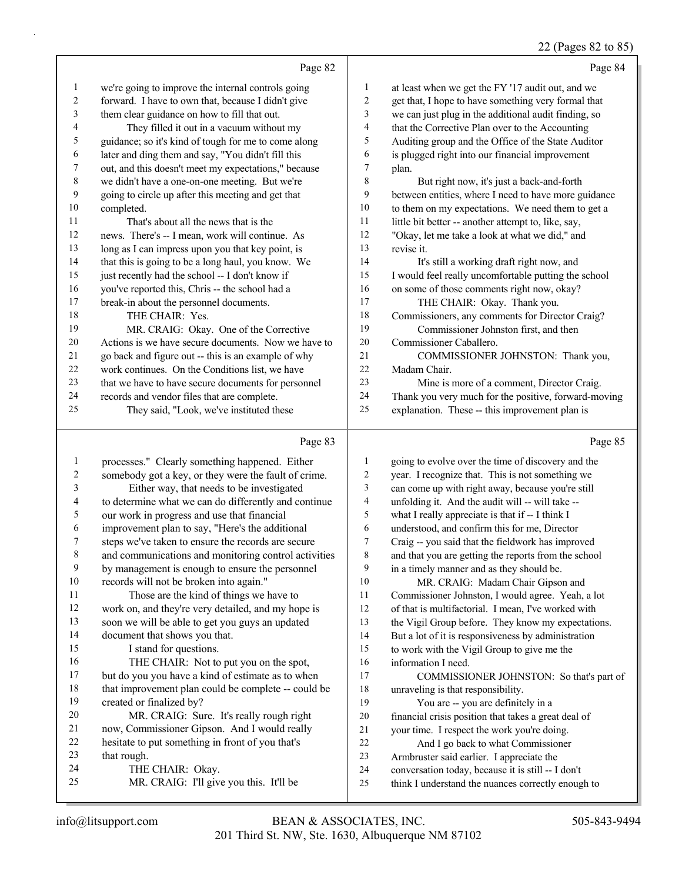# 22 (Pages 82 to 85)

|    | Page 82                                              |    | Page 84                                              |
|----|------------------------------------------------------|----|------------------------------------------------------|
| 1  | we're going to improve the internal controls going   | 1  | at least when we get the FY '17 audit out, and we    |
| 2  | forward. I have to own that, because I didn't give   | 2  | get that, I hope to have something very formal that  |
| 3  | them clear guidance on how to fill that out.         | 3  | we can just plug in the additional audit finding, so |
| 4  | They filled it out in a vacuum without my            | 4  | that the Corrective Plan over to the Accounting      |
| 5  | guidance; so it's kind of tough for me to come along | 5  | Auditing group and the Office of the State Auditor   |
| 6  | later and ding them and say, "You didn't fill this   | 6  | is plugged right into our financial improvement      |
| 7  | out, and this doesn't meet my expectations," because | 7  | plan.                                                |
| 8  | we didn't have a one-on-one meeting. But we're       | 8  | But right now, it's just a back-and-forth            |
| 9  | going to circle up after this meeting and get that   | 9  | between entities, where I need to have more guidance |
| 10 | completed.                                           | 10 | to them on my expectations. We need them to get a    |
| 11 | That's about all the news that is the                | 11 | little bit better -- another attempt to, like, say,  |
| 12 | news. There's -- I mean, work will continue. As      | 12 | "Okay, let me take a look at what we did," and       |
| 13 | long as I can impress upon you that key point, is    | 13 | revise it.                                           |
| 14 | that this is going to be a long haul, you know. We   | 14 | It's still a working draft right now, and            |
| 15 | just recently had the school -- I don't know if      | 15 | I would feel really uncomfortable putting the school |
| 16 | you've reported this, Chris -- the school had a      | 16 | on some of those comments right now, okay?           |
| 17 | break-in about the personnel documents.              | 17 | THE CHAIR: Okay. Thank you.                          |
| 18 | THE CHAIR: Yes.                                      | 18 | Commissioners, any comments for Director Craig?      |
| 19 | MR. CRAIG: Okay. One of the Corrective               | 19 | Commissioner Johnston first, and then                |
| 20 | Actions is we have secure documents. Now we have to  | 20 | Commissioner Caballero.                              |
| 21 | go back and figure out -- this is an example of why  | 21 | COMMISSIONER JOHNSTON: Thank you,                    |
| 22 | work continues. On the Conditions list, we have      | 22 | Madam Chair.                                         |
| 23 | that we have to have secure documents for personnel  | 23 | Mine is more of a comment, Director Craig.           |
| 24 | records and vendor files that are complete.          | 24 | Thank you very much for the positive, forward-moving |
| 25 | They said, "Look, we've instituted these             | 25 | explanation. These -- this improvement plan is       |
|    |                                                      |    |                                                      |

# Page 83

| 1  | processes." Clearly something happened. Either       | 1  | going to evolve over the time of discovery and the   |
|----|------------------------------------------------------|----|------------------------------------------------------|
| 2  | somebody got a key, or they were the fault of crime. | 2  | year. I recognize that. This is not something we     |
| 3  | Either way, that needs to be investigated            | 3  | can come up with right away, because you're still    |
| 4  | to determine what we can do differently and continue | 4  | unfolding it. And the audit will -- will take --     |
| 5  | our work in progress and use that financial          | 5  | what I really appreciate is that if -- I think I     |
| 6  | improvement plan to say, "Here's the additional      | 6  | understood, and confirm this for me, Director        |
| 7  | steps we've taken to ensure the records are secure   | 7  | Craig -- you said that the fieldwork has improved    |
| 8  | and communications and monitoring control activities | 8  | and that you are getting the reports from the school |
| 9  | by management is enough to ensure the personnel      | 9  | in a timely manner and as they should be.            |
| 10 | records will not be broken into again."              | 10 | MR. CRAIG: Madam Chair Gipson and                    |
| 11 | Those are the kind of things we have to              | 11 | Commissioner Johnston, I would agree. Yeah, a lot    |
| 12 | work on, and they're very detailed, and my hope is   | 12 | of that is multifactorial. I mean, I've worked with  |
| 13 | soon we will be able to get you guys an updated      | 13 | the Vigil Group before. They know my expectations.   |
| 14 | document that shows you that.                        | 14 | But a lot of it is responsiveness by administration  |
| 15 | I stand for questions.                               | 15 | to work with the Vigil Group to give me the          |
| 16 | THE CHAIR: Not to put you on the spot,               | 16 | information I need.                                  |
| 17 | but do you you have a kind of estimate as to when    | 17 | COMMISSIONER JOHNSTON: So that's part of             |
| 18 | that improvement plan could be complete -- could be  | 18 | unraveling is that responsibility.                   |
| 19 | created or finalized by?                             | 19 | You are -- you are definitely in a                   |
| 20 | MR. CRAIG: Sure. It's really rough right             | 20 | financial crisis position that takes a great deal of |
| 21 | now, Commissioner Gipson. And I would really         | 21 | your time. I respect the work you're doing.          |
| 22 | hesitate to put something in front of you that's     | 22 | And I go back to what Commissioner                   |
| 23 | that rough.                                          | 23 | Armbruster said earlier. I appreciate the            |
| 24 | THE CHAIR: Okay.                                     | 24 | conversation today, because it is still -- I don't   |
| 25 | MR. CRAIG: I'll give you this. It'll be              | 25 | think I understand the nuances correctly enough to   |
|    |                                                      |    |                                                      |

Page 85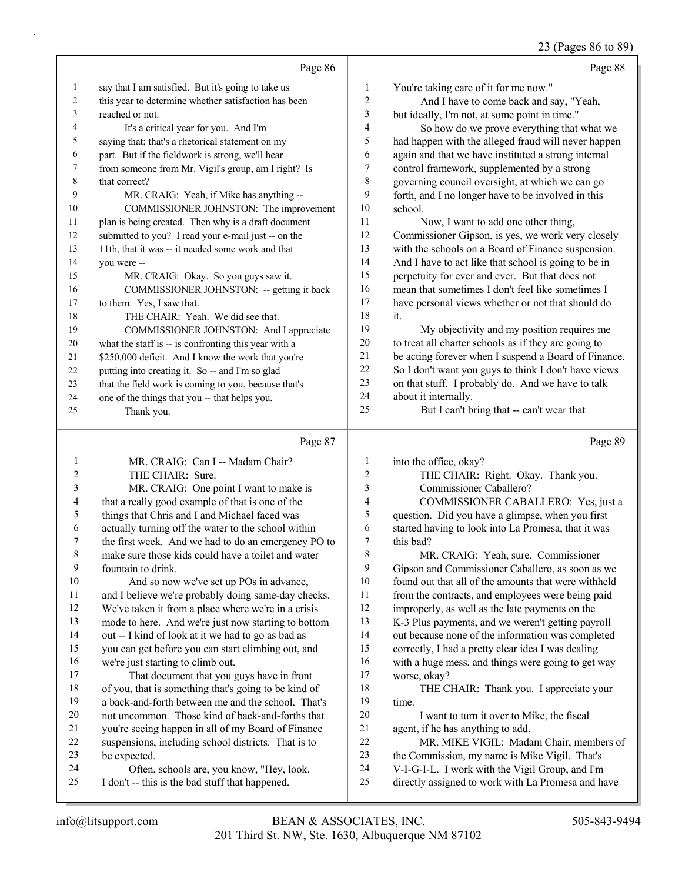# 23 (Pages 86 to 89)

|              | Page 86                                                                        |                            | Page 88                                                                                                  |
|--------------|--------------------------------------------------------------------------------|----------------------------|----------------------------------------------------------------------------------------------------------|
| $\mathbf{1}$ | say that I am satisfied. But it's going to take us                             | 1                          | You're taking care of it for me now."                                                                    |
| 2            | this year to determine whether satisfaction has been                           | $\overline{\mathbf{c}}$    | And I have to come back and say, "Yeah,                                                                  |
| 3            | reached or not.                                                                | 3                          | but ideally, I'm not, at some point in time."                                                            |
| 4            | It's a critical year for you. And I'm                                          | 4                          | So how do we prove everything that what we                                                               |
| 5            | saying that; that's a rhetorical statement on my                               | 5                          | had happen with the alleged fraud will never happen                                                      |
| 6            | part. But if the fieldwork is strong, we'll hear                               | 6                          | again and that we have instituted a strong internal                                                      |
| 7            | from someone from Mr. Vigil's group, am I right? Is                            | 7                          | control framework, supplemented by a strong                                                              |
| 8            | that correct?                                                                  | $\,$ $\,$                  | governing council oversight, at which we can go                                                          |
| 9            | MR. CRAIG: Yeah, if Mike has anything --                                       | 9                          | forth, and I no longer have to be involved in this                                                       |
| 10           | COMMISSIONER JOHNSTON: The improvement                                         | $10\,$                     | school.                                                                                                  |
| 11           | plan is being created. Then why is a draft document                            | 11                         | Now, I want to add one other thing,                                                                      |
| 12           | submitted to you? I read your e-mail just -- on the                            | 12                         | Commissioner Gipson, is yes, we work very closely                                                        |
| 13           | 11th, that it was -- it needed some work and that                              | 13                         | with the schools on a Board of Finance suspension.                                                       |
| 14           | you were --                                                                    | 14                         | And I have to act like that school is going to be in                                                     |
| 15           | MR. CRAIG: Okay. So you guys saw it.                                           | 15                         | perpetuity for ever and ever. But that does not                                                          |
| 16           | COMMISSIONER JOHNSTON: -- getting it back                                      | 16                         | mean that sometimes I don't feel like sometimes I                                                        |
| 17           | to them. Yes, I saw that.                                                      | 17                         | have personal views whether or not that should do                                                        |
| 18           | THE CHAIR: Yeah. We did see that.                                              | $18\,$                     | it.                                                                                                      |
| 19           | COMMISSIONER JOHNSTON: And I appreciate                                        | 19                         | My objectivity and my position requires me                                                               |
| 20           | what the staff is -- is confronting this year with a                           | $20\,$                     | to treat all charter schools as if they are going to                                                     |
| 21           | \$250,000 deficit. And I know the work that you're                             | 21                         | be acting forever when I suspend a Board of Finance.                                                     |
| 22           | putting into creating it. So -- and I'm so glad                                | 22                         | So I don't want you guys to think I don't have views                                                     |
| 23           | that the field work is coming to you, because that's                           | 23                         | on that stuff. I probably do. And we have to talk                                                        |
| 24           | one of the things that you -- that helps you.                                  | 24                         | about it internally.                                                                                     |
| 25           | Thank you.                                                                     | 25                         | But I can't bring that -- can't wear that                                                                |
|              |                                                                                |                            |                                                                                                          |
|              |                                                                                |                            |                                                                                                          |
|              | Page 87                                                                        |                            | Page 89                                                                                                  |
| 1            | MR. CRAIG: Can I -- Madam Chair?                                               | 1                          | into the office, okay?                                                                                   |
| 2            | THE CHAIR: Sure.                                                               | $\overline{\mathbf{c}}$    | THE CHAIR: Right. Okay. Thank you.                                                                       |
| 3            | MR. CRAIG: One point I want to make is                                         | 3                          | Commissioner Caballero?                                                                                  |
| 4            | that a really good example of that is one of the                               | 4                          | COMMISSIONER CABALLERO: Yes, just a                                                                      |
| 5            | things that Chris and I and Michael faced was                                  | 5                          | question. Did you have a glimpse, when you first                                                         |
| 6            | actually turning off the water to the school within                            | 6                          | started having to look into La Promesa, that it was                                                      |
| 7            | the first week. And we had to do an emergency PO to                            | 7                          | this bad?                                                                                                |
| 8            | make sure those kids could have a toilet and water                             | 8                          | MR. CRAIG: Yeah, sure. Commissioner                                                                      |
| 9<br>10      | fountain to drink.                                                             | $\boldsymbol{9}$<br>$10\,$ | Gipson and Commissioner Caballero, as soon as we                                                         |
| 11           | And so now we've set up POs in advance,                                        | 11                         | found out that all of the amounts that were withheld                                                     |
| 12           | and I believe we're probably doing same-day checks.                            | $12\,$                     | from the contracts, and employees were being paid                                                        |
| 13           | We've taken it from a place where we're in a crisis                            | 13                         | improperly, as well as the late payments on the                                                          |
| 14           | mode to here. And we're just now starting to bottom                            | 14                         | K-3 Plus payments, and we weren't getting payroll                                                        |
| 15           | out -- I kind of look at it we had to go as bad as                             | 15                         | out because none of the information was completed                                                        |
| 16           | you can get before you can start climbing out, and                             | 16                         | correctly, I had a pretty clear idea I was dealing<br>with a huge mess, and things were going to get way |
| 17           | we're just starting to climb out.<br>That document that you guys have in front | 17                         | worse, okay?                                                                                             |
| 18           | of you, that is something that's going to be kind of                           | 18                         | THE CHAIR: Thank you. I appreciate your                                                                  |
| 19           | a back-and-forth between me and the school. That's                             | 19                         | time.                                                                                                    |
| 20           | not uncommon. Those kind of back-and-forths that                               | $20\,$                     | I want to turn it over to Mike, the fiscal                                                               |
| 21           | you're seeing happen in all of my Board of Finance                             | 21                         | agent, if he has anything to add.                                                                        |
| 22           | suspensions, including school districts. That is to                            | 22                         | MR. MIKE VIGIL: Madam Chair, members of                                                                  |
| 23           | be expected.                                                                   | 23                         | the Commission, my name is Mike Vigil. That's                                                            |
| 24           | Often, schools are, you know, "Hey, look.                                      | 24                         | V-I-G-I-L. I work with the Vigil Group, and I'm                                                          |
| 25           | I don't -- this is the bad stuff that happened.                                | 25                         | directly assigned to work with La Promesa and have                                                       |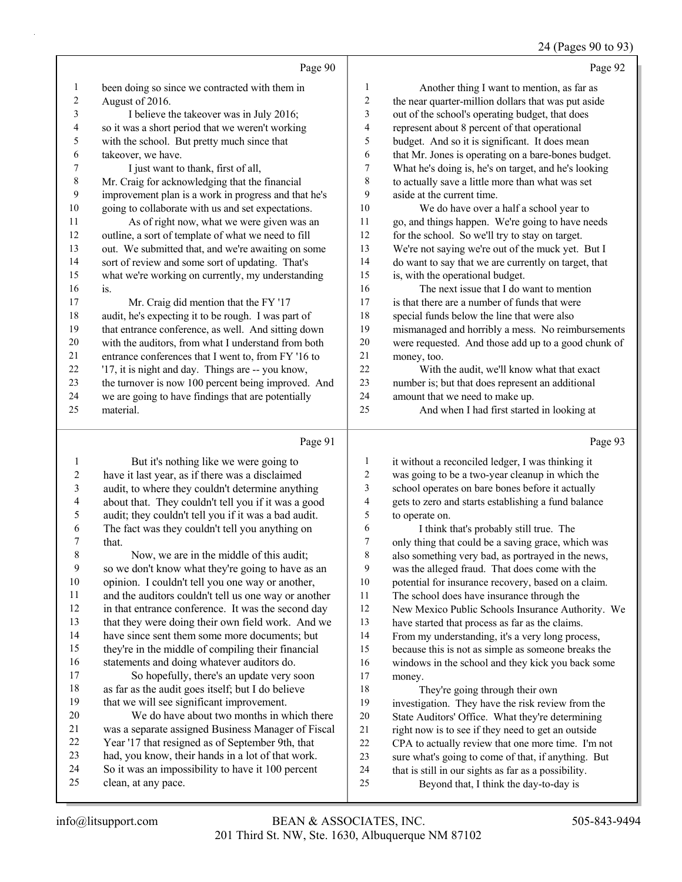# 24 (Pages 90 to 93)

| been doing so since we contracted with them in<br>$\mathbf{1}$<br>Another thing I want to mention, as far as<br>1<br>$\sqrt{2}$<br>$\overline{c}$<br>the near quarter-million dollars that was put aside<br>August of 2016.<br>$\overline{\mathbf{3}}$<br>3<br>out of the school's operating budget, that does<br>I believe the takeover was in July 2016;<br>$\overline{\mathbf{4}}$<br>4<br>so it was a short period that we weren't working<br>represent about 8 percent of that operational<br>5<br>5<br>with the school. But pretty much since that<br>budget. And so it is significant. It does mean<br>takeover, we have.<br>that Mr. Jones is operating on a bare-bones budget.<br>6<br>6<br>$\tau$<br>What he's doing is, he's on target, and he's looking<br>7<br>I just want to thank, first of all,<br>$\,$ $\,$<br>$\,$ 8 $\,$<br>Mr. Craig for acknowledging that the financial<br>to actually save a little more than what was set<br>9<br>improvement plan is a work in progress and that he's<br>9<br>aside at the current time.<br>$10\,$<br>going to collaborate with us and set expectations.<br>10<br>We do have over a half a school year to<br>As of right now, what we were given was an<br>11<br>11<br>go, and things happen. We're going to have needs<br>$12\,$<br>outline, a sort of template of what we need to fill<br>for the school. So we'll try to stay on target.<br>12<br>13<br>out. We submitted that, and we're awaiting on some<br>We're not saying we're out of the muck yet. But I<br>13<br>14<br>14<br>sort of review and some sort of updating. That's<br>do want to say that we are currently on target, that<br>15<br>what we're working on currently, my understanding<br>is, with the operational budget.<br>15<br>16<br>The next issue that I do want to mention<br>16<br>is.<br>17<br>17<br>Mr. Craig did mention that the FY '17<br>is that there are a number of funds that were<br>18<br>18<br>audit, he's expecting it to be rough. I was part of<br>special funds below the line that were also<br>19<br>that entrance conference, as well. And sitting down<br>19<br>mismanaged and horribly a mess. No reimbursements<br>20<br>with the auditors, from what I understand from both<br>20<br>were requested. And those add up to a good chunk of<br>21<br>21<br>entrance conferences that I went to, from FY '16 to<br>money, too.<br>22<br>22<br>'17, it is night and day. Things are -- you know,<br>With the audit, we'll know what that exact<br>23<br>23<br>the turnover is now 100 percent being improved. And<br>number is; but that does represent an additional<br>24<br>24<br>we are going to have findings that are potentially<br>amount that we need to make up.<br>material.<br>25<br>And when I had first started in looking at<br>25<br>Page 91<br>Page 93<br>$\mathbf{1}$<br>1<br>But it's nothing like we were going to<br>it without a reconciled ledger, I was thinking it<br>$\sqrt{2}$<br>$\overline{c}$<br>have it last year, as if there was a disclaimed<br>was going to be a two-year cleanup in which the<br>$\mathfrak{Z}$<br>3<br>audit, to where they couldn't determine anything<br>school operates on bare bones before it actually<br>$\overline{\mathcal{L}}$<br>$\overline{4}$<br>about that. They couldn't tell you if it was a good<br>gets to zero and starts establishing a fund balance<br>5<br>5<br>audit; they couldn't tell you if it was a bad audit.<br>to operate on.<br>6<br>The fact was they couldn't tell you anything on<br>6<br>I think that's probably still true. The<br>$\boldsymbol{7}$<br>only thing that could be a saving grace, which was<br>7<br>that.<br>Now, we are in the middle of this audit;<br>$\,$ 8 $\,$<br>$\,$ 8 $\,$<br>also something very bad, as portrayed in the news,<br>$\boldsymbol{9}$<br>9<br>so we don't know what they're going to have as an<br>was the alleged fraud. That does come with the<br>10<br>opinion. I couldn't tell you one way or another,<br>10<br>potential for insurance recovery, based on a claim.<br>11<br>and the auditors couldn't tell us one way or another<br>11<br>The school does have insurance through the<br>12<br>in that entrance conference. It was the second day<br>12<br>New Mexico Public Schools Insurance Authority. We<br>13<br>that they were doing their own field work. And we<br>13<br>have started that process as far as the claims.<br>14<br>have since sent them some more documents; but<br>14<br>From my understanding, it's a very long process,<br>15<br>they're in the middle of compiling their financial<br>15<br>because this is not as simple as someone breaks the<br>16<br>statements and doing whatever auditors do.<br>16<br>windows in the school and they kick you back some<br>17<br>So hopefully, there's an update very soon<br>17<br>money.<br>18<br>as far as the audit goes itself; but I do believe<br>18<br>They're going through their own<br>19<br>that we will see significant improvement.<br>19<br>investigation. They have the risk review from the<br>We do have about two months in which there<br>20<br>$20\,$<br>State Auditors' Office. What they're determining<br>21<br>was a separate assigned Business Manager of Fiscal<br>21<br>right now is to see if they need to get an outside<br>22<br>Year '17 that resigned as of September 9th, that<br>22<br>CPA to actually review that one more time. I'm not<br>23<br>had, you know, their hands in a lot of that work.<br>23<br>sure what's going to come of that, if anything. But<br>24<br>So it was an impossibility to have it 100 percent<br>24<br>that is still in our sights as far as a possibility.<br>25<br>clean, at any pace.<br>25<br>Beyond that, I think the day-to-day is | Page 90 | Page 92 |
|----------------------------------------------------------------------------------------------------------------------------------------------------------------------------------------------------------------------------------------------------------------------------------------------------------------------------------------------------------------------------------------------------------------------------------------------------------------------------------------------------------------------------------------------------------------------------------------------------------------------------------------------------------------------------------------------------------------------------------------------------------------------------------------------------------------------------------------------------------------------------------------------------------------------------------------------------------------------------------------------------------------------------------------------------------------------------------------------------------------------------------------------------------------------------------------------------------------------------------------------------------------------------------------------------------------------------------------------------------------------------------------------------------------------------------------------------------------------------------------------------------------------------------------------------------------------------------------------------------------------------------------------------------------------------------------------------------------------------------------------------------------------------------------------------------------------------------------------------------------------------------------------------------------------------------------------------------------------------------------------------------------------------------------------------------------------------------------------------------------------------------------------------------------------------------------------------------------------------------------------------------------------------------------------------------------------------------------------------------------------------------------------------------------------------------------------------------------------------------------------------------------------------------------------------------------------------------------------------------------------------------------------------------------------------------------------------------------------------------------------------------------------------------------------------------------------------------------------------------------------------------------------------------------------------------------------------------------------------------------------------------------------------------------------------------------------------------------------------------------------------------------------------------------------------------------------------------------------------------------------------------------------------------------------------------------------------------------------------------------------------------------------------------------------------------------------------------------------------------------------------------------------------------------------------------------------------------------------------------------------------------------------------------------------------------------------------------------------------------------------------------------------------------------------------------------------------------------------------------------------------------------------------------------------------------------------------------------------------------------------------------------------------------------------------------------------------------------------------------------------------------------------------------------------------------------------------------------------------------------------------------------------------------------------------------------------------------------------------------------------------------------------------------------------------------------------------------------------------------------------------------------------------------------------------------------------------------------------------------------------------------------------------------------------------------------------------------------------------------------------------------------------------------------------------------------------------------------------------------------------------------------------------------------------------------------------------------------------------------------------------------------------------------------------------------------------------------------------------------------------------------------------------------------------------------------------------------------------------------------------------------------------------------------------------------------------------------------------------------------------------------------------------------------------------------------------------------------------------------------------------------------------------------------------------------------------------------------------------------------------------------------------------------------------------------------------------------------------------------------------------------------------------|---------|---------|
|                                                                                                                                                                                                                                                                                                                                                                                                                                                                                                                                                                                                                                                                                                                                                                                                                                                                                                                                                                                                                                                                                                                                                                                                                                                                                                                                                                                                                                                                                                                                                                                                                                                                                                                                                                                                                                                                                                                                                                                                                                                                                                                                                                                                                                                                                                                                                                                                                                                                                                                                                                                                                                                                                                                                                                                                                                                                                                                                                                                                                                                                                                                                                                                                                                                                                                                                                                                                                                                                                                                                                                                                                                                                                                                                                                                                                                                                                                                                                                                                                                                                                                                                                                                                                                                                                                                                                                                                                                                                                                                                                                                                                                                                                                                                                                                                                                                                                                                                                                                                                                                                                                                                                                                                                                                                                                                                                                                                                                                                                                                                                                                                                                                                                                                                                                            |         |         |
|                                                                                                                                                                                                                                                                                                                                                                                                                                                                                                                                                                                                                                                                                                                                                                                                                                                                                                                                                                                                                                                                                                                                                                                                                                                                                                                                                                                                                                                                                                                                                                                                                                                                                                                                                                                                                                                                                                                                                                                                                                                                                                                                                                                                                                                                                                                                                                                                                                                                                                                                                                                                                                                                                                                                                                                                                                                                                                                                                                                                                                                                                                                                                                                                                                                                                                                                                                                                                                                                                                                                                                                                                                                                                                                                                                                                                                                                                                                                                                                                                                                                                                                                                                                                                                                                                                                                                                                                                                                                                                                                                                                                                                                                                                                                                                                                                                                                                                                                                                                                                                                                                                                                                                                                                                                                                                                                                                                                                                                                                                                                                                                                                                                                                                                                                                            |         |         |
|                                                                                                                                                                                                                                                                                                                                                                                                                                                                                                                                                                                                                                                                                                                                                                                                                                                                                                                                                                                                                                                                                                                                                                                                                                                                                                                                                                                                                                                                                                                                                                                                                                                                                                                                                                                                                                                                                                                                                                                                                                                                                                                                                                                                                                                                                                                                                                                                                                                                                                                                                                                                                                                                                                                                                                                                                                                                                                                                                                                                                                                                                                                                                                                                                                                                                                                                                                                                                                                                                                                                                                                                                                                                                                                                                                                                                                                                                                                                                                                                                                                                                                                                                                                                                                                                                                                                                                                                                                                                                                                                                                                                                                                                                                                                                                                                                                                                                                                                                                                                                                                                                                                                                                                                                                                                                                                                                                                                                                                                                                                                                                                                                                                                                                                                                                            |         |         |
|                                                                                                                                                                                                                                                                                                                                                                                                                                                                                                                                                                                                                                                                                                                                                                                                                                                                                                                                                                                                                                                                                                                                                                                                                                                                                                                                                                                                                                                                                                                                                                                                                                                                                                                                                                                                                                                                                                                                                                                                                                                                                                                                                                                                                                                                                                                                                                                                                                                                                                                                                                                                                                                                                                                                                                                                                                                                                                                                                                                                                                                                                                                                                                                                                                                                                                                                                                                                                                                                                                                                                                                                                                                                                                                                                                                                                                                                                                                                                                                                                                                                                                                                                                                                                                                                                                                                                                                                                                                                                                                                                                                                                                                                                                                                                                                                                                                                                                                                                                                                                                                                                                                                                                                                                                                                                                                                                                                                                                                                                                                                                                                                                                                                                                                                                                            |         |         |
|                                                                                                                                                                                                                                                                                                                                                                                                                                                                                                                                                                                                                                                                                                                                                                                                                                                                                                                                                                                                                                                                                                                                                                                                                                                                                                                                                                                                                                                                                                                                                                                                                                                                                                                                                                                                                                                                                                                                                                                                                                                                                                                                                                                                                                                                                                                                                                                                                                                                                                                                                                                                                                                                                                                                                                                                                                                                                                                                                                                                                                                                                                                                                                                                                                                                                                                                                                                                                                                                                                                                                                                                                                                                                                                                                                                                                                                                                                                                                                                                                                                                                                                                                                                                                                                                                                                                                                                                                                                                                                                                                                                                                                                                                                                                                                                                                                                                                                                                                                                                                                                                                                                                                                                                                                                                                                                                                                                                                                                                                                                                                                                                                                                                                                                                                                            |         |         |
|                                                                                                                                                                                                                                                                                                                                                                                                                                                                                                                                                                                                                                                                                                                                                                                                                                                                                                                                                                                                                                                                                                                                                                                                                                                                                                                                                                                                                                                                                                                                                                                                                                                                                                                                                                                                                                                                                                                                                                                                                                                                                                                                                                                                                                                                                                                                                                                                                                                                                                                                                                                                                                                                                                                                                                                                                                                                                                                                                                                                                                                                                                                                                                                                                                                                                                                                                                                                                                                                                                                                                                                                                                                                                                                                                                                                                                                                                                                                                                                                                                                                                                                                                                                                                                                                                                                                                                                                                                                                                                                                                                                                                                                                                                                                                                                                                                                                                                                                                                                                                                                                                                                                                                                                                                                                                                                                                                                                                                                                                                                                                                                                                                                                                                                                                                            |         |         |
|                                                                                                                                                                                                                                                                                                                                                                                                                                                                                                                                                                                                                                                                                                                                                                                                                                                                                                                                                                                                                                                                                                                                                                                                                                                                                                                                                                                                                                                                                                                                                                                                                                                                                                                                                                                                                                                                                                                                                                                                                                                                                                                                                                                                                                                                                                                                                                                                                                                                                                                                                                                                                                                                                                                                                                                                                                                                                                                                                                                                                                                                                                                                                                                                                                                                                                                                                                                                                                                                                                                                                                                                                                                                                                                                                                                                                                                                                                                                                                                                                                                                                                                                                                                                                                                                                                                                                                                                                                                                                                                                                                                                                                                                                                                                                                                                                                                                                                                                                                                                                                                                                                                                                                                                                                                                                                                                                                                                                                                                                                                                                                                                                                                                                                                                                                            |         |         |
|                                                                                                                                                                                                                                                                                                                                                                                                                                                                                                                                                                                                                                                                                                                                                                                                                                                                                                                                                                                                                                                                                                                                                                                                                                                                                                                                                                                                                                                                                                                                                                                                                                                                                                                                                                                                                                                                                                                                                                                                                                                                                                                                                                                                                                                                                                                                                                                                                                                                                                                                                                                                                                                                                                                                                                                                                                                                                                                                                                                                                                                                                                                                                                                                                                                                                                                                                                                                                                                                                                                                                                                                                                                                                                                                                                                                                                                                                                                                                                                                                                                                                                                                                                                                                                                                                                                                                                                                                                                                                                                                                                                                                                                                                                                                                                                                                                                                                                                                                                                                                                                                                                                                                                                                                                                                                                                                                                                                                                                                                                                                                                                                                                                                                                                                                                            |         |         |
|                                                                                                                                                                                                                                                                                                                                                                                                                                                                                                                                                                                                                                                                                                                                                                                                                                                                                                                                                                                                                                                                                                                                                                                                                                                                                                                                                                                                                                                                                                                                                                                                                                                                                                                                                                                                                                                                                                                                                                                                                                                                                                                                                                                                                                                                                                                                                                                                                                                                                                                                                                                                                                                                                                                                                                                                                                                                                                                                                                                                                                                                                                                                                                                                                                                                                                                                                                                                                                                                                                                                                                                                                                                                                                                                                                                                                                                                                                                                                                                                                                                                                                                                                                                                                                                                                                                                                                                                                                                                                                                                                                                                                                                                                                                                                                                                                                                                                                                                                                                                                                                                                                                                                                                                                                                                                                                                                                                                                                                                                                                                                                                                                                                                                                                                                                            |         |         |
|                                                                                                                                                                                                                                                                                                                                                                                                                                                                                                                                                                                                                                                                                                                                                                                                                                                                                                                                                                                                                                                                                                                                                                                                                                                                                                                                                                                                                                                                                                                                                                                                                                                                                                                                                                                                                                                                                                                                                                                                                                                                                                                                                                                                                                                                                                                                                                                                                                                                                                                                                                                                                                                                                                                                                                                                                                                                                                                                                                                                                                                                                                                                                                                                                                                                                                                                                                                                                                                                                                                                                                                                                                                                                                                                                                                                                                                                                                                                                                                                                                                                                                                                                                                                                                                                                                                                                                                                                                                                                                                                                                                                                                                                                                                                                                                                                                                                                                                                                                                                                                                                                                                                                                                                                                                                                                                                                                                                                                                                                                                                                                                                                                                                                                                                                                            |         |         |
|                                                                                                                                                                                                                                                                                                                                                                                                                                                                                                                                                                                                                                                                                                                                                                                                                                                                                                                                                                                                                                                                                                                                                                                                                                                                                                                                                                                                                                                                                                                                                                                                                                                                                                                                                                                                                                                                                                                                                                                                                                                                                                                                                                                                                                                                                                                                                                                                                                                                                                                                                                                                                                                                                                                                                                                                                                                                                                                                                                                                                                                                                                                                                                                                                                                                                                                                                                                                                                                                                                                                                                                                                                                                                                                                                                                                                                                                                                                                                                                                                                                                                                                                                                                                                                                                                                                                                                                                                                                                                                                                                                                                                                                                                                                                                                                                                                                                                                                                                                                                                                                                                                                                                                                                                                                                                                                                                                                                                                                                                                                                                                                                                                                                                                                                                                            |         |         |
|                                                                                                                                                                                                                                                                                                                                                                                                                                                                                                                                                                                                                                                                                                                                                                                                                                                                                                                                                                                                                                                                                                                                                                                                                                                                                                                                                                                                                                                                                                                                                                                                                                                                                                                                                                                                                                                                                                                                                                                                                                                                                                                                                                                                                                                                                                                                                                                                                                                                                                                                                                                                                                                                                                                                                                                                                                                                                                                                                                                                                                                                                                                                                                                                                                                                                                                                                                                                                                                                                                                                                                                                                                                                                                                                                                                                                                                                                                                                                                                                                                                                                                                                                                                                                                                                                                                                                                                                                                                                                                                                                                                                                                                                                                                                                                                                                                                                                                                                                                                                                                                                                                                                                                                                                                                                                                                                                                                                                                                                                                                                                                                                                                                                                                                                                                            |         |         |
|                                                                                                                                                                                                                                                                                                                                                                                                                                                                                                                                                                                                                                                                                                                                                                                                                                                                                                                                                                                                                                                                                                                                                                                                                                                                                                                                                                                                                                                                                                                                                                                                                                                                                                                                                                                                                                                                                                                                                                                                                                                                                                                                                                                                                                                                                                                                                                                                                                                                                                                                                                                                                                                                                                                                                                                                                                                                                                                                                                                                                                                                                                                                                                                                                                                                                                                                                                                                                                                                                                                                                                                                                                                                                                                                                                                                                                                                                                                                                                                                                                                                                                                                                                                                                                                                                                                                                                                                                                                                                                                                                                                                                                                                                                                                                                                                                                                                                                                                                                                                                                                                                                                                                                                                                                                                                                                                                                                                                                                                                                                                                                                                                                                                                                                                                                            |         |         |
|                                                                                                                                                                                                                                                                                                                                                                                                                                                                                                                                                                                                                                                                                                                                                                                                                                                                                                                                                                                                                                                                                                                                                                                                                                                                                                                                                                                                                                                                                                                                                                                                                                                                                                                                                                                                                                                                                                                                                                                                                                                                                                                                                                                                                                                                                                                                                                                                                                                                                                                                                                                                                                                                                                                                                                                                                                                                                                                                                                                                                                                                                                                                                                                                                                                                                                                                                                                                                                                                                                                                                                                                                                                                                                                                                                                                                                                                                                                                                                                                                                                                                                                                                                                                                                                                                                                                                                                                                                                                                                                                                                                                                                                                                                                                                                                                                                                                                                                                                                                                                                                                                                                                                                                                                                                                                                                                                                                                                                                                                                                                                                                                                                                                                                                                                                            |         |         |
|                                                                                                                                                                                                                                                                                                                                                                                                                                                                                                                                                                                                                                                                                                                                                                                                                                                                                                                                                                                                                                                                                                                                                                                                                                                                                                                                                                                                                                                                                                                                                                                                                                                                                                                                                                                                                                                                                                                                                                                                                                                                                                                                                                                                                                                                                                                                                                                                                                                                                                                                                                                                                                                                                                                                                                                                                                                                                                                                                                                                                                                                                                                                                                                                                                                                                                                                                                                                                                                                                                                                                                                                                                                                                                                                                                                                                                                                                                                                                                                                                                                                                                                                                                                                                                                                                                                                                                                                                                                                                                                                                                                                                                                                                                                                                                                                                                                                                                                                                                                                                                                                                                                                                                                                                                                                                                                                                                                                                                                                                                                                                                                                                                                                                                                                                                            |         |         |
|                                                                                                                                                                                                                                                                                                                                                                                                                                                                                                                                                                                                                                                                                                                                                                                                                                                                                                                                                                                                                                                                                                                                                                                                                                                                                                                                                                                                                                                                                                                                                                                                                                                                                                                                                                                                                                                                                                                                                                                                                                                                                                                                                                                                                                                                                                                                                                                                                                                                                                                                                                                                                                                                                                                                                                                                                                                                                                                                                                                                                                                                                                                                                                                                                                                                                                                                                                                                                                                                                                                                                                                                                                                                                                                                                                                                                                                                                                                                                                                                                                                                                                                                                                                                                                                                                                                                                                                                                                                                                                                                                                                                                                                                                                                                                                                                                                                                                                                                                                                                                                                                                                                                                                                                                                                                                                                                                                                                                                                                                                                                                                                                                                                                                                                                                                            |         |         |
|                                                                                                                                                                                                                                                                                                                                                                                                                                                                                                                                                                                                                                                                                                                                                                                                                                                                                                                                                                                                                                                                                                                                                                                                                                                                                                                                                                                                                                                                                                                                                                                                                                                                                                                                                                                                                                                                                                                                                                                                                                                                                                                                                                                                                                                                                                                                                                                                                                                                                                                                                                                                                                                                                                                                                                                                                                                                                                                                                                                                                                                                                                                                                                                                                                                                                                                                                                                                                                                                                                                                                                                                                                                                                                                                                                                                                                                                                                                                                                                                                                                                                                                                                                                                                                                                                                                                                                                                                                                                                                                                                                                                                                                                                                                                                                                                                                                                                                                                                                                                                                                                                                                                                                                                                                                                                                                                                                                                                                                                                                                                                                                                                                                                                                                                                                            |         |         |
|                                                                                                                                                                                                                                                                                                                                                                                                                                                                                                                                                                                                                                                                                                                                                                                                                                                                                                                                                                                                                                                                                                                                                                                                                                                                                                                                                                                                                                                                                                                                                                                                                                                                                                                                                                                                                                                                                                                                                                                                                                                                                                                                                                                                                                                                                                                                                                                                                                                                                                                                                                                                                                                                                                                                                                                                                                                                                                                                                                                                                                                                                                                                                                                                                                                                                                                                                                                                                                                                                                                                                                                                                                                                                                                                                                                                                                                                                                                                                                                                                                                                                                                                                                                                                                                                                                                                                                                                                                                                                                                                                                                                                                                                                                                                                                                                                                                                                                                                                                                                                                                                                                                                                                                                                                                                                                                                                                                                                                                                                                                                                                                                                                                                                                                                                                            |         |         |
|                                                                                                                                                                                                                                                                                                                                                                                                                                                                                                                                                                                                                                                                                                                                                                                                                                                                                                                                                                                                                                                                                                                                                                                                                                                                                                                                                                                                                                                                                                                                                                                                                                                                                                                                                                                                                                                                                                                                                                                                                                                                                                                                                                                                                                                                                                                                                                                                                                                                                                                                                                                                                                                                                                                                                                                                                                                                                                                                                                                                                                                                                                                                                                                                                                                                                                                                                                                                                                                                                                                                                                                                                                                                                                                                                                                                                                                                                                                                                                                                                                                                                                                                                                                                                                                                                                                                                                                                                                                                                                                                                                                                                                                                                                                                                                                                                                                                                                                                                                                                                                                                                                                                                                                                                                                                                                                                                                                                                                                                                                                                                                                                                                                                                                                                                                            |         |         |
|                                                                                                                                                                                                                                                                                                                                                                                                                                                                                                                                                                                                                                                                                                                                                                                                                                                                                                                                                                                                                                                                                                                                                                                                                                                                                                                                                                                                                                                                                                                                                                                                                                                                                                                                                                                                                                                                                                                                                                                                                                                                                                                                                                                                                                                                                                                                                                                                                                                                                                                                                                                                                                                                                                                                                                                                                                                                                                                                                                                                                                                                                                                                                                                                                                                                                                                                                                                                                                                                                                                                                                                                                                                                                                                                                                                                                                                                                                                                                                                                                                                                                                                                                                                                                                                                                                                                                                                                                                                                                                                                                                                                                                                                                                                                                                                                                                                                                                                                                                                                                                                                                                                                                                                                                                                                                                                                                                                                                                                                                                                                                                                                                                                                                                                                                                            |         |         |
|                                                                                                                                                                                                                                                                                                                                                                                                                                                                                                                                                                                                                                                                                                                                                                                                                                                                                                                                                                                                                                                                                                                                                                                                                                                                                                                                                                                                                                                                                                                                                                                                                                                                                                                                                                                                                                                                                                                                                                                                                                                                                                                                                                                                                                                                                                                                                                                                                                                                                                                                                                                                                                                                                                                                                                                                                                                                                                                                                                                                                                                                                                                                                                                                                                                                                                                                                                                                                                                                                                                                                                                                                                                                                                                                                                                                                                                                                                                                                                                                                                                                                                                                                                                                                                                                                                                                                                                                                                                                                                                                                                                                                                                                                                                                                                                                                                                                                                                                                                                                                                                                                                                                                                                                                                                                                                                                                                                                                                                                                                                                                                                                                                                                                                                                                                            |         |         |
|                                                                                                                                                                                                                                                                                                                                                                                                                                                                                                                                                                                                                                                                                                                                                                                                                                                                                                                                                                                                                                                                                                                                                                                                                                                                                                                                                                                                                                                                                                                                                                                                                                                                                                                                                                                                                                                                                                                                                                                                                                                                                                                                                                                                                                                                                                                                                                                                                                                                                                                                                                                                                                                                                                                                                                                                                                                                                                                                                                                                                                                                                                                                                                                                                                                                                                                                                                                                                                                                                                                                                                                                                                                                                                                                                                                                                                                                                                                                                                                                                                                                                                                                                                                                                                                                                                                                                                                                                                                                                                                                                                                                                                                                                                                                                                                                                                                                                                                                                                                                                                                                                                                                                                                                                                                                                                                                                                                                                                                                                                                                                                                                                                                                                                                                                                            |         |         |
|                                                                                                                                                                                                                                                                                                                                                                                                                                                                                                                                                                                                                                                                                                                                                                                                                                                                                                                                                                                                                                                                                                                                                                                                                                                                                                                                                                                                                                                                                                                                                                                                                                                                                                                                                                                                                                                                                                                                                                                                                                                                                                                                                                                                                                                                                                                                                                                                                                                                                                                                                                                                                                                                                                                                                                                                                                                                                                                                                                                                                                                                                                                                                                                                                                                                                                                                                                                                                                                                                                                                                                                                                                                                                                                                                                                                                                                                                                                                                                                                                                                                                                                                                                                                                                                                                                                                                                                                                                                                                                                                                                                                                                                                                                                                                                                                                                                                                                                                                                                                                                                                                                                                                                                                                                                                                                                                                                                                                                                                                                                                                                                                                                                                                                                                                                            |         |         |
|                                                                                                                                                                                                                                                                                                                                                                                                                                                                                                                                                                                                                                                                                                                                                                                                                                                                                                                                                                                                                                                                                                                                                                                                                                                                                                                                                                                                                                                                                                                                                                                                                                                                                                                                                                                                                                                                                                                                                                                                                                                                                                                                                                                                                                                                                                                                                                                                                                                                                                                                                                                                                                                                                                                                                                                                                                                                                                                                                                                                                                                                                                                                                                                                                                                                                                                                                                                                                                                                                                                                                                                                                                                                                                                                                                                                                                                                                                                                                                                                                                                                                                                                                                                                                                                                                                                                                                                                                                                                                                                                                                                                                                                                                                                                                                                                                                                                                                                                                                                                                                                                                                                                                                                                                                                                                                                                                                                                                                                                                                                                                                                                                                                                                                                                                                            |         |         |
|                                                                                                                                                                                                                                                                                                                                                                                                                                                                                                                                                                                                                                                                                                                                                                                                                                                                                                                                                                                                                                                                                                                                                                                                                                                                                                                                                                                                                                                                                                                                                                                                                                                                                                                                                                                                                                                                                                                                                                                                                                                                                                                                                                                                                                                                                                                                                                                                                                                                                                                                                                                                                                                                                                                                                                                                                                                                                                                                                                                                                                                                                                                                                                                                                                                                                                                                                                                                                                                                                                                                                                                                                                                                                                                                                                                                                                                                                                                                                                                                                                                                                                                                                                                                                                                                                                                                                                                                                                                                                                                                                                                                                                                                                                                                                                                                                                                                                                                                                                                                                                                                                                                                                                                                                                                                                                                                                                                                                                                                                                                                                                                                                                                                                                                                                                            |         |         |
|                                                                                                                                                                                                                                                                                                                                                                                                                                                                                                                                                                                                                                                                                                                                                                                                                                                                                                                                                                                                                                                                                                                                                                                                                                                                                                                                                                                                                                                                                                                                                                                                                                                                                                                                                                                                                                                                                                                                                                                                                                                                                                                                                                                                                                                                                                                                                                                                                                                                                                                                                                                                                                                                                                                                                                                                                                                                                                                                                                                                                                                                                                                                                                                                                                                                                                                                                                                                                                                                                                                                                                                                                                                                                                                                                                                                                                                                                                                                                                                                                                                                                                                                                                                                                                                                                                                                                                                                                                                                                                                                                                                                                                                                                                                                                                                                                                                                                                                                                                                                                                                                                                                                                                                                                                                                                                                                                                                                                                                                                                                                                                                                                                                                                                                                                                            |         |         |
|                                                                                                                                                                                                                                                                                                                                                                                                                                                                                                                                                                                                                                                                                                                                                                                                                                                                                                                                                                                                                                                                                                                                                                                                                                                                                                                                                                                                                                                                                                                                                                                                                                                                                                                                                                                                                                                                                                                                                                                                                                                                                                                                                                                                                                                                                                                                                                                                                                                                                                                                                                                                                                                                                                                                                                                                                                                                                                                                                                                                                                                                                                                                                                                                                                                                                                                                                                                                                                                                                                                                                                                                                                                                                                                                                                                                                                                                                                                                                                                                                                                                                                                                                                                                                                                                                                                                                                                                                                                                                                                                                                                                                                                                                                                                                                                                                                                                                                                                                                                                                                                                                                                                                                                                                                                                                                                                                                                                                                                                                                                                                                                                                                                                                                                                                                            |         |         |
|                                                                                                                                                                                                                                                                                                                                                                                                                                                                                                                                                                                                                                                                                                                                                                                                                                                                                                                                                                                                                                                                                                                                                                                                                                                                                                                                                                                                                                                                                                                                                                                                                                                                                                                                                                                                                                                                                                                                                                                                                                                                                                                                                                                                                                                                                                                                                                                                                                                                                                                                                                                                                                                                                                                                                                                                                                                                                                                                                                                                                                                                                                                                                                                                                                                                                                                                                                                                                                                                                                                                                                                                                                                                                                                                                                                                                                                                                                                                                                                                                                                                                                                                                                                                                                                                                                                                                                                                                                                                                                                                                                                                                                                                                                                                                                                                                                                                                                                                                                                                                                                                                                                                                                                                                                                                                                                                                                                                                                                                                                                                                                                                                                                                                                                                                                            |         |         |
|                                                                                                                                                                                                                                                                                                                                                                                                                                                                                                                                                                                                                                                                                                                                                                                                                                                                                                                                                                                                                                                                                                                                                                                                                                                                                                                                                                                                                                                                                                                                                                                                                                                                                                                                                                                                                                                                                                                                                                                                                                                                                                                                                                                                                                                                                                                                                                                                                                                                                                                                                                                                                                                                                                                                                                                                                                                                                                                                                                                                                                                                                                                                                                                                                                                                                                                                                                                                                                                                                                                                                                                                                                                                                                                                                                                                                                                                                                                                                                                                                                                                                                                                                                                                                                                                                                                                                                                                                                                                                                                                                                                                                                                                                                                                                                                                                                                                                                                                                                                                                                                                                                                                                                                                                                                                                                                                                                                                                                                                                                                                                                                                                                                                                                                                                                            |         |         |
|                                                                                                                                                                                                                                                                                                                                                                                                                                                                                                                                                                                                                                                                                                                                                                                                                                                                                                                                                                                                                                                                                                                                                                                                                                                                                                                                                                                                                                                                                                                                                                                                                                                                                                                                                                                                                                                                                                                                                                                                                                                                                                                                                                                                                                                                                                                                                                                                                                                                                                                                                                                                                                                                                                                                                                                                                                                                                                                                                                                                                                                                                                                                                                                                                                                                                                                                                                                                                                                                                                                                                                                                                                                                                                                                                                                                                                                                                                                                                                                                                                                                                                                                                                                                                                                                                                                                                                                                                                                                                                                                                                                                                                                                                                                                                                                                                                                                                                                                                                                                                                                                                                                                                                                                                                                                                                                                                                                                                                                                                                                                                                                                                                                                                                                                                                            |         |         |
|                                                                                                                                                                                                                                                                                                                                                                                                                                                                                                                                                                                                                                                                                                                                                                                                                                                                                                                                                                                                                                                                                                                                                                                                                                                                                                                                                                                                                                                                                                                                                                                                                                                                                                                                                                                                                                                                                                                                                                                                                                                                                                                                                                                                                                                                                                                                                                                                                                                                                                                                                                                                                                                                                                                                                                                                                                                                                                                                                                                                                                                                                                                                                                                                                                                                                                                                                                                                                                                                                                                                                                                                                                                                                                                                                                                                                                                                                                                                                                                                                                                                                                                                                                                                                                                                                                                                                                                                                                                                                                                                                                                                                                                                                                                                                                                                                                                                                                                                                                                                                                                                                                                                                                                                                                                                                                                                                                                                                                                                                                                                                                                                                                                                                                                                                                            |         |         |
|                                                                                                                                                                                                                                                                                                                                                                                                                                                                                                                                                                                                                                                                                                                                                                                                                                                                                                                                                                                                                                                                                                                                                                                                                                                                                                                                                                                                                                                                                                                                                                                                                                                                                                                                                                                                                                                                                                                                                                                                                                                                                                                                                                                                                                                                                                                                                                                                                                                                                                                                                                                                                                                                                                                                                                                                                                                                                                                                                                                                                                                                                                                                                                                                                                                                                                                                                                                                                                                                                                                                                                                                                                                                                                                                                                                                                                                                                                                                                                                                                                                                                                                                                                                                                                                                                                                                                                                                                                                                                                                                                                                                                                                                                                                                                                                                                                                                                                                                                                                                                                                                                                                                                                                                                                                                                                                                                                                                                                                                                                                                                                                                                                                                                                                                                                            |         |         |
|                                                                                                                                                                                                                                                                                                                                                                                                                                                                                                                                                                                                                                                                                                                                                                                                                                                                                                                                                                                                                                                                                                                                                                                                                                                                                                                                                                                                                                                                                                                                                                                                                                                                                                                                                                                                                                                                                                                                                                                                                                                                                                                                                                                                                                                                                                                                                                                                                                                                                                                                                                                                                                                                                                                                                                                                                                                                                                                                                                                                                                                                                                                                                                                                                                                                                                                                                                                                                                                                                                                                                                                                                                                                                                                                                                                                                                                                                                                                                                                                                                                                                                                                                                                                                                                                                                                                                                                                                                                                                                                                                                                                                                                                                                                                                                                                                                                                                                                                                                                                                                                                                                                                                                                                                                                                                                                                                                                                                                                                                                                                                                                                                                                                                                                                                                            |         |         |
|                                                                                                                                                                                                                                                                                                                                                                                                                                                                                                                                                                                                                                                                                                                                                                                                                                                                                                                                                                                                                                                                                                                                                                                                                                                                                                                                                                                                                                                                                                                                                                                                                                                                                                                                                                                                                                                                                                                                                                                                                                                                                                                                                                                                                                                                                                                                                                                                                                                                                                                                                                                                                                                                                                                                                                                                                                                                                                                                                                                                                                                                                                                                                                                                                                                                                                                                                                                                                                                                                                                                                                                                                                                                                                                                                                                                                                                                                                                                                                                                                                                                                                                                                                                                                                                                                                                                                                                                                                                                                                                                                                                                                                                                                                                                                                                                                                                                                                                                                                                                                                                                                                                                                                                                                                                                                                                                                                                                                                                                                                                                                                                                                                                                                                                                                                            |         |         |
|                                                                                                                                                                                                                                                                                                                                                                                                                                                                                                                                                                                                                                                                                                                                                                                                                                                                                                                                                                                                                                                                                                                                                                                                                                                                                                                                                                                                                                                                                                                                                                                                                                                                                                                                                                                                                                                                                                                                                                                                                                                                                                                                                                                                                                                                                                                                                                                                                                                                                                                                                                                                                                                                                                                                                                                                                                                                                                                                                                                                                                                                                                                                                                                                                                                                                                                                                                                                                                                                                                                                                                                                                                                                                                                                                                                                                                                                                                                                                                                                                                                                                                                                                                                                                                                                                                                                                                                                                                                                                                                                                                                                                                                                                                                                                                                                                                                                                                                                                                                                                                                                                                                                                                                                                                                                                                                                                                                                                                                                                                                                                                                                                                                                                                                                                                            |         |         |
|                                                                                                                                                                                                                                                                                                                                                                                                                                                                                                                                                                                                                                                                                                                                                                                                                                                                                                                                                                                                                                                                                                                                                                                                                                                                                                                                                                                                                                                                                                                                                                                                                                                                                                                                                                                                                                                                                                                                                                                                                                                                                                                                                                                                                                                                                                                                                                                                                                                                                                                                                                                                                                                                                                                                                                                                                                                                                                                                                                                                                                                                                                                                                                                                                                                                                                                                                                                                                                                                                                                                                                                                                                                                                                                                                                                                                                                                                                                                                                                                                                                                                                                                                                                                                                                                                                                                                                                                                                                                                                                                                                                                                                                                                                                                                                                                                                                                                                                                                                                                                                                                                                                                                                                                                                                                                                                                                                                                                                                                                                                                                                                                                                                                                                                                                                            |         |         |
|                                                                                                                                                                                                                                                                                                                                                                                                                                                                                                                                                                                                                                                                                                                                                                                                                                                                                                                                                                                                                                                                                                                                                                                                                                                                                                                                                                                                                                                                                                                                                                                                                                                                                                                                                                                                                                                                                                                                                                                                                                                                                                                                                                                                                                                                                                                                                                                                                                                                                                                                                                                                                                                                                                                                                                                                                                                                                                                                                                                                                                                                                                                                                                                                                                                                                                                                                                                                                                                                                                                                                                                                                                                                                                                                                                                                                                                                                                                                                                                                                                                                                                                                                                                                                                                                                                                                                                                                                                                                                                                                                                                                                                                                                                                                                                                                                                                                                                                                                                                                                                                                                                                                                                                                                                                                                                                                                                                                                                                                                                                                                                                                                                                                                                                                                                            |         |         |
|                                                                                                                                                                                                                                                                                                                                                                                                                                                                                                                                                                                                                                                                                                                                                                                                                                                                                                                                                                                                                                                                                                                                                                                                                                                                                                                                                                                                                                                                                                                                                                                                                                                                                                                                                                                                                                                                                                                                                                                                                                                                                                                                                                                                                                                                                                                                                                                                                                                                                                                                                                                                                                                                                                                                                                                                                                                                                                                                                                                                                                                                                                                                                                                                                                                                                                                                                                                                                                                                                                                                                                                                                                                                                                                                                                                                                                                                                                                                                                                                                                                                                                                                                                                                                                                                                                                                                                                                                                                                                                                                                                                                                                                                                                                                                                                                                                                                                                                                                                                                                                                                                                                                                                                                                                                                                                                                                                                                                                                                                                                                                                                                                                                                                                                                                                            |         |         |
|                                                                                                                                                                                                                                                                                                                                                                                                                                                                                                                                                                                                                                                                                                                                                                                                                                                                                                                                                                                                                                                                                                                                                                                                                                                                                                                                                                                                                                                                                                                                                                                                                                                                                                                                                                                                                                                                                                                                                                                                                                                                                                                                                                                                                                                                                                                                                                                                                                                                                                                                                                                                                                                                                                                                                                                                                                                                                                                                                                                                                                                                                                                                                                                                                                                                                                                                                                                                                                                                                                                                                                                                                                                                                                                                                                                                                                                                                                                                                                                                                                                                                                                                                                                                                                                                                                                                                                                                                                                                                                                                                                                                                                                                                                                                                                                                                                                                                                                                                                                                                                                                                                                                                                                                                                                                                                                                                                                                                                                                                                                                                                                                                                                                                                                                                                            |         |         |
|                                                                                                                                                                                                                                                                                                                                                                                                                                                                                                                                                                                                                                                                                                                                                                                                                                                                                                                                                                                                                                                                                                                                                                                                                                                                                                                                                                                                                                                                                                                                                                                                                                                                                                                                                                                                                                                                                                                                                                                                                                                                                                                                                                                                                                                                                                                                                                                                                                                                                                                                                                                                                                                                                                                                                                                                                                                                                                                                                                                                                                                                                                                                                                                                                                                                                                                                                                                                                                                                                                                                                                                                                                                                                                                                                                                                                                                                                                                                                                                                                                                                                                                                                                                                                                                                                                                                                                                                                                                                                                                                                                                                                                                                                                                                                                                                                                                                                                                                                                                                                                                                                                                                                                                                                                                                                                                                                                                                                                                                                                                                                                                                                                                                                                                                                                            |         |         |
|                                                                                                                                                                                                                                                                                                                                                                                                                                                                                                                                                                                                                                                                                                                                                                                                                                                                                                                                                                                                                                                                                                                                                                                                                                                                                                                                                                                                                                                                                                                                                                                                                                                                                                                                                                                                                                                                                                                                                                                                                                                                                                                                                                                                                                                                                                                                                                                                                                                                                                                                                                                                                                                                                                                                                                                                                                                                                                                                                                                                                                                                                                                                                                                                                                                                                                                                                                                                                                                                                                                                                                                                                                                                                                                                                                                                                                                                                                                                                                                                                                                                                                                                                                                                                                                                                                                                                                                                                                                                                                                                                                                                                                                                                                                                                                                                                                                                                                                                                                                                                                                                                                                                                                                                                                                                                                                                                                                                                                                                                                                                                                                                                                                                                                                                                                            |         |         |
|                                                                                                                                                                                                                                                                                                                                                                                                                                                                                                                                                                                                                                                                                                                                                                                                                                                                                                                                                                                                                                                                                                                                                                                                                                                                                                                                                                                                                                                                                                                                                                                                                                                                                                                                                                                                                                                                                                                                                                                                                                                                                                                                                                                                                                                                                                                                                                                                                                                                                                                                                                                                                                                                                                                                                                                                                                                                                                                                                                                                                                                                                                                                                                                                                                                                                                                                                                                                                                                                                                                                                                                                                                                                                                                                                                                                                                                                                                                                                                                                                                                                                                                                                                                                                                                                                                                                                                                                                                                                                                                                                                                                                                                                                                                                                                                                                                                                                                                                                                                                                                                                                                                                                                                                                                                                                                                                                                                                                                                                                                                                                                                                                                                                                                                                                                            |         |         |
|                                                                                                                                                                                                                                                                                                                                                                                                                                                                                                                                                                                                                                                                                                                                                                                                                                                                                                                                                                                                                                                                                                                                                                                                                                                                                                                                                                                                                                                                                                                                                                                                                                                                                                                                                                                                                                                                                                                                                                                                                                                                                                                                                                                                                                                                                                                                                                                                                                                                                                                                                                                                                                                                                                                                                                                                                                                                                                                                                                                                                                                                                                                                                                                                                                                                                                                                                                                                                                                                                                                                                                                                                                                                                                                                                                                                                                                                                                                                                                                                                                                                                                                                                                                                                                                                                                                                                                                                                                                                                                                                                                                                                                                                                                                                                                                                                                                                                                                                                                                                                                                                                                                                                                                                                                                                                                                                                                                                                                                                                                                                                                                                                                                                                                                                                                            |         |         |
|                                                                                                                                                                                                                                                                                                                                                                                                                                                                                                                                                                                                                                                                                                                                                                                                                                                                                                                                                                                                                                                                                                                                                                                                                                                                                                                                                                                                                                                                                                                                                                                                                                                                                                                                                                                                                                                                                                                                                                                                                                                                                                                                                                                                                                                                                                                                                                                                                                                                                                                                                                                                                                                                                                                                                                                                                                                                                                                                                                                                                                                                                                                                                                                                                                                                                                                                                                                                                                                                                                                                                                                                                                                                                                                                                                                                                                                                                                                                                                                                                                                                                                                                                                                                                                                                                                                                                                                                                                                                                                                                                                                                                                                                                                                                                                                                                                                                                                                                                                                                                                                                                                                                                                                                                                                                                                                                                                                                                                                                                                                                                                                                                                                                                                                                                                            |         |         |
|                                                                                                                                                                                                                                                                                                                                                                                                                                                                                                                                                                                                                                                                                                                                                                                                                                                                                                                                                                                                                                                                                                                                                                                                                                                                                                                                                                                                                                                                                                                                                                                                                                                                                                                                                                                                                                                                                                                                                                                                                                                                                                                                                                                                                                                                                                                                                                                                                                                                                                                                                                                                                                                                                                                                                                                                                                                                                                                                                                                                                                                                                                                                                                                                                                                                                                                                                                                                                                                                                                                                                                                                                                                                                                                                                                                                                                                                                                                                                                                                                                                                                                                                                                                                                                                                                                                                                                                                                                                                                                                                                                                                                                                                                                                                                                                                                                                                                                                                                                                                                                                                                                                                                                                                                                                                                                                                                                                                                                                                                                                                                                                                                                                                                                                                                                            |         |         |
|                                                                                                                                                                                                                                                                                                                                                                                                                                                                                                                                                                                                                                                                                                                                                                                                                                                                                                                                                                                                                                                                                                                                                                                                                                                                                                                                                                                                                                                                                                                                                                                                                                                                                                                                                                                                                                                                                                                                                                                                                                                                                                                                                                                                                                                                                                                                                                                                                                                                                                                                                                                                                                                                                                                                                                                                                                                                                                                                                                                                                                                                                                                                                                                                                                                                                                                                                                                                                                                                                                                                                                                                                                                                                                                                                                                                                                                                                                                                                                                                                                                                                                                                                                                                                                                                                                                                                                                                                                                                                                                                                                                                                                                                                                                                                                                                                                                                                                                                                                                                                                                                                                                                                                                                                                                                                                                                                                                                                                                                                                                                                                                                                                                                                                                                                                            |         |         |
|                                                                                                                                                                                                                                                                                                                                                                                                                                                                                                                                                                                                                                                                                                                                                                                                                                                                                                                                                                                                                                                                                                                                                                                                                                                                                                                                                                                                                                                                                                                                                                                                                                                                                                                                                                                                                                                                                                                                                                                                                                                                                                                                                                                                                                                                                                                                                                                                                                                                                                                                                                                                                                                                                                                                                                                                                                                                                                                                                                                                                                                                                                                                                                                                                                                                                                                                                                                                                                                                                                                                                                                                                                                                                                                                                                                                                                                                                                                                                                                                                                                                                                                                                                                                                                                                                                                                                                                                                                                                                                                                                                                                                                                                                                                                                                                                                                                                                                                                                                                                                                                                                                                                                                                                                                                                                                                                                                                                                                                                                                                                                                                                                                                                                                                                                                            |         |         |
|                                                                                                                                                                                                                                                                                                                                                                                                                                                                                                                                                                                                                                                                                                                                                                                                                                                                                                                                                                                                                                                                                                                                                                                                                                                                                                                                                                                                                                                                                                                                                                                                                                                                                                                                                                                                                                                                                                                                                                                                                                                                                                                                                                                                                                                                                                                                                                                                                                                                                                                                                                                                                                                                                                                                                                                                                                                                                                                                                                                                                                                                                                                                                                                                                                                                                                                                                                                                                                                                                                                                                                                                                                                                                                                                                                                                                                                                                                                                                                                                                                                                                                                                                                                                                                                                                                                                                                                                                                                                                                                                                                                                                                                                                                                                                                                                                                                                                                                                                                                                                                                                                                                                                                                                                                                                                                                                                                                                                                                                                                                                                                                                                                                                                                                                                                            |         |         |
|                                                                                                                                                                                                                                                                                                                                                                                                                                                                                                                                                                                                                                                                                                                                                                                                                                                                                                                                                                                                                                                                                                                                                                                                                                                                                                                                                                                                                                                                                                                                                                                                                                                                                                                                                                                                                                                                                                                                                                                                                                                                                                                                                                                                                                                                                                                                                                                                                                                                                                                                                                                                                                                                                                                                                                                                                                                                                                                                                                                                                                                                                                                                                                                                                                                                                                                                                                                                                                                                                                                                                                                                                                                                                                                                                                                                                                                                                                                                                                                                                                                                                                                                                                                                                                                                                                                                                                                                                                                                                                                                                                                                                                                                                                                                                                                                                                                                                                                                                                                                                                                                                                                                                                                                                                                                                                                                                                                                                                                                                                                                                                                                                                                                                                                                                                            |         |         |
|                                                                                                                                                                                                                                                                                                                                                                                                                                                                                                                                                                                                                                                                                                                                                                                                                                                                                                                                                                                                                                                                                                                                                                                                                                                                                                                                                                                                                                                                                                                                                                                                                                                                                                                                                                                                                                                                                                                                                                                                                                                                                                                                                                                                                                                                                                                                                                                                                                                                                                                                                                                                                                                                                                                                                                                                                                                                                                                                                                                                                                                                                                                                                                                                                                                                                                                                                                                                                                                                                                                                                                                                                                                                                                                                                                                                                                                                                                                                                                                                                                                                                                                                                                                                                                                                                                                                                                                                                                                                                                                                                                                                                                                                                                                                                                                                                                                                                                                                                                                                                                                                                                                                                                                                                                                                                                                                                                                                                                                                                                                                                                                                                                                                                                                                                                            |         |         |
|                                                                                                                                                                                                                                                                                                                                                                                                                                                                                                                                                                                                                                                                                                                                                                                                                                                                                                                                                                                                                                                                                                                                                                                                                                                                                                                                                                                                                                                                                                                                                                                                                                                                                                                                                                                                                                                                                                                                                                                                                                                                                                                                                                                                                                                                                                                                                                                                                                                                                                                                                                                                                                                                                                                                                                                                                                                                                                                                                                                                                                                                                                                                                                                                                                                                                                                                                                                                                                                                                                                                                                                                                                                                                                                                                                                                                                                                                                                                                                                                                                                                                                                                                                                                                                                                                                                                                                                                                                                                                                                                                                                                                                                                                                                                                                                                                                                                                                                                                                                                                                                                                                                                                                                                                                                                                                                                                                                                                                                                                                                                                                                                                                                                                                                                                                            |         |         |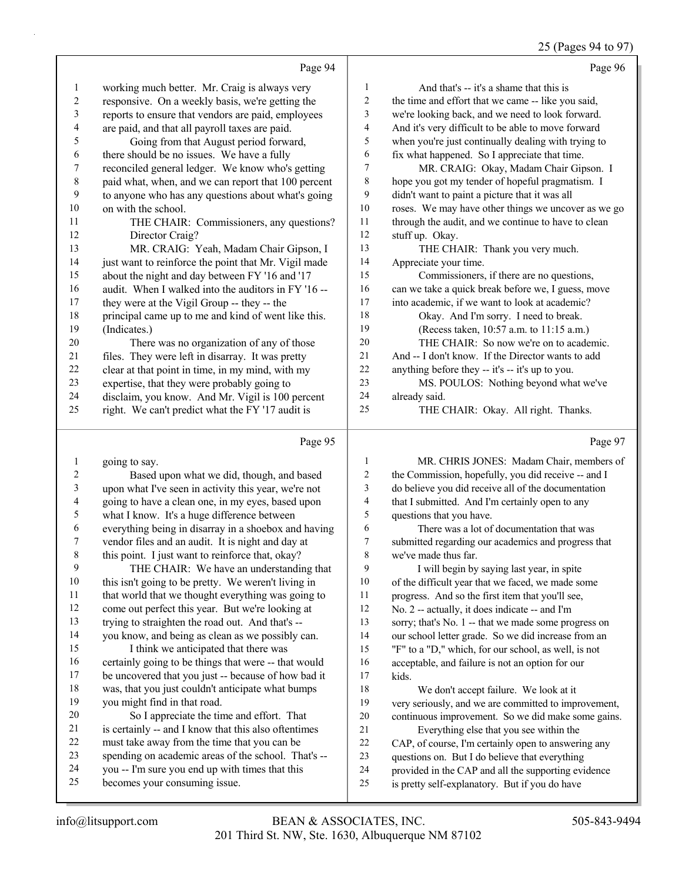#### 25 (Pages 94 to 97)

|                          |                                                      |                         | 20 (1 ages $27 \text{ m}$ 10 $21 \text{ m}$ )        |
|--------------------------|------------------------------------------------------|-------------------------|------------------------------------------------------|
|                          | Page 94                                              |                         | Page 96                                              |
| $\mathbf{1}$             | working much better. Mr. Craig is always very        | $\mathbf{1}$            | And that's -- it's a shame that this is              |
| $\overline{c}$           | responsive. On a weekly basis, we're getting the     | $\mathbf{2}$            | the time and effort that we came -- like you said,   |
| 3                        | reports to ensure that vendors are paid, employees   | $\mathfrak{Z}$          | we're looking back, and we need to look forward.     |
| $\overline{\mathcal{L}}$ | are paid, and that all payroll taxes are paid.       | $\overline{\mathbf{4}}$ | And it's very difficult to be able to move forward   |
| 5                        | Going from that August period forward,               | 5                       | when you're just continually dealing with trying to  |
| 6                        | there should be no issues. We have a fully           | 6                       | fix what happened. So I appreciate that time.        |
| $\boldsymbol{7}$         | reconciled general ledger. We know who's getting     | $\boldsymbol{7}$        | MR. CRAIG: Okay, Madam Chair Gipson. I               |
| $\,$ 8 $\,$              | paid what, when, and we can report that 100 percent  | $\,$ 8 $\,$             | hope you got my tender of hopeful pragmatism. I      |
| 9                        | to anyone who has any questions about what's going   | 9                       | didn't want to paint a picture that it was all       |
| 10                       | on with the school.                                  | 10                      | roses. We may have other things we uncover as we go  |
| 11                       | THE CHAIR: Commissioners, any questions?             | $11\,$                  | through the audit, and we continue to have to clean  |
| 12                       | Director Craig?                                      | 12                      | stuff up. Okay.                                      |
| 13                       | MR. CRAIG: Yeah, Madam Chair Gipson, I               | 13                      | THE CHAIR: Thank you very much.                      |
| 14                       | just want to reinforce the point that Mr. Vigil made | 14                      | Appreciate your time.                                |
| 15                       | about the night and day between FY '16 and '17       | 15                      | Commissioners, if there are no questions,            |
| 16                       | audit. When I walked into the auditors in FY '16 --  | 16                      | can we take a quick break before we, I guess, move   |
| $17\,$                   | they were at the Vigil Group -- they -- the          | 17                      | into academic, if we want to look at academic?       |
| $18\,$                   | principal came up to me and kind of went like this.  | 18                      | Okay. And I'm sorry. I need to break.                |
| 19                       | (Indicates.)                                         | 19                      | (Recess taken, 10:57 a.m. to 11:15 a.m.)             |
| $20\,$                   | There was no organization of any of those            | $20\,$                  | THE CHAIR: So now we're on to academic.              |
| 21                       | files. They were left in disarray. It was pretty     | $21\,$                  | And -- I don't know. If the Director wants to add    |
| $22\,$                   | clear at that point in time, in my mind, with my     | 22                      | anything before they -- it's -- it's up to you.      |
| $23\,$                   | expertise, that they were probably going to          | 23                      | MS. POULOS: Nothing beyond what we've                |
| 24                       | disclaim, you know. And Mr. Vigil is 100 percent     | 24                      | already said.                                        |
| 25                       | right. We can't predict what the FY '17 audit is     | 25                      | THE CHAIR: Okay. All right. Thanks.                  |
|                          |                                                      |                         |                                                      |
|                          | Page 95                                              |                         | Page 97                                              |
| $\mathbf{1}$             | going to say.                                        | $\mathbf{1}$            | MR. CHRIS JONES: Madam Chair, members of             |
| $\overline{c}$           | Based upon what we did, though, and based            | $\sqrt{2}$              | the Commission, hopefully, you did receive -- and I  |
| 3                        | upon what I've seen in activity this year, we're not | 3                       | do believe you did receive all of the documentation  |
| $\overline{\mathcal{L}}$ | going to have a clean one, in my eyes, based upon    | $\overline{\mathbf{4}}$ | that I submitted. And I'm certainly open to any      |
| 5                        | what I know. It's a huge difference between          | 5                       | questions that you have.                             |
| 6                        | everything being in disarray in a shoebox and having | 6                       | There was a lot of documentation that was            |
| $\tau$                   | vendor files and an audit. It is night and day at    | $\boldsymbol{7}$        | submitted regarding our academics and progress that  |
| $\,$ $\,$                | this point. I just want to reinforce that, okay?     | $\,$ 8 $\,$             | we've made thus far.                                 |
| 9                        | THE CHAIR: We have an understanding that             | 9                       | I will begin by saying last year, in spite           |
| $10\,$                   | this isn't going to be pretty. We weren't living in  | 10                      | of the difficult year that we faced, we made some    |
| $11\,$                   | that world that we thought everything was going to   | 11                      | progress. And so the first item that you'll see,     |
| 12                       | come out perfect this year. But we're looking at     | 12                      | No. 2 -- actually, it does indicate -- and I'm       |
| 13                       | trying to straighten the road out. And that's --     | 13                      | sorry; that's No. 1 -- that we made some progress on |

 you know, and being as clean as we possibly can. 15 I think we anticipated that there was certainly going to be things that were -- that would

 be uncovered that you just -- because of how bad it was, that you just couldn't anticipate what bumps you might find in that road.

- 20 So I appreciate the time and effort. That is certainly -- and I know that this also oftentimes must take away from the time that you can be spending on academic areas of the school. That's --
- you -- I'm sure you end up with times that this becomes your consuming issue.
- provided in the CAP and all the supporting evidence is pretty self-explanatory. But if you do have

 our school letter grade. So we did increase from an "F" to a "D," which, for our school, as well, is not acceptable, and failure is not an option for our

 very seriously, and we are committed to improvement, continuous improvement. So we did make some gains.

18 We don't accept failure. We look at it

21 Everything else that you see within the CAP, of course, I'm certainly open to answering any questions on. But I do believe that everything

kids.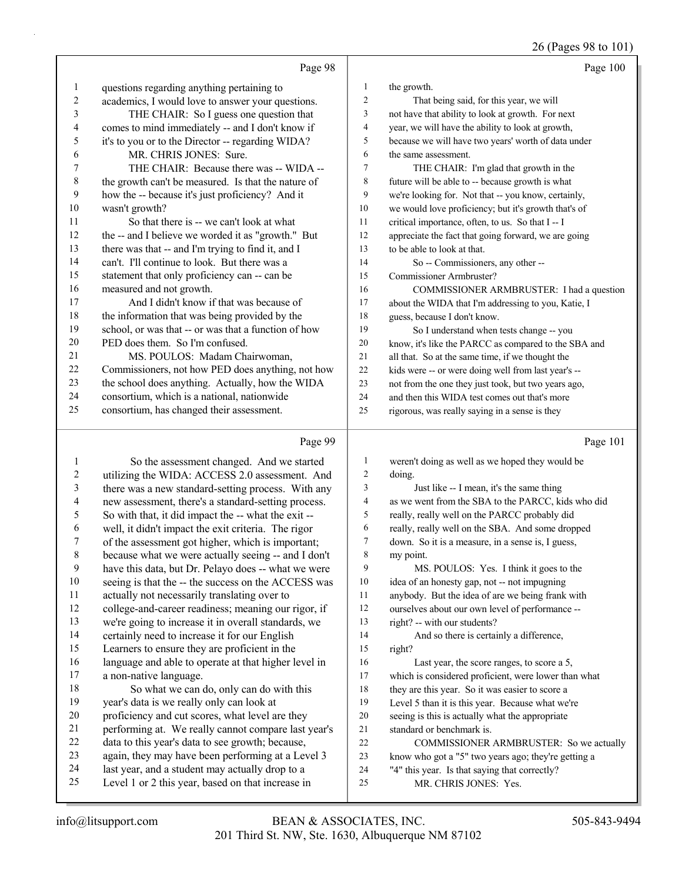26 (Pages 98 to 101)

|    | Page 98                                              |                          | Page 100                                             |
|----|------------------------------------------------------|--------------------------|------------------------------------------------------|
| 1  | questions regarding anything pertaining to           | 1                        | the growth.                                          |
| 2  | academics, I would love to answer your questions.    | $\overline{c}$           | That being said, for this year, we will              |
| 3  | THE CHAIR: So I guess one question that              | 3                        | not have that ability to look at growth. For next    |
| 4  | comes to mind immediately -- and I don't know if     | $\overline{\mathcal{L}}$ | year, we will have the ability to look at growth,    |
| 5  | it's to you or to the Director -- regarding WIDA?    | 5                        | because we will have two years' worth of data under  |
| 6  | MR. CHRIS JONES: Sure.                               | 6                        | the same assessment.                                 |
| 7  | THE CHAIR: Because there was -- WIDA --              | 7                        | THE CHAIR: I'm glad that growth in the               |
| 8  | the growth can't be measured. Is that the nature of  | 8                        | future will be able to -- because growth is what     |
| 9  | how the -- because it's just proficiency? And it     | 9                        | we're looking for. Not that -- you know, certainly,  |
| 10 | wasn't growth?                                       | 10                       | we would love proficiency; but it's growth that's of |
| 11 | So that there is -- we can't look at what            | 11                       | critical importance, often, to us. So that I-I       |
| 12 | the -- and I believe we worded it as "growth." But   | 12                       | appreciate the fact that going forward, we are going |
| 13 | there was that -- and I'm trying to find it, and I   | 13                       | to be able to look at that.                          |
| 14 | can't. I'll continue to look. But there was a        | 14                       | So -- Commissioners, any other --                    |
| 15 | statement that only proficiency can -- can be        | 15                       | Commissioner Armbruster?                             |
| 16 | measured and not growth.                             | 16                       | COMMISSIONER ARMBRUSTER: I had a question            |
| 17 | And I didn't know if that was because of             | 17                       | about the WIDA that I'm addressing to you, Katie, I  |
| 18 | the information that was being provided by the       | 18                       | guess, because I don't know.                         |
| 19 | school, or was that -- or was that a function of how | 19                       | So I understand when tests change -- you             |
| 20 | PED does them. So I'm confused.                      | 20                       | know, it's like the PARCC as compared to the SBA and |
| 21 | MS. POULOS: Madam Chairwoman,                        | 21                       | all that. So at the same time, if we thought the     |
| 22 | Commissioners, not how PED does anything, not how    | 22                       | kids were -- or were doing well from last year's --  |
| 23 | the school does anything. Actually, how the WIDA     | 23                       | not from the one they just took, but two years ago,  |
| 24 | consortium, which is a national, nationwide          | 24                       | and then this WIDA test comes out that's more        |
| 25 | consortium, has changed their assessment.            | 25                       | rigorous, was really saying in a sense is they       |
|    | Page 99                                              |                          | Page 101                                             |

# Page 99 |

|    | So the assessment changed. And we started            | 1  | weren't doing as well as we hoped they would be      |
|----|------------------------------------------------------|----|------------------------------------------------------|
| 2  | utilizing the WIDA: ACCESS 2.0 assessment. And       | 2  | doing.                                               |
| 3  | there was a new standard-setting process. With any   | 3  | Just like -- I mean, it's the same thing             |
| 4  | new assessment, there's a standard-setting process.  | 4  | as we went from the SBA to the PARCC, kids who did   |
| 5  | So with that, it did impact the -- what the exit --  | 5  | really, really well on the PARCC probably did        |
| 6  | well, it didn't impact the exit criteria. The rigor  | 6  | really, really well on the SBA. And some dropped     |
| 7  | of the assessment got higher, which is important;    | 7  | down. So it is a measure, in a sense is, I guess,    |
| 8  | because what we were actually seeing -- and I don't  | 8  | my point.                                            |
| 9  | have this data, but Dr. Pelayo does -- what we were  | 9  | MS. POULOS: Yes. I think it goes to the              |
| 10 | seeing is that the -- the success on the ACCESS was  | 10 | idea of an honesty gap, not -- not impugning         |
| 11 | actually not necessarily translating over to         | 11 | anybody. But the idea of are we being frank with     |
| 12 | college-and-career readiness; meaning our rigor, if  | 12 | ourselves about our own level of performance --      |
| 13 | we're going to increase it in overall standards, we  | 13 | right? -- with our students?                         |
| 14 | certainly need to increase it for our English        | 14 | And so there is certainly a difference,              |
| 15 | Learners to ensure they are proficient in the        | 15 | right?                                               |
| 16 | language and able to operate at that higher level in | 16 | Last year, the score ranges, to score a 5,           |
| 17 | a non-native language.                               | 17 | which is considered proficient, were lower than what |
| 18 | So what we can do, only can do with this             | 18 | they are this year. So it was easier to score a      |
| 19 | year's data is we really only can look at            | 19 | Level 5 than it is this year. Because what we're     |
| 20 | proficiency and cut scores, what level are they      | 20 | seeing is this is actually what the appropriate      |
| 21 | performing at. We really cannot compare last year's  | 21 | standard or benchmark is.                            |
| 22 | data to this year's data to see growth; because,     | 22 | COMMISSIONER ARMBRUSTER: So we actually              |
| 23 | again, they may have been performing at a Level 3    | 23 | know who got a "5" two years ago; they're getting a  |
| 24 | last year, and a student may actually drop to a      | 24 | "4" this year. Is that saying that correctly?        |
| 25 | Level 1 or 2 this year, based on that increase in    | 25 | MR. CHRIS JONES: Yes.                                |
|    |                                                      |    |                                                      |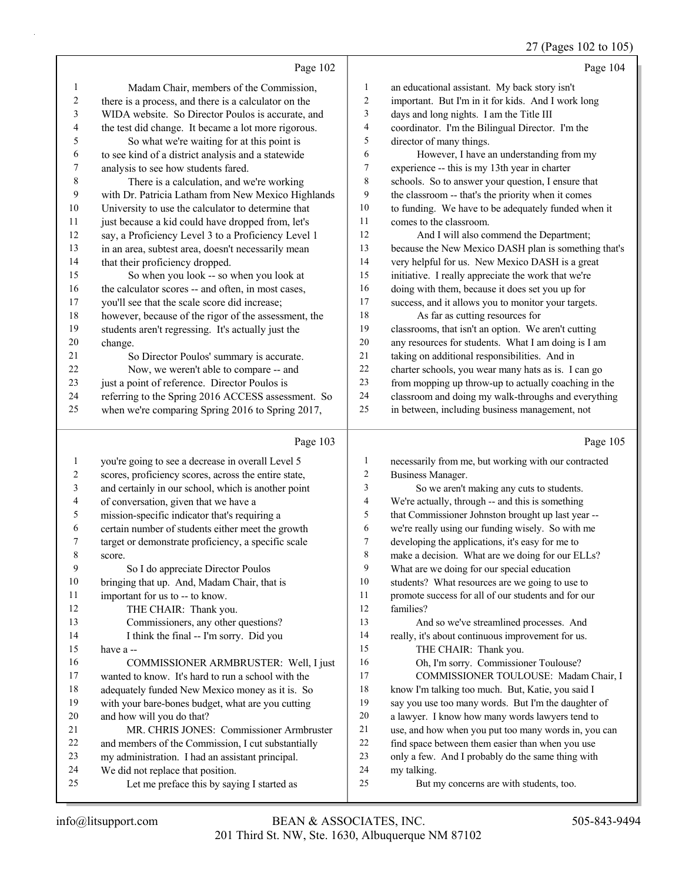#### 27 (Pages 102 to 105)

|                | Page 102                                             |                         | Page 104                                             |
|----------------|------------------------------------------------------|-------------------------|------------------------------------------------------|
| 1              | Madam Chair, members of the Commission,              | 1                       | an educational assistant. My back story isn't        |
| $\overline{c}$ | there is a process, and there is a calculator on the | $\overline{c}$          | important. But I'm in it for kids. And I work long   |
| 3              | WIDA website. So Director Poulos is accurate, and    | 3                       | days and long nights. I am the Title III             |
| 4              | the test did change. It became a lot more rigorous.  | 4                       | coordinator. I'm the Bilingual Director. I'm the     |
| 5              | So what we're waiting for at this point is           | 5                       | director of many things.                             |
| 6              | to see kind of a district analysis and a statewide   | 6                       | However, I have an understanding from my             |
| 7              | analysis to see how students fared.                  | 7                       | experience -- this is my 13th year in charter        |
| 8              | There is a calculation, and we're working            | 8                       | schools. So to answer your question, I ensure that   |
| 9              | with Dr. Patricia Latham from New Mexico Highlands   | 9                       | the classroom -- that's the priority when it comes   |
| $10\,$         | University to use the calculator to determine that   | $10\,$                  | to funding. We have to be adequately funded when it  |
| 11             | just because a kid could have dropped from, let's    | 11                      | comes to the classroom.                              |
| 12             | say, a Proficiency Level 3 to a Proficiency Level 1  | 12                      | And I will also commend the Department;              |
| 13             | in an area, subtest area, doesn't necessarily mean   | 13                      | because the New Mexico DASH plan is something that's |
| 14             | that their proficiency dropped.                      | 14                      | very helpful for us. New Mexico DASH is a great      |
| 15             | So when you look -- so when you look at              | 15                      | initiative. I really appreciate the work that we're  |
| 16             | the calculator scores -- and often, in most cases,   | 16                      | doing with them, because it does set you up for      |
| 17             | you'll see that the scale score did increase;        | 17                      | success, and it allows you to monitor your targets.  |
| 18             | however, because of the rigor of the assessment, the | 18                      | As far as cutting resources for                      |
| 19             | students aren't regressing. It's actually just the   | 19                      | classrooms, that isn't an option. We aren't cutting  |
| $20\,$         | change.                                              | $20\,$                  | any resources for students. What I am doing is I am  |
| 21             | So Director Poulos' summary is accurate.             | 21                      | taking on additional responsibilities. And in        |
| 22             | Now, we weren't able to compare -- and               | 22                      | charter schools, you wear many hats as is. I can go  |
| 23             | just a point of reference. Director Poulos is        | 23                      | from mopping up throw-up to actually coaching in the |
| 24             | referring to the Spring 2016 ACCESS assessment. So   | 24                      | classroom and doing my walk-throughs and everything  |
| 25             | when we're comparing Spring 2016 to Spring 2017,     | 25                      | in between, including business management, not       |
|                | Page 103                                             |                         | Page 105                                             |
| $\mathbf{1}$   | you're going to see a decrease in overall Level 5    | 1                       | necessarily from me, but working with our contracted |
| $\overline{2}$ | scores, proficiency scores, across the entire state, | $\overline{2}$          | Business Manager.                                    |
| 3              | and certainly in our school, which is another point  | 3                       | So we aren't making any cuts to students.            |
| 4              | of conversation, given that we have a                | $\overline{\mathbf{4}}$ | We're actually, through -- and this is something     |
| 5              | mission-specific indicator that's requiring a        | 5                       | that Commissioner Johnston brought up last year --   |
| 6              | certain number of students either meet the growth    | 6                       | we're really using our funding wisely. So with me    |

- target or demonstrate proficiency, a specific scale score.
	- 9 So I do appreciate Director Poulos
- bringing that up. And, Madam Chair, that is
- important for us to -- to know.
- 12 THE CHAIR: Thank you.
- 13 Commissioners, any other questions? 14 I think the final -- I'm sorry. Did you
- have a --
- 
- 16 COMMISSIONER ARMBRUSTER: Well, I just wanted to know. It's hard to run a school with the adequately funded New Mexico money as it is. So
- with your bare-bones budget, what are you cutting
- and how will you do that?
- 21 MR. CHRIS JONES: Commissioner Armbruster<br>22 and members of the Commission Teut substantially and members of the Commission, I cut substantially
- my administration. I had an assistant principal.
- We did not replace that position.
- 25 Let me preface this by saying I started as

 students? What resources are we going to use to promote success for all of our students and for our families?

 developing the applications, it's easy for me to make a decision. What are we doing for our ELLs? What are we doing for our special education

- 13 And so we've streamlined processes. And really, it's about continuous improvement for us.
- 15 THE CHAIR: Thank you.
- 16 Oh, I'm sorry. Commissioner Toulouse?
- 17 COMMISSIONER TOULOUSE: Madam Chair, I
- know I'm talking too much. But, Katie, you said I
- say you use too many words. But I'm the daughter of
- a lawyer. I know how many words lawyers tend to
- use, and how when you put too many words in, you can find space between them easier than when you use
- only a few. And I probably do the same thing with
- my talking.
- 25 But my concerns are with students, too.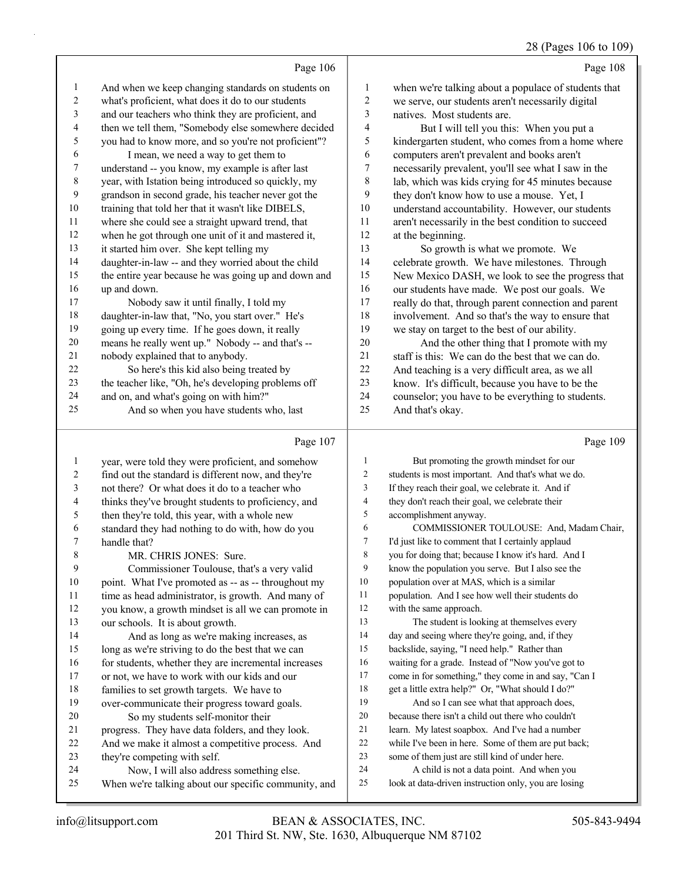### 28 (Pages 106 to 109)

|    |                                                      |              | (- -- <del>0</del> - - - - - - - -                   |
|----|------------------------------------------------------|--------------|------------------------------------------------------|
|    | Page 106                                             |              | Page 108                                             |
| 1  | And when we keep changing standards on students on   | $\mathbf{1}$ | when we're talking about a populace of students that |
| 2  | what's proficient, what does it do to our students   | 2            | we serve, our students aren't necessarily digital    |
| 3  | and our teachers who think they are proficient, and  | 3            | natives. Most students are.                          |
| 4  | then we tell them, "Somebody else somewhere decided  | 4            | But I will tell you this: When you put a             |
| 5  | you had to know more, and so you're not proficient"? | 5            | kindergarten student, who comes from a home where    |
| 6  | I mean, we need a way to get them to                 | 6            | computers aren't prevalent and books aren't          |
| 7  | understand -- you know, my example is after last     | 7            | necessarily prevalent, you'll see what I saw in the  |
| 8  | year, with Istation being introduced so quickly, my  | 8            | lab, which was kids crying for 45 minutes because    |
| 9  | grandson in second grade, his teacher never got the  | 9            | they don't know how to use a mouse. Yet, I           |
| 10 | training that told her that it wasn't like DIBELS,   | 10           | understand accountability. However, our students     |
| 11 | where she could see a straight upward trend, that    | 11           | aren't necessarily in the best condition to succeed  |
| 12 | when he got through one unit of it and mastered it,  | 12           | at the beginning.                                    |
| 13 | it started him over. She kept telling my             | 13           | So growth is what we promote. We                     |
| 14 | daughter-in-law -- and they worried about the child  | 14           | celebrate growth. We have milestones. Through        |
| 15 | the entire year because he was going up and down and | 15           | New Mexico DASH, we look to see the progress that    |
| 16 | up and down.                                         | 16           | our students have made. We post our goals. We        |
| 17 | Nobody saw it until finally, I told my               | 17           | really do that, through parent connection and parent |
| 18 | daughter-in-law that, "No, you start over." He's     | 18           | involvement. And so that's the way to ensure that    |
| 19 | going up every time. If he goes down, it really      | 19           | we stay on target to the best of our ability.        |
| 20 | means he really went up." Nobody -- and that's --    | 20           | And the other thing that I promote with my           |
| 21 | nobody explained that to anybody.                    | 21           | staff is this: We can do the best that we can do.    |
| 22 | So here's this kid also being treated by             | 22           | And teaching is a very difficult area, as we all     |
| 23 | the teacher like, "Oh, he's developing problems off  | 23           | know. It's difficult, because you have to be the     |
| 24 | and on, and what's going on with him?"               | 24           | counselor; you have to be everything to students.    |
| 25 | And so when you have students who, last              | 25           | And that's okay.                                     |
|    | Page 107                                             |              | Page 109                                             |

#### Page 107 |

|    | year, were told they were proficient, and somehow    |    | But promoting the growth mindset for our             |
|----|------------------------------------------------------|----|------------------------------------------------------|
| 2  | find out the standard is different now, and they're  | 2  | students is most important. And that's what we do.   |
| 3  | not there? Or what does it do to a teacher who       | 3  | If they reach their goal, we celebrate it. And if    |
| 4  | thinks they've brought students to proficiency, and  | 4  | they don't reach their goal, we celebrate their      |
| 5  | then they're told, this year, with a whole new       | 5  | accomplishment anyway.                               |
| 6  | standard they had nothing to do with, how do you     | 6  | COMMISSIONER TOULOUSE: And, Madam Chair,             |
| 7  | handle that?                                         | 7  | I'd just like to comment that I certainly applaud    |
| 8  | MR. CHRIS JONES: Sure.                               | 8  | you for doing that; because I know it's hard. And I  |
| 9  | Commissioner Toulouse, that's a very valid           | 9  | know the population you serve. But I also see the    |
| 10 | point. What I've promoted as -- as -- throughout my  | 10 | population over at MAS, which is a similar           |
| 11 | time as head administrator, is growth. And many of   | 11 | population. And I see how well their students do     |
| 12 | you know, a growth mindset is all we can promote in  | 12 | with the same approach.                              |
| 13 | our schools. It is about growth.                     | 13 | The student is looking at themselves every           |
| 14 | And as long as we're making increases, as            | 14 | day and seeing where they're going, and, if they     |
| 15 | long as we're striving to do the best that we can    | 15 | backslide, saying, "I need help." Rather than        |
| 16 | for students, whether they are incremental increases | 16 | waiting for a grade. Instead of "Now you've got to   |
| 17 | or not, we have to work with our kids and our        | 17 | come in for something," they come in and say, "Can I |
| 18 | families to set growth targets. We have to           | 18 | get a little extra help?" Or, "What should I do?"    |
| 19 | over-communicate their progress toward goals.        | 19 | And so I can see what that approach does,            |
| 20 | So my students self-monitor their                    | 20 | because there isn't a child out there who couldn't   |
| 21 | progress. They have data folders, and they look.     | 21 | learn. My latest soapbox. And I've had a number      |
| 22 | And we make it almost a competitive process. And     | 22 | while I've been in here. Some of them are put back;  |
| 23 | they're competing with self.                         | 23 | some of them just are still kind of under here.      |
| 24 | Now, I will also address something else.             | 24 | A child is not a data point. And when you            |
| 25 | When we're talking about our specific community, and | 25 | look at data-driven instruction only, you are losing |
|    |                                                      |    |                                                      |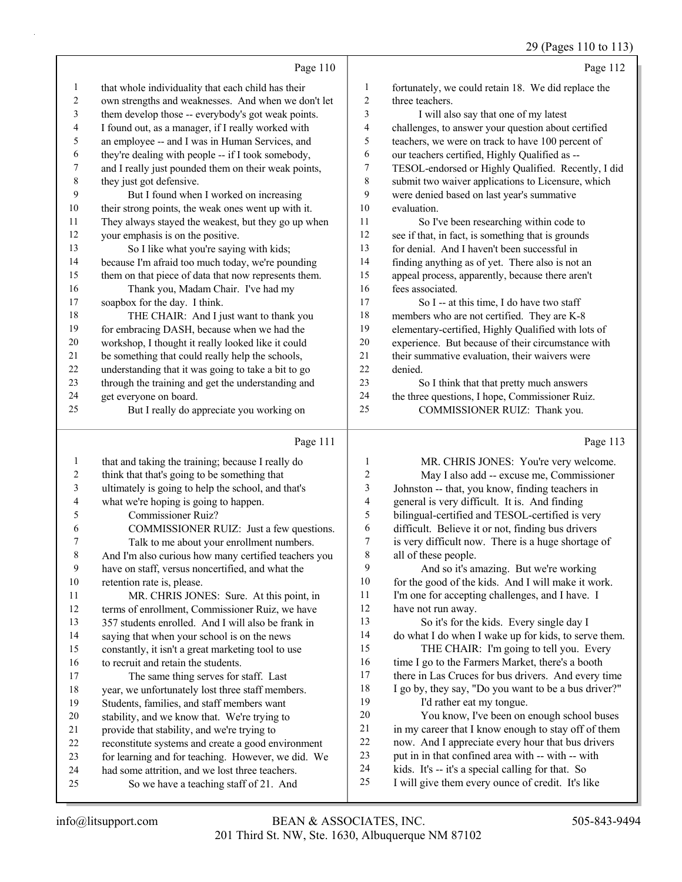|                | Page 110                                             |                | Page 112                                            |
|----------------|------------------------------------------------------|----------------|-----------------------------------------------------|
| $\mathbf{1}$   | that whole individuality that each child has their   | 1              | fortunately, we could retain 18. We did replace the |
| 2              | own strengths and weaknesses. And when we don't let  | 2              | three teachers.                                     |
| 3              | them develop those -- everybody's got weak points.   | 3              | I will also say that one of my latest               |
| $\overline{4}$ | I found out, as a manager, if I really worked with   | $\overline{4}$ | challenges, to answer your question about certified |
| 5              | an employee -- and I was in Human Services, and      | 5              | teachers, we were on track to have 100 percent of   |
| 6              | they're dealing with people -- if I took somebody,   | 6              | our teachers certified, Highly Qualified as --      |
| 7              | and I really just pounded them on their weak points, | $\tau$         | TESOL-endorsed or Highly Qualified. Recently, I did |
| $\,8\,$        | they just got defensive.                             | 8              | submit two waiver applications to Licensure, which  |
| 9              | But I found when I worked on increasing              | 9              | were denied based on last year's summative          |
| 10             | their strong points, the weak ones went up with it.  | 10             | evaluation.                                         |
| 11             | They always stayed the weakest, but they go up when  | 11             | So I've been researching within code to             |
| 12             | your emphasis is on the positive.                    | 12             | see if that, in fact, is something that is grounds  |
| 13             | So I like what you're saying with kids;              | 13             | for denial. And I haven't been successful in        |
| 14             | because I'm afraid too much today, we're pounding    | 14             | finding anything as of yet. There also is not an    |
| 15             | them on that piece of data that now represents them. | 15             | appeal process, apparently, because there aren't    |
| 16             | Thank you, Madam Chair. I've had my                  | 16             | fees associated.                                    |
| 17             | soapbox for the day. I think.                        | 17             | So I -- at this time, I do have two staff           |
| 18             | THE CHAIR: And I just want to thank you              | 18             | members who are not certified. They are K-8         |
| 19             | for embracing DASH, because when we had the          | 19             | elementary-certified, Highly Qualified with lots of |
| 20             | workshop, I thought it really looked like it could   | 20             | experience. But because of their circumstance with  |
| 21             | be something that could really help the schools,     | 21             | their summative evaluation, their waivers were      |
| 22             | understanding that it was going to take a bit to go  | 22             | denied.                                             |
| 23             | through the training and get the understanding and   | 23             | So I think that that pretty much answers            |
| 24             | get everyone on board.                               | 24             | the three questions, I hope, Commissioner Ruiz.     |
| 25             | But I really do appreciate you working on            | 25             | COMMISSIONER RUIZ: Thank you.                       |
|                | Page 111                                             |                | Page 113                                            |

| 1              | that and taking the training; because I really do    |                | MR. CHRIS JONES: You're very welcome.                |
|----------------|------------------------------------------------------|----------------|------------------------------------------------------|
| $\overline{2}$ | think that that's going to be something that         | $\overline{2}$ | May I also add -- excuse me, Commissioner            |
| 3              | ultimately is going to help the school, and that's   | 3              | Johnston -- that, you know, finding teachers in      |
| 4              | what we're hoping is going to happen.                | 4              | general is very difficult. It is. And finding        |
| 5              | <b>Commissioner Ruiz?</b>                            | 5              | bilingual-certified and TESOL-certified is very      |
| 6              | COMMISSIONER RUIZ: Just a few questions.             | 6              | difficult. Believe it or not, finding bus drivers    |
| 7              | Talk to me about your enrollment numbers.            | 7              | is very difficult now. There is a huge shortage of   |
| $\,$ 8 $\,$    | And I'm also curious how many certified teachers you | 8              | all of these people.                                 |
| 9              | have on staff, versus noncertified, and what the     | 9              | And so it's amazing. But we're working               |
| 10             | retention rate is, please.                           | 10             | for the good of the kids. And I will make it work.   |
| 11             | MR. CHRIS JONES: Sure. At this point, in             | 11             | I'm one for accepting challenges, and I have. I      |
| 12             | terms of enrollment, Commissioner Ruiz, we have      | 12             | have not run away.                                   |
| 13             | 357 students enrolled. And I will also be frank in   | 13             | So it's for the kids. Every single day I             |
| 14             | saying that when your school is on the news          | 14             | do what I do when I wake up for kids, to serve them. |
| 15             | constantly, it isn't a great marketing tool to use   | 15             | THE CHAIR: I'm going to tell you. Every              |
| 16             | to recruit and retain the students.                  | 16             | time I go to the Farmers Market, there's a booth     |
| 17             | The same thing serves for staff. Last                | 17             | there in Las Cruces for bus drivers. And every time  |
| 18             | year, we unfortunately lost three staff members.     | 18             | I go by, they say, "Do you want to be a bus driver?" |
| 19             | Students, families, and staff members want           | 19             | I'd rather eat my tongue.                            |
| 20             | stability, and we know that. We're trying to         | 20             | You know, I've been on enough school buses           |
| 21             | provide that stability, and we're trying to          | 21             | in my career that I know enough to stay off of them  |
| 22             | reconstitute systems and create a good environment   | 22             | now. And I appreciate every hour that bus drivers    |
| 23             | for learning and for teaching. However, we did. We   | 23             | put in in that confined area with -- with -- with    |
| 24             | had some attrition, and we lost three teachers.      | 24             | kids. It's -- it's a special calling for that. So    |
| 25             | So we have a teaching staff of 21. And               | 25             | I will give them every ounce of credit. It's like    |
|                |                                                      |                |                                                      |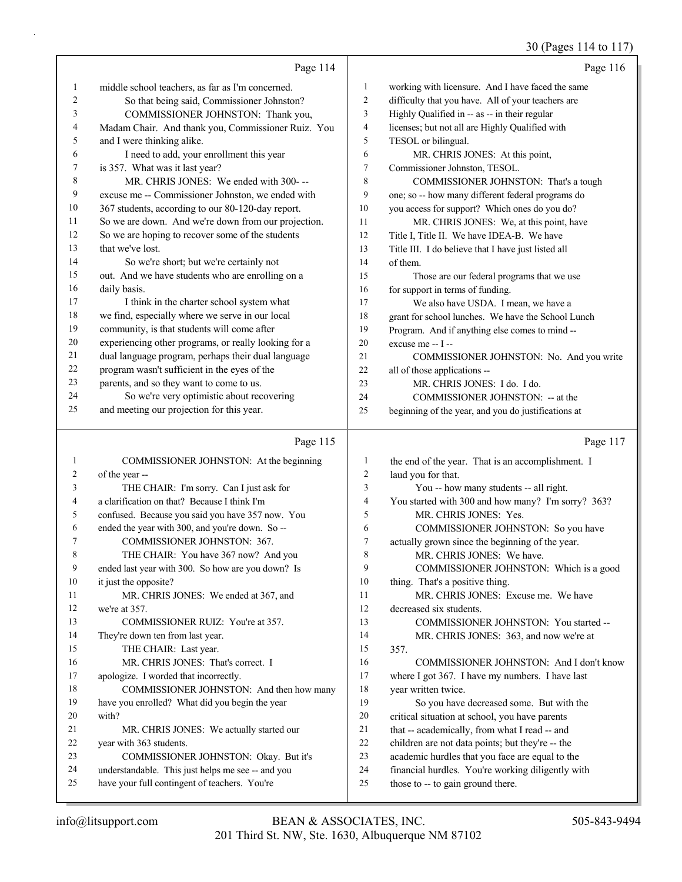# 30 (Pages 114 to 117)

|         | Page 114                                             |                | Page 116                                            |
|---------|------------------------------------------------------|----------------|-----------------------------------------------------|
| $\perp$ | middle school teachers, as far as I'm concerned.     | 1              | working with licensure. And I have faced the same   |
| 2       | So that being said, Commissioner Johnston?           | 2              | difficulty that you have. All of your teachers are  |
| 3       | COMMISSIONER JOHNSTON: Thank you,                    | 3              | Highly Qualified in -- as -- in their regular       |
| 4       | Madam Chair. And thank you, Commissioner Ruiz. You   | $\overline{4}$ | licenses; but not all are Highly Qualified with     |
| 5       | and I were thinking alike.                           | 5              | TESOL or bilingual.                                 |
| 6       | I need to add, your enrollment this year             | 6              | MR. CHRIS JONES: At this point,                     |
| 7       | is 357. What was it last year?                       | $\tau$         | Commissioner Johnston, TESOL.                       |
| 8       | MR. CHRIS JONES: We ended with 300---                | 8              | COMMISSIONER JOHNSTON: That's a tough               |
| 9       | excuse me -- Commissioner Johnston, we ended with    | 9              | one; so -- how many different federal programs do   |
| 10      | 367 students, according to our 80-120-day report.    | 10             | you access for support? Which ones do you do?       |
| 11      | So we are down. And we're down from our projection.  | 11             | MR. CHRIS JONES: We, at this point, have            |
| 12      | So we are hoping to recover some of the students     | 12             | Title I, Title II. We have IDEA-B. We have          |
| 13      | that we've lost.                                     | 13             | Title III. I do believe that I have just listed all |
| 14      | So we're short; but we're certainly not              | 14             | of them.                                            |
| 15      | out. And we have students who are enrolling on a     | 15             | Those are our federal programs that we use          |
| 16      | daily basis.                                         | 16             | for support in terms of funding.                    |
| 17      | I think in the charter school system what            | 17             | We also have USDA. I mean, we have a                |
| 18      | we find, especially where we serve in our local      | 18             | grant for school lunches. We have the School Lunch  |
| 19      | community, is that students will come after          | 19             | Program. And if anything else comes to mind --      |
| 20      | experiencing other programs, or really looking for a | 20             | excuse me $-1$ $-$                                  |
| 21      | dual language program, perhaps their dual language   | 21             | COMMISSIONER JOHNSTON: No. And you write            |
| 22      | program wasn't sufficient in the eyes of the         | 22             | all of those applications --                        |
| 23      | parents, and so they want to come to us.             | 23             | MR. CHRIS JONES: I do. I do.                        |
| 24      | So we're very optimistic about recovering            | 24             | COMMISSIONER JOHNSTON: -- at the                    |
| 25      | and meeting our projection for this year.            | 25             | beginning of the year, and you do justifications at |

### Page 115  $\parallel$

|    | Page 115                                          |                | Page 117                                           |
|----|---------------------------------------------------|----------------|----------------------------------------------------|
|    | COMMISSIONER JOHNSTON: At the beginning           | 1              | the end of the year. That is an accomplishment. I  |
| 2  | of the year --                                    | $\overline{2}$ | laud you for that.                                 |
| 3  | THE CHAIR: I'm sorry. Can I just ask for          | 3              | You -- how many students -- all right.             |
| 4  | a clarification on that? Because I think I'm      | 4              | You started with 300 and how many? I'm sorry? 363? |
| 5  | confused. Because you said you have 357 now. You  | 5              | MR. CHRIS JONES: Yes.                              |
| 6  | ended the year with 300, and you're down. So --   | 6              | COMMISSIONER JOHNSTON: So you have                 |
| 7  | <b>COMMISSIONER JOHNSTON: 367.</b>                | $\overline{7}$ | actually grown since the beginning of the year.    |
| 8  | THE CHAIR: You have 367 now? And you              | 8              | MR. CHRIS JONES: We have.                          |
| 9  | ended last year with 300. So how are you down? Is | 9              | COMMISSIONER JOHNSTON: Which is a good             |
| 10 | it just the opposite?                             | 10             | thing. That's a positive thing.                    |
| 11 | MR. CHRIS JONES: We ended at 367, and             | 11             | MR. CHRIS JONES: Excuse me. We have                |
| 12 | we're at 357.                                     | 12             | decreased six students.                            |
| 13 | COMMISSIONER RUIZ: You're at 357.                 | 13             | COMMISSIONER JOHNSTON: You started --              |
| 14 | They're down ten from last year.                  | 14             | MR. CHRIS JONES: 363, and now we're at             |
| 15 | THE CHAIR: Last year.                             | 15             | 357.                                               |
| 16 | MR. CHRIS JONES: That's correct. I                | 16             | COMMISSIONER JOHNSTON: And I don't know            |
| 17 | apologize. I worded that incorrectly.             | 17             | where I got 367. I have my numbers. I have last    |
| 18 | COMMISSIONER JOHNSTON: And then how many          | 18             | year written twice.                                |
| 19 | have you enrolled? What did you begin the year    | 19             | So you have decreased some. But with the           |
| 20 | with?                                             | 20             | critical situation at school, you have parents     |
| 21 | MR. CHRIS JONES: We actually started our          | 21             | that -- academically, from what I read -- and      |
| 22 | year with 363 students.                           | 22             | children are not data points; but they're -- the   |
| 23 | COMMISSIONER JOHNSTON: Okay. But it's             | 23             | academic hurdles that you face are equal to the    |
| 24 | understandable. This just helps me see -- and you | 24             | financial hurdles. You're working diligently with  |
| 25 | have your full contingent of teachers. You're     | 25             | those to -- to gain ground there.                  |
|    |                                                   |                |                                                    |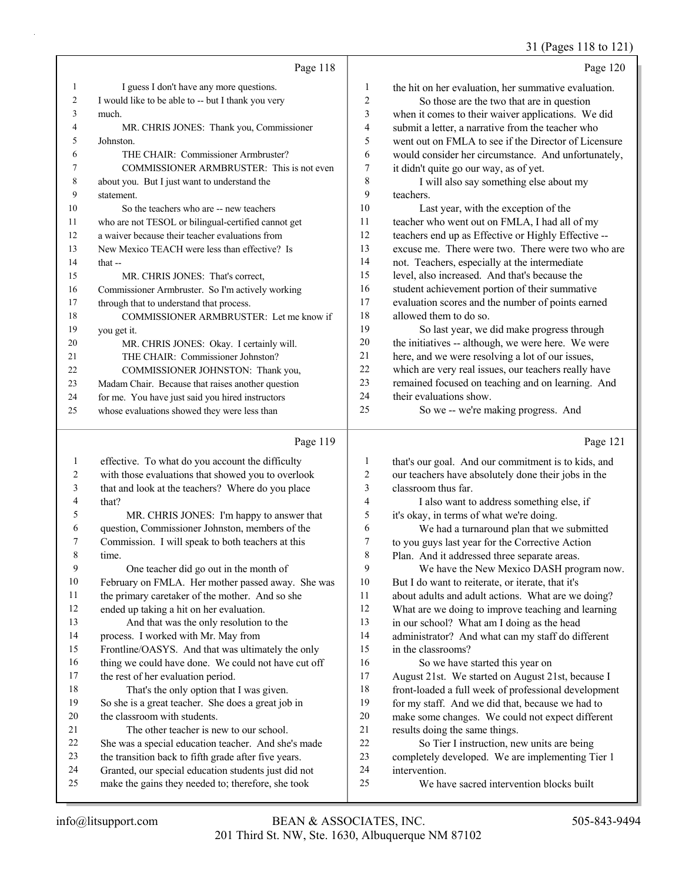### 31 (Pages 118 to 121)

|        | Page 118                                            |                | Page 120                                             |
|--------|-----------------------------------------------------|----------------|------------------------------------------------------|
| 1      | I guess I don't have any more questions.            | $\mathbf{1}$   | the hit on her evaluation, her summative evaluation. |
| 2      | I would like to be able to -- but I thank you very  | $\overline{2}$ | So those are the two that are in question            |
| 3      | much.                                               | 3              | when it comes to their waiver applications. We did   |
| 4      | MR. CHRIS JONES: Thank you, Commissioner            | 4              | submit a letter, a narrative from the teacher who    |
| 5      | Johnston.                                           | 5              | went out on FMLA to see if the Director of Licensure |
| 6      | THE CHAIR: Commissioner Armbruster?                 | 6              | would consider her circumstance. And unfortunately,  |
| $\tau$ | COMMISSIONER ARMBRUSTER: This is not even           | 7              | it didn't quite go our way, as of yet.               |
| 8      | about you. But I just want to understand the        | 8              | I will also say something else about my              |
| 9      | statement.                                          | 9              | teachers.                                            |
| 10     | So the teachers who are -- new teachers             | 10             | Last year, with the exception of the                 |
| 11     | who are not TESOL or bilingual-certified cannot get | 11             | teacher who went out on FMLA, I had all of my        |
| 12     | a waiver because their teacher evaluations from     | 12             | teachers end up as Effective or Highly Effective --  |
| 13     | New Mexico TEACH were less than effective? Is       | 13             | excuse me. There were two. There were two who are    |
| 14     | that $-$                                            | 14             | not. Teachers, especially at the intermediate        |
| 15     | MR. CHRIS JONES: That's correct,                    | 15             | level, also increased. And that's because the        |
| 16     | Commissioner Armbruster. So I'm actively working    | 16             | student achievement portion of their summative       |
| 17     | through that to understand that process.            | 17             | evaluation scores and the number of points earned    |
| 18     | COMMISSIONER ARMBRUSTER: Let me know if             | 18             | allowed them to do so.                               |
| 19     | you get it.                                         | 19             | So last year, we did make progress through           |
| 20     | MR. CHRIS JONES: Okay. I certainly will.            | 20             | the initiatives -- although, we were here. We were   |
| 21     | THE CHAIR: Commissioner Johnston?                   | 21             | here, and we were resolving a lot of our issues,     |
| 22     | COMMISSIONER JOHNSTON: Thank you,                   | 22             | which are very real issues, our teachers really have |
| 23     | Madam Chair. Because that raises another question   | 23             | remained focused on teaching and on learning. And    |
| 24     | for me. You have just said you hired instructors    | 24             | their evaluations show.                              |
| 25     | whose evaluations showed they were less than        | 25             | So we -- we're making progress. And                  |

# Page 119

|    | Page 119                                             |                | Page 121                                             |
|----|------------------------------------------------------|----------------|------------------------------------------------------|
| 1  | effective. To what do you account the difficulty     | 1              | that's our goal. And our commitment is to kids, and  |
| 2  | with those evaluations that showed you to overlook   | 2              | our teachers have absolutely done their jobs in the  |
| 3  | that and look at the teachers? Where do you place    | 3              | classroom thus far.                                  |
| 4  | that?                                                | $\overline{4}$ | I also want to address something else, if            |
| 5  | MR. CHRIS JONES: I'm happy to answer that            | 5              | it's okay, in terms of what we're doing.             |
| 6  | question, Commissioner Johnston, members of the      | 6              | We had a turnaround plan that we submitted           |
| 7  | Commission. I will speak to both teachers at this    | 7              | to you guys last year for the Corrective Action      |
| 8  | time.                                                | 8              | Plan. And it addressed three separate areas.         |
| 9  | One teacher did go out in the month of               | 9              | We have the New Mexico DASH program now.             |
| 10 | February on FMLA. Her mother passed away. She was    | 10             | But I do want to reiterate, or iterate, that it's    |
| 11 | the primary caretaker of the mother. And so she      | 11             | about adults and adult actions. What are we doing?   |
| 12 | ended up taking a hit on her evaluation.             | 12             | What are we doing to improve teaching and learning   |
| 13 | And that was the only resolution to the              | 13             | in our school? What am I doing as the head           |
| 14 | process. I worked with Mr. May from                  | 14             | administrator? And what can my staff do different    |
| 15 | Frontline/OASYS. And that was ultimately the only    | 15             | in the classrooms?                                   |
| 16 | thing we could have done. We could not have cut off  | 16             | So we have started this year on                      |
| 17 | the rest of her evaluation period.                   | 17             | August 21st. We started on August 21st, because I    |
| 18 | That's the only option that I was given.             | 18             | front-loaded a full week of professional development |
| 19 | So she is a great teacher. She does a great job in   | 19             | for my staff. And we did that, because we had to     |
| 20 | the classroom with students.                         | 20             | make some changes. We could not expect different     |
| 21 | The other teacher is new to our school.              | 21             | results doing the same things.                       |
| 22 | She was a special education teacher. And she's made  | 22             | So Tier I instruction, new units are being           |
| 23 | the transition back to fifth grade after five years. | 23             | completely developed. We are implementing Tier 1     |
| 24 | Granted, our special education students just did not | 24             | intervention.                                        |
| 25 | make the gains they needed to; therefore, she took   | 25             | We have sacred intervention blocks built             |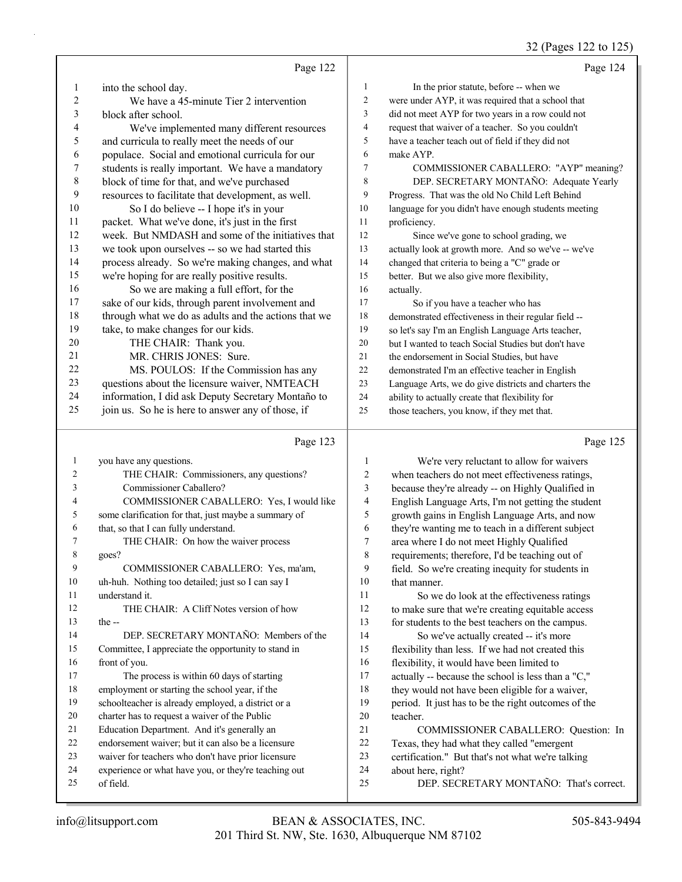#### 32 (Pages 122 to 125)

|                         | Page 122                                             |                         | Page 124                                             |
|-------------------------|------------------------------------------------------|-------------------------|------------------------------------------------------|
| 1                       | into the school day.                                 | $\mathbf{1}$            | In the prior statute, before -- when we              |
| 2                       | We have a 45-minute Tier 2 intervention              | $\overline{c}$          | were under AYP, it was required that a school that   |
| 3                       | block after school.                                  | 3                       | did not meet AYP for two years in a row could not    |
| 4                       | We've implemented many different resources           | $\overline{4}$          | request that waiver of a teacher. So you couldn't    |
| 5                       | and curricula to really meet the needs of our        | 5                       | have a teacher teach out of field if they did not    |
| 6                       | populace. Social and emotional curricula for our     | 6                       | make AYP.                                            |
| $\tau$                  | students is really important. We have a mandatory    | $\overline{7}$          | COMMISSIONER CABALLERO: "AYP" meaning?               |
| $\,$ $\,$               | block of time for that, and we've purchased          | 8                       | DEP. SECRETARY MONTAÑO: Adequate Yearly              |
| 9                       | resources to facilitate that development, as well.   | 9                       | Progress. That was the old No Child Left Behind      |
| 10                      | So I do believe -- I hope it's in your               | $10\,$                  | language for you didn't have enough students meeting |
| 11                      | packet. What we've done, it's just in the first      | 11                      | proficiency.                                         |
| 12                      | week. But NMDASH and some of the initiatives that    | 12                      | Since we've gone to school grading, we               |
| 13                      | we took upon ourselves -- so we had started this     | 13                      | actually look at growth more. And so we've -- we've  |
| 14                      | process already. So we're making changes, and what   | 14                      | changed that criteria to being a "C" grade or        |
| 15                      | we're hoping for are really positive results.        | 15                      | better. But we also give more flexibility,           |
| 16                      | So we are making a full effort, for the              | 16                      | actually.                                            |
| 17                      | sake of our kids, through parent involvement and     | 17                      | So if you have a teacher who has                     |
| 18                      | through what we do as adults and the actions that we | 18                      | demonstrated effectiveness in their regular field -- |
| 19                      | take, to make changes for our kids.                  | 19                      | so let's say I'm an English Language Arts teacher,   |
| 20                      | THE CHAIR: Thank you.                                | 20                      | but I wanted to teach Social Studies but don't have  |
| 21                      | MR. CHRIS JONES: Sure.                               | 21                      | the endorsement in Social Studies, but have          |
| 22                      | MS. POULOS: If the Commission has any                | 22                      | demonstrated I'm an effective teacher in English     |
| 23                      | questions about the licensure waiver, NMTEACH        | 23                      | Language Arts, we do give districts and charters the |
| 24                      | information, I did ask Deputy Secretary Montaño to   | 24                      | ability to actually create that flexibility for      |
| 25                      | join us. So he is here to answer any of those, if    | 25                      | those teachers, you know, if they met that.          |
|                         | Page 123                                             |                         | Page 125                                             |
| $\mathbf{1}$            | you have any questions.                              | 1                       | We're very reluctant to allow for waivers            |
| $\overline{\mathbf{c}}$ | THE CHAIR: Commissioners, any questions?             | $\overline{c}$          | when teachers do not meet effectiveness ratings,     |
| 3                       | Commissioner Caballero?                              | $\overline{\mathbf{3}}$ | because they're already -- on Highly Qualified in    |
| 4                       | COMMISSIONER CABALLERO: Yes, I would like            | $\overline{\mathbf{4}}$ | English Language Arts, I'm not getting the student   |
| 5                       | some clarification for that, just maybe a summary of | 5                       | growth gains in English Language Arts, and now       |
| 6                       | that, so that I can fully understand.                | 6                       | they're wanting me to teach in a different subject   |
| 7                       | THE CHAIR: On how the waiver process                 | $\overline{7}$          | area where I do not meet Highly Qualified            |
| 8                       | goes?                                                | $\,$ $\,$               | requirements; therefore, I'd be teaching out of      |
| 9                       | COMMISSIONER CABALLERO: Yes, ma'am,                  | 9                       | field. So we're creating inequity for students in    |

uh-huh. Nothing too detailed; just so I can say I

 understand it. 12 THE CHAIR: A Cliff Notes version of how the -- 14 DEP. SECRETARY MONTAÑO: Members of the Committee, I appreciate the opportunity to stand in

 front of you. 17 The process is within 60 days of starting employment or starting the school year, if the

- schoolteacher is already employed, a district or a
- charter has to request a waiver of the Public
- Education Department. And it's generally an
- endorsement waiver; but it can also be a licensure
- waiver for teachers who don't have prior licensure
- experience or what have you, or they're teaching out
- of field.

10 that manner. 11 So we do look at the effectiveness ratings to make sure that we're creating equitable access for students to the best teachers on the campus. 14 So we've actually created -- it's more flexibility than less. If we had not created this flexibility, it would have been limited to actually -- because the school is less than a "C," 18 they would not have been eligible for a waiver, period. It just has to be the right outcomes of the teacher. 21 COMMISSIONER CABALLERO: Question: In Texas, they had what they called "emergent certification." But that's not what we're talking about here, right?

- 
- 25 DEP. SECRETARY MONTAÑO: That's correct.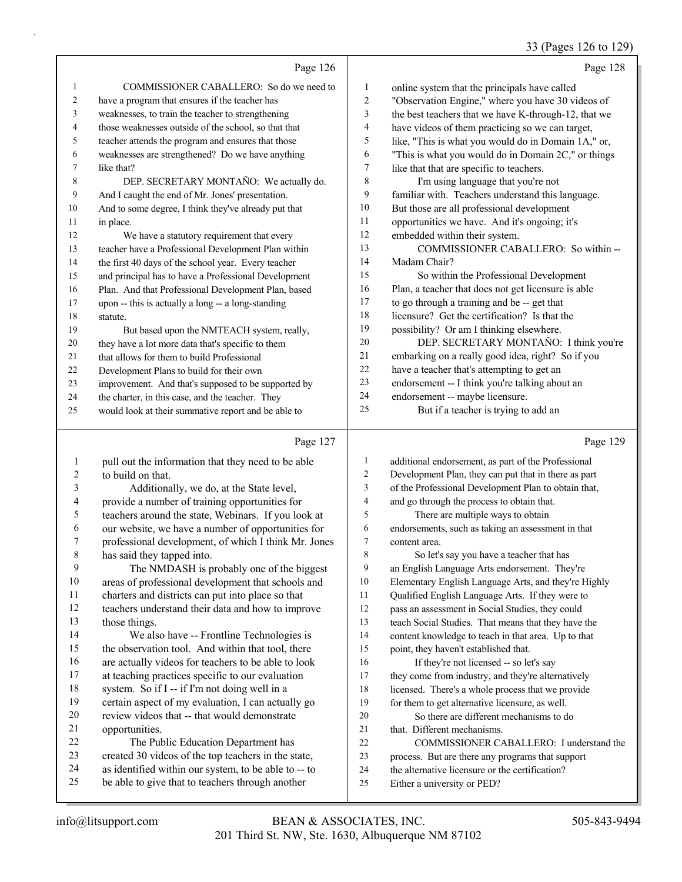#### 33 (Pages 126 to 129)

Page 126 1 COMMISSIONER CABALLERO: So do we need to have a program that ensures if the teacher has weaknesses, to train the teacher to strengthening those weaknesses outside of the school, so that that teacher attends the program and ensures that those weaknesses are strengthened? Do we have anything like that? **DEP. SECRETARY MONTAÑO:** We actually do. And I caught the end of Mr. Jones' presentation. And to some degree, I think they've already put that 11 in place. 12 We have a statutory requirement that every teacher have a Professional Development Plan within 14 the first 40 days of the school year. Every teacher and principal has to have a Professional Development Plan. And that Professional Development Plan, based upon -- this is actually a long -- a long-standing statute. 19 But based upon the NMTEACH system, really, they have a lot more data that's specific to them that allows for them to build Professional Development Plans to build for their own improvement. And that's supposed to be supported by the charter, in this case, and the teacher. They would look at their summative report and be able to Page 128 online system that the principals have called "Observation Engine," where you have 30 videos of the best teachers that we have K-through-12, that we have videos of them practicing so we can target, like, "This is what you would do in Domain 1A," or, "This is what you would do in Domain 2C," or things like that that are specific to teachers. 8 I'm using language that you're not familiar with. Teachers understand this language. But those are all professional development opportunities we have. And it's ongoing; it's embedded within their system. 13 COMMISSIONER CABALLERO: So within -- Madam Chair? 15 So within the Professional Development Plan, a teacher that does not get licensure is able to go through a training and be -- get that licensure? Get the certification? Is that the possibility? Or am I thinking elsewhere. 20 DEP. SECRETARY MONTAÑO: I think you're embarking on a really good idea, right? So if you have a teacher that's attempting to get an endorsement -- I think you're talking about an endorsement -- maybe licensure. 25 But if a teacher is trying to add an

#### $D_{\text{max}}$  127

|           | Page 127                                             |                | Page 129                                             |
|-----------|------------------------------------------------------|----------------|------------------------------------------------------|
| 1         | pull out the information that they need to be able   | 1              | additional endorsement, as part of the Professional  |
| 2         | to build on that.                                    | $\overline{c}$ | Development Plan, they can put that in there as part |
| 3         | Additionally, we do, at the State level,             | 3              | of the Professional Development Plan to obtain that, |
| 4         | provide a number of training opportunities for       | $\overline{4}$ | and go through the process to obtain that.           |
| 5         | teachers around the state, Webinars. If you look at  | 5              | There are multiple ways to obtain                    |
| 6         | our website, we have a number of opportunities for   | 6              | endorsements, such as taking an assessment in that   |
| 7         | professional development, of which I think Mr. Jones | 7              | content area.                                        |
| $\,$ $\,$ | has said they tapped into.                           | 8              | So let's say you have a teacher that has             |
| 9         | The NMDASH is probably one of the biggest            | 9              | an English Language Arts endorsement. They're        |
| 10        | areas of professional development that schools and   | 10             | Elementary English Language Arts, and they're Highly |
| 11        | charters and districts can put into place so that    | 11             | Qualified English Language Arts. If they were to     |
| 12        | teachers understand their data and how to improve    | 12             | pass an assessment in Social Studies, they could     |
| 13        | those things.                                        | 13             | teach Social Studies. That means that they have the  |
| 14        | We also have -- Frontline Technologies is            | 14             | content knowledge to teach in that area. Up to that  |
| 15        | the observation tool. And within that tool, there    | 15             | point, they haven't established that.                |
| 16        | are actually videos for teachers to be able to look  | 16             | If they're not licensed -- so let's say              |
| 17        | at teaching practices specific to our evaluation     | 17             | they come from industry, and they're alternatively   |
| 18        | system. So if I -- if I'm not doing well in a        | 18             | licensed. There's a whole process that we provide    |
| 19        | certain aspect of my evaluation, I can actually go   | 19             | for them to get alternative licensure, as well.      |
| 20        | review videos that -- that would demonstrate         | 20             | So there are different mechanisms to do              |
| 21        | opportunities.                                       | 21             | that. Different mechanisms.                          |
| 22        | The Public Education Department has                  | 22             | COMMISSIONER CABALLERO: I understand the             |
| 23        | created 30 videos of the top teachers in the state,  | 23             | process. But are there any programs that support     |
| 24        | as identified within our system, to be able to -- to | 24             | the alternative licensure or the certification?      |
| 25        | be able to give that to teachers through another     | 25             | Either a university or PED?                          |
|           |                                                      |                |                                                      |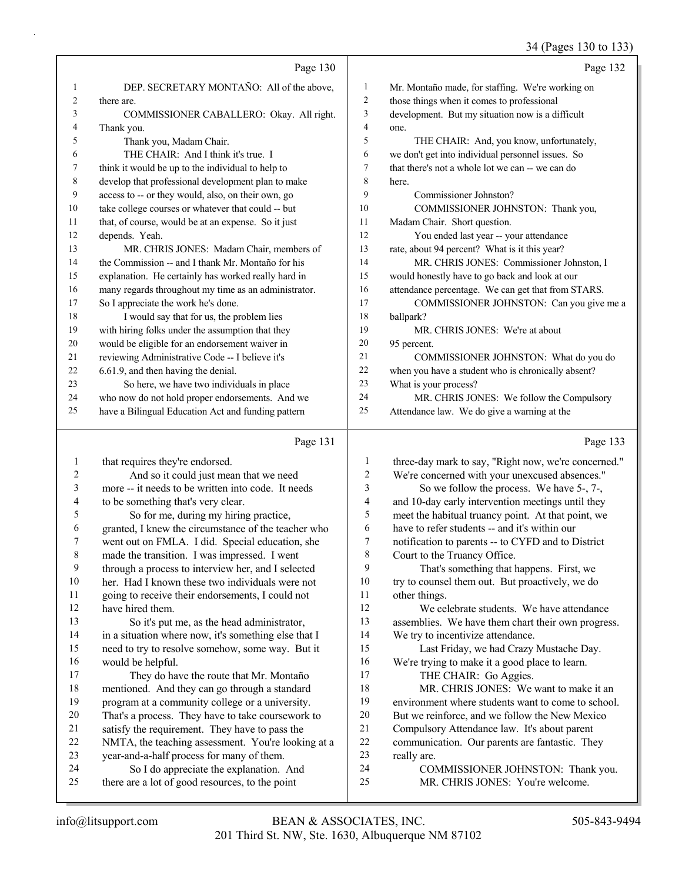|    |                                                      |                          | 34 (Pages 130 to 133)                                |
|----|------------------------------------------------------|--------------------------|------------------------------------------------------|
|    | Page 130                                             |                          | Page 132                                             |
| 1  | DEP. SECRETARY MONTAÑO: All of the above,            | $\mathbf{1}$             | Mr. Montaño made, for staffing. We're working on     |
| 2  | there are.                                           | $\overline{c}$           | those things when it comes to professional           |
| 3  | COMMISSIONER CABALLERO: Okay. All right.             | $\mathfrak{Z}$           | development. But my situation now is a difficult     |
| 4  | Thank you.                                           | $\overline{\mathcal{A}}$ | one.                                                 |
| 5  | Thank you, Madam Chair.                              | 5                        | THE CHAIR: And, you know, unfortunately,             |
| 6  | THE CHAIR: And I think it's true. I                  | 6                        | we don't get into individual personnel issues. So    |
| 7  | think it would be up to the individual to help to    | 7                        | that there's not a whole lot we can -- we can do     |
| 8  | develop that professional development plan to make   | 8                        | here.                                                |
| 9  | access to -- or they would, also, on their own, go   | 9                        | Commissioner Johnston?                               |
| 10 | take college courses or whatever that could -- but   | 10                       | COMMISSIONER JOHNSTON: Thank you,                    |
| 11 | that, of course, would be at an expense. So it just  | 11                       | Madam Chair. Short question.                         |
| 12 | depends. Yeah.                                       | 12                       | You ended last year -- your attendance               |
| 13 | MR. CHRIS JONES: Madam Chair, members of             | 13                       | rate, about 94 percent? What is it this year?        |
| 14 | the Commission -- and I thank Mr. Montaño for his    | 14                       | MR. CHRIS JONES: Commissioner Johnston, I            |
| 15 | explanation. He certainly has worked really hard in  | 15                       | would honestly have to go back and look at our       |
| 16 | many regards throughout my time as an administrator. | 16                       | attendance percentage. We can get that from STARS.   |
| 17 | So I appreciate the work he's done.                  | 17                       | COMMISSIONER JOHNSTON: Can you give me a             |
| 18 | I would say that for us, the problem lies            | 18                       | ballpark?                                            |
| 19 | with hiring folks under the assumption that they     | 19                       | MR. CHRIS JONES: We're at about                      |
| 20 | would be eligible for an endorsement waiver in       | 20                       | 95 percent.                                          |
| 21 | reviewing Administrative Code -- I believe it's      | 21                       | COMMISSIONER JOHNSTON: What do you do                |
| 22 | 6.61.9, and then having the denial.                  | 22                       | when you have a student who is chronically absent?   |
| 23 | So here, we have two individuals in place            | 23                       | What is your process?                                |
| 24 | who now do not hold proper endorsements. And we      | 24                       | MR. CHRIS JONES: We follow the Compulsory            |
| 25 | have a Bilingual Education Act and funding pattern   | 25                       | Attendance law. We do give a warning at the          |
|    | Page 131                                             |                          | Page 133                                             |
| 1  | that requires they're endorsed.                      | 1                        | three-day mark to say, "Right now, we're concerned." |
| 2  | And so it could just mean that we need               | $\overline{\mathbf{c}}$  | We're concerned with your unexcused absences."       |
| 3  | more -- it needs to be written into code. It needs   | 3                        | So we follow the process. We have 5-, 7-,            |
| 4  | to be something that's very clear.                   | 4                        | and 10-day early intervention meetings until they    |
| 5  | So for me, during my hiring practice,                | 5                        | meet the habitual truancy point. At that point, we   |
| 6  | granted, I knew the circumstance of the teacher who  | 6                        | have to refer students -- and it's within our        |
|    | went out on FMLA. I did. Special education, she      | $\overline{7}$           | notification to parents -- to CYFD and to District   |
| 8  | made the transition. I was impressed. I went         | 8                        | Court to the Truancy Office.                         |
| 9  | through a process to interview her, and I selected   | 9                        | That's something that happens. First, we             |
| 10 | her. Had I known these two individuals were not      | 10                       | try to counsel them out. But proactively, we do      |
| 11 | going to receive their endorsements, I could not     | 11                       | other things.                                        |
| 12 | have hired them.                                     | 12                       | We celebrate students. We have attendance            |
| 13 | So it's put me, as the head administrator,           | 13                       | assemblies. We have them chart their own progress.   |
| 14 | in a situation where now, it's something else that I | 14                       | We try to incentivize attendance.                    |
| 15 | need to try to resolve somehow, some way. But it     | 15                       | Last Friday, we had Crazy Mustache Day.              |
| 16 | would be helpful.                                    | 16                       | We're trying to make it a good place to learn.       |
| 17 | They do have the route that Mr. Montaño              | 17                       | THE CHAIR: Go Aggies.                                |

 mentioned. And they can go through a standard program at a community college or a university. That's a process. They have to take coursework to satisfy the requirement. They have to pass the NMTA, the teaching assessment. You're looking at a

 year-and-a-half process for many of them. 24 So I do appreciate the explanation. And there are a lot of good resources, to the point

really are.

18 MR. CHRIS JONES: We want to make it an environment where students want to come to school. But we reinforce, and we follow the New Mexico Compulsory Attendance law. It's about parent communication. Our parents are fantastic. They

24 COMMISSIONER JOHNSTON: Thank you. 25 MR. CHRIS JONES: You're welcome.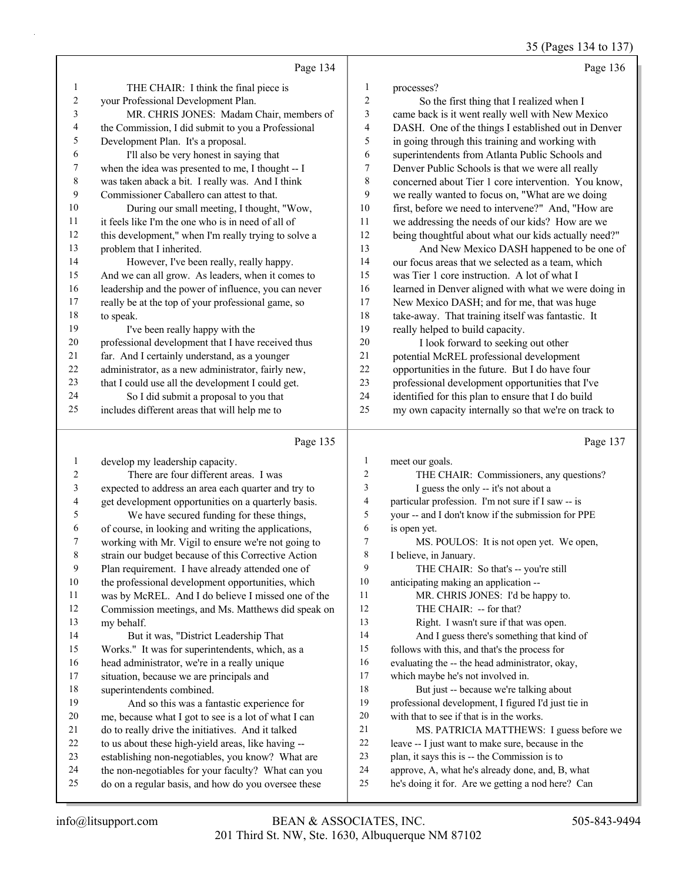35 (Pages 134 to 137)

|                         |                                                      |                         | $33$ (1 agos 13+ to 13)                              |
|-------------------------|------------------------------------------------------|-------------------------|------------------------------------------------------|
|                         | Page 134                                             |                         | Page 136                                             |
| 1                       | THE CHAIR: I think the final piece is                | 1                       | processes?                                           |
| $\overline{\mathbf{c}}$ | your Professional Development Plan.                  | $\sqrt{2}$              | So the first thing that I realized when I            |
| 3                       | MR. CHRIS JONES: Madam Chair, members of             | 3                       | came back is it went really well with New Mexico     |
| 4                       | the Commission, I did submit to you a Professional   | $\overline{\mathbf{4}}$ | DASH. One of the things I established out in Denver  |
| 5                       | Development Plan. It's a proposal.                   | 5                       | in going through this training and working with      |
| 6                       | I'll also be very honest in saying that              | 6                       | superintendents from Atlanta Public Schools and      |
| 7                       | when the idea was presented to me, I thought -- I    | $\tau$                  | Denver Public Schools is that we were all really     |
| $\,$ $\,$               | was taken aback a bit. I really was. And I think     | $\,8\,$                 | concerned about Tier 1 core intervention. You know,  |
| 9                       | Commissioner Caballero can attest to that.           | 9                       | we really wanted to focus on, "What are we doing     |
| 10                      | During our small meeting, I thought, "Wow,           | 10                      | first, before we need to intervene?" And, "How are   |
| 11                      | it feels like I'm the one who is in need of all of   | 11                      | we addressing the needs of our kids? How are we      |
| 12                      | this development," when I'm really trying to solve a | 12                      | being thoughtful about what our kids actually need?" |
| 13                      | problem that I inherited.                            | 13                      | And New Mexico DASH happened to be one of            |
| 14                      | However, I've been really, really happy.             | 14                      | our focus areas that we selected as a team, which    |
| 15                      | And we can all grow. As leaders, when it comes to    | 15                      | was Tier 1 core instruction. A lot of what I         |
| 16                      | leadership and the power of influence, you can never | 16                      | learned in Denver aligned with what we were doing in |
| 17                      | really be at the top of your professional game, so   | 17                      | New Mexico DASH; and for me, that was huge           |
| 18                      | to speak.                                            | 18                      | take-away. That training itself was fantastic. It    |
| 19                      | I've been really happy with the                      | 19                      | really helped to build capacity.                     |
| 20                      | professional development that I have received thus   | 20                      | I look forward to seeking out other                  |
| 21                      | far. And I certainly understand, as a younger        | 21                      | potential McREL professional development             |
| 22                      | administrator, as a new administrator, fairly new,   | 22                      | opportunities in the future. But I do have four      |
| 23                      | that I could use all the development I could get.    | 23                      | professional development opportunities that I've     |
| 24                      | So I did submit a proposal to you that               | 24                      | identified for this plan to ensure that I do build   |
| 25                      | includes different areas that will help me to        | 25                      | my own capacity internally so that we're on track to |
|                         | Page 135                                             |                         | Page 137                                             |
| $\mathbf{1}$            | develop my leadership capacity.                      | 1                       | meet our goals.                                      |
| $\overline{c}$          | There are four different areas. I was                | $\overline{c}$          | THE CHAIR: Commissioners, any questions?             |
| 3                       | expected to address an area each quarter and try to  | $\mathfrak{Z}$          | I guess the only -- it's not about a                 |
| 4                       | get development opportunities on a quarterly basis.  | $\overline{4}$          | particular profession. I'm not sure if I saw -- is   |
| 5                       | We have secured funding for these things,            | 5                       | your -- and I don't know if the submission for PPE   |
| 6                       | of course, in looking and writing the applications,  | 6                       | is open yet.                                         |
| 7                       | working with Mr. Vigil to ensure we're not going to  | $\tau$                  | MS. POULOS: It is not open yet. We open,             |
| 8                       | strain our budget because of this Corrective Action  | $\,$ 8 $\,$             | I believe, in January.                               |
| 9                       | Plan requirement. I have already attended one of     | 9                       | THE CHAIR: So that's -- you're still                 |
| 10                      | the professional development opportunities, which    | 10                      | anticipating making an application --                |

- was by McREL. And I do believe I missed one of the
- Commission meetings, and Ms. Matthews did speak on
- my behalf. 14 But it was, "District Leadership That
- Works." It was for superintendents, which, as a
- head administrator, we're in a really unique
- situation, because we are principals and
- superintendents combined.

# 19 And so this was a fantastic experience for

- me, because what I got to see is a lot of what I can do to really drive the initiatives. And it talked
- to us about these high-yield areas, like having --
- establishing non-negotiables, you know? What are
- the non-negotiables for your faculty? What can you
- do on a regular basis, and how do you oversee these
- 11 MR. CHRIS JONES: I'd be happy to.
- 12 THE CHAIR: -- for that?
	-
- 13 Right. I wasn't sure if that was open.
- 14 And I guess there's something that kind of
- follows with this, and that's the process for
- evaluating the -- the head administrator, okay,
- which maybe he's not involved in. 18 But just -- because we're talking about professional development, I figured I'd just tie in
- with that to see if that is in the works.
- 21 MS. PATRICIA MATTHEWS: I guess before we
- leave -- I just want to make sure, because in the
- plan, it says this is -- the Commission is to
- approve, A, what he's already done, and, B, what
- he's doing it for. Are we getting a nod here? Can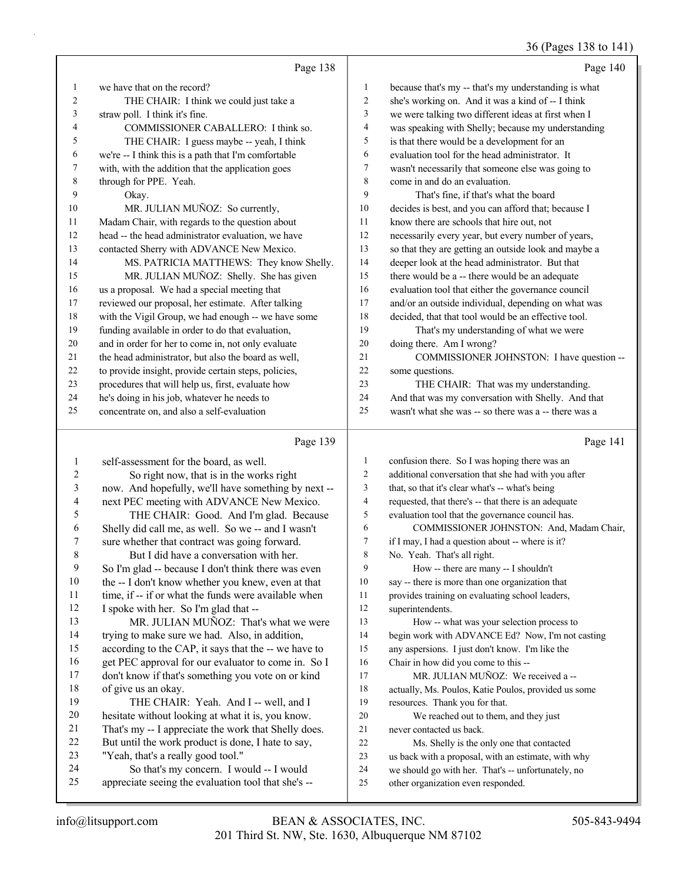# 36 (Pages 138 to 141)

|    | Page 138                                             |                | Page 140                                             |
|----|------------------------------------------------------|----------------|------------------------------------------------------|
| 1  | we have that on the record?                          | 1              | because that's my -- that's my understanding is what |
| 2  | THE CHAIR: I think we could just take a              | $\overline{2}$ | she's working on. And it was a kind of -- I think    |
| 3  | straw poll. I think it's fine.                       | 3              | we were talking two different ideas at first when I  |
| 4  | COMMISSIONER CABALLERO: I think so.                  | 4              | was speaking with Shelly; because my understanding   |
| 5  | THE CHAIR: I guess maybe -- yeah, I think            | 5              | is that there would be a development for an          |
| 6  | we're -- I think this is a path that I'm comfortable | 6              | evaluation tool for the head administrator. It       |
| 7  | with, with the addition that the application goes    | $\overline{7}$ | wasn't necessarily that someone else was going to    |
| 8  | through for PPE. Yeah.                               | 8              | come in and do an evaluation.                        |
| 9  | Okay.                                                | 9              | That's fine, if that's what the board                |
| 10 | MR. JULIAN MUÑOZ: So currently,                      | 10             | decides is best, and you can afford that; because I  |
| 11 | Madam Chair, with regards to the question about      | 11             | know there are schools that hire out, not            |
| 12 | head -- the head administrator evaluation, we have   | 12             | necessarily every year, but every number of years,   |
| 13 | contacted Sherry with ADVANCE New Mexico.            | 13             | so that they are getting an outside look and maybe a |
| 14 | MS. PATRICIA MATTHEWS: They know Shelly.             | 14             | deeper look at the head administrator. But that      |
| 15 | MR. JULIAN MUÑOZ: Shelly. She has given              | 15             | there would be a -- there would be an adequate       |
| 16 | us a proposal. We had a special meeting that         | 16             | evaluation tool that either the governance council   |
| 17 | reviewed our proposal, her estimate. After talking   | 17             | and/or an outside individual, depending on what was  |
| 18 | with the Vigil Group, we had enough -- we have some  | 18             | decided, that that tool would be an effective tool.  |
| 19 | funding available in order to do that evaluation,    | 19             | That's my understanding of what we were              |
| 20 | and in order for her to come in, not only evaluate   | 20             | doing there. Am I wrong?                             |
| 21 | the head administrator, but also the board as well,  | 21             | COMMISSIONER JOHNSTON: I have question --            |
| 22 | to provide insight, provide certain steps, policies, | 22             | some questions.                                      |
| 23 | procedures that will help us, first, evaluate how    | 23             | THE CHAIR: That was my understanding.                |
| 24 | he's doing in his job, whatever he needs to          | 24             | And that was my conversation with Shelly. And that   |
| 25 | concentrate on, and also a self-evaluation           | 25             | wasn't what she was -- so there was a -- there was a |

# Page 139

| 1  | self-assessment for the board, as well.              | $\mathbf{1}$ | confusion there. So I was hoping there was an        |
|----|------------------------------------------------------|--------------|------------------------------------------------------|
| 2  | So right now, that is in the works right             | 2            | additional conversation that she had with you after  |
| 3  | now. And hopefully, we'll have something by next --  | 3            | that, so that it's clear what's -- what's being      |
| 4  | next PEC meeting with ADVANCE New Mexico.            | 4            | requested, that there's -- that there is an adequate |
| 5  | THE CHAIR: Good. And I'm glad. Because               | 5            | evaluation tool that the governance council has.     |
| 6  | Shelly did call me, as well. So we -- and I wasn't   | 6            | COMMISSIONER JOHNSTON: And, Madam Chair,             |
| 7  | sure whether that contract was going forward.        | 7            | if I may, I had a question about -- where is it?     |
| 8  | But I did have a conversation with her.              | 8            | No. Yeah. That's all right.                          |
| 9  | So I'm glad -- because I don't think there was even  | 9            | How -- there are many -- I shouldn't                 |
| 10 | the -- I don't know whether you knew, even at that   | 10           | say -- there is more than one organization that      |
| 11 | time, if -- if or what the funds were available when | 11           | provides training on evaluating school leaders,      |
| 12 | I spoke with her. So I'm glad that --                | 12           | superintendents.                                     |
| 13 | MR. JULIAN MUÑOZ: That's what we were                | 13           | How -- what was your selection process to            |
| 14 | trying to make sure we had. Also, in addition,       | 14           | begin work with ADVANCE Ed? Now, I'm not casting     |
| 15 | according to the CAP, it says that the -- we have to | 15           | any aspersions. I just don't know. I'm like the      |
| 16 | get PEC approval for our evaluator to come in. So I  | 16           | Chair in how did you come to this --                 |
| 17 | don't know if that's something you vote on or kind   | 17           | MR. JULIAN MUÑOZ: We received a --                   |
| 18 | of give us an okay.                                  | 18           | actually, Ms. Poulos, Katie Poulos, provided us some |
| 19 | THE CHAIR: Yeah. And I -- well, and I                | 19           | resources. Thank you for that.                       |
| 20 | hesitate without looking at what it is, you know.    | 20           | We reached out to them, and they just                |
| 21 | That's my -- I appreciate the work that Shelly does. | 21           | never contacted us back.                             |
| 22 | But until the work product is done, I hate to say,   | 22           | Ms. Shelly is the only one that contacted            |
| 23 | "Yeah, that's a really good tool."                   | 23           | us back with a proposal, with an estimate, with why  |
| 24 | So that's my concern. I would -- I would             | 24           | we should go with her. That's -- unfortunately, no   |
| 25 | appreciate seeing the evaluation tool that she's --  | 25           | other organization even responded.                   |
|    |                                                      |              |                                                      |

Page 141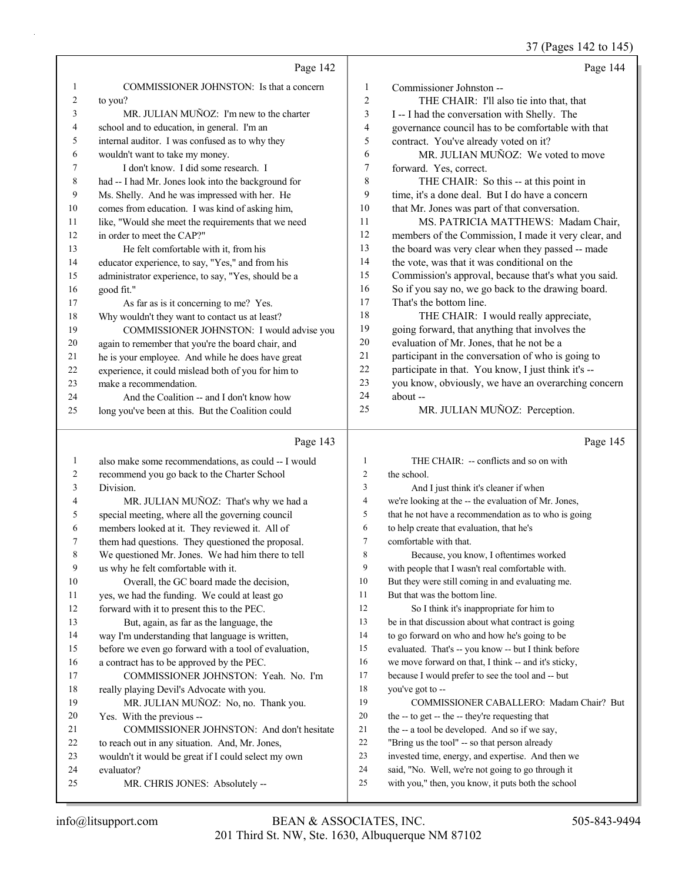37 (Pages 142 to 145)

|                | Page 142                                                 |                | Page 144                                                                                                |
|----------------|----------------------------------------------------------|----------------|---------------------------------------------------------------------------------------------------------|
| 1              | COMMISSIONER JOHNSTON: Is that a concern                 | 1              | Commissioner Johnston --                                                                                |
| $\overline{c}$ | to you?                                                  | $\overline{2}$ | THE CHAIR: I'll also tie into that, that                                                                |
| 3              | MR. JULIAN MUÑOZ: I'm new to the charter                 | 3              | I -- I had the conversation with Shelly. The                                                            |
| 4              | school and to education, in general. I'm an              | $\overline{4}$ | governance council has to be comfortable with that                                                      |
| 5              | internal auditor. I was confused as to why they          | 5              | contract. You've already voted on it?                                                                   |
| 6              | wouldn't want to take my money.                          | 6              | MR. JULIAN MUÑOZ: We voted to move                                                                      |
| 7              | I don't know. I did some research. I                     | 7              | forward. Yes, correct.                                                                                  |
| 8              | had -- I had Mr. Jones look into the background for      | 8              | THE CHAIR: So this -- at this point in                                                                  |
| 9              | Ms. Shelly. And he was impressed with her. He            | 9              | time, it's a done deal. But I do have a concern                                                         |
| 10             | comes from education. I was kind of asking him,          | 10             | that Mr. Jones was part of that conversation.                                                           |
| 11             | like, "Would she meet the requirements that we need      | 11             | MS. PATRICIA MATTHEWS: Madam Chair,                                                                     |
| 12             | in order to meet the CAP?"                               | 12             | members of the Commission, I made it very clear, and                                                    |
| 13             | He felt comfortable with it, from his                    | 13             | the board was very clear when they passed -- made                                                       |
| 14             | educator experience, to say, "Yes," and from his         | 14             | the vote, was that it was conditional on the                                                            |
| 15             | administrator experience, to say, "Yes, should be a      | 15             | Commission's approval, because that's what you said.                                                    |
| 16             | good fit."                                               | 16             | So if you say no, we go back to the drawing board.                                                      |
| 17             | As far as is it concerning to me? Yes.                   | 17             | That's the bottom line.                                                                                 |
| 18             | Why wouldn't they want to contact us at least?           | 18             | THE CHAIR: I would really appreciate,                                                                   |
| 19             | COMMISSIONER JOHNSTON: I would advise you                | 19             | going forward, that anything that involves the                                                          |
| 20             | again to remember that you're the board chair, and       | 20             | evaluation of Mr. Jones, that he not be a                                                               |
| 21             | he is your employee. And while he does have great        | 21             | participant in the conversation of who is going to                                                      |
| 22             | experience, it could mislead both of you for him to      | 22             | participate in that. You know, I just think it's --                                                     |
| 23             | make a recommendation.                                   | 23             | you know, obviously, we have an overarching concern                                                     |
| 24             | And the Coalition -- and I don't know how                | 24             | about --                                                                                                |
| 25             | long you've been at this. But the Coalition could        | 25             | MR. JULIAN MUÑOZ: Perception.                                                                           |
|                |                                                          |                |                                                                                                         |
|                | Page 143                                                 |                | Page 145                                                                                                |
| $\mathbf{1}$   | also make some recommendations, as could -- I would      | 1              | THE CHAIR: -- conflicts and so on with                                                                  |
| 2              |                                                          | 2              | the school.                                                                                             |
| 3              | recommend you go back to the Charter School<br>Division. | 3              | And I just think it's cleaner if when                                                                   |
| 4              | MR. JULIAN MUÑOZ: That's why we had a                    | $\overline{4}$ | we're looking at the -- the evaluation of Mr. Jones,                                                    |
| 5              | special meeting, where all the governing council         | 5              | that he not have a recommendation as to who is going                                                    |
| 6              | members looked at it. They reviewed it. All of           | 6              | to help create that evaluation, that he's                                                               |
| 7              | them had questions. They questioned the proposal.        | $\tau$         | comfortable with that.                                                                                  |
| 8              | We questioned Mr. Jones. We had him there to tell        | 8              | Because, you know, I oftentimes worked                                                                  |
| 9              | us why he felt comfortable with it.                      | 9              | with people that I wasn't real comfortable with.                                                        |
| 10             | Overall, the GC board made the decision,                 | 10             | But they were still coming in and evaluating me.                                                        |
| 11             | yes, we had the funding. We could at least go            | 11             | But that was the bottom line.                                                                           |
| 12             | forward with it to present this to the PEC.              | 12             | So I think it's inappropriate for him to                                                                |
| 13             | But, again, as far as the language, the                  | 13             | be in that discussion about what contract is going                                                      |
| 14             | way I'm understanding that language is written,          | 14             | to go forward on who and how he's going to be                                                           |
| 15             | before we even go forward with a tool of evaluation,     | 15             | evaluated. That's -- you know -- but I think before                                                     |
| 16             | a contract has to be approved by the PEC.                | 16             | we move forward on that, I think -- and it's sticky,                                                    |
| 17             | COMMISSIONER JOHNSTON: Yeah. No. I'm                     | 17             | because I would prefer to see the tool and -- but                                                       |
| 18             | really playing Devil's Advocate with you.                | 18             | you've got to --                                                                                        |
| 19             | MR. JULIAN MUÑOZ: No, no. Thank you.                     | 19             | COMMISSIONER CABALLERO: Madam Chair? But                                                                |
| 20             | Yes. With the previous --                                | 20             | the -- to get -- the -- they're requesting that                                                         |
| 21             | COMMISSIONER JOHNSTON: And don't hesitate                | 21             | the -- a tool be developed. And so if we say,                                                           |
| 22             | to reach out in any situation. And, Mr. Jones,           | 22             | "Bring us the tool" -- so that person already                                                           |
| 23             | wouldn't it would be great if I could select my own      | 23             | invested time, energy, and expertise. And then we                                                       |
| 24<br>25       | evaluator?<br>MR. CHRIS JONES: Absolutely --             | 24<br>25       | said, "No. Well, we're not going to go through it<br>with you," then, you know, it puts both the school |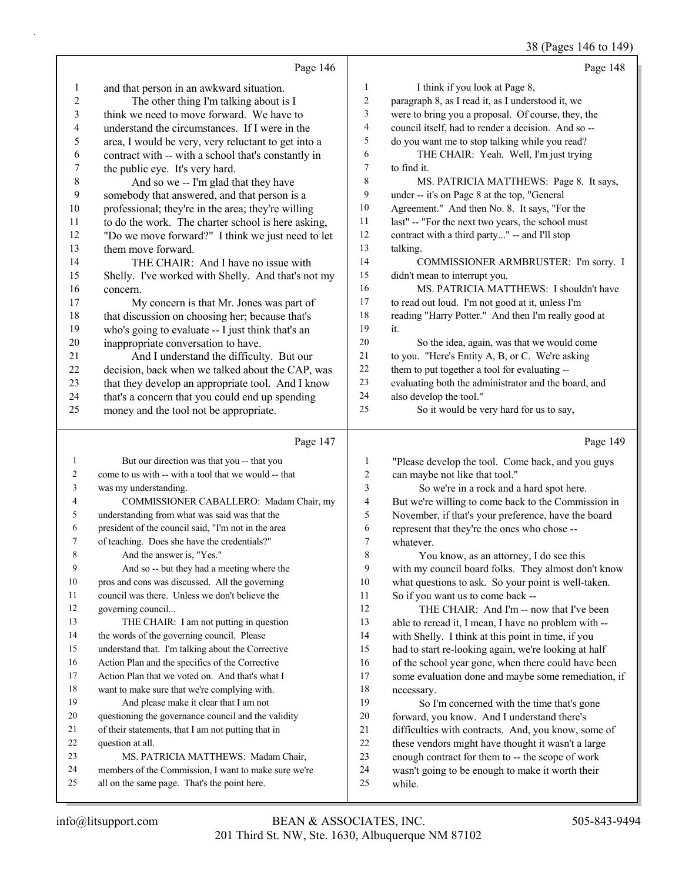|                |                                                      |                | 38 (Pages 146 to 149)                                |
|----------------|------------------------------------------------------|----------------|------------------------------------------------------|
|                | Page 146                                             |                | Page 148                                             |
| 1              | and that person in an awkward situation.             | $\mathbf{1}$   | I think if you look at Page 8,                       |
| $\overline{c}$ | The other thing I'm talking about is I               | $\mathbf{2}$   | paragraph 8, as I read it, as I understood it, we    |
| 3              | think we need to move forward. We have to            | 3              | were to bring you a proposal. Of course, they, the   |
| 4              | understand the circumstances. If I were in the       | $\overline{4}$ | council itself, had to render a decision. And so --  |
| 5              | area, I would be very, very reluctant to get into a  | 5              | do you want me to stop talking while you read?       |
| 6              | contract with -- with a school that's constantly in  | 6              | THE CHAIR: Yeah. Well, I'm just trying               |
| 7              | the public eye. It's very hard.                      | 7              | to find it.                                          |
| $8\,$          | And so we -- I'm glad that they have                 | 8              | MS. PATRICIA MATTHEWS: Page 8. It says,              |
| 9              | somebody that answered, and that person is a         | 9              | under -- it's on Page 8 at the top, "General         |
| 10             | professional; they're in the area; they're willing   | 10             | Agreement." And then No. 8. It says, "For the        |
| 11             | to do the work. The charter school is here asking,   | 11             | last" -- "For the next two years, the school must    |
| 12             | "Do we move forward?" I think we just need to let    | 12             | contract with a third party" -- and I'll stop        |
| 13             | them move forward.                                   | 13             | talking.                                             |
| 14             | THE CHAIR: And I have no issue with                  | 14             | COMMISSIONER ARMBRUSTER: I'm sorry. I                |
| 15             | Shelly. I've worked with Shelly. And that's not my   | 15             | didn't mean to interrupt you.                        |
| 16             | concern.                                             | 16             | MS. PATRICIA MATTHEWS: I shouldn't have              |
| 17             | My concern is that Mr. Jones was part of             | 17             | to read out loud. I'm not good at it, unless I'm     |
| 18             | that discussion on choosing her; because that's      | 18             | reading "Harry Potter." And then I'm really good at  |
| 19             | who's going to evaluate -- I just think that's an    | 19             | it.                                                  |
| 20             | inappropriate conversation to have.                  | 20             | So the idea, again, was that we would come           |
| 21             | And I understand the difficulty. But our             | 21             | to you. "Here's Entity A, B, or C. We're asking      |
| 22             | decision, back when we talked about the CAP, was     | 22             | them to put together a tool for evaluating --        |
| 23             | that they develop an appropriate tool. And I know    | 23             | evaluating both the administrator and the board, and |
| 24             | that's a concern that you could end up spending      | 24             | also develop the tool."                              |
| 25             | money and the tool not be appropriate.               | 25             | So it would be very hard for us to say,              |
|                | Page 147                                             |                | Page 149                                             |
| $\mathbf{1}$   | But our direction was that you -- that you           | 1              | "Please develop the tool. Come back, and you guys    |
| 2              | come to us with -- with a tool that we would -- that | 2              | can maybe not like that tool."                       |
| 3              | was my understanding.                                | 3              | So we're in a rock and a hard spot here.             |
| 4              | COMMISSIONER CABALLERO: Madam Chair, my              | 4              | But we're willing to come back to the Commission in  |
| 5              | understanding from what was said was that the        | 5              | November, if that's your preference, have the board  |
| 6              | president of the council said, "I'm not in the area  | 6              | represent that they're the ones who chose --         |
| 7              | of teaching. Does she have the credentials?"         | 7              | whatever.                                            |
| 8              | And the answer is, "Yes."                            | 8              | You know, as an attorney, I do see this              |
| 9              | And so -- but they had a meeting where the           | 9              | with my council board folks. They almost don't know  |
| 10             | pros and cons was discussed. All the governing       | 10             | what questions to ask. So your point is well-taken.  |
| 11             | council was there. Unless we don't believe the       | 11             | So if you want us to come back --                    |
| 12             | governing council                                    | 12             | THE CHAIR: And I'm -- now that I've been             |
| 13             | THE CHAIR: I am not putting in question              | 13             | able to reread it, I mean, I have no problem with -- |
| 14             | the words of the governing council. Please           | 14             | with Shelly. I think at this point in time, if you   |
| 15             | understand that. I'm talking about the Corrective    | 15             | had to start re-looking again, we're looking at half |
| 16             | Action Plan and the specifics of the Corrective      | 16             | of the school year gone, when there could have been  |
| 17             | Action Plan that we voted on. And that's what I      | 17             | some evaluation done and maybe some remediation, if  |
| 18             | want to make sure that we're complying with.         | $18\,$         | necessary.                                           |

19 So I'm concerned with the time that's gone forward, you know. And I understand there's difficulties with contracts. And, you know, some of these vendors might have thought it wasn't a large enough contract for them to -- the scope of work wasn't going to be enough to make it worth their while.

question at all.

19 And please make it clear that I am not questioning the governance council and the validity of their statements, that I am not putting that in

all on the same page. That's the point here.

23 MS. PATRICIA MATTHEWS: Madam Chair, members of the Commission, I want to make sure we're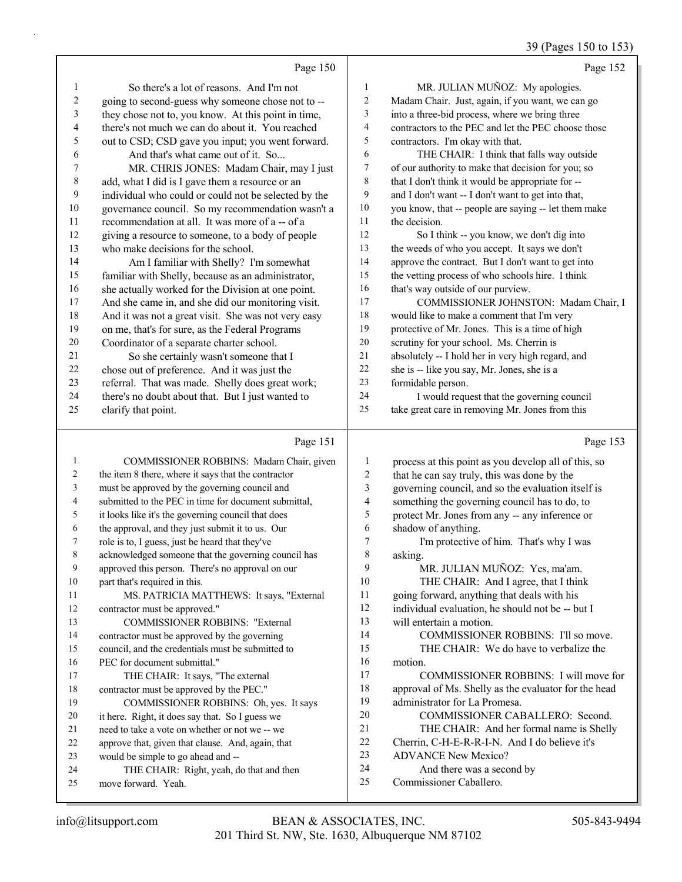### 39 (Pages 150 to 153)

|              | Page 150                                             |                | Page 152                                             |
|--------------|------------------------------------------------------|----------------|------------------------------------------------------|
| $\mathbf{1}$ | So there's a lot of reasons. And I'm not             | $\mathbf{1}$   | MR. JULIAN MUÑOZ: My apologies.                      |
| 2            | going to second-guess why someone chose not to --    | 2              | Madam Chair. Just, again, if you want, we can go     |
| 3            | they chose not to, you know. At this point in time,  | 3              | into a three-bid process, where we bring three       |
| 4            | there's not much we can do about it. You reached     | $\overline{4}$ | contractors to the PEC and let the PEC choose those  |
| 5            | out to CSD; CSD gave you input; you went forward.    | 5              | contractors. I'm okay with that.                     |
| 6            | And that's what came out of it. So                   | 6              | THE CHAIR: I think that falls way outside            |
| 7            | MR. CHRIS JONES: Madam Chair, may I just             | 7              | of our authority to make that decision for you; so   |
| 8            | add, what I did is I gave them a resource or an      | 8              | that I don't think it would be appropriate for --    |
| 9            | individual who could or could not be selected by the | 9              | and I don't want -- I don't want to get into that,   |
| 10           | governance council. So my recommendation wasn't a    | 10             | you know, that -- people are saying -- let them make |
| 11           | recommendation at all. It was more of a -- of a      | 11             | the decision.                                        |
| 12           | giving a resource to someone, to a body of people    | 12             | So I think -- you know, we don't dig into            |
| 13           | who make decisions for the school.                   | 13             | the weeds of who you accept. It says we don't        |
| 14           | Am I familiar with Shelly? I'm somewhat              | 14             | approve the contract. But I don't want to get into   |
| 15           | familiar with Shelly, because as an administrator,   | 15             | the vetting process of who schools hire. I think     |
| 16           | she actually worked for the Division at one point.   | 16             | that's way outside of our purview.                   |
| 17           | And she came in, and she did our monitoring visit.   | 17             | COMMISSIONER JOHNSTON: Madam Chair, I                |
| 18           | And it was not a great visit. She was not very easy  | 18             | would like to make a comment that I'm very           |
| 19           | on me, that's for sure, as the Federal Programs      | 19             | protective of Mr. Jones. This is a time of high      |
| 20           | Coordinator of a separate charter school.            | 20             | scrutiny for your school. Ms. Cherrin is             |
| 21           | So she certainly wasn't someone that I               | 21             | absolutely -- I hold her in very high regard, and    |
| 22           | chose out of preference. And it was just the         | 22             | she is -- like you say, Mr. Jones, she is a          |
| 23           | referral. That was made. Shelly does great work;     | 23             | formidable person.                                   |
| 24           | there's no doubt about that. But I just wanted to    | 24             | I would request that the governing council           |
| 25           | clarify that point.                                  | 25             | take great care in removing Mr. Jones from this      |
|              | Page 151                                             |                | Page 153                                             |
| 1            | COMMISSIONER ROBBINS: Madam Chair, given             | 1              | process at this point as you develop all of this, so |
| 2            | the item 8 there, where it says that the contractor  | 2              | that he can say truly, this was done by the          |
|              | must be approved by the governing council and        | $\mathbf{R}$   | coverning council and so the evaluation itself is    |

| 3  | must be approved by the governing council and        | 3  | governing council, and so the evaluation itself is   |
|----|------------------------------------------------------|----|------------------------------------------------------|
| 4  | submitted to the PEC in time for document submittal, | 4  | something the governing council has to do, to        |
| 5  | it looks like it's the governing council that does   | 5  | protect Mr. Jones from any -- any inference or       |
| 6  | the approval, and they just submit it to us. Our     | 6  | shadow of anything.                                  |
| 7  | role is to, I guess, just be heard that they've      | 7  | I'm protective of him. That's why I was              |
| 8  | acknowledged someone that the governing council has  | 8  | asking.                                              |
| 9  | approved this person. There's no approval on our     | 9  | MR. JULIAN MUÑOZ: Yes, ma'am.                        |
| 10 | part that's required in this.                        | 10 | THE CHAIR: And I agree, that I think                 |
| 11 | MS. PATRICIA MATTHEWS: It says, "External            | 11 | going forward, anything that deals with his          |
| 12 | contractor must be approved."                        | 12 | individual evaluation, he should not be -- but I     |
| 13 | <b>COMMISSIONER ROBBINS: "External</b>               | 13 | will entertain a motion.                             |
| 14 | contractor must be approved by the governing         | 14 | COMMISSIONER ROBBINS: I'll so move.                  |
| 15 | council, and the credentials must be submitted to    | 15 | THE CHAIR: We do have to verbalize the               |
| 16 | PEC for document submittal."                         | 16 | motion.                                              |
| 17 | THE CHAIR: It says, "The external                    | 17 | COMMISSIONER ROBBINS: I will move for                |
| 18 | contractor must be approved by the PEC."             | 18 | approval of Ms. Shelly as the evaluator for the head |
| 19 | COMMISSIONER ROBBINS: Oh, yes. It says               | 19 | administrator for La Promesa.                        |
| 20 | it here. Right, it does say that. So I guess we      | 20 | COMMISSIONER CABALLERO: Second.                      |
| 21 | need to take a vote on whether or not we -- we       | 21 | THE CHAIR: And her formal name is Shelly             |
| 22 | approve that, given that clause. And, again, that    | 22 | Cherrin, C-H-E-R-R-I-N. And I do believe it's        |
| 23 | would be simple to go ahead and --                   | 23 | <b>ADVANCE New Mexico?</b>                           |
| 24 | THE CHAIR: Right, yeah, do that and then             | 24 | And there was a second by                            |
| 25 | move forward. Yeah.                                  | 25 | Commissioner Caballero.                              |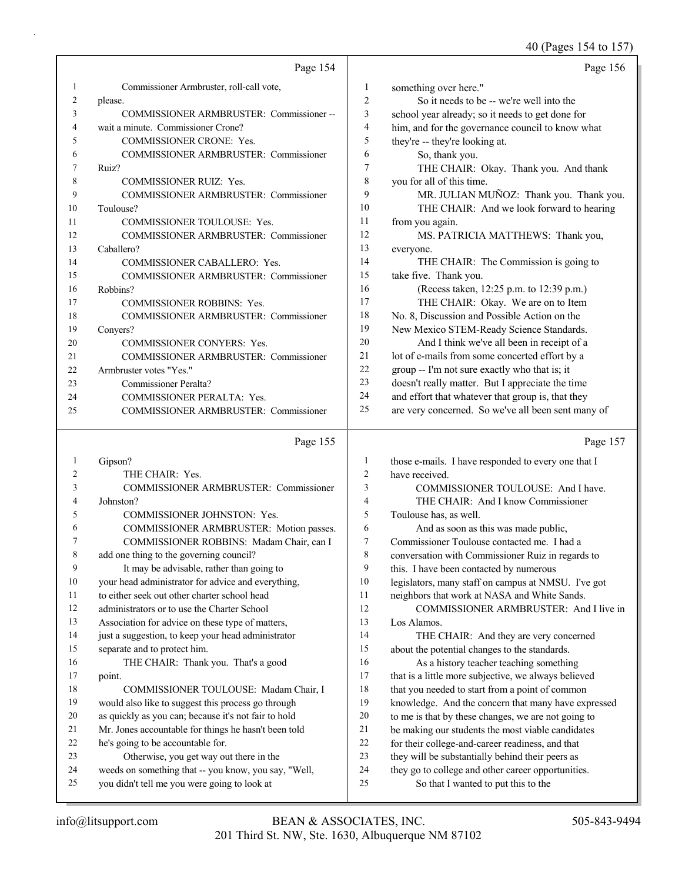### 40 (Pages 154 to 157)

|    | Page 154                                     |                | Page 156                                           |
|----|----------------------------------------------|----------------|----------------------------------------------------|
| 1  | Commissioner Armbruster, roll-call vote,     | 1              | something over here."                              |
| 2  | please.                                      | $\overline{2}$ | So it needs to be -- we're well into the           |
| 3  | COMMISSIONER ARMBRUSTER: Commissioner--      | 3              | school year already; so it needs to get done for   |
| 4  | wait a minute. Commissioner Crone?           | 4              | him, and for the governance council to know what   |
| 5  | <b>COMMISSIONER CRONE: Yes.</b>              | 5              | they're -- they're looking at.                     |
| 6  | <b>COMMISSIONER ARMBRUSTER: Commissioner</b> | 6              | So, thank you.                                     |
|    | Ruiz?                                        | 7              | THE CHAIR: Okay. Thank you. And thank              |
| 8  | <b>COMMISSIONER RUIZ: Yes.</b>               | 8              | you for all of this time.                          |
| 9  | <b>COMMISSIONER ARMBRUSTER: Commissioner</b> | 9              | MR. JULIAN MUÑOZ: Thank you. Thank you.            |
| 10 | Toulouse?                                    | 10             | THE CHAIR: And we look forward to hearing          |
| 11 | <b>COMMISSIONER TOULOUSE: Yes.</b>           | 11             | from you again.                                    |
| 12 | <b>COMMISSIONER ARMBRUSTER: Commissioner</b> | 12             | MS. PATRICIA MATTHEWS: Thank you,                  |
| 13 | Caballero?                                   | 13             | everyone.                                          |
| 14 | <b>COMMISSIONER CABALLERO: Yes.</b>          | 14             | THE CHAIR: The Commission is going to              |
| 15 | <b>COMMISSIONER ARMBRUSTER: Commissioner</b> | 15             | take five. Thank you.                              |
| 16 | Robbins?                                     | 16             | (Recess taken, 12:25 p.m. to 12:39 p.m.)           |
| 17 | <b>COMMISSIONER ROBBINS: Yes.</b>            | 17             | THE CHAIR: Okay. We are on to Item                 |
| 18 | <b>COMMISSIONER ARMBRUSTER: Commissioner</b> | 18             | No. 8, Discussion and Possible Action on the       |
| 19 | Conyers?                                     | 19             | New Mexico STEM-Ready Science Standards.           |
| 20 | <b>COMMISSIONER CONYERS: Yes.</b>            | 20             | And I think we've all been in receipt of a         |
| 21 | <b>COMMISSIONER ARMBRUSTER: Commissioner</b> | 21             | lot of e-mails from some concerted effort by a     |
| 22 | Armbruster votes "Yes."                      | 22             | group -- I'm not sure exactly who that is; it      |
| 23 | Commissioner Peralta?                        | 23             | doesn't really matter. But I appreciate the time   |
| 24 | <b>COMMISSIONER PERALTA: Yes.</b>            | 24             | and effort that whatever that group is, that they  |
| 25 | <b>COMMISSIONER ARMBRUSTER: Commissioner</b> | 25             | are very concerned. So we've all been sent many of |
|    | Page 155                                     |                | Page 157                                           |

# Page 155

| 1              | Gipson?                                              | 1  | those e-mails. I have responded to every one that I  |
|----------------|------------------------------------------------------|----|------------------------------------------------------|
| $\overline{c}$ | THE CHAIR: Yes.                                      | 2  | have received.                                       |
| 3              | COMMISSIONER ARMBRUSTER: Commissioner                | 3  | COMMISSIONER TOULOUSE: And I have.                   |
| 4              | Johnston?                                            | 4  | THE CHAIR: And I know Commissioner                   |
| 5              | <b>COMMISSIONER JOHNSTON: Yes.</b>                   | 5  | Toulouse has, as well.                               |
| 6              | COMMISSIONER ARMBRUSTER: Motion passes.              | 6  | And as soon as this was made public,                 |
|                | COMMISSIONER ROBBINS: Madam Chair, can I             | 7  | Commissioner Toulouse contacted me. I had a          |
| 8              | add one thing to the governing council?              | 8  | conversation with Commissioner Ruiz in regards to    |
| 9              | It may be advisable, rather than going to            | 9  | this. I have been contacted by numerous              |
| 10             | your head administrator for advice and everything,   | 10 | legislators, many staff on campus at NMSU. I've got  |
| 11             | to either seek out other charter school head         | 11 | neighbors that work at NASA and White Sands.         |
| 12             | administrators or to use the Charter School          | 12 | COMMISSIONER ARMBRUSTER: And I live in               |
| 13             | Association for advice on these type of matters,     | 13 | Los Alamos.                                          |
| 14             | just a suggestion, to keep your head administrator   | 14 | THE CHAIR: And they are very concerned               |
| 15             | separate and to protect him.                         | 15 | about the potential changes to the standards.        |
| 16             | THE CHAIR: Thank you. That's a good                  | 16 | As a history teacher teaching something              |
| 17             | point.                                               | 17 | that is a little more subjective, we always believed |
| 18             | COMMISSIONER TOULOUSE: Madam Chair, I                | 18 | that you needed to start from a point of common      |
| 19             | would also like to suggest this process go through   | 19 | knowledge. And the concern that many have expressed  |
| 20             | as quickly as you can; because it's not fair to hold | 20 | to me is that by these changes, we are not going to  |
| 21             | Mr. Jones accountable for things he hasn't been told | 21 | be making our students the most viable candidates    |
| 22             | he's going to be accountable for.                    | 22 | for their college-and-career readiness, and that     |
| 23             | Otherwise, you get way out there in the              | 23 | they will be substantially behind their peers as     |
| 24             | weeds on something that -- you know, you say, "Well, | 24 | they go to college and other career opportunities.   |
| 25             | you didn't tell me you were going to look at         | 25 | So that I wanted to put this to the                  |
|                |                                                      |    |                                                      |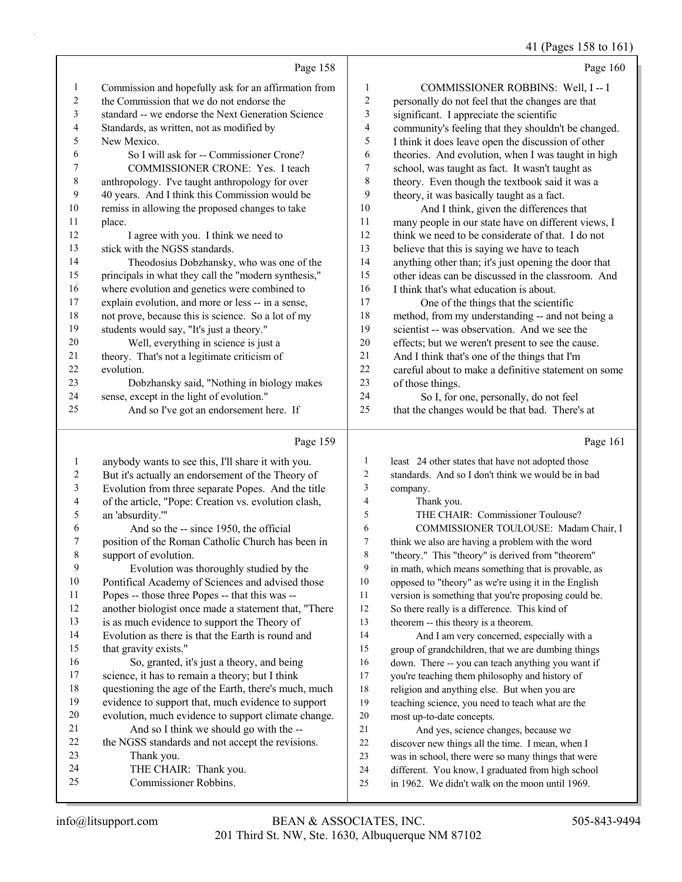### (Pages 158 to 16)

|              |                                                      |                  | 41 (Pages 158 to 161                                                                                 |
|--------------|------------------------------------------------------|------------------|------------------------------------------------------------------------------------------------------|
|              | Page 158                                             |                  | Page 160                                                                                             |
| $\mathbf{1}$ | Commission and hopefully ask for an affirmation from | 1                | COMMISSIONER ROBBINS: Well, I -- I                                                                   |
| 2            | the Commission that we do not endorse the            | 2                | personally do not feel that the changes are that                                                     |
| 3            | standard -- we endorse the Next Generation Science   | 3                | significant. I appreciate the scientific                                                             |
| 4            | Standards, as written, not as modified by            | 4                | community's feeling that they shouldn't be changed.                                                  |
| 5            | New Mexico.                                          | 5                | I think it does leave open the discussion of other                                                   |
| 6            | So I will ask for -- Commissioner Crone?             | 6                | theories. And evolution, when I was taught in high                                                   |
| 7            | COMMISSIONER CRONE: Yes. I teach                     | 7                | school, was taught as fact. It wasn't taught as                                                      |
| 8            | anthropology. I've taught anthropology for over      | 8                | theory. Even though the textbook said it was a                                                       |
| 9            | 40 years. And I think this Commission would be       | 9                | theory, it was basically taught as a fact.                                                           |
| 10           | remiss in allowing the proposed changes to take      | 10               | And I think, given the differences that                                                              |
| 11           | place.                                               | 11               | many people in our state have on different views, I                                                  |
| 12           | I agree with you. I think we need to                 | 12               | think we need to be considerate of that. I do not                                                    |
| 13           | stick with the NGSS standards.                       | 13               | believe that this is saying we have to teach                                                         |
| 14           | Theodosius Dobzhansky, who was one of the            | 14               | anything other than; it's just opening the door that                                                 |
| 15           | principals in what they call the "modern synthesis," | 15               | other ideas can be discussed in the classroom. And                                                   |
| 16           | where evolution and genetics were combined to        | 16               | I think that's what education is about.                                                              |
| 17           | explain evolution, and more or less -- in a sense,   | 17               | One of the things that the scientific                                                                |
| 18           | not prove, because this is science. So a lot of my   | 18               | method, from my understanding -- and not being a                                                     |
| 19           | students would say, "It's just a theory."            | 19               | scientist -- was observation. And we see the                                                         |
| 20           | Well, everything in science is just a                | $20\,$           | effects; but we weren't present to see the cause.                                                    |
| 21           | theory. That's not a legitimate criticism of         | 21               | And I think that's one of the things that I'm                                                        |
| 22           | evolution.                                           | 22               | careful about to make a definitive statement on some                                                 |
| 23           | Dobzhansky said, "Nothing in biology makes           | 23               | of those things.                                                                                     |
| 24           | sense, except in the light of evolution."            | 24               | So I, for one, personally, do not feel                                                               |
| 25           | And so I've got an endorsement here. If              | 25               | that the changes would be that bad. There's at                                                       |
|              | Page 159                                             |                  | Page 161                                                                                             |
| $\mathbf{1}$ | anybody wants to see this, I'll share it with you.   | 1                | least 24 other states that have not adopted those                                                    |
| 2            | But it's actually an endorsement of the Theory of    | $\boldsymbol{2}$ | standards. And so I don't think we would be in bad                                                   |
| 3            | Evolution from three separate Popes. And the title   | 3                | company.                                                                                             |
| 4            | of the article, "Pope: Creation vs. evolution clash, | $\overline{4}$   | Thank you.                                                                                           |
| 5            | an 'absurdity.""                                     | 5                | THE CHAIR: Commissioner Toulouse?                                                                    |
| 6            | And so the -- since 1950, the official               | 6                | COMMISSIONER TOULOUSE: Madam Chair, I                                                                |
| 7            | position of the Roman Catholic Church has been in    | 7                | think we also are having a problem with the word                                                     |
| 8            | support of evolution.                                | 8                | "theory." This "theory" is derived from "theorem"                                                    |
| 9            | Evolution was thoroughly studied by the              | 9                | in math, which means something that is provable, as                                                  |
| 10           | Pontifical Academy of Sciences and advised those     | 10               | opposed to "theory" as we're using it in the English                                                 |
| 11           | Popes -- those three Popes -- that this was --       | 11               | version is something that you're proposing could be.                                                 |
| 12           | another biologist once made a statement that, "There | 12               | So there really is a difference. This kind of                                                        |
| 13           | is as much evidence to support the Theory of         | 13               | theorem -- this theory is a theorem.                                                                 |
| 14           | Evolution as there is that the Earth is round and    | 14               | And I am very concerned, especially with a                                                           |
| 15           | that gravity exists."                                | 15               | group of grandchildren, that we are dumbing things                                                   |
| 16           | So, granted, it's just a theory, and being           | 16               | down. There -- you can teach anything you want if                                                    |
| 17           | science, it has to remain a theory; but I think      | 17               | you're teaching them philosophy and history of                                                       |
| 18           | questioning the age of the Earth, there's much, much | 18               | religion and anything else. But when you are                                                         |
| 19           | evidence to support that, much evidence to support   | 19               | teaching science, you need to teach what are the                                                     |
| 20           | evolution, much evidence to support climate change.  | 20               | most up-to-date concepts.                                                                            |
| 21           | And so I think we should go with the --              | 21               | And yes, science changes, because we                                                                 |
| 22           | the NGSS standards and not accept the revisions.     | 22               | discover new things all the time. I mean, when I                                                     |
| 23<br>24     | Thank you.                                           | 23               | was in school, there were so many things that were                                                   |
| 25           | THE CHAIR: Thank you.<br>Commissioner Robbins.       | 24<br>25         | different. You know, I graduated from high school<br>in 1962. We didn't walk on the moon until 1969. |
|              |                                                      |                  |                                                                                                      |

in 1962. We didn't walk on the moon until 1969.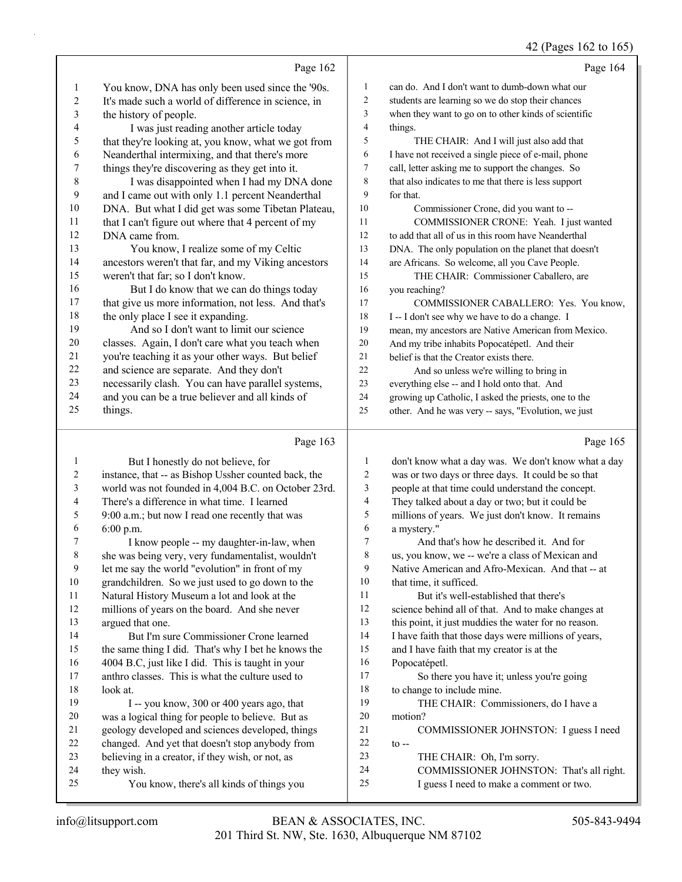42 (Pages 162 to 165)

|              |                                                                   |          | 42 (Pages 162 to 165)                                                                |
|--------------|-------------------------------------------------------------------|----------|--------------------------------------------------------------------------------------|
|              | Page 162                                                          |          | Page 164                                                                             |
| $\mathbf{1}$ | You know, DNA has only been used since the '90s.                  | 1        | can do. And I don't want to dumb-down what our                                       |
| 2            | It's made such a world of difference in science, in               | 2        | students are learning so we do stop their chances                                    |
| 3            | the history of people.                                            | 3        | when they want to go on to other kinds of scientific                                 |
| 4            | I was just reading another article today                          | 4        | things.                                                                              |
| 5            | that they're looking at, you know, what we got from               | 5        | THE CHAIR: And I will just also add that                                             |
| 6            | Neanderthal intermixing, and that there's more                    | 6        | I have not received a single piece of e-mail, phone                                  |
| 7            | things they're discovering as they get into it.                   | 7        | call, letter asking me to support the changes. So                                    |
| 8            | I was disappointed when I had my DNA done                         | 8        | that also indicates to me that there is less support                                 |
| 9            | and I came out with only 1.1 percent Neanderthal                  | 9        | for that.                                                                            |
| 10           | DNA. But what I did get was some Tibetan Plateau,                 | 10       | Commissioner Crone, did you want to --                                               |
| 11           | that I can't figure out where that 4 percent of my                | 11       | COMMISSIONER CRONE: Yeah. I just wanted                                              |
| 12           | DNA came from.                                                    | 12       | to add that all of us in this room have Neanderthal                                  |
| 13           | You know, I realize some of my Celtic                             | 13       | DNA. The only population on the planet that doesn't                                  |
| 14           | ancestors weren't that far, and my Viking ancestors               | 14       | are Africans. So welcome, all you Cave People.                                       |
| 15           | weren't that far; so I don't know.                                | 15       | THE CHAIR: Commissioner Caballero, are                                               |
| 16           | But I do know that we can do things today                         | 16       | you reaching?                                                                        |
| 17           | that give us more information, not less. And that's               | 17       | COMMISSIONER CABALLERO: Yes. You know,                                               |
| 18           | the only place I see it expanding.                                | 18       | I -- I don't see why we have to do a change. I                                       |
| 19           | And so I don't want to limit our science                          | 19       | mean, my ancestors are Native American from Mexico.                                  |
| 20           | classes. Again, I don't care what you teach when                  | 20       | And my tribe inhabits Popocatépetl. And their                                        |
| 21           | you're teaching it as your other ways. But belief                 | 21       | belief is that the Creator exists there.                                             |
| 22           | and science are separate. And they don't                          | 22       | And so unless we're willing to bring in                                              |
| 23           | necessarily clash. You can have parallel systems,                 | 23       | everything else -- and I hold onto that. And                                         |
| 24           | and you can be a true believer and all kinds of                   | 24       | growing up Catholic, I asked the priests, one to the                                 |
| 25           | things.                                                           | 25       | other. And he was very -- says, "Evolution, we just                                  |
|              |                                                                   |          |                                                                                      |
|              |                                                                   |          |                                                                                      |
|              | Page 163                                                          |          | Page 165                                                                             |
| 1            | But I honestly do not believe, for                                | 1        | don't know what a day was. We don't know what a day                                  |
| 2            | instance, that -- as Bishop Ussher counted back, the              | 2        | was or two days or three days. It could be so that                                   |
| 3<br>4       | world was not founded in 4,004 B.C. on October 23rd.              | 3        | people at that time could understand the concept.                                    |
| 5            | There's a difference in what time. I learned                      | 4        | They talked about a day or two; but it could be                                      |
|              | 9:00 a.m.; but now I read one recently that was                   | 5        | millions of years. We just don't know. It remains                                    |
| 6            | 6:00 p.m.                                                         | 6<br>7   | a mystery."                                                                          |
| 8            | I know people -- my daughter-in-law, when                         | 8        | And that's how he described it. And for                                              |
| 9            | she was being very, very fundamentalist, wouldn't                 | 9        | us, you know, we -- we're a class of Mexican and                                     |
| 10           | let me say the world "evolution" in front of my                   | 10       | Native American and Afro-Mexican. And that -- at<br>that time, it sufficed.          |
| 11           | grandchildren. So we just used to go down to the                  | 11       | But it's well-established that there's                                               |
| 12           | Natural History Museum a lot and look at the                      | 12       | science behind all of that. And to make changes at                                   |
| 13           | millions of years on the board. And she never<br>argued that one. | 13       | this point, it just muddies the water for no reason.                                 |
| 14           | But I'm sure Commissioner Crone learned                           | 14       | I have faith that those days were millions of years,                                 |
| 15           | the same thing I did. That's why I bet he knows the               | 15       | and I have faith that my creator is at the                                           |
| 16           | 4004 B.C, just like I did. This is taught in your                 | 16       | Popocatépetl.                                                                        |
| 17           | anthro classes. This is what the culture used to                  | 17       | So there you have it; unless you're going                                            |
| 18           | look at.                                                          | 18       | to change to include mine.                                                           |
| 19           | I -- you know, 300 or 400 years ago, that                         | 19       | THE CHAIR: Commissioners, do I have a                                                |
| 20           | was a logical thing for people to believe. But as                 | 20       | motion?                                                                              |
| 21           | geology developed and sciences developed, things                  | 21       | COMMISSIONER JOHNSTON: I guess I need                                                |
| 22           | changed. And yet that doesn't stop anybody from                   | 22       | $\mathfrak{t}$ --                                                                    |
| 23           | believing in a creator, if they wish, or not, as                  | 23       | THE CHAIR: Oh, I'm sorry.                                                            |
| 24<br>25     | they wish.<br>You know, there's all kinds of things you           | 24<br>25 | COMMISSIONER JOHNSTON: That's all right.<br>I guess I need to make a comment or two. |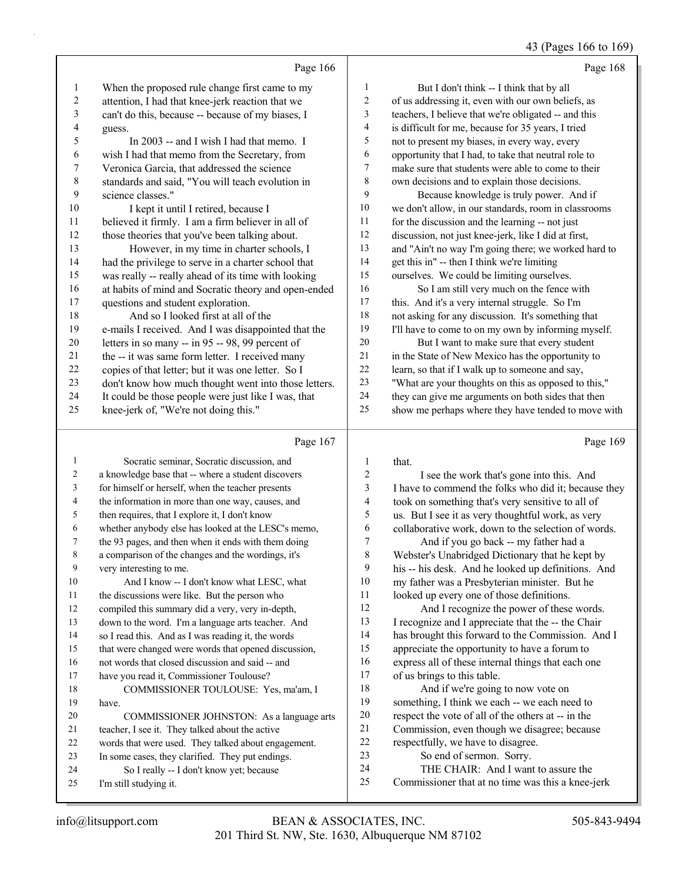### 43 (Pages 166 to 169)

|           | Page 166                                             |              | Page 168                                             |
|-----------|------------------------------------------------------|--------------|------------------------------------------------------|
| 1         | When the proposed rule change first came to my       | $\mathbf{1}$ | But I don't think -- I think that by all             |
| 2         | attention, I had that knee-jerk reaction that we     | 2            | of us addressing it, even with our own beliefs, as   |
| 3         | can't do this, because -- because of my biases, I    | 3            | teachers, I believe that we're obligated -- and this |
| 4         | guess.                                               | 4            | is difficult for me, because for 35 years, I tried   |
| 5         | In 2003 -- and I wish I had that memo. I             | 5            | not to present my biases, in every way, every        |
| 6         | wish I had that memo from the Secretary, from        | 6            | opportunity that I had, to take that neutral role to |
| 7         | Veronica Garcia, that addressed the science          | 7            | make sure that students were able to come to their   |
| $\,$ $\,$ | standards and said, "You will teach evolution in     | 8            | own decisions and to explain those decisions.        |
| 9         | science classes."                                    | 9            | Because knowledge is truly power. And if             |
| 10        | I kept it until I retired, because I                 | 10           | we don't allow, in our standards, room in classrooms |
| 11        | believed it firmly. I am a firm believer in all of   | 11           | for the discussion and the learning -- not just      |
| 12        | those theories that you've been talking about.       | 12           | discussion, not just knee-jerk, like I did at first, |
| 13        | However, in my time in charter schools, I            | 13           | and "Ain't no way I'm going there; we worked hard to |
| 14        | had the privilege to serve in a charter school that  | 14           | get this in" -- then I think we're limiting          |
| 15        | was really -- really ahead of its time with looking  | 15           | ourselves. We could be limiting ourselves.           |
| 16        | at habits of mind and Socratic theory and open-ended | 16           | So I am still very much on the fence with            |
| 17        | questions and student exploration.                   | 17           | this. And it's a very internal struggle. So I'm      |
| 18        | And so I looked first at all of the                  | 18           | not asking for any discussion. It's something that   |
| 19        | e-mails I received. And I was disappointed that the  | 19           | I'll have to come to on my own by informing myself.  |
| 20        | letters in so many -- in 95 -- 98, 99 percent of     | 20           | But I want to make sure that every student           |
| 21        | the -- it was same form letter. I received many      | 21           | in the State of New Mexico has the opportunity to    |
| 22        | copies of that letter; but it was one letter. So I   | 22           | learn, so that if I walk up to someone and say,      |
| 23        | don't know how much thought went into those letters. | 23           | "What are your thoughts on this as opposed to this," |
| 24        | It could be those people were just like I was, that  | 24           | they can give me arguments on both sides that then   |
| 25        | knee-jerk of, "We're not doing this."                | 25           | show me perhaps where they have tended to move with  |
|           | Page 167                                             |              | Page 169                                             |

# Page 167 |

|    | Socratic seminar, Socratic discussion, and           | 1  | that.                                                |
|----|------------------------------------------------------|----|------------------------------------------------------|
| 2  | a knowledge base that -- where a student discovers   | 2  | I see the work that's gone into this. And            |
| 3  | for himself or herself, when the teacher presents    | 3  | I have to commend the folks who did it; because they |
| 4  | the information in more than one way, causes, and    | 4  | took on something that's very sensitive to all of    |
| 5  | then requires, that I explore it, I don't know       | 5  | us. But I see it as very thoughtful work, as very    |
| 6  | whether anybody else has looked at the LESC's memo,  | 6  | collaborative work, down to the selection of words.  |
| 7  | the 93 pages, and then when it ends with them doing  | 7  | And if you go back -- my father had a                |
| 8  | a comparison of the changes and the wordings, it's   | 8  | Webster's Unabridged Dictionary that he kept by      |
| 9  | very interesting to me.                              | 9  | his -- his desk. And he looked up definitions. And   |
| 10 | And I know -- I don't know what LESC, what           | 10 | my father was a Presbyterian minister. But he        |
| 11 | the discussions were like. But the person who        | 11 | looked up every one of those definitions.            |
| 12 | compiled this summary did a very, very in-depth,     | 12 | And I recognize the power of these words.            |
| 13 | down to the word. I'm a language arts teacher. And   | 13 | I recognize and I appreciate that the -- the Chair   |
| 14 | so I read this. And as I was reading it, the words   | 14 | has brought this forward to the Commission. And I    |
| 15 | that were changed were words that opened discussion, | 15 | appreciate the opportunity to have a forum to        |
| 16 | not words that closed discussion and said -- and     | 16 | express all of these internal things that each one   |
| 17 | have you read it, Commissioner Toulouse?             | 17 | of us brings to this table.                          |
| 18 | COMMISSIONER TOULOUSE: Yes, ma'am, I                 | 18 | And if we're going to now vote on                    |
| 19 | have.                                                | 19 | something, I think we each -- we each need to        |
| 20 | COMMISSIONER JOHNSTON: As a language arts            | 20 | respect the vote of all of the others at -- in the   |
| 21 | teacher, I see it. They talked about the active      | 21 | Commission, even though we disagree; because         |
| 22 | words that were used. They talked about engagement.  | 22 | respectfully, we have to disagree.                   |
| 23 | In some cases, they clarified. They put endings.     | 23 | So end of sermon. Sorry.                             |
| 24 | So I really -- I don't know yet; because             | 24 | THE CHAIR: And I want to assure the                  |
| 25 | I'm still studying it.                               | 25 | Commissioner that at no time was this a knee-jerk    |
|    |                                                      |    |                                                      |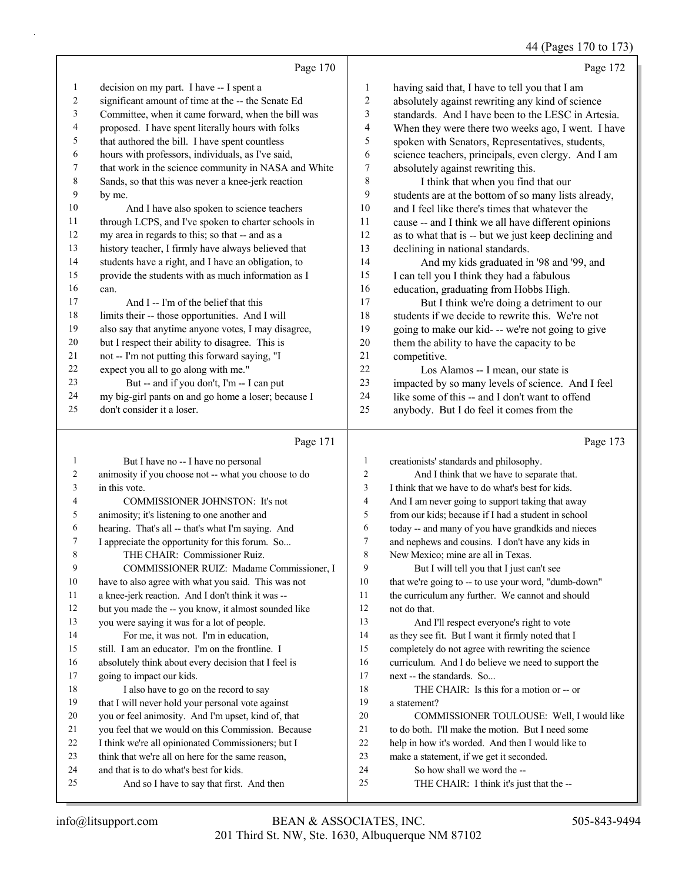# 44 (Pages 170 to 173)

|    | Page 170                                             |                | Page 172                                             |
|----|------------------------------------------------------|----------------|------------------------------------------------------|
| 1  | decision on my part. I have -- I spent a             | 1              | having said that, I have to tell you that I am       |
| 2  | significant amount of time at the -- the Senate Ed   | $\overline{2}$ | absolutely against rewriting any kind of science     |
| 3  | Committee, when it came forward, when the bill was   | 3              | standards. And I have been to the LESC in Artesia.   |
| 4  | proposed. I have spent literally hours with folks    | 4              | When they were there two weeks ago, I went. I have   |
| 5  | that authored the bill. I have spent countless       | 5              | spoken with Senators, Representatives, students,     |
| 6  | hours with professors, individuals, as I've said,    | 6              | science teachers, principals, even clergy. And I am  |
| 7  | that work in the science community in NASA and White | 7              | absolutely against rewriting this.                   |
| 8  | Sands, so that this was never a knee-jerk reaction   | 8              | I think that when you find that our                  |
| 9  | by me.                                               | 9              | students are at the bottom of so many lists already, |
| 10 | And I have also spoken to science teachers           | 10             | and I feel like there's times that whatever the      |
| 11 | through LCPS, and I've spoken to charter schools in  | 11             | cause -- and I think we all have different opinions  |
| 12 | my area in regards to this; so that -- and as a      | 12             | as to what that is -- but we just keep declining and |
| 13 | history teacher, I firmly have always believed that  | 13             | declining in national standards.                     |
| 14 | students have a right, and I have an obligation, to  | 14             | And my kids graduated in '98 and '99, and            |
| 15 | provide the students with as much information as I   | 15             | I can tell you I think they had a fabulous           |
| 16 | can.                                                 | 16             | education, graduating from Hobbs High.               |
| 17 | And I -- I'm of the belief that this                 | 17             | But I think we're doing a detriment to our           |
| 18 | limits their -- those opportunities. And I will      | 18             | students if we decide to rewrite this. We're not     |
| 19 | also say that anytime anyone votes, I may disagree,  | 19             | going to make our kid- -- we're not going to give    |
| 20 | but I respect their ability to disagree. This is     | 20             | them the ability to have the capacity to be          |
| 21 | not -- I'm not putting this forward saying, "I       | 21             | competitive.                                         |
| 22 | expect you all to go along with me."                 | 22             | Los Alamos -- I mean, our state is                   |
| 23 | But -- and if you don't, I'm -- I can put            | 23             | impacted by so many levels of science. And I feel    |
| 24 | my big-girl pants on and go home a loser; because I  | 24             | like some of this -- and I don't want to offend      |
| 25 | don't consider it a loser.                           | 25             | anybody. But I do feel it comes from the             |
|    | Page 171                                             |                | Page 173                                             |

|                | But I have no -- I have no personal                  | 1              | creationists' standards and philosophy.              |
|----------------|------------------------------------------------------|----------------|------------------------------------------------------|
| $\overline{2}$ | animosity if you choose not -- what you choose to do | $\overline{c}$ | And I think that we have to separate that.           |
| 3              | in this vote.                                        | 3              | I think that we have to do what's best for kids.     |
| $\overline{4}$ | COMMISSIONER JOHNSTON: It's not                      | 4              | And I am never going to support taking that away     |
| 5              | animosity; it's listening to one another and         | 5              | from our kids; because if I had a student in school  |
| 6              | hearing. That's all -- that's what I'm saying. And   | 6              | today -- and many of you have grandkids and nieces   |
| 7              | I appreciate the opportunity for this forum. So      | 7              | and nephews and cousins. I don't have any kids in    |
| 8              | THE CHAIR: Commissioner Ruiz.                        | 8              | New Mexico; mine are all in Texas.                   |
| 9              | COMMISSIONER RUIZ: Madame Commissioner, I            | 9              | But I will tell you that I just can't see            |
| 10             | have to also agree with what you said. This was not  | 10             | that we're going to -- to use your word, "dumb-down" |
| 11             | a knee-jerk reaction. And I don't think it was --    | 11             | the curriculum any further. We cannot and should     |
| 12             | but you made the -- you know, it almost sounded like | 12             | not do that.                                         |
| 13             | you were saying it was for a lot of people.          | 13             | And I'll respect everyone's right to vote            |
| 14             | For me, it was not. I'm in education,                | 14             | as they see fit. But I want it firmly noted that I   |
| 15             | still. I am an educator. I'm on the frontline. I     | 15             | completely do not agree with rewriting the science   |
| 16             | absolutely think about every decision that I feel is | 16             | curriculum. And I do believe we need to support the  |
| 17             | going to impact our kids.                            | 17             | next -- the standards. So                            |
| 18             | I also have to go on the record to say               | 18             | THE CHAIR: Is this for a motion or -- or             |
| 19             | that I will never hold your personal vote against    | 19             | a statement?                                         |
| 20             | you or feel animosity. And I'm upset, kind of, that  | 20             | COMMISSIONER TOULOUSE: Well, I would like            |
| 21             | you feel that we would on this Commission. Because   | 21             | to do both. I'll make the motion. But I need some    |
| 22             | I think we're all opinionated Commissioners; but I   | 22             | help in how it's worded. And then I would like to    |
| 23             | think that we're all on here for the same reason,    | 23             | make a statement, if we get it seconded.             |
| 24             | and that is to do what's best for kids.              | 24             | So how shall we word the --                          |
| 25             | And so I have to say that first. And then            | 25             | THE CHAIR: I think it's just that the --             |
|                |                                                      |                |                                                      |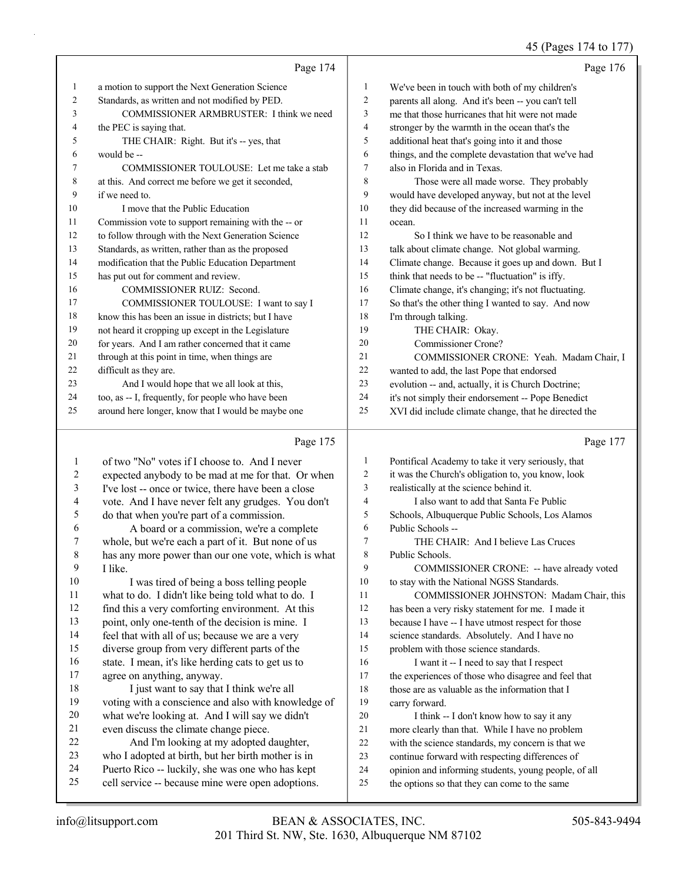# 45 (Pages 174 to 177)

|    | Page 174                                             |                | Page 176                                             |
|----|------------------------------------------------------|----------------|------------------------------------------------------|
| 1  | a motion to support the Next Generation Science      | 1              | We've been in touch with both of my children's       |
| 2  | Standards, as written and not modified by PED.       | 2              | parents all along. And it's been -- you can't tell   |
| 3  | COMMISSIONER ARMBRUSTER: I think we need             | 3              | me that those hurricanes that hit were not made      |
| 4  | the PEC is saying that.                              | $\overline{4}$ | stronger by the warmth in the ocean that's the       |
| 5  | THE CHAIR: Right. But it's -- yes, that              | 5              | additional heat that's going into it and those       |
| 6  | would be --                                          | 6              | things, and the complete devastation that we've had  |
| 7  | COMMISSIONER TOULOUSE: Let me take a stab            | 7              | also in Florida and in Texas.                        |
| 8  | at this. And correct me before we get it seconded,   | 8              | Those were all made worse. They probably             |
| 9  | if we need to.                                       | 9              | would have developed anyway, but not at the level    |
| 10 | I move that the Public Education                     | 10             | they did because of the increased warming in the     |
| 11 | Commission vote to support remaining with the -- or  | 11             | ocean.                                               |
| 12 | to follow through with the Next Generation Science   | 12             | So I think we have to be reasonable and              |
| 13 | Standards, as written, rather than as the proposed   | 13             | talk about climate change. Not global warming.       |
| 14 | modification that the Public Education Department    | 14             | Climate change. Because it goes up and down. But I   |
| 15 | has put out for comment and review.                  | 15             | think that needs to be -- "fluctuation" is iffy.     |
| 16 | <b>COMMISSIONER RUIZ: Second.</b>                    | 16             | Climate change, it's changing; it's not fluctuating. |
| 17 | COMMISSIONER TOULOUSE: I want to say I               | 17             | So that's the other thing I wanted to say. And now   |
| 18 | know this has been an issue in districts; but I have | 18             | I'm through talking.                                 |
| 19 | not heard it cropping up except in the Legislature   | 19             | THE CHAIR: Okay.                                     |
| 20 | for years. And I am rather concerned that it came    | 20             | Commissioner Crone?                                  |
| 21 | through at this point in time, when things are       | 21             | COMMISSIONER CRONE: Yeah. Madam Chair, I             |
| 22 | difficult as they are.                               | 22             | wanted to add, the last Pope that endorsed           |
| 23 | And I would hope that we all look at this,           | 23             | evolution -- and, actually, it is Church Doctrine;   |
| 24 | too, as -- I, frequently, for people who have been   | 24             | it's not simply their endorsement -- Pope Benedict   |
| 25 | around here longer, know that I would be maybe one   | 25             | XVI did include climate change, that he directed the |
|    |                                                      |                |                                                      |

# Page 175

| 1  | of two "No" votes if I choose to. And I never       | 1  | Pontifical Academy to take it very seriously, that   |
|----|-----------------------------------------------------|----|------------------------------------------------------|
| 2  | expected anybody to be mad at me for that. Or when  | 2  | it was the Church's obligation to, you know, look    |
| 3  | I've lost -- once or twice, there have been a close | 3  | realistically at the science behind it.              |
| 4  | vote. And I have never felt any grudges. You don't  | 4  | I also want to add that Santa Fe Public              |
| 5  | do that when you're part of a commission.           | 5  | Schools, Albuquerque Public Schools, Los Alamos      |
| 6  | A board or a commission, we're a complete           | 6  | Public Schools --                                    |
| 7  | whole, but we're each a part of it. But none of us  | 7  | THE CHAIR: And I believe Las Cruces                  |
| 8  | has any more power than our one vote, which is what | 8  | Public Schools.                                      |
| 9  | I like.                                             | 9  | COMMISSIONER CRONE: -- have already voted            |
| 10 | I was tired of being a boss telling people          | 10 | to stay with the National NGSS Standards.            |
| 11 | what to do. I didn't like being told what to do. I  | 11 | COMMISSIONER JOHNSTON: Madam Chair, this             |
| 12 | find this a very comforting environment. At this    | 12 | has been a very risky statement for me. I made it    |
| 13 | point, only one-tenth of the decision is mine. I    | 13 | because I have -- I have utmost respect for those    |
| 14 | feel that with all of us; because we are a very     | 14 | science standards. Absolutely. And I have no         |
| 15 | diverse group from very different parts of the      | 15 | problem with those science standards.                |
| 16 | state. I mean, it's like herding cats to get us to  | 16 | I want it -- I need to say that I respect            |
| 17 | agree on anything, anyway.                          | 17 | the experiences of those who disagree and feel that  |
| 18 | I just want to say that I think we're all           | 18 | those are as valuable as the information that I      |
| 19 | voting with a conscience and also with knowledge of | 19 | carry forward.                                       |
| 20 | what we're looking at. And I will say we didn't     | 20 | I think -- I don't know how to say it any            |
| 21 | even discuss the climate change piece.              | 21 | more clearly than that. While I have no problem      |
| 22 | And I'm looking at my adopted daughter,             | 22 | with the science standards, my concern is that we    |
| 23 | who I adopted at birth, but her birth mother is in  | 23 | continue forward with respecting differences of      |
| 24 | Puerto Rico -- luckily, she was one who has kept    | 24 | opinion and informing students, young people, of all |
| 25 | cell service -- because mine were open adoptions.   | 25 | the options so that they can come to the same        |
|    |                                                     |    |                                                      |

Page 177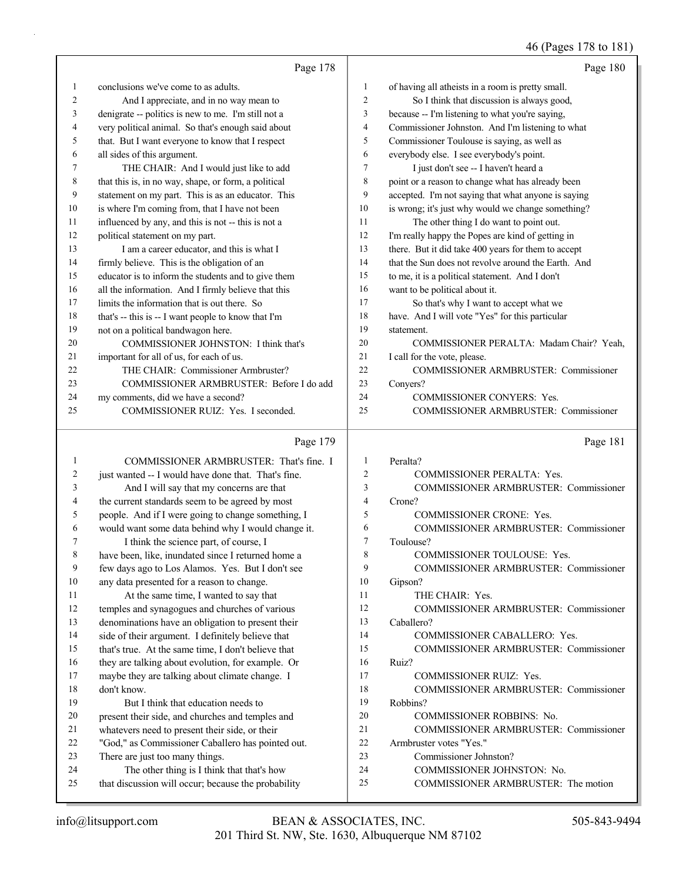# 46 (Pages 178 to 181)

|    | Page 178                                             |                  | Page 180                                            |
|----|------------------------------------------------------|------------------|-----------------------------------------------------|
| -1 | conclusions we've come to as adults.                 | 1                | of having all atheists in a room is pretty small.   |
| 2  | And I appreciate, and in no way mean to              | 2                | So I think that discussion is always good,          |
| 3  | denigrate -- politics is new to me. I'm still not a  | 3                | because -- I'm listening to what you're saying,     |
| 4  | very political animal. So that's enough said about   | 4                | Commissioner Johnston. And I'm listening to what    |
| 5  | that. But I want everyone to know that I respect     | 5                | Commissioner Toulouse is saying, as well as         |
| 6  | all sides of this argument.                          | 6                | everybody else. I see everybody's point.            |
| 7  | THE CHAIR: And I would just like to add              | 7                | I just don't see -- I haven't heard a               |
| 8  | that this is, in no way, shape, or form, a political | 8                | point or a reason to change what has already been   |
| 9  | statement on my part. This is as an educator. This   | 9                | accepted. I'm not saying that what anyone is saying |
| 10 | is where I'm coming from, that I have not been       | 10 <sup>10</sup> | is wrong; it's just why would we change something?  |
| 11 | influenced by any, and this is not -- this is not a  | 11               | The other thing I do want to point out.             |
| 12 | political statement on my part.                      | 12               | I'm really happy the Popes are kind of getting in   |
| 13 | I am a career educator, and this is what I           | 13               | there. But it did take 400 years for them to accept |
| 14 | firmly believe. This is the obligation of an         | 14               | that the Sun does not revolve around the Earth. And |
| 15 | educator is to inform the students and to give them  | 15               | to me, it is a political statement. And I don't     |
| 16 | all the information. And I firmly believe that this  | 16               | want to be political about it.                      |
| 17 | limits the information that is out there. So         | 17               | So that's why I want to accept what we              |
| 18 | that's -- this is -- I want people to know that I'm  | 18               | have. And I will vote "Yes" for this particular     |
| 19 | not on a political bandwagon here.                   | 19               | statement.                                          |
| 20 | COMMISSIONER JOHNSTON: I think that's                | 20               | COMMISSIONER PERALTA: Madam Chair? Yeah.            |
| 21 | important for all of us, for each of us.             | 21               | I call for the vote, please.                        |
| 22 | THE CHAIR: Commissioner Armbruster?                  | 22               | COMMISSIONER ARMBRUSTER: Commissioner               |
| 23 | COMMISSIONER ARMBRUSTER: Before I do add             | 23               | Conyers?                                            |
| 24 | my comments, did we have a second?                   | 24               | <b>COMMISSIONER CONYERS: Yes.</b>                   |
| 25 | COMMISSIONER RUIZ: Yes. I seconded.                  | 25               | <b>COMMISSIONER ARMBRUSTER: Commissioner</b>        |
|    |                                                      |                  |                                                     |

# Page 179

|    | COMMISSIONER ARMBRUSTER: That's fine. I             | 1                        | Peralta?                                     |
|----|-----------------------------------------------------|--------------------------|----------------------------------------------|
| 2  | just wanted -- I would have done that. That's fine. | $\mathfrak{D}$           | <b>COMMISSIONER PERALTA: Yes.</b>            |
| 3  | And I will say that my concerns are that            | 3                        | <b>COMMISSIONER ARMBRUSTER: Commissioner</b> |
| 4  | the current standards seem to be agreed by most     | $\overline{4}$           | Crone?                                       |
| 5  | people. And if I were going to change something, I  | $\overline{\phantom{0}}$ | <b>COMMISSIONER CRONE: Yes.</b>              |
| 6  | would want some data behind why I would change it.  | 6                        | COMMISSIONER ARMBRUSTER: Commissioner        |
| 7  | I think the science part, of course, I              | $\overline{7}$           | Toulouse?                                    |
| 8  | have been, like, inundated since I returned home a  | 8                        | <b>COMMISSIONER TOULOUSE: Yes.</b>           |
| 9  | few days ago to Los Alamos. Yes. But I don't see    | 9                        | COMMISSIONER ARMBRUSTER: Commissioner        |
| 10 | any data presented for a reason to change.          | 10                       | Gipson?                                      |
| 11 | At the same time, I wanted to say that              | 11                       | THE CHAIR: Yes.                              |
| 12 | temples and synagogues and churches of various      | 12                       | COMMISSIONER ARMBRUSTER: Commissioner        |
| 13 | denominations have an obligation to present their   | 13                       | Caballero?                                   |
| 14 | side of their argument. I definitely believe that   | 14                       | <b>COMMISSIONER CABALLERO: Yes.</b>          |
| 15 | that's true. At the same time, I don't believe that | 15                       | COMMISSIONER ARMBRUSTER: Commissioner        |
| 16 | they are talking about evolution, for example. Or   | 16                       | Ruiz?                                        |
| 17 | maybe they are talking about climate change. I      | 17                       | <b>COMMISSIONER RUIZ: Yes.</b>               |
| 18 | don't know.                                         | 18                       | <b>COMMISSIONER ARMBRUSTER: Commissioner</b> |
| 19 | But I think that education needs to                 | 19                       | Robbins?                                     |
| 20 | present their side, and churches and temples and    | 20                       | <b>COMMISSIONER ROBBINS: No.</b>             |
| 21 | whatevers need to present their side, or their      | 21                       | <b>COMMISSIONER ARMBRUSTER: Commissioner</b> |
| 22 | "God," as Commissioner Caballero has pointed out.   | 22                       | Armbruster votes "Yes."                      |
| 23 | There are just too many things.                     | 23                       | Commissioner Johnston?                       |
| 24 | The other thing is I think that that's how          | 24                       | <b>COMMISSIONER JOHNSTON: No.</b>            |
| 25 | that discussion will occur; because the probability | 25                       | COMMISSIONER ARMBRUSTER: The motion          |
|    |                                                     |                          |                                              |

Page 181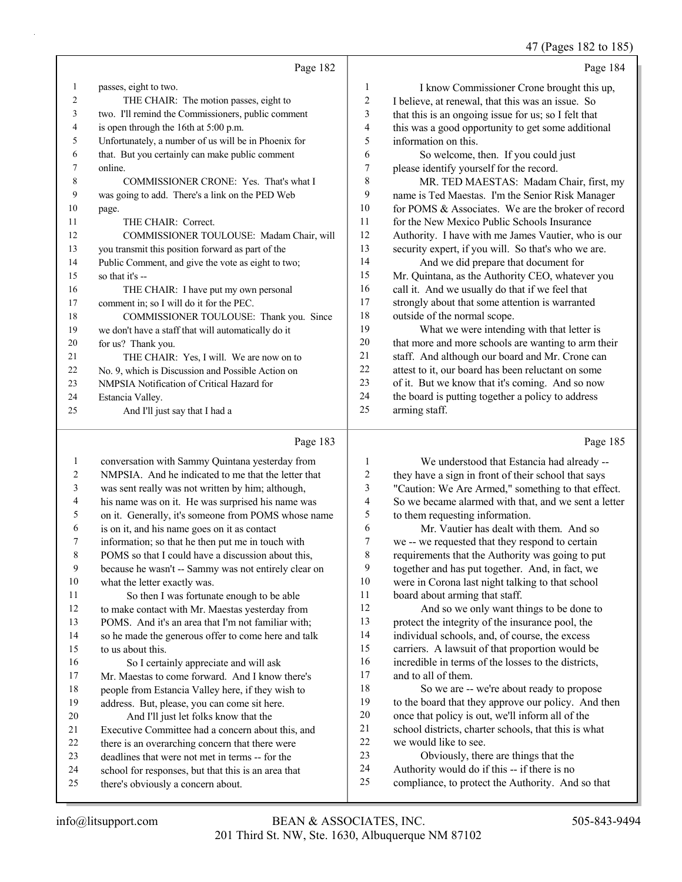47 (Pages 182 to 185)

|    | Page 182                                             |                | Page 184                                             |
|----|------------------------------------------------------|----------------|------------------------------------------------------|
| 1  | passes, eight to two.                                | 1              | I know Commissioner Crone brought this up,           |
| 2  | THE CHAIR: The motion passes, eight to               | $\overline{c}$ | I believe, at renewal, that this was an issue. So    |
| 3  | two. I'll remind the Commissioners, public comment   | 3              | that this is an ongoing issue for us; so I felt that |
| 4  | is open through the 16th at 5:00 p.m.                | 4              | this was a good opportunity to get some additional   |
| 5  | Unfortunately, a number of us will be in Phoenix for | 5              | information on this.                                 |
| 6  | that. But you certainly can make public comment      | 6              | So welcome, then. If you could just                  |
| 7  | online.                                              | 7              | please identify yourself for the record.             |
| 8  | COMMISSIONER CRONE: Yes. That's what I               | 8              | MR. TED MAESTAS: Madam Chair, first, my              |
| 9  | was going to add. There's a link on the PED Web      | 9              | name is Ted Maestas. I'm the Senior Risk Manager     |
| 10 | page.                                                | 10             | for POMS & Associates. We are the broker of record   |
| 11 | THE CHAIR: Correct.                                  | 11             | for the New Mexico Public Schools Insurance          |
| 12 | COMMISSIONER TOULOUSE: Madam Chair, will             | 12             | Authority. I have with me James Vautier, who is our  |
| 13 | you transmit this position forward as part of the    | 13             | security expert, if you will. So that's who we are.  |
| 14 | Public Comment, and give the vote as eight to two;   | 14             | And we did prepare that document for                 |
| 15 | so that it's --                                      | 15             | Mr. Quintana, as the Authority CEO, whatever you     |
| 16 | THE CHAIR: I have put my own personal                | 16             | call it. And we usually do that if we feel that      |
| 17 | comment in; so I will do it for the PEC.             | 17             | strongly about that some attention is warranted      |
| 18 | COMMISSIONER TOULOUSE: Thank you. Since              | 18             | outside of the normal scope.                         |
| 19 | we don't have a staff that will automatically do it  | 19             | What we were intending with that letter is           |
| 20 | for us? Thank you.                                   | 20             | that more and more schools are wanting to arm their  |
| 21 | THE CHAIR: Yes, I will. We are now on to             | 21             | staff. And although our board and Mr. Crone can      |
| 22 | No. 9, which is Discussion and Possible Action on    | 22             | attest to it, our board has been reluctant on some   |
| 23 | NMPSIA Notification of Critical Hazard for           | 23             | of it. But we know that it's coming. And so now      |
| 24 | Estancia Valley.                                     | 24             | the board is putting together a policy to address    |
| 25 | And I'll just say that I had a                       | 25             | arming staff.                                        |
|    | Page 183                                             |                | Page 185                                             |

# Page 183 |

| 1  | conversation with Sammy Quintana yesterday from      | 1  | We understood that Estancia had already --           |
|----|------------------------------------------------------|----|------------------------------------------------------|
| 2  | NMPSIA. And he indicated to me that the letter that  | 2  | they have a sign in front of their school that says  |
| 3  | was sent really was not written by him; although,    | 3  | "Caution: We Are Armed," something to that effect.   |
| 4  | his name was on it. He was surprised his name was    | 4  | So we became alarmed with that, and we sent a letter |
| 5  | on it. Generally, it's someone from POMS whose name  | 5  | to them requesting information.                      |
| 6  | is on it, and his name goes on it as contact         | 6  | Mr. Vautier has dealt with them. And so              |
| 7  | information; so that he then put me in touch with    | 7  | we -- we requested that they respond to certain      |
| 8  | POMS so that I could have a discussion about this,   | 8  | requirements that the Authority was going to put     |
| 9  | because he wasn't -- Sammy was not entirely clear on | 9  | together and has put together. And, in fact, we      |
| 10 | what the letter exactly was.                         | 10 | were in Corona last night talking to that school     |
| 11 | So then I was fortunate enough to be able            | 11 | board about arming that staff.                       |
| 12 | to make contact with Mr. Maestas yesterday from      | 12 | And so we only want things to be done to             |
| 13 | POMS. And it's an area that I'm not familiar with;   | 13 | protect the integrity of the insurance pool, the     |
| 14 | so he made the generous offer to come here and talk  | 14 | individual schools, and, of course, the excess       |
| 15 | to us about this.                                    | 15 | carriers. A lawsuit of that proportion would be      |
| 16 | So I certainly appreciate and will ask               | 16 | incredible in terms of the losses to the districts,  |
| 17 | Mr. Maestas to come forward. And I know there's      | 17 | and to all of them.                                  |
| 18 | people from Estancia Valley here, if they wish to    | 18 | So we are -- we're about ready to propose            |
| 19 | address. But, please, you can come sit here.         | 19 | to the board that they approve our policy. And then  |
| 20 | And I'll just let folks know that the                | 20 | once that policy is out, we'll inform all of the     |
| 21 | Executive Committee had a concern about this, and    | 21 | school districts, charter schools, that this is what |
| 22 | there is an overarching concern that there were      | 22 | we would like to see.                                |
| 23 | deadlines that were not met in terms -- for the      | 23 | Obviously, there are things that the                 |
| 24 | school for responses, but that this is an area that  | 24 | Authority would do if this -- if there is no         |
| 25 | there's obviously a concern about.                   | 25 | compliance, to protect the Authority. And so that    |
|    |                                                      |    |                                                      |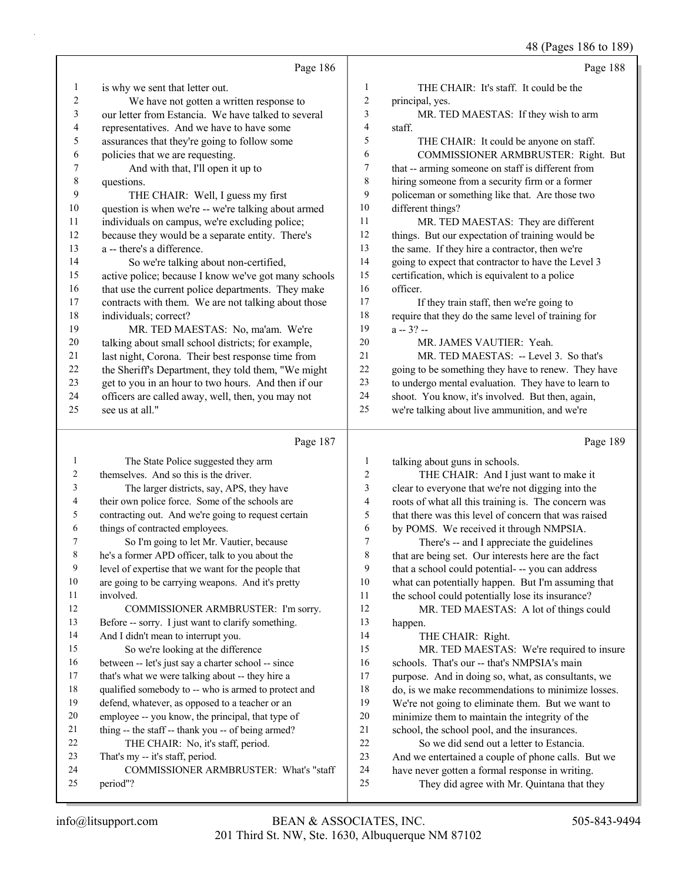48 (Pages 186 to 189)

|                         |                                                                                                          |                  | 40 (Fages 100 to 109)                                                                                    |
|-------------------------|----------------------------------------------------------------------------------------------------------|------------------|----------------------------------------------------------------------------------------------------------|
|                         | Page 186                                                                                                 |                  | Page 188                                                                                                 |
| 1                       | is why we sent that letter out.                                                                          | 1                | THE CHAIR: It's staff. It could be the                                                                   |
| $\overline{\mathbf{c}}$ | We have not gotten a written response to                                                                 | $\boldsymbol{2}$ | principal, yes.                                                                                          |
| 3                       | our letter from Estancia. We have talked to several                                                      | 3                | MR. TED MAESTAS: If they wish to arm                                                                     |
| 4                       | representatives. And we have to have some                                                                | 4                | staff.                                                                                                   |
| 5                       | assurances that they're going to follow some                                                             | 5                | THE CHAIR: It could be anyone on staff.                                                                  |
| 6                       | policies that we are requesting.                                                                         | 6                | COMMISSIONER ARMBRUSTER: Right. But                                                                      |
| 7                       | And with that, I'll open it up to                                                                        | 7                | that -- arming someone on staff is different from                                                        |
| $\,$ $\,$               | questions.                                                                                               | 8                | hiring someone from a security firm or a former                                                          |
| 9                       | THE CHAIR: Well, I guess my first                                                                        | 9                | policeman or something like that. Are those two                                                          |
| $10\,$                  | question is when we're -- we're talking about armed                                                      | 10               | different things?                                                                                        |
| 11                      | individuals on campus, we're excluding police;                                                           | 11               | MR. TED MAESTAS: They are different                                                                      |
| 12                      | because they would be a separate entity. There's                                                         | 12               | things. But our expectation of training would be                                                         |
| 13                      | a -- there's a difference.                                                                               | 13               | the same. If they hire a contractor, then we're                                                          |
| 14                      | So we're talking about non-certified,                                                                    | 14               | going to expect that contractor to have the Level 3                                                      |
| 15                      | active police; because I know we've got many schools                                                     | 15               | certification, which is equivalent to a police                                                           |
| 16                      | that use the current police departments. They make                                                       | 16               | officer.                                                                                                 |
| 17                      | contracts with them. We are not talking about those                                                      | 17               | If they train staff, then we're going to                                                                 |
| 18                      | individuals; correct?                                                                                    | 18               | require that they do the same level of training for                                                      |
| 19                      | MR. TED MAESTAS: No, ma'am. We're                                                                        | 19               | $a - 3? -$                                                                                               |
| $20\,$                  | talking about small school districts; for example,                                                       | 20               | MR. JAMES VAUTIER: Yeah.                                                                                 |
| 21                      | last night, Corona. Their best response time from                                                        | 21               | MR. TED MAESTAS: -- Level 3. So that's                                                                   |
| $22\,$                  | the Sheriff's Department, they told them, "We might                                                      | $22\,$           | going to be something they have to renew. They have                                                      |
| 23                      | get to you in an hour to two hours. And then if our                                                      | 23               | to undergo mental evaluation. They have to learn to                                                      |
| 24                      | officers are called away, well, then, you may not                                                        | 24               | shoot. You know, it's involved. But then, again,                                                         |
| 25                      | see us at all."                                                                                          | 25               | we're talking about live ammunition, and we're                                                           |
|                         |                                                                                                          |                  |                                                                                                          |
|                         |                                                                                                          |                  |                                                                                                          |
|                         | Page 187                                                                                                 |                  | Page 189                                                                                                 |
| $\mathbf{1}$            | The State Police suggested they arm                                                                      | 1                | talking about guns in schools.                                                                           |
| 2                       | themselves. And so this is the driver.                                                                   | $\overline{c}$   | THE CHAIR: And I just want to make it                                                                    |
| 3                       | The larger districts, say, APS, they have                                                                | 3                | clear to everyone that we're not digging into the                                                        |
| 4                       | their own police force. Some of the schools are                                                          | 4                | roots of what all this training is. The concern was                                                      |
| 5                       | contracting out. And we're going to request certain                                                      | 5                | that there was this level of concern that was raised                                                     |
| 6                       | things of contracted employees.                                                                          | 6                | by POMS. We received it through NMPSIA.                                                                  |
| 7                       | So I'm going to let Mr. Vautier, because                                                                 | 7                | There's -- and I appreciate the guidelines                                                               |
| 8                       | he's a former APD officer, talk to you about the                                                         | 8                | that are being set. Our interests here are the fact                                                      |
| 9                       | level of expertise that we want for the people that                                                      | 9                | that a school could potential--you can address                                                           |
| $10\,$                  | are going to be carrying weapons. And it's pretty                                                        | 10               | what can potentially happen. But I'm assuming that                                                       |
| 11                      | involved.                                                                                                | 11               | the school could potentially lose its insurance?                                                         |
| 12                      | COMMISSIONER ARMBRUSTER: I'm sorry.                                                                      | 12               | MR. TED MAESTAS: A lot of things could                                                                   |
| 13                      | Before -- sorry. I just want to clarify something.                                                       | 13<br>14         | happen.                                                                                                  |
| 14<br>15                | And I didn't mean to interrupt you.                                                                      | 15               | THE CHAIR: Right.                                                                                        |
| 16                      | So we're looking at the difference                                                                       | 16               | MR. TED MAESTAS: We're required to insure                                                                |
| $17\,$                  | between -- let's just say a charter school -- since                                                      | 17               | schools. That's our -- that's NMPSIA's main                                                              |
| $18\,$                  | that's what we were talking about -- they hire a<br>qualified somebody to -- who is armed to protect and | 18               | purpose. And in doing so, what, as consultants, we<br>do, is we make recommendations to minimize losses. |
| 19                      | defend, whatever, as opposed to a teacher or an                                                          | 19               | We're not going to eliminate them. But we want to                                                        |
| $20\,$                  | employee -- you know, the principal, that type of                                                        | $20\,$           | minimize them to maintain the integrity of the                                                           |
| 21                      | thing -- the staff -- thank you -- of being armed?                                                       | 21               | school, the school pool, and the insurances.                                                             |
| 22                      | THE CHAIR: No, it's staff, period.                                                                       | 22               | So we did send out a letter to Estancia.                                                                 |
| 23                      | That's my -- it's staff, period.                                                                         | 23               | And we entertained a couple of phone calls. But we                                                       |
| 24                      | COMMISSIONER ARMBRUSTER: What's "staff                                                                   | 24               | have never gotten a formal response in writing.                                                          |
| 25                      | period"?                                                                                                 | 25               | They did agree with Mr. Quintana that they                                                               |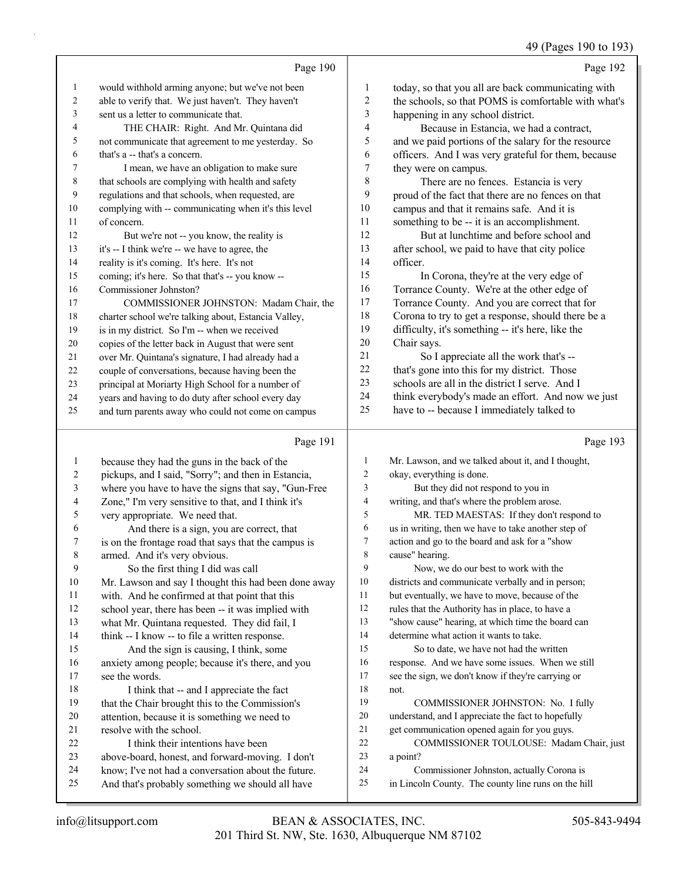49 (Pages 190 to 193)

Page 190 would withhold arming anyone; but we've not been able to verify that. We just haven't. They haven't sent us a letter to communicate that. 4 THE CHAIR: Right. And Mr. Quintana did not communicate that agreement to me yesterday. So that's a -- that's a concern. 7 I mean, we have an obligation to make sure that schools are complying with health and safety regulations and that schools, when requested, are complying with -- communicating when it's this level of concern. 12 But we're not -- you know, the reality is it's -- I think we're -- we have to agree, the reality is it's coming. It's here. It's not coming; it's here. So that that's -- you know -- Commissioner Johnston? 17 COMMISSIONER JOHNSTON: Madam Chair, the charter school we're talking about, Estancia Valley, is in my district. So I'm -- when we received copies of the letter back in August that were sent over Mr. Quintana's signature, I had already had a couple of conversations, because having been the principal at Moriarty High School for a number of years and having to do duty after school every day and turn parents away who could not come on campus Page 192 today, so that you all are back communicating with the schools, so that POMS is comfortable with what's happening in any school district. 4 Because in Estancia, we had a contract, and we paid portions of the salary for the resource officers. And I was very grateful for them, because they were on campus. 8 There are no fences. Estancia is very proud of the fact that there are no fences on that campus and that it remains safe. And it is something to be -- it is an accomplishment. 12 But at lunchtime and before school and after school, we paid to have that city police officer. 15 In Corona, they're at the very edge of Torrance County. We're at the other edge of Torrance County. And you are correct that for Corona to try to get a response, should there be a difficulty, it's something -- it's here, like the Chair says. 21 So I appreciate all the work that's -- that's gone into this for my district. Those schools are all in the district I serve. And I think everybody's made an effort. And now we just have to -- because I immediately talked to

#### 

|         | Page 191                                             |    | Page 193                                            |
|---------|------------------------------------------------------|----|-----------------------------------------------------|
| 1       | because they had the guns in the back of the         | 1  | Mr. Lawson, and we talked about it, and I thought,  |
| 2       | pickups, and I said, "Sorry"; and then in Estancia,  | 2  | okay, everything is done.                           |
| 3       | where you have to have the signs that say, "Gun-Free | 3  | But they did not respond to you in                  |
| 4       | Zone," I'm very sensitive to that, and I think it's  | 4  | writing, and that's where the problem arose.        |
| 5       | very appropriate. We need that.                      | 5  | MR. TED MAESTAS: If they don't respond to           |
| 6       | And there is a sign, you are correct, that           | 6  | us in writing, then we have to take another step of |
| 7       | is on the frontage road that says that the campus is | 7  | action and go to the board and ask for a "show      |
| $\,8\,$ | armed. And it's very obvious.                        | 8  | cause" hearing.                                     |
| 9       | So the first thing I did was call                    | 9  | Now, we do our best to work with the                |
| 10      | Mr. Lawson and say I thought this had been done away | 10 | districts and communicate verbally and in person;   |
| 11      | with. And he confirmed at that point that this       | 11 | but eventually, we have to move, because of the     |
| 12      | school year, there has been -- it was implied with   | 12 | rules that the Authority has in place, to have a    |
| 13      | what Mr. Quintana requested. They did fail, I        | 13 | "show cause" hearing, at which time the board can   |
| 14      | think -- I know -- to file a written response.       | 14 | determine what action it wants to take.             |
| 15      | And the sign is causing, I think, some               | 15 | So to date, we have not had the written             |
| 16      | anxiety among people; because it's there, and you    | 16 | response. And we have some issues. When we still    |
| 17      | see the words.                                       | 17 | see the sign, we don't know if they're carrying or  |
| 18      | I think that -- and I appreciate the fact            | 18 | not.                                                |
| 19      | that the Chair brought this to the Commission's      | 19 | COMMISSIONER JOHNSTON: No. I fully                  |
| 20      | attention, because it is something we need to        | 20 | understand, and I appreciate the fact to hopefully  |
| 21      | resolve with the school.                             | 21 | get communication opened again for you guys.        |
| 22      | I think their intentions have been                   | 22 | COMMISSIONER TOULOUSE: Madam Chair, just            |
| 23      | above-board, honest, and forward-moving. I don't     | 23 | a point?                                            |
| 24      | know; I've not had a conversation about the future.  | 24 | Commissioner Johnston, actually Corona is           |
| 25      | And that's probably something we should all have     | 25 | in Lincoln County. The county line runs on the hill |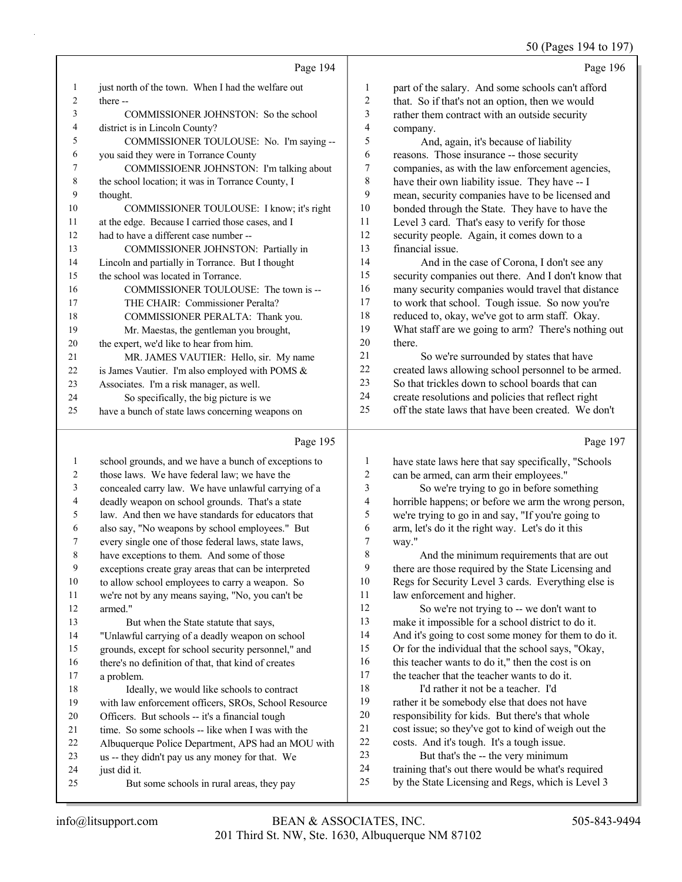#### 50 (Pages 194 to 197)

|                | Page 194                                             |                | Page 196                                             |
|----------------|------------------------------------------------------|----------------|------------------------------------------------------|
| 1              | just north of the town. When I had the welfare out   | 1              | part of the salary. And some schools can't afford    |
| $\overline{c}$ | there --                                             | $\overline{c}$ | that. So if that's not an option, then we would      |
| 3              | COMMISSIONER JOHNSTON: So the school                 | 3              | rather them contract with an outside security        |
| 4              | district is in Lincoln County?                       | 4              | company.                                             |
| 5              | COMMISSIONER TOULOUSE: No. I'm saying --             | 5              | And, again, it's because of liability                |
| 6              | you said they were in Torrance County                | 6              | reasons. Those insurance -- those security           |
| 7              | COMMISSIOENR JOHNSTON: I'm talking about             | 7              | companies, as with the law enforcement agencies,     |
| 8              | the school location; it was in Torrance County, I    | 8              | have their own liability issue. They have -- I       |
| 9              | thought.                                             | 9              | mean, security companies have to be licensed and     |
| 10             | COMMISSIONER TOULOUSE: I know; it's right            | 10             | bonded through the State. They have to have the      |
| 11             | at the edge. Because I carried those cases, and I    | 11             | Level 3 card. That's easy to verify for those        |
| 12             | had to have a different case number --               | 12             | security people. Again, it comes down to a           |
| 13             | COMMISSIONER JOHNSTON: Partially in                  | 13             | financial issue.                                     |
| 14             | Lincoln and partially in Torrance. But I thought     | 14             | And in the case of Corona, I don't see any           |
| 15             | the school was located in Torrance.                  | 15             | security companies out there. And I don't know that  |
| 16             | COMMISSIONER TOULOUSE: The town is --                | 16             | many security companies would travel that distance   |
| 17             | THE CHAIR: Commissioner Peralta?                     | 17             | to work that school. Tough issue. So now you're      |
| 18             | COMMISSIONER PERALTA: Thank you.                     | 18             | reduced to, okay, we've got to arm staff. Okay.      |
| 19             | Mr. Maestas, the gentleman you brought,              | 19             | What staff are we going to arm? There's nothing out  |
| 20             | the expert, we'd like to hear from him.              | 20             | there.                                               |
| 21             | MR. JAMES VAUTIER: Hello, sir. My name               | 21             | So we're surrounded by states that have              |
| 22             | is James Vautier. I'm also employed with POMS &      | 22             | created laws allowing school personnel to be armed.  |
| 23             | Associates. I'm a risk manager, as well.             | 23             | So that trickles down to school boards that can      |
| 24             | So specifically, the big picture is we               | 24             | create resolutions and policies that reflect right   |
| 25             | have a bunch of state laws concerning weapons on     | 25             | off the state laws that have been created. We don't  |
|                | Page 195                                             |                | Page 197                                             |
| 1              | school grounds, and we have a bunch of exceptions to | 1              | have state laws here that say specifically, "Schools |

| 1  | school grounds, and we have a bunch of exceptions to | 1              | have state laws here that say specifically, "Schools |
|----|------------------------------------------------------|----------------|------------------------------------------------------|
| 2  | those laws. We have federal law; we have the         | 2              | can be armed, can arm their employees."              |
| 3  | concealed carry law. We have unlawful carrying of a  | 3              | So we're trying to go in before something            |
| 4  | deadly weapon on school grounds. That's a state      | $\overline{4}$ | horrible happens; or before we arm the wrong person, |
| 5  | law. And then we have standards for educators that   | 5              | we're trying to go in and say, "If you're going to   |
| 6  | also say, "No weapons by school employees." But      | 6              | arm, let's do it the right way. Let's do it this     |
| 7  | every single one of those federal laws, state laws,  | $\tau$         | way."                                                |
| 8  | have exceptions to them. And some of those           | 8              | And the minimum requirements that are out            |
| 9  | exceptions create gray areas that can be interpreted | 9              | there are those required by the State Licensing and  |
| 10 | to allow school employees to carry a weapon. So      | 10             | Regs for Security Level 3 cards. Everything else is  |
| 11 | we're not by any means saying, "No, you can't be     | 11             | law enforcement and higher.                          |
| 12 | armed."                                              | 12             | So we're not trying to -- we don't want to           |
| 13 | But when the State statute that says,                | 13             | make it impossible for a school district to do it.   |
| 14 | "Unlawful carrying of a deadly weapon on school      | 14             | And it's going to cost some money for them to do it. |
| 15 | grounds, except for school security personnel," and  | 15             | Or for the individual that the school says, "Okay,   |
| 16 | there's no definition of that, that kind of creates  | 16             | this teacher wants to do it," then the cost is on    |
| 17 | a problem.                                           | 17             | the teacher that the teacher wants to do it.         |
| 18 | Ideally, we would like schools to contract           | 18             | I'd rather it not be a teacher. I'd                  |
| 19 | with law enforcement officers, SROs, School Resource | 19             | rather it be somebody else that does not have        |
| 20 | Officers. But schools -- it's a financial tough      | 20             | responsibility for kids. But there's that whole      |
| 21 | time. So some schools -- like when I was with the    | 21             | cost issue; so they've got to kind of weigh out the  |
| 22 | Albuquerque Police Department, APS had an MOU with   | $22\,$         | costs. And it's tough. It's a tough issue.           |
| 23 | us -- they didn't pay us any money for that. We      | 23             | But that's the -- the very minimum                   |
| 24 | just did it.                                         | 24             | training that's out there would be what's required   |
| 25 | But some schools in rural areas, they pay            | 25             | by the State Licensing and Regs, which is Level 3    |
|    |                                                      |                |                                                      |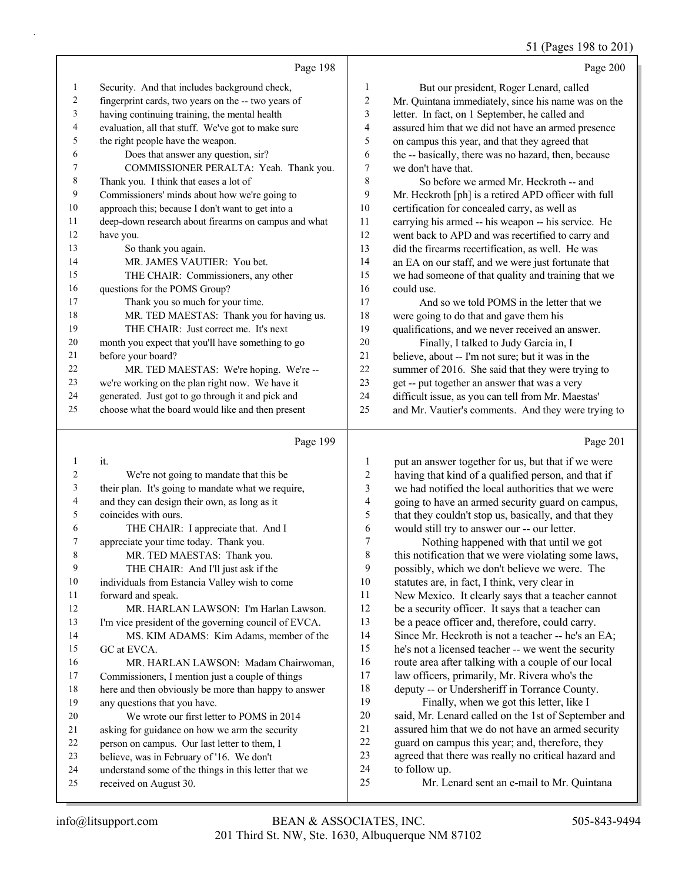51 ( $P_{\text{2000}}$  108 to 201)

|                |                                                      |    | $31$ (1 ages 170 to 20)                              |
|----------------|------------------------------------------------------|----|------------------------------------------------------|
|                | Page 198                                             |    | Page 200                                             |
| 1              | Security. And that includes background check,        | 1  | But our president, Roger Lenard, called              |
| $\overline{2}$ | fingerprint cards, two years on the -- two years of  | 2  | Mr. Quintana immediately, since his name was on the  |
| 3              | having continuing training, the mental health        | 3  | letter. In fact, on 1 September, he called and       |
| 4              | evaluation, all that stuff. We've got to make sure   | 4  | assured him that we did not have an armed presence   |
| 5              | the right people have the weapon.                    | 5  | on campus this year, and that they agreed that       |
| 6              | Does that answer any question, sir?                  | 6  | the -- basically, there was no hazard, then, because |
| 7              | COMMISSIONER PERALTA: Yeah. Thank you.               | 7  | we don't have that.                                  |
| 8              | Thank you. I think that eases a lot of               | 8  | So before we armed Mr. Heckroth -- and               |
| 9              | Commissioners' minds about how we're going to        | 9  | Mr. Heckroth [ph] is a retired APD officer with full |
| 10             | approach this; because I don't want to get into a    | 10 | certification for concealed carry, as well as        |
| 11             | deep-down research about firearms on campus and what | 11 | carrying his armed -- his weapon -- his service. He  |
| 12             | have you.                                            | 12 | went back to APD and was recertified to carry and    |
| 13             | So thank you again.                                  | 13 | did the firearms recertification, as well. He was    |
| 14             | MR. JAMES VAUTIER: You bet.                          | 14 | an EA on our staff, and we were just fortunate that  |
| 15             | THE CHAIR: Commissioners, any other                  | 15 | we had someone of that quality and training that we  |
| 16             | questions for the POMS Group?                        | 16 | could use.                                           |
| 17             | Thank you so much for your time.                     | 17 | And so we told POMS in the letter that we            |
| 18             | MR. TED MAESTAS: Thank you for having us.            | 18 | were going to do that and gave them his              |
| 19             | THE CHAIR: Just correct me. It's next                | 19 | qualifications, and we never received an answer.     |
| 20             | month you expect that you'll have something to go    | 20 | Finally, I talked to Judy Garcia in, I               |
| 21             | before your board?                                   | 21 | believe, about -- I'm not sure; but it was in the    |
| 22             | MR. TED MAESTAS: We're hoping. We're --              | 22 | summer of 2016. She said that they were trying to    |
| 23             | we're working on the plan right now. We have it      | 23 | get -- put together an answer that was a very        |
| 24             | generated. Just got to go through it and pick and    | 24 | difficult issue, as you can tell from Mr. Maestas'   |
| 25             | choose what the board would like and then present    | 25 | and Mr. Vautier's comments. And they were trying to  |
|                |                                                      |    |                                                      |

#### Page 199

| 2<br>We're not going to mandate that this be.<br>3<br>their plan. It's going to mandate what we require,<br>4<br>and they can design their own, as long as it<br>5<br>coincides with ours.<br>6<br>THE CHAIR: I appreciate that. And I<br>7<br>appreciate your time today. Thank you.<br>8<br>MR. TED MAESTAS: Thank you.<br>9 |  |
|--------------------------------------------------------------------------------------------------------------------------------------------------------------------------------------------------------------------------------------------------------------------------------------------------------------------------------|--|
|                                                                                                                                                                                                                                                                                                                                |  |
|                                                                                                                                                                                                                                                                                                                                |  |
|                                                                                                                                                                                                                                                                                                                                |  |
|                                                                                                                                                                                                                                                                                                                                |  |
|                                                                                                                                                                                                                                                                                                                                |  |
|                                                                                                                                                                                                                                                                                                                                |  |
|                                                                                                                                                                                                                                                                                                                                |  |
| THE CHAIR: And I'll just ask if the                                                                                                                                                                                                                                                                                            |  |
| 10<br>individuals from Estancia Valley wish to come                                                                                                                                                                                                                                                                            |  |
| 11<br>forward and speak.                                                                                                                                                                                                                                                                                                       |  |
| 12<br>MR. HARLAN LAWSON: I'm Harlan Lawson.                                                                                                                                                                                                                                                                                    |  |
| 13<br>I'm vice president of the governing council of EVCA.                                                                                                                                                                                                                                                                     |  |
| 14<br>MS. KIM ADAMS: Kim Adams, member of the                                                                                                                                                                                                                                                                                  |  |
| 15<br>GC at EVCA.                                                                                                                                                                                                                                                                                                              |  |
| 16<br>MR. HARLAN LAWSON: Madam Chairwoman,                                                                                                                                                                                                                                                                                     |  |
| 17<br>Commissioners, I mention just a couple of things                                                                                                                                                                                                                                                                         |  |
| 18<br>here and then obviously be more than happy to answer                                                                                                                                                                                                                                                                     |  |
| 19<br>any questions that you have.                                                                                                                                                                                                                                                                                             |  |
| 20<br>We wrote our first letter to POMS in 2014                                                                                                                                                                                                                                                                                |  |
| 21<br>asking for guidance on how we arm the security                                                                                                                                                                                                                                                                           |  |
| 22<br>person on campus. Our last letter to them, I                                                                                                                                                                                                                                                                             |  |
| 23<br>believe, was in February of '16. We don't                                                                                                                                                                                                                                                                                |  |
| 24<br>understand some of the things in this letter that we                                                                                                                                                                                                                                                                     |  |
| 25<br>received on August 30.                                                                                                                                                                                                                                                                                                   |  |

Page 201 put an answer together for us, but that if we were having that kind of a qualified person, and that if we had notified the local authorities that we were going to have an armed security guard on campus, that they couldn't stop us, basically, and that they would still try to answer our -- our letter. 7 Nothing happened with that until we got this notification that we were violating some laws, possibly, which we don't believe we were. The statutes are, in fact, I think, very clear in New Mexico. It clearly says that a teacher cannot be a security officer. It says that a teacher can be a peace officer and, therefore, could carry. Since Mr. Heckroth is not a teacher -- he's an EA; he's not a licensed teacher -- we went the security route area after talking with a couple of our local law officers, primarily, Mr. Rivera who's the

 deputy -- or Undersheriff in Torrance County. 19 Finally, when we got this letter, like I said, Mr. Lenard called on the 1st of September and assured him that we do not have an armed security guard on campus this year; and, therefore, they agreed that there was really no critical hazard and to follow up.

25 Mr. Lenard sent an e-mail to Mr. Quintana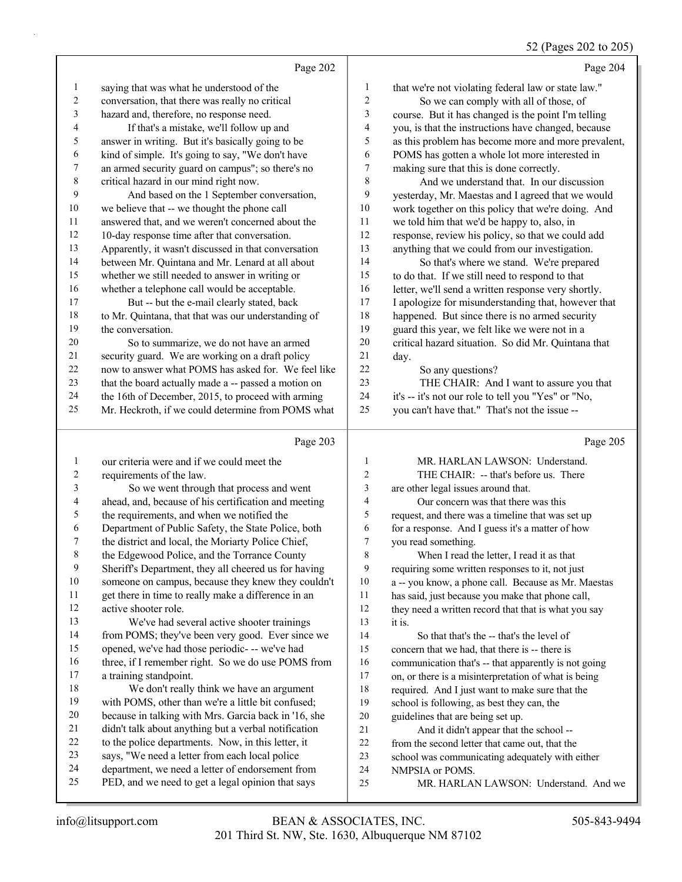# 52 (Pages 202 to 205)

|          | Page 202                                                                                              |                  | Page 204                                                 |
|----------|-------------------------------------------------------------------------------------------------------|------------------|----------------------------------------------------------|
| 1        | saying that was what he understood of the                                                             | $\mathbf{1}$     | that we're not violating federal law or state law."      |
| 2        | conversation, that there was really no critical                                                       | $\boldsymbol{2}$ | So we can comply with all of those, of                   |
| 3        | hazard and, therefore, no response need.                                                              | 3                | course. But it has changed is the point I'm telling      |
| 4        | If that's a mistake, we'll follow up and                                                              | 4                | you, is that the instructions have changed, because      |
| 5        | answer in writing. But it's basically going to be                                                     | 5                | as this problem has become more and more prevalent,      |
| 6        | kind of simple. It's going to say, "We don't have                                                     | 6                | POMS has gotten a whole lot more interested in           |
| 7        | an armed security guard on campus"; so there's no                                                     | 7                | making sure that this is done correctly.                 |
| 8        | critical hazard in our mind right now.                                                                | 8                | And we understand that. In our discussion                |
| 9        | And based on the 1 September conversation,                                                            | 9                | yesterday, Mr. Maestas and I agreed that we would        |
| 10       | we believe that -- we thought the phone call                                                          | 10               | work together on this policy that we're doing. And       |
| 11       | answered that, and we weren't concerned about the                                                     | $11\,$           | we told him that we'd be happy to, also, in              |
| 12       | 10-day response time after that conversation.                                                         | 12               | response, review his policy, so that we could add        |
| 13       | Apparently, it wasn't discussed in that conversation                                                  | 13               | anything that we could from our investigation.           |
| 14       | between Mr. Quintana and Mr. Lenard at all about                                                      | 14               | So that's where we stand. We're prepared                 |
| 15       | whether we still needed to answer in writing or                                                       | 15               | to do that. If we still need to respond to that          |
| 16       | whether a telephone call would be acceptable.                                                         | 16               | letter, we'll send a written response very shortly.      |
| 17       | But -- but the e-mail clearly stated, back                                                            | 17               | I apologize for misunderstanding that, however that      |
| 18       | to Mr. Quintana, that that was our understanding of                                                   | 18               | happened. But since there is no armed security           |
| 19       | the conversation.                                                                                     | 19               | guard this year, we felt like we were not in a           |
| 20       | So to summarize, we do not have an armed                                                              | 20               | critical hazard situation. So did Mr. Quintana that      |
| 21       | security guard. We are working on a draft policy                                                      | 21               | day.                                                     |
| 22       | now to answer what POMS has asked for. We feel like                                                   | 22               | So any questions?                                        |
| 23       | that the board actually made a -- passed a motion on                                                  | 23               | THE CHAIR: And I want to assure you that                 |
| 24       | the 16th of December, 2015, to proceed with arming                                                    | 24               | it's -- it's not our role to tell you "Yes" or "No,      |
| 25       | Mr. Heckroth, if we could determine from POMS what                                                    | 25               | you can't have that." That's not the issue --            |
|          |                                                                                                       |                  |                                                          |
|          | Page 203                                                                                              |                  | Page 205                                                 |
| 1        | our criteria were and if we could meet the                                                            | $\mathbf{1}$     | MR. HARLAN LAWSON: Understand.                           |
| 2        | requirements of the law.                                                                              | 2                | THE CHAIR: -- that's before us. There                    |
| 3        | So we went through that process and went                                                              | 3                | are other legal issues around that.                      |
| 4        | ahead, and, because of his certification and meeting                                                  | 4                | Our concern was that there was this                      |
| 5        | the requirements, and when we notified the                                                            | 5                | request, and there was a timeline that was set up        |
| 6        | Department of Public Safety, the State Police, both                                                   | 6                | for a response. And I guess it's a matter of how         |
| 7        | the district and local, the Moriarty Police Chief,                                                    | 7                | you read something.                                      |
|          | the Edgewood Police, and the Torrance County                                                          | 8                | When I read the letter, I read it as that                |
| 9        | Sheriff's Department, they all cheered us for having                                                  | 9                | requiring some written responses to it, not just         |
| 10       | someone on campus, because they knew they couldn't                                                    | 10               | a -- you know, a phone call. Because as Mr. Maestas      |
| 11       | get there in time to really make a difference in an                                                   | 11               | has said, just because you make that phone call,         |
| 12       | active shooter role.                                                                                  | 12               | they need a written record that that is what you say     |
| 13       | We've had several active shooter trainings                                                            | 13               | it is.                                                   |
| 14       | from POMS; they've been very good. Ever since we                                                      | 14               | So that that's the -- that's the level of                |
| 15       | opened, we've had those periodic- -- we've had                                                        | 15               | concern that we had, that there is -- there is           |
| 16       | three, if I remember right. So we do use POMS from                                                    | 16               | communication that's -- that apparently is not going     |
| 17       | a training standpoint.                                                                                | $17\,$           | on, or there is a misinterpretation of what is being     |
| 18       | We don't really think we have an argument                                                             | 18               | required. And I just want to make sure that the          |
| 19       | with POMS, other than we're a little bit confused;                                                    | 19               | school is following, as best they can, the               |
| 20       | because in talking with Mrs. Garcia back in '16, she                                                  | 20               | guidelines that are being set up.                        |
| 21       | didn't talk about anything but a verbal notification                                                  | $21$             | And it didn't appear that the school --                  |
| 22       | to the police departments. Now, in this letter, it                                                    | $22\,$           | from the second letter that came out, that the           |
| 23       | says, "We need a letter from each local police                                                        | 23               | school was communicating adequately with either          |
| 24<br>25 | department, we need a letter of endorsement from<br>PED, and we need to get a legal opinion that says | 24<br>25         | NMPSIA or POMS.<br>MR. HARLAN LAWSON: Understand. And we |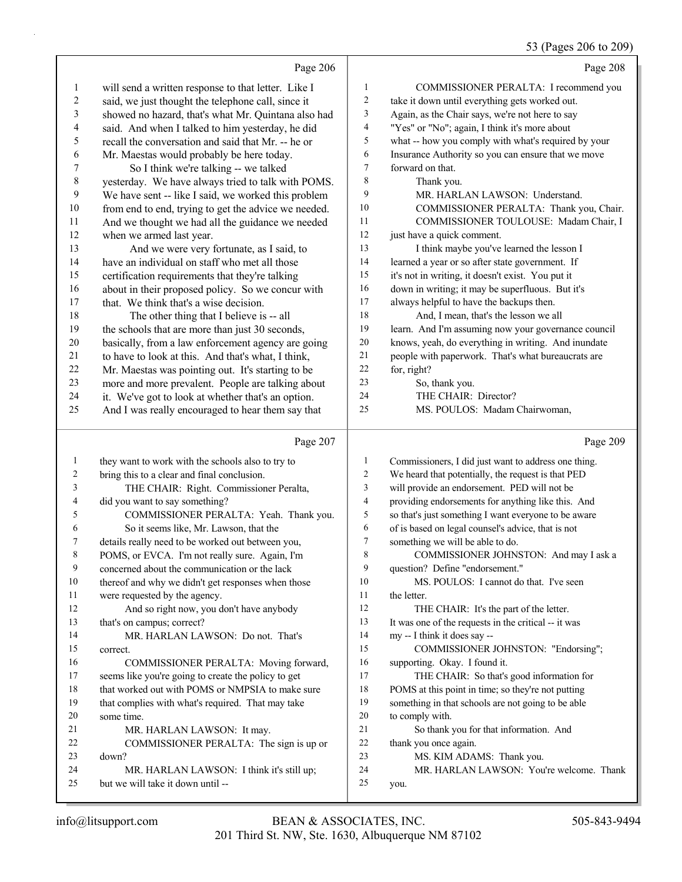#### 53 (Pages 206 to 209)

|                  |                                                                                                  |                | 33 (Pages 206 to 209)                                                                                      |
|------------------|--------------------------------------------------------------------------------------------------|----------------|------------------------------------------------------------------------------------------------------------|
|                  | Page 206                                                                                         |                | Page 208                                                                                                   |
| 1                | will send a written response to that letter. Like I                                              | 1              | COMMISSIONER PERALTA: I recommend you                                                                      |
| $\overline{c}$   | said, we just thought the telephone call, since it                                               | 2              | take it down until everything gets worked out.                                                             |
| 3                | showed no hazard, that's what Mr. Quintana also had                                              | 3              | Again, as the Chair says, we're not here to say                                                            |
| 4                | said. And when I talked to him yesterday, he did                                                 | 4              | "Yes" or "No"; again, I think it's more about                                                              |
| 5                | recall the conversation and said that Mr. -- he or                                               | 5              | what -- how you comply with what's required by your                                                        |
| 6                | Mr. Maestas would probably be here today.                                                        | 6              | Insurance Authority so you can ensure that we move                                                         |
| 7                | So I think we're talking -- we talked                                                            | $\tau$         | forward on that.                                                                                           |
| $\,$ $\,$        | yesterday. We have always tried to talk with POMS.                                               | $\,$ 8 $\,$    | Thank you.                                                                                                 |
| 9                | We have sent -- like I said, we worked this problem                                              | 9              | MR. HARLAN LAWSON: Understand.                                                                             |
| 10               | from end to end, trying to get the advice we needed.                                             | 10             | COMMISSIONER PERALTA: Thank you, Chair.                                                                    |
| 11               | And we thought we had all the guidance we needed                                                 | 11             | COMMISSIONER TOULOUSE: Madam Chair, I                                                                      |
| 12               | when we armed last year.                                                                         | 12             | just have a quick comment.                                                                                 |
| 13               | And we were very fortunate, as I said, to                                                        | 13             | I think maybe you've learned the lesson I                                                                  |
| 14               | have an individual on staff who met all those                                                    | 14             | learned a year or so after state government. If                                                            |
| 15               | certification requirements that they're talking                                                  | 15             | it's not in writing, it doesn't exist. You put it                                                          |
| 16               | about in their proposed policy. So we concur with                                                | 16             | down in writing; it may be superfluous. But it's                                                           |
| 17               | that. We think that's a wise decision.                                                           | 17             | always helpful to have the backups then.                                                                   |
| 18               | The other thing that I believe is -- all                                                         | 18             | And, I mean, that's the lesson we all                                                                      |
| 19               | the schools that are more than just 30 seconds,                                                  | 19             | learn. And I'm assuming now your governance council                                                        |
| 20               | basically, from a law enforcement agency are going                                               | $20\,$         | knows, yeah, do everything in writing. And inundate                                                        |
| 21               | to have to look at this. And that's what, I think,                                               | $21\,$         | people with paperwork. That's what bureaucrats are                                                         |
| 22               | Mr. Maestas was pointing out. It's starting to be                                                | $22\,$         | for, right?                                                                                                |
| 23               | more and more prevalent. People are talking about                                                | 23             | So, thank you.                                                                                             |
| 24               | it. We've got to look at whether that's an option.                                               | 24<br>25       | THE CHAIR: Director?                                                                                       |
| 25               | And I was really encouraged to hear them say that                                                |                | MS. POULOS: Madam Chairwoman,                                                                              |
|                  |                                                                                                  |                |                                                                                                            |
|                  | Page 207                                                                                         |                | Page 209                                                                                                   |
| $\mathbf{1}$     |                                                                                                  | 1              |                                                                                                            |
| $\boldsymbol{2}$ | they want to work with the schools also to try to<br>bring this to a clear and final conclusion. | $\overline{c}$ | Commissioners, I did just want to address one thing.<br>We heard that potentially, the request is that PED |
| 3                | THE CHAIR: Right. Commissioner Peralta,                                                          | 3              | will provide an endorsement. PED will not be                                                               |
| 4                | did you want to say something?                                                                   | $\overline{4}$ | providing endorsements for anything like this. And                                                         |
| 5                | COMMISSIONER PERALTA: Yeah. Thank you.                                                           | 5              | so that's just something I want everyone to be aware                                                       |
| 6                | So it seems like, Mr. Lawson, that the                                                           | 6              | of is based on legal counsel's advice, that is not                                                         |
| 7                | details really need to be worked out between you,                                                | 7              | something we will be able to do.                                                                           |
| 8                | POMS, or EVCA. I'm not really sure. Again, I'm                                                   | 8              | COMMISSIONER JOHNSTON: And may I ask a                                                                     |
| 9                | concerned about the communication or the lack                                                    | 9              | question? Define "endorsement."                                                                            |
| 10               | thereof and why we didn't get responses when those                                               | 10             | MS. POULOS: I cannot do that. I've seen                                                                    |
| 11               | were requested by the agency.                                                                    | 11             | the letter.                                                                                                |
| 12               | And so right now, you don't have anybody                                                         | 12             | THE CHAIR: It's the part of the letter.                                                                    |
| 13               | that's on campus; correct?                                                                       | 13             | It was one of the requests in the critical -- it was                                                       |
| 14               | MR. HARLAN LAWSON: Do not. That's                                                                | 14             | my -- I think it does say --                                                                               |
| 15               | correct.                                                                                         | 15             | COMMISSIONER JOHNSTON: "Endorsing";                                                                        |
| 16               | COMMISSIONER PERALTA: Moving forward,                                                            | 16             | supporting. Okay. I found it.                                                                              |
| 17               | seems like you're going to create the policy to get                                              | 17             | THE CHAIR: So that's good information for                                                                  |
| 18               | that worked out with POMS or NMPSIA to make sure                                                 | 18             | POMS at this point in time; so they're not putting                                                         |
| 19               | that complies with what's required. That may take                                                | 19             | something in that schools are not going to be able                                                         |
| 20               | some time.                                                                                       | 20             | to comply with.                                                                                            |
| 21               | MR. HARLAN LAWSON: It may.                                                                       | 21             | So thank you for that information. And                                                                     |
| 22<br>23         | COMMISSIONER PERALTA: The sign is up or<br>down?                                                 | 22<br>23       | thank you once again.                                                                                      |
| 24               | MR. HARLAN LAWSON: I think it's still up;                                                        | 24             | MS. KIM ADAMS: Thank you.<br>MR. HARLAN LAWSON: You're welcome. Thank                                      |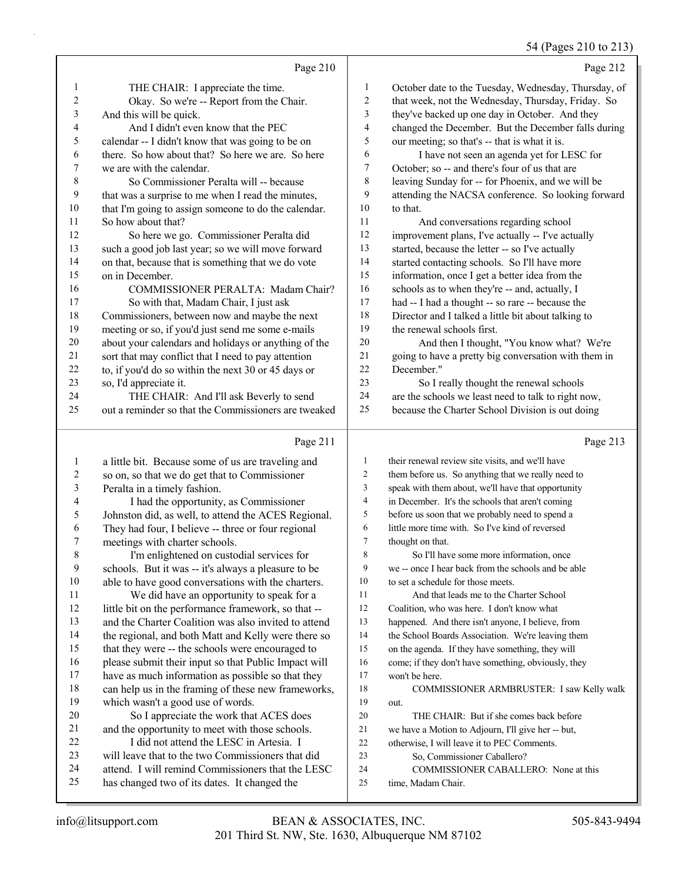54 (Pages 210 to 213)

|                | Page 210                                             |                | Page 212                                             |
|----------------|------------------------------------------------------|----------------|------------------------------------------------------|
| $\mathbf{1}$   | THE CHAIR: I appreciate the time.                    | 1              | October date to the Tuesday, Wednesday, Thursday, of |
| $\overline{c}$ | Okay. So we're -- Report from the Chair.             | 2              | that week, not the Wednesday, Thursday, Friday. So   |
| $\mathfrak{Z}$ | And this will be quick.                              | 3              | they've backed up one day in October. And they       |
| $\overline{4}$ | And I didn't even know that the PEC                  | $\overline{4}$ | changed the December. But the December falls during  |
| 5              | calendar -- I didn't know that was going to be on    | 5              | our meeting; so that's -- that is what it is.        |
| 6              | there. So how about that? So here we are. So here    | 6              | I have not seen an agenda yet for LESC for           |
| 7              | we are with the calendar.                            | 7              | October; so -- and there's four of us that are       |
| 8              | So Commissioner Peralta will -- because              | 8              | leaving Sunday for -- for Phoenix, and we will be    |
| 9              | that was a surprise to me when I read the minutes,   | 9              | attending the NACSA conference. So looking forward   |
| 10             | that I'm going to assign someone to do the calendar. | 10             | to that.                                             |
| 11             | So how about that?                                   | 11             | And conversations regarding school                   |
| 12             | So here we go. Commissioner Peralta did              | 12             | improvement plans, I've actually -- I've actually    |
| 13             | such a good job last year; so we will move forward   | 13             | started, because the letter -- so I've actually      |
| 14             | on that, because that is something that we do vote   | 14             | started contacting schools. So I'll have more        |
| 15             | on in December.                                      | 15             | information, once I get a better idea from the       |
| 16             | COMMISSIONER PERALTA: Madam Chair?                   | 16             | schools as to when they're -- and, actually, I       |
| 17             | So with that, Madam Chair, I just ask                | 17             | had -- I had a thought -- so rare -- because the     |
| 18             | Commissioners, between now and maybe the next        | 18             | Director and I talked a little bit about talking to  |
| 19             | meeting or so, if you'd just send me some e-mails    | 19             | the renewal schools first.                           |
| 20             | about your calendars and holidays or anything of the | 20             | And then I thought, "You know what? We're            |
| 21             | sort that may conflict that I need to pay attention  | 21             | going to have a pretty big conversation with them in |
| 22             | to, if you'd do so within the next 30 or 45 days or  | 22             | December."                                           |
| 23             | so, I'd appreciate it.                               | 23             | So I really thought the renewal schools              |
| 24             | THE CHAIR: And I'll ask Beverly to send              | 24             | are the schools we least need to talk to right now,  |
| 25             | out a reminder so that the Commissioners are tweaked | 25             | because the Charter School Division is out doing     |
|                | Page 211                                             |                | Page 213                                             |
| -1             | a little bit. Because some of us are traveling and   | 1              | their renewal review site visits, and we'll have     |

| 1  | a little bit. Because some of us are traveling and   | 1  | their renewal review site visits, and we'll have    |
|----|------------------------------------------------------|----|-----------------------------------------------------|
| 2  | so on, so that we do get that to Commissioner        | 2  | them before us. So anything that we really need to  |
| 3  | Peralta in a timely fashion.                         | 3  | speak with them about, we'll have that opportunity  |
| 4  | I had the opportunity, as Commissioner               | 4  | in December. It's the schools that aren't coming    |
| 5  | Johnston did, as well, to attend the ACES Regional.  | 5  | before us soon that we probably need to spend a     |
| 6  | They had four, I believe -- three or four regional   | 6  | little more time with. So I've kind of reversed     |
| 7  | meetings with charter schools.                       | 7  | thought on that.                                    |
| 8  | I'm enlightened on custodial services for            | 8  | So I'll have some more information, once            |
| 9  | schools. But it was -- it's always a pleasure to be  | 9  | we -- once I hear back from the schools and be able |
| 10 | able to have good conversations with the charters.   | 10 | to set a schedule for those meets.                  |
| 11 | We did have an opportunity to speak for a            | 11 | And that leads me to the Charter School             |
| 12 | little bit on the performance framework, so that --  | 12 | Coalition, who was here. I don't know what          |
| 13 | and the Charter Coalition was also invited to attend | 13 | happened. And there isn't anyone, I believe, from   |
| 14 | the regional, and both Matt and Kelly were there so  | 14 | the School Boards Association. We're leaving them   |
| 15 | that they were -- the schools were encouraged to     | 15 | on the agenda. If they have something, they will    |
| 16 | please submit their input so that Public Impact will | 16 | come; if they don't have something, obviously, they |
| 17 | have as much information as possible so that they    | 17 | won't be here.                                      |
| 18 | can help us in the framing of these new frameworks,  | 18 | COMMISSIONER ARMBRUSTER: I saw Kelly walk           |
| 19 | which wasn't a good use of words.                    | 19 | out.                                                |
| 20 | So I appreciate the work that ACES does              | 20 | THE CHAIR: But if she comes back before             |
| 21 | and the opportunity to meet with those schools.      | 21 | we have a Motion to Adjourn, I'll give her -- but,  |
| 22 | I did not attend the LESC in Artesia. I              | 22 | otherwise, I will leave it to PEC Comments.         |
| 23 | will leave that to the two Commissioners that did    | 23 | So, Commissioner Caballero?                         |
| 24 | attend. I will remind Commissioners that the LESC    | 24 | COMMISSIONER CABALLERO: None at this                |
| 25 | has changed two of its dates. It changed the         | 25 | time, Madam Chair.                                  |
|    |                                                      |    |                                                     |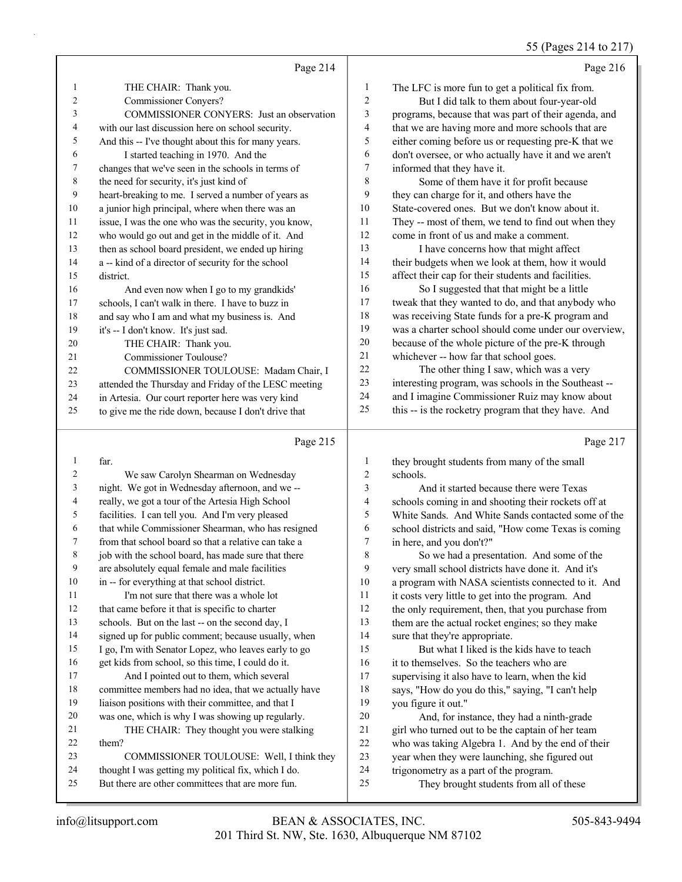# 55 (Pages 214 to 217)

|                | Page 214                                             |                | Page 216                                             |
|----------------|------------------------------------------------------|----------------|------------------------------------------------------|
| 1              | THE CHAIR: Thank you.                                | 1              | The LFC is more fun to get a political fix from.     |
| $\overline{2}$ | Commissioner Conyers?                                | $\overline{2}$ | But I did talk to them about four-year-old           |
| 3              | <b>COMMISSIONER CONYERS:</b> Just an observation     | 3              | programs, because that was part of their agenda, and |
| 4              | with our last discussion here on school security.    | 4              | that we are having more and more schools that are    |
| 5              | And this -- I've thought about this for many years.  | 5              | either coming before us or requesting pre-K that we  |
| 6              | I started teaching in 1970. And the                  | 6              | don't oversee, or who actually have it and we aren't |
| 7              | changes that we've seen in the schools in terms of   | 7              | informed that they have it.                          |
| 8              | the need for security, it's just kind of             | 8              | Some of them have it for profit because              |
| 9              | heart-breaking to me. I served a number of years as  | 9              | they can charge for it, and others have the          |
| 10             | a junior high principal, where when there was an     | 10             | State-covered ones. But we don't know about it.      |
| 11             | issue, I was the one who was the security, you know, | 11             | They -- most of them, we tend to find out when they  |
| 12             | who would go out and get in the middle of it. And    | 12             | come in front of us and make a comment.              |
| 13             | then as school board president, we ended up hiring   | 13             | I have concerns how that might affect                |
| 14             | a -- kind of a director of security for the school   | 14             | their budgets when we look at them, how it would     |
| 15             | district.                                            | 15             | affect their cap for their students and facilities.  |
| 16             | And even now when I go to my grandkids'              | 16             | So I suggested that that might be a little           |
| 17             | schools, I can't walk in there. I have to buzz in    | 17             | tweak that they wanted to do, and that anybody who   |
| 18             | and say who I am and what my business is. And        | 18             | was receiving State funds for a pre-K program and    |
| 19             | it's -- I don't know. It's just sad.                 | 19             | was a charter school should come under our overview, |
| 20             | THE CHAIR: Thank you.                                | 20             | because of the whole picture of the pre-K through    |
| 21             | Commissioner Toulouse?                               | 21             | whichever -- how far that school goes.               |
| 22             | COMMISSIONER TOULOUSE: Madam Chair, I                | 22             | The other thing I saw, which was a very              |
| 23             | attended the Thursday and Friday of the LESC meeting | 23             | interesting program, was schools in the Southeast -- |
| 24             | in Artesia. Our court reporter here was very kind    | 24             | and I imagine Commissioner Ruiz may know about       |
| 25             | to give me the ride down, because I don't drive that | 25             | this -- is the rocketry program that they have. And  |
|                | Page 215                                             |                | Page 217                                             |

### Page 215

|    | far.                                                 | 1              | they brought students from many of the small         |
|----|------------------------------------------------------|----------------|------------------------------------------------------|
| 2  | We saw Carolyn Shearman on Wednesday                 | $\overline{2}$ | schools.                                             |
| 3  | night. We got in Wednesday afternoon, and we --      | 3              | And it started because there were Texas              |
| 4  | really, we got a tour of the Artesia High School     | 4              | schools coming in and shooting their rockets off at  |
| 5  | facilities. I can tell you. And I'm very pleased     | 5              | White Sands. And White Sands contacted some of the   |
| 6  | that while Commissioner Shearman, who has resigned   | 6              | school districts and said, "How come Texas is coming |
| 7  | from that school board so that a relative can take a | 7              | in here, and you don't?"                             |
| 8  | job with the school board, has made sure that there  | 8              | So we had a presentation. And some of the            |
| 9  | are absolutely equal female and male facilities      | 9              | very small school districts have done it. And it's   |
| 10 | in -- for everything at that school district.        | 10             | a program with NASA scientists connected to it. And  |
| 11 | I'm not sure that there was a whole lot              | 11             | it costs very little to get into the program. And    |
| 12 | that came before it that is specific to charter      | 12             | the only requirement, then, that you purchase from   |
| 13 | schools. But on the last -- on the second day, I     | 13             | them are the actual rocket engines; so they make     |
| 14 | signed up for public comment; because usually, when  | 14             | sure that they're appropriate.                       |
| 15 | I go, I'm with Senator Lopez, who leaves early to go | 15             | But what I liked is the kids have to teach           |
| 16 | get kids from school, so this time, I could do it.   | 16             | it to themselves. So the teachers who are            |
| 17 | And I pointed out to them, which several             | 17             | supervising it also have to learn, when the kid      |
| 18 | committee members had no idea, that we actually have | 18             | says, "How do you do this," saying, "I can't help    |
| 19 | liaison positions with their committee, and that I   | 19             | you figure it out."                                  |
| 20 | was one, which is why I was showing up regularly.    | 20             | And, for instance, they had a ninth-grade            |
| 21 | THE CHAIR: They thought you were stalking            | 21             | girl who turned out to be the captain of her team    |
| 22 | them?                                                | 22             | who was taking Algebra 1. And by the end of their    |
| 23 | COMMISSIONER TOULOUSE: Well, I think they            | 23             | year when they were launching, she figured out       |
| 24 | thought I was getting my political fix, which I do.  | 24             | trigonometry as a part of the program.               |
| 25 | But there are other committees that are more fun.    | 25             | They brought students from all of these              |
|    |                                                      |                |                                                      |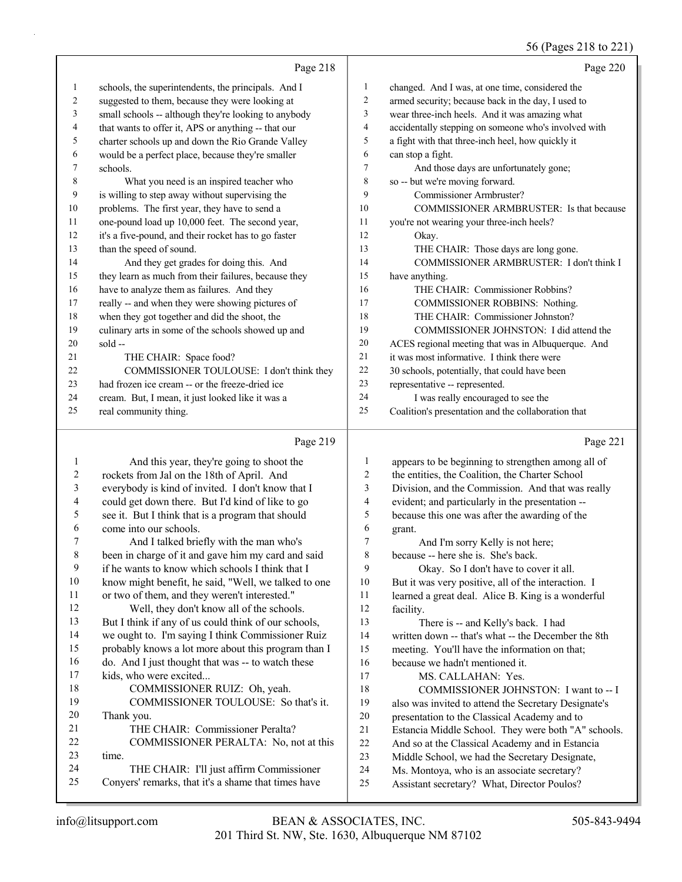# 56 (Pages 218 to 221)

|    | Page 218                                             |                | Page 220                                             |
|----|------------------------------------------------------|----------------|------------------------------------------------------|
| 1  | schools, the superintendents, the principals. And I  | 1              | changed. And I was, at one time, considered the      |
| 2  | suggested to them, because they were looking at      | 2              | armed security; because back in the day, I used to   |
| 3  | small schools -- although they're looking to anybody | 3              | wear three-inch heels. And it was amazing what       |
| 4  | that wants to offer it, APS or anything -- that our  | $\overline{4}$ | accidentally stepping on someone who's involved with |
| 5  | charter schools up and down the Rio Grande Valley    | 5              | a fight with that three-inch heel, how quickly it    |
| 6  | would be a perfect place, because they're smaller    | 6              | can stop a fight.                                    |
| 7  | schools.                                             | 7              | And those days are unfortunately gone;               |
| 8  | What you need is an inspired teacher who             | 8              | so -- but we're moving forward.                      |
| 9  | is willing to step away without supervising the      | 9              | Commissioner Armbruster?                             |
| 10 | problems. The first year, they have to send a        | 10             | COMMISSIONER ARMBRUSTER: Is that because             |
| 11 | one-pound load up 10,000 feet. The second year,      | 11             | you're not wearing your three-inch heels?            |
| 12 | it's a five-pound, and their rocket has to go faster | 12             | Okay.                                                |
| 13 | than the speed of sound.                             | 13             | THE CHAIR: Those days are long gone.                 |
| 14 | And they get grades for doing this. And              | 14             | COMMISSIONER ARMBRUSTER: I don't think I             |
| 15 | they learn as much from their failures, because they | 15             | have anything.                                       |
| 16 | have to analyze them as failures. And they           | 16             | THE CHAIR: Commissioner Robbins?                     |
| 17 | really -- and when they were showing pictures of     | 17             | COMMISSIONER ROBBINS: Nothing.                       |
| 18 | when they got together and did the shoot, the        | 18             | THE CHAIR: Commissioner Johnston?                    |
| 19 | culinary arts in some of the schools showed up and   | 19             | COMMISSIONER JOHNSTON: I did attend the              |
| 20 | $sold -$                                             | 20             | ACES regional meeting that was in Albuquerque. And   |
| 21 | THE CHAIR: Space food?                               | 21             | it was most informative. I think there were          |
| 22 | COMMISSIONER TOULOUSE: I don't think they            | 22             | 30 schools, potentially, that could have been        |
| 23 | had frozen ice cream -- or the freeze-dried ice      | 23             | representative -- represented.                       |
| 24 | cream. But, I mean, it just looked like it was a     | 24             | I was really encouraged to see the                   |
| 25 | real community thing.                                | 25             | Coalition's presentation and the collaboration that  |
|    | Page 219                                             |                | Page 221                                             |
|    | And this year they're going to shoot the             |                | annears to be beginning to strengthen among all of   |

|    | And this year, they're going to shoot the            | 1  | appears to be beginning to strengthen among all of   |
|----|------------------------------------------------------|----|------------------------------------------------------|
| 2  | rockets from Jal on the 18th of April. And           | 2  | the entities, the Coalition, the Charter School      |
| 3  | everybody is kind of invited. I don't know that I    | 3  | Division, and the Commission. And that was really    |
| 4  | could get down there. But I'd kind of like to go     | 4  | evident; and particularly in the presentation --     |
| 5  | see it. But I think that is a program that should    | 5  | because this one was after the awarding of the       |
| 6  | come into our schools.                               | 6  | grant.                                               |
| 7  | And I talked briefly with the man who's              | 7  | And I'm sorry Kelly is not here;                     |
| 8  | been in charge of it and gave him my card and said   | 8  | because -- here she is. She's back.                  |
| 9  | if he wants to know which schools I think that I     | 9  | Okay. So I don't have to cover it all.               |
| 10 | know might benefit, he said, "Well, we talked to one | 10 | But it was very positive, all of the interaction. I  |
| 11 | or two of them, and they weren't interested."        | 11 | learned a great deal. Alice B. King is a wonderful   |
| 12 | Well, they don't know all of the schools.            | 12 | facility.                                            |
| 13 | But I think if any of us could think of our schools, | 13 | There is -- and Kelly's back. I had                  |
| 14 | we ought to. I'm saying I think Commissioner Ruiz    | 14 | written down -- that's what -- the December the 8th  |
| 15 | probably knows a lot more about this program than I  | 15 | meeting. You'll have the information on that;        |
| 16 | do. And I just thought that was -- to watch these    | 16 | because we hadn't mentioned it.                      |
| 17 | kids, who were excited                               | 17 | MS. CALLAHAN: Yes.                                   |
| 18 | COMMISSIONER RUIZ: Oh, yeah.                         | 18 | COMMISSIONER JOHNSTON: I want to -- I                |
| 19 | COMMISSIONER TOULOUSE: So that's it.                 | 19 | also was invited to attend the Secretary Designate's |
| 20 | Thank you.                                           | 20 | presentation to the Classical Academy and to         |
| 21 | THE CHAIR: Commissioner Peralta?                     | 21 | Estancia Middle School. They were both "A" schools.  |
| 22 | COMMISSIONER PERALTA: No, not at this                | 22 | And so at the Classical Academy and in Estancia      |
| 23 | time.                                                | 23 | Middle School, we had the Secretary Designate,       |
| 24 | THE CHAIR: I'll just affirm Commissioner             | 24 | Ms. Montoya, who is an associate secretary?          |
| 25 | Conyers' remarks, that it's a shame that times have  | 25 | Assistant secretary? What, Director Poulos?          |
|    |                                                      |    |                                                      |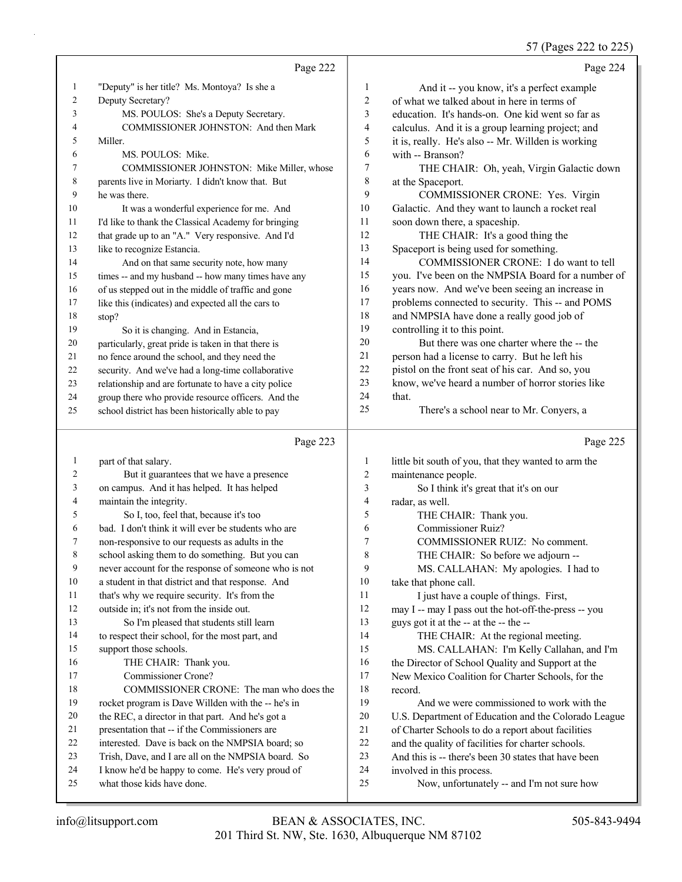57 (Pages 222 to 225)

|                |                                                      |                | $57$ (1 agos 222 to 223)                             |
|----------------|------------------------------------------------------|----------------|------------------------------------------------------|
|                | Page 222                                             |                | Page 224                                             |
| $\mathbf{1}$   | "Deputy" is her title? Ms. Montoya? Is she a         | $\mathbf{1}$   | And it -- you know, it's a perfect example           |
| 2              | Deputy Secretary?                                    | $\sqrt{2}$     | of what we talked about in here in terms of          |
| 3              | MS. POULOS: She's a Deputy Secretary.                | $\mathfrak{Z}$ | education. It's hands-on. One kid went so far as     |
| 4              | COMMISSIONER JOHNSTON: And then Mark                 | $\overline{4}$ | calculus. And it is a group learning project; and    |
| 5              | Miller.                                              | 5              | it is, really. He's also -- Mr. Willden is working   |
| 6              | MS. POULOS: Mike.                                    | 6              | with -- Branson?                                     |
| 7              | COMMISSIONER JOHNSTON: Mike Miller, whose            | 7              | THE CHAIR: Oh, yeah, Virgin Galactic down            |
| 8              | parents live in Moriarty. I didn't know that. But    | 8              | at the Spaceport.                                    |
| 9              | he was there.                                        | 9              | COMMISSIONER CRONE: Yes. Virgin                      |
| 10             | It was a wonderful experience for me. And            | 10             | Galactic. And they want to launch a rocket real      |
| 11             | I'd like to thank the Classical Academy for bringing | 11             | soon down there, a spaceship.                        |
| 12             | that grade up to an "A." Very responsive. And I'd    | 12             | THE CHAIR: It's a good thing the                     |
| 13             | like to recognize Estancia.                          | 13             | Spaceport is being used for something.               |
| 14             | And on that same security note, how many             | 14             | COMMISSIONER CRONE: I do want to tell                |
| 15             | times -- and my husband -- how many times have any   | 15             | you. I've been on the NMPSIA Board for a number of   |
| 16             | of us stepped out in the middle of traffic and gone  | 16             | years now. And we've been seeing an increase in      |
| 17             | like this (indicates) and expected all the cars to   | 17             | problems connected to security. This -- and POMS     |
| 18             | stop?                                                | 18             | and NMPSIA have done a really good job of            |
| 19             | So it is changing. And in Estancia,                  | 19             | controlling it to this point.                        |
| 20             | particularly, great pride is taken in that there is  | 20             | But there was one charter where the -- the           |
| 21             | no fence around the school, and they need the        | 21             | person had a license to carry. But he left his       |
| 22             | security. And we've had a long-time collaborative    | 22             | pistol on the front seat of his car. And so, you     |
| 23             | relationship and are fortunate to have a city police | 23             | know, we've heard a number of horror stories like    |
| 24             | group there who provide resource officers. And the   | 24             | that.                                                |
| 25             | school district has been historically able to pay    | 25             | There's a school near to Mr. Conyers, a              |
|                | Page 223                                             |                | Page 225                                             |
| $\mathbf{1}$   | part of that salary.                                 | 1              | little bit south of you, that they wanted to arm the |
| $\overline{c}$ | But it guarantees that we have a presence            | $\overline{c}$ | maintenance people.                                  |
| 3              | on campus. And it has helped. It has helped          | 3              | So I think it's great that it's on our               |
| 4              | maintain the integrity.                              | 4              | radar, as well.                                      |
| 5              | So I, too, feel that, because it's too               | 5              | THE CHAIR: Thank you.                                |
| 6              | bad. I don't think it will ever be students who are  | 6              | Commissioner Ruiz?                                   |
| 7              | non-responsive to our requests as adults in the      | 7              | COMMISSIONER RUIZ: No comment.                       |
| $\,$ 8 $\,$    | school asking them to do something. But you can      | 8              | THE CHAIR: So before we adjourn --                   |
| 9              | never account for the response of someone who is not | 9              | MS. CALLAHAN: My apologies. I had to                 |
| 10             | a student in that district and that response. And    | 10             | take that phone call.                                |
| 11             | that's why we require security. It's from the        | 11             | I just have a couple of things. First,               |

- that's why we require security. It's from the
- outside in; it's not from the inside out. 13 So I'm pleased that students still learn to respect their school, for the most part, and support those schools. 16 THE CHAIR: Thank you. 17 Commissioner Crone? 18 COMMISSIONER CRONE: The man who does the rocket program is Dave Willden with the -- he's in
- the REC, a director in that part. And he's got a
- presentation that -- if the Commissioners are
- interested. Dave is back on the NMPSIA board; so
- Trish, Dave, and I are all on the NMPSIA board. So
- I know he'd be happy to come. He's very proud of what those kids have done.
- may I -- may I pass out the hot-off-the-press -- you
- guys got it at the -- at the -- the --
- 14 THE CHAIR: At the regional meeting.
- 15 MS. CALLAHAN: I'm Kelly Callahan, and I'm
- the Director of School Quality and Support at the New Mexico Coalition for Charter Schools, for the record.
- 19 And we were commissioned to work with the
- U.S. Department of Education and the Colorado League
- of Charter Schools to do a report about facilities
- and the quality of facilities for charter schools.
- And this is -- there's been 30 states that have been
- involved in this process.
- 25 Now, unfortunately -- and I'm not sure how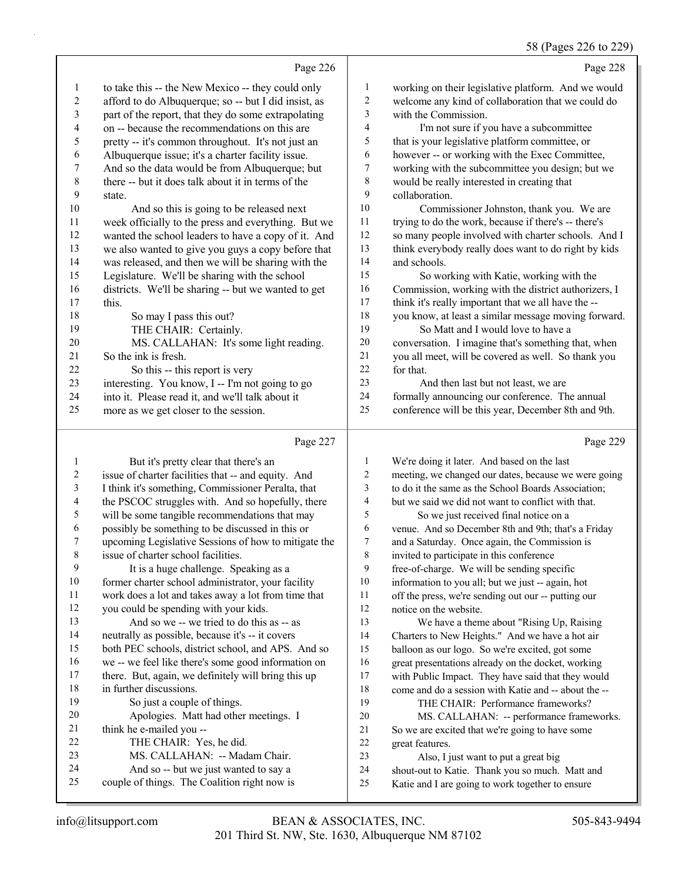#### 58 (Pages 226 to 229)

|                  |                                                                                |                         | 58 (Pages 226 to 229                                                                                       |
|------------------|--------------------------------------------------------------------------------|-------------------------|------------------------------------------------------------------------------------------------------------|
|                  | Page 226                                                                       |                         | Page 228                                                                                                   |
| 1                | to take this -- the New Mexico -- they could only                              | $\mathbf{1}$            | working on their legislative platform. And we would                                                        |
| $\boldsymbol{2}$ | afford to do Albuquerque; so -- but I did insist, as                           | $\overline{\mathbf{c}}$ | welcome any kind of collaboration that we could do                                                         |
| 3                | part of the report, that they do some extrapolating                            | 3                       | with the Commission.                                                                                       |
| 4                | on -- because the recommendations on this are                                  | $\overline{\mathbf{4}}$ | I'm not sure if you have a subcommittee                                                                    |
| 5                | pretty -- it's common throughout. It's not just an                             | 5                       | that is your legislative platform committee, or                                                            |
| 6                | Albuquerque issue; it's a charter facility issue.                              | 6                       | however -- or working with the Exec Committee,                                                             |
| 7                | And so the data would be from Albuquerque; but                                 | $\boldsymbol{7}$        | working with the subcommittee you design; but we                                                           |
| $\,$ $\,$        | there -- but it does talk about it in terms of the                             | $\,$ $\,$               | would be really interested in creating that                                                                |
| 9                | state.                                                                         | 9                       | collaboration.                                                                                             |
| 10               | And so this is going to be released next                                       | $10\,$                  | Commissioner Johnston, thank you. We are                                                                   |
| 11               | week officially to the press and everything. But we                            | 11                      | trying to do the work, because if there's -- there's                                                       |
| 12               | wanted the school leaders to have a copy of it. And                            | 12                      | so many people involved with charter schools. And I                                                        |
| 13               | we also wanted to give you guys a copy before that                             | 13                      | think everybody really does want to do right by kids                                                       |
| 14               | was released, and then we will be sharing with the                             | 14                      | and schools.                                                                                               |
| 15               | Legislature. We'll be sharing with the school                                  | 15                      | So working with Katie, working with the                                                                    |
| 16               | districts. We'll be sharing -- but we wanted to get                            | 16                      | Commission, working with the district authorizers, I                                                       |
| 17               | this.                                                                          | 17                      | think it's really important that we all have the --                                                        |
| 18               | So may I pass this out?                                                        | $18\,$                  | you know, at least a similar message moving forward.                                                       |
| 19               | THE CHAIR: Certainly.                                                          | 19                      | So Matt and I would love to have a                                                                         |
| $20\,$           | MS. CALLAHAN: It's some light reading.                                         | $20\,$                  | conversation. I imagine that's something that, when                                                        |
| 21               | So the ink is fresh.                                                           | 21                      | you all meet, will be covered as well. So thank you                                                        |
| $22\,$           | So this -- this report is very                                                 | $22\,$                  | for that.                                                                                                  |
| 23               | interesting. You know, I -- I'm not going to go                                | 23                      | And then last but not least, we are                                                                        |
| 24               | into it. Please read it, and we'll talk about it                               | 24                      | formally announcing our conference. The annual                                                             |
| 25               | more as we get closer to the session.                                          | 25                      | conference will be this year, December 8th and 9th.                                                        |
|                  | Page 227                                                                       |                         | Page 229                                                                                                   |
| $\mathbf{1}$     | But it's pretty clear that there's an                                          | $\mathbf{1}$            | We're doing it later. And based on the last                                                                |
| $\sqrt{2}$       | issue of charter facilities that -- and equity. And                            | $\overline{c}$          | meeting, we changed our dates, because we were going                                                       |
| 3                | I think it's something, Commissioner Peralta, that                             | 3                       | to do it the same as the School Boards Association;                                                        |
| $\overline{4}$   | the PSCOC struggles with. And so hopefully, there                              | 4                       | but we said we did not want to conflict with that.                                                         |
| 5                | will be some tangible recommendations that may                                 | 5                       | So we just received final notice on a                                                                      |
| 6                | possibly be something to be discussed in this or                               | 6                       | venue. And so December 8th and 9th; that's a Friday                                                        |
| 7                | upcoming Legislative Sessions of how to mitigate the                           | $\overline{7}$          | and a Saturday. Once again, the Commission is                                                              |
| $8\phantom{1}$   | issue of charter school facilities.                                            | $\,$ 8 $\,$             | invited to participate in this conference                                                                  |
| 9                | It is a huge challenge. Speaking as a                                          | 9                       | free-of-charge. We will be sending specific                                                                |
| $10\,$           | former charter school administrator, your facility                             | 10                      | information to you all; but we just -- again, hot                                                          |
| 11               | work does a lot and takes away a lot from time that                            | 11                      | off the press, we're sending out our -- putting our                                                        |
| 12               | you could be spending with your kids.                                          | 12                      | notice on the website.                                                                                     |
| 13               | And so we -- we tried to do this as -- as                                      | 13                      | We have a theme about "Rising Up, Raising                                                                  |
| 14<br>15         | neutrally as possible, because it's -- it covers                               | 14                      | Charters to New Heights." And we have a hot air                                                            |
| 16               | both PEC schools, district school, and APS. And so                             | 15                      | balloon as our logo. So we're excited, got some                                                            |
| 17               | we -- we feel like there's some good information on                            | 16                      | great presentations already on the docket, working                                                         |
| 18               | there. But, again, we definitely will bring this up<br>in further discussions. | 17<br>18                | with Public Impact. They have said that they would<br>come and do a session with Katie and -- about the -- |
| 19               | So just a couple of things.                                                    | 19                      | THE CHAIR: Performance frameworks?                                                                         |
| 20               | Apologies. Matt had other meetings. I                                          | $20\,$                  | MS. CALLAHAN: -- performance frameworks.                                                                   |
| 21               | think he e-mailed you --                                                       | 21                      | So we are excited that we're going to have some                                                            |
| $22\,$           | THE CHAIR: Yes, he did.                                                        | $22\,$                  | great features.                                                                                            |
|                  |                                                                                |                         |                                                                                                            |

- 23 MS. CALLAHAN: -- Madam Chair.
- 24 And so -- but we just wanted to say a<br>25 couple of things. The Coalition right now is couple of things. The Coalition right now is
- 23 Also, I just want to put a great big
- shout-out to Katie. Thank you so much. Matt and
- Katie and I are going to work together to ensure